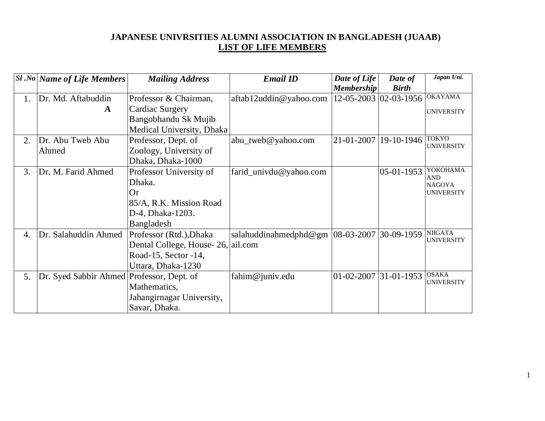## **JAPANESE UNIVRSITIES ALUMNI ASSOCIATION IN BANGLADESH (JUAAB) LIST OF LIFE MEMBERS**

|                  | $SI$ .No Name of Life Members             | <b>Mailing Address</b>    | <b>Email ID</b>                      | Date of Life              | Date of               | Japan Uni.                  |
|------------------|-------------------------------------------|---------------------------|--------------------------------------|---------------------------|-----------------------|-----------------------------|
|                  |                                           |                           |                                      | <b>Membership</b>         | <b>Birth</b>          |                             |
| 1.               | Dr. Md. Aftabuddin                        | Professor & Chairman,     | aftab12uddin@yahoo.com               |                           | 12-05-2003 02-03-1956 | <b>OKAYAMA</b>              |
|                  | $\mathbf{A}$                              | Cardiac Surgery           |                                      |                           |                       | <b>UNIVERSITY</b>           |
|                  |                                           | Bangobhandu Sk Mujib      |                                      |                           |                       |                             |
|                  |                                           | Medical University, Dhaka |                                      |                           |                       |                             |
| 2.               | Dr. Abu Tweb Abu                          | Professor, Dept. of       | abu_tweb@yahoo.com                   | 21-01-2007                | 19-10-1946            | <b>TOKYO</b>                |
|                  | Ahmed                                     | Zoology, University of    |                                      |                           |                       | <b>UNIVERSITY</b>           |
|                  |                                           | Dhaka, Dhaka-1000         |                                      |                           |                       |                             |
| 3.               | Dr. M. Farid Ahmed                        | Professor University of   | farid_univdu@yahoo.com               |                           | $ 05-01-1953 $        | YOKOHAMA                    |
|                  |                                           | Dhaka.                    |                                      |                           |                       | <b>AND</b><br><b>NAGOYA</b> |
|                  |                                           | <b>Or</b>                 |                                      |                           |                       | <b>UNIVERSITY</b>           |
|                  |                                           | 85/A, R.K. Mission Road   |                                      |                           |                       |                             |
|                  |                                           | D-4, Dhaka-1203.          |                                      |                           |                       |                             |
|                  |                                           | Bangladesh                |                                      |                           |                       |                             |
| $\overline{4}$ . | Dr. Salahuddin Ahmed                      | Professor (Rtd.), Dhaka   | salahuddinahmedphd@gm $ 08-03-2007 $ |                           | 30-09-1959            | <b>NIIGATA</b>              |
|                  |                                           | Dental College, House-26, | ail.com                              |                           |                       | <b>UNIVERSITY</b>           |
|                  |                                           | Road-15, Sector -14,      |                                      |                           |                       |                             |
|                  |                                           | Uttara, Dhaka-1230        |                                      |                           |                       |                             |
| 5.               | Dr. Syed Sabbir Ahmed Professor, Dept. of |                           | fahim@juniv.edu                      | $ 01-02-2007 31-01-1953 $ |                       | <b>OSAKA</b>                |
|                  |                                           | Mathematics,              |                                      |                           |                       | <b>UNIVERSITY</b>           |
|                  |                                           | Jahangirnagar University, |                                      |                           |                       |                             |
|                  |                                           | Savar, Dhaka.             |                                      |                           |                       |                             |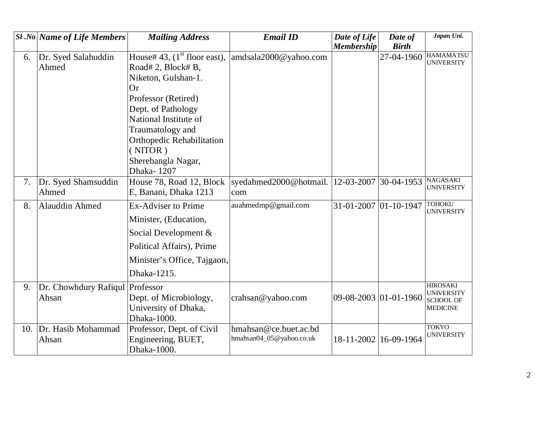|    | <b>Sl</b> .No Name of Life Members | <b>Mailing Address</b>                                                                                                                                                      | <b>Email ID</b>                                   | Date of Life          | Date of      | Japan Uni.                                                                  |
|----|------------------------------------|-----------------------------------------------------------------------------------------------------------------------------------------------------------------------------|---------------------------------------------------|-----------------------|--------------|-----------------------------------------------------------------------------|
|    |                                    |                                                                                                                                                                             |                                                   | <b>Membership</b>     | <b>Birth</b> |                                                                             |
| 6. | Dr. Syed Salahuddin<br>Ahmed       | House# 43, $(1st$ floor east),<br>Road# 2, Block# B,<br>Niketon, Gulshan-1.<br>Or<br>Professor (Retired)<br>Dept. of Pathology<br>National Institute of<br>Traumatology and | amdsala2000@yahoo.com                             |                       | 27-04-1960   | <b>HAMAMATSU</b><br><b>UNIVERSITY</b>                                       |
|    |                                    | Orthopedic Rehabilitation<br>(NITOR)<br>Sherebangla Nagar,<br>Dhaka-1207                                                                                                    |                                                   |                       |              | <b>NAGASAKI</b>                                                             |
| 7. | Dr. Syed Shamsuddin<br>Ahmed       | House 78, Road 12, Block<br>E, Banani, Dhaka 1213                                                                                                                           | syedahmed2000@hotmail.<br>com                     | 12-03-2007            | $30-04-1953$ | <b>UNIVERSITY</b>                                                           |
| 8. | Alauddin Ahmed                     | <b>Ex-Adviser to Prime</b><br>Minister, (Education,<br>Social Development &<br>Political Affairs), Prime<br>Minister's Office, Tajgaon,<br>Dhaka-1215.                      | auahmedmp@gmail.com                               | 31-01-2007 01-10-1947 |              | <b>TOHOKU</b><br><b>UNIVERSITY</b>                                          |
| 9. | Dr. Chowhdury Rafiqul<br>Ahsan     | Professor<br>Dept. of Microbiology,<br>University of Dhaka,<br>Dhaka-1000.                                                                                                  | crahsan@yahoo.com                                 | 09-08-2003 01-01-1960 |              | <b>HIROSAKI</b><br><b>UNIVERSITY</b><br><b>SCHOOL OF</b><br><b>MEDICINE</b> |
|    | 10. Dr. Hasib Mohammad<br>Ahsan    | Professor, Dept. of Civil<br>Engineering, BUET,<br>Dhaka-1000.                                                                                                              | hmahsan@ce.buet.ac.bd<br>hmahsan04_05@yahoo.co.uk | 18-11-2002            | 16-09-1964   | <b>TOKYO</b><br><b>UNIVERSITY</b>                                           |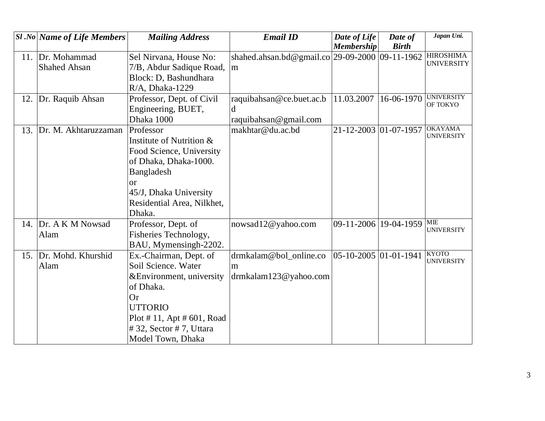|     | <b>Sl</b> .No Name of Life Members | <b>Mailing Address</b>         | <b>Email ID</b>                                 | Date of Life                     | Date of      | Japan Uni.                            |
|-----|------------------------------------|--------------------------------|-------------------------------------------------|----------------------------------|--------------|---------------------------------------|
|     |                                    |                                |                                                 | <b>Membership</b>                | <b>Birth</b> |                                       |
| 11. | Dr. Mohammad                       | Sel Nirvana, House No:         | shahed.ahsan.bd@gmail.co 29-09-2000  09-11-1962 |                                  |              | <b>HIROSHIMA</b><br><b>UNIVERSITY</b> |
|     | <b>Shahed Ahsan</b>                | 7/B, Abdur Sadique Road,       | m                                               |                                  |              |                                       |
|     |                                    | Block: D, Bashundhara          |                                                 |                                  |              |                                       |
|     |                                    | R/A, Dhaka-1229                |                                                 |                                  |              |                                       |
| 12. | Dr. Raquib Ahsan                   | Professor, Dept. of Civil      | raquibahsan@ce.buet.ac.b                        | 11.03.2007                       | 16-06-1970   | <b>UNIVERSITY</b><br>OF TOKYO         |
|     |                                    | Engineering, BUET,             | d                                               |                                  |              |                                       |
|     |                                    | Dhaka 1000                     | raquibahsan@gmail.com                           |                                  |              |                                       |
| 13. | Dr. M. Akhtaruzzaman               | Professor                      | makhtar@du.ac.bd                                | 21-12-2003 01-07-1957            |              | <b>OKAYAMA</b>                        |
|     |                                    | Institute of Nutrition &       |                                                 |                                  |              | <b>UNIVERSITY</b>                     |
|     |                                    | Food Science, University       |                                                 |                                  |              |                                       |
|     |                                    | of Dhaka, Dhaka-1000.          |                                                 |                                  |              |                                       |
|     |                                    | Bangladesh                     |                                                 |                                  |              |                                       |
|     |                                    | $\alpha$                       |                                                 |                                  |              |                                       |
|     |                                    | 45/J, Dhaka University         |                                                 |                                  |              |                                       |
|     |                                    | Residential Area, Nilkhet,     |                                                 |                                  |              |                                       |
|     |                                    | Dhaka.                         |                                                 |                                  |              |                                       |
|     | 14. Dr. A K M Nowsad               | Professor, Dept. of            | nowsad12@yahoo.com                              | 09-11-2006 19-04-1959            |              | $\overline{\text{ME}}$                |
|     | Alam                               | Fisheries Technology,          |                                                 |                                  |              | <b>UNIVERSITY</b>                     |
|     |                                    | BAU, Mymensingh-2202.          |                                                 |                                  |              |                                       |
| 15. | Dr. Mohd. Khurshid                 | Ex.-Chairman, Dept. of         | drmkalam@bol_online.co                          | $ 05 - 10 - 2005 01 - 01 - 1941$ |              | <b>KYOTO</b><br><b>UNIVERSITY</b>     |
|     | Alam                               | Soil Science. Water            | m                                               |                                  |              |                                       |
|     |                                    | & Environment, university      | $d$ rmkalam123@yahoo.com                        |                                  |              |                                       |
|     |                                    | of Dhaka.                      |                                                 |                                  |              |                                       |
|     |                                    | <b>Or</b>                      |                                                 |                                  |              |                                       |
|     |                                    | <b>UTTORIO</b>                 |                                                 |                                  |              |                                       |
|     |                                    | $Plot # 11,$ Apt $# 601,$ Road |                                                 |                                  |              |                                       |
|     |                                    | # 32, Sector # 7, Uttara       |                                                 |                                  |              |                                       |
|     |                                    | Model Town, Dhaka              |                                                 |                                  |              |                                       |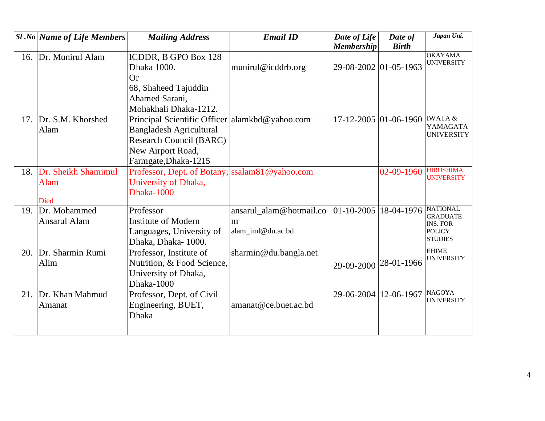|     | $ S1 $ .No   Name of Life Members                 | <b>Mailing Address</b>                                                                                                                                          | <b>Email ID</b>                                                           | Date of Life<br><b>Membership</b> | Date of<br><b>Birth</b>         | Japan Uni.                                                                               |
|-----|---------------------------------------------------|-----------------------------------------------------------------------------------------------------------------------------------------------------------------|---------------------------------------------------------------------------|-----------------------------------|---------------------------------|------------------------------------------------------------------------------------------|
| 16. | Dr. Munirul Alam                                  | ICDDR, B GPO Box 128<br>Dhaka 1000.<br><b>Or</b>                                                                                                                | munirul@icddrb.org                                                        | 29-08-2002 01-05-1963             |                                 | <b>OKAYAMA</b><br><b>UNIVERSITY</b>                                                      |
|     |                                                   | 68, Shaheed Tajuddin<br>Ahamed Sarani.<br>Mohakhali Dhaka-1212.                                                                                                 |                                                                           |                                   |                                 |                                                                                          |
| 17. | Dr. S.M. Khorshed<br>Alam                         | Principal Scientific Officer alamkbd@yahoo.com<br><b>Bangladesh Agricultural</b><br><b>Research Council (BARC)</b><br>New Airport Road,<br>Farmgate, Dhaka-1215 |                                                                           |                                   | $17 - 12 - 2005$ 01 - 06 - 1960 | <b>IWATA &amp;</b><br>YAMAGATA<br><b>UNIVERSITY</b>                                      |
| 18. | Dr. Sheikh Shamimul<br><b>Alam</b><br><b>Died</b> | Professor, Dept. of Botany, ssalam81@yahoo.com<br>University of Dhaka,<br>Dhaka-1000                                                                            |                                                                           |                                   | $02 - 09 - 1960$                | <b>HIROSHIMA</b><br><b>UNIVERSITY</b>                                                    |
| 19. | Dr. Mohammed<br>Ansarul Alam                      | Professor<br><b>Institute of Modern</b><br>Languages, University of<br>Dhaka, Dhaka-1000.                                                                       | ansarul_alam@hotmail.co  01-10-2005  18-04-1976<br>m<br>alam iml@du.ac.bd |                                   |                                 | <b>NATIONAL</b><br><b>GRADUATE</b><br><b>INS. FOR</b><br><b>POLICY</b><br><b>STUDIES</b> |
| 20. | Dr. Sharmin Rumi<br>Alim                          | Professor, Institute of<br>Nutrition, & Food Science,<br>University of Dhaka,<br>Dhaka-1000                                                                     | sharmin@du.bangla.net                                                     | 29-09-2000 28-01-1966             |                                 | <b>EHIME</b><br><b>UNIVERSITY</b>                                                        |
| 21. | Dr. Khan Mahmud<br>Amanat                         | Professor, Dept. of Civil<br>Engineering, BUET,<br><b>Dhaka</b>                                                                                                 | amanat@ce.buet.ac.bd                                                      | 29-06-2004 12-06-1967             |                                 | <b>NAGOYA</b><br><b>UNIVERSITY</b>                                                       |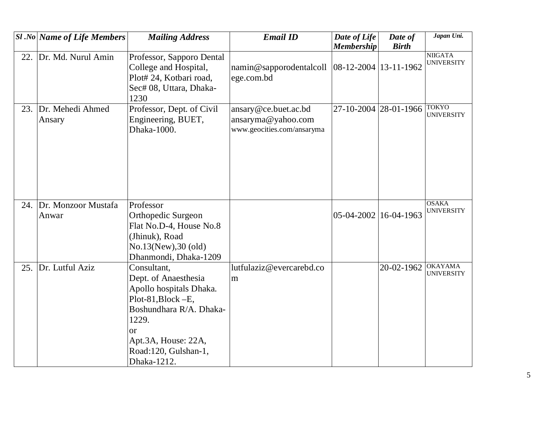|     | $ S1 $ .No Name of Life Members | <b>Mailing Address</b>                                                                                                                                                                               | <b>Email ID</b>                                                          | Date of Life<br><b>Membership</b> | Date of<br><b>Birth</b> | Japan Uni.                          |
|-----|---------------------------------|------------------------------------------------------------------------------------------------------------------------------------------------------------------------------------------------------|--------------------------------------------------------------------------|-----------------------------------|-------------------------|-------------------------------------|
| 22. | Dr. Md. Nurul Amin              | Professor, Sapporo Dental<br>College and Hospital,<br>Plot# 24, Kotbari road,<br>Sec# 08, Uttara, Dhaka-<br>1230                                                                                     | namin@sapporodentalcoll  08-12-2004   13-11-1962<br>ege.com.bd           |                                   |                         | <b>NIIGATA</b><br><b>UNIVERSITY</b> |
|     | 23. Dr. Mehedi Ahmed<br>Ansary  | Professor, Dept. of Civil<br>Engineering, BUET,<br>Dhaka-1000.                                                                                                                                       | ansary@ce.buet.ac.bd<br>ansaryma@yahoo.com<br>www.geocities.com/ansaryma | 27-10-2004 28-01-1966             |                         | <b>TOKYO</b><br><b>UNIVERSITY</b>   |
| 24. | Dr. Monzoor Mustafa<br>Anwar    | Professor<br>Orthopedic Surgeon<br>Flat No.D-4, House No.8<br>(Jhinuk), Road<br>No.13(New), 30 (old)<br>Dhanmondi, Dhaka-1209                                                                        |                                                                          | 05-04-2002 16-04-1963             |                         | <b>OSAKA</b><br><b>UNIVERSITY</b>   |
| 25. | Dr. Lutful Aziz                 | Consultant,<br>Dept. of Anaesthesia<br>Apollo hospitals Dhaka.<br>Plot-81, Block - E,<br>Boshundhara R/A. Dhaka-<br>1229.<br><b>or</b><br>Apt.3A, House: 22A,<br>Road:120, Gulshan-1,<br>Dhaka-1212. | lutfulaziz@evercarebd.co<br>m                                            |                                   | 20-02-1962              | <b>OKAYAMA</b><br><b>UNIVERSITY</b> |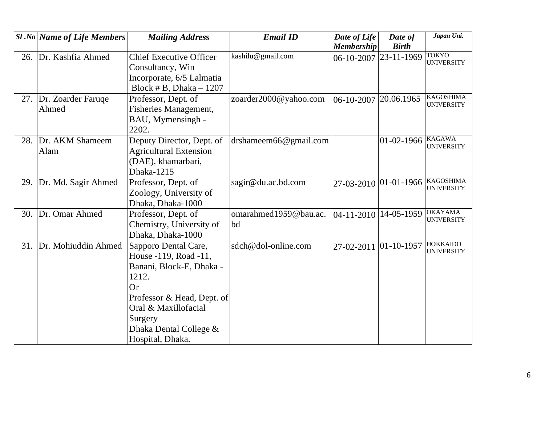|     | <b>Sl</b> .No Name of Life Members | <b>Mailing Address</b>         | <b>Email ID</b>       | Date of Life          | Date of               | Japan Uni.                            |
|-----|------------------------------------|--------------------------------|-----------------------|-----------------------|-----------------------|---------------------------------------|
|     |                                    |                                |                       | <b>Membership</b>     | <b>Birth</b>          |                                       |
| 26. | Dr. Kashfia Ahmed                  | <b>Chief Executive Officer</b> | kashilu@gmail.com     | 06-10-2007            | 23-11-1969            | <b>TOKYO</b><br><b>UNIVERSITY</b>     |
|     |                                    | Consultancy, Win               |                       |                       |                       |                                       |
|     |                                    | Incorporate, 6/5 Lalmatia      |                       |                       |                       |                                       |
|     |                                    | Block # B, Dhaka $-1207$       |                       |                       |                       |                                       |
| 27. | Dr. Zoarder Faruge                 | Professor, Dept. of            | zoarder2000@yahoo.com | $ 06 - 10 - 2007$     | 20.06.1965            | <b>KAGOSHIMA</b><br><b>UNIVERSITY</b> |
|     | Ahmed                              | Fisheries Management,          |                       |                       |                       |                                       |
|     |                                    | BAU, Mymensingh -              |                       |                       |                       |                                       |
|     |                                    | 2202.                          |                       |                       |                       |                                       |
| 28. | Dr. AKM Shameem                    | Deputy Director, Dept. of      | drshameem66@gmail.com |                       | $01 - 02 - 1966$      | <b>KAGAWA</b><br><b>UNIVERSITY</b>    |
|     | Alam                               | <b>Agricultural Extension</b>  |                       |                       |                       |                                       |
|     |                                    | (DAE), khamarbari,             |                       |                       |                       |                                       |
|     |                                    | Dhaka-1215                     |                       |                       |                       |                                       |
| 29. | Dr. Md. Sagir Ahmed                | Professor, Dept. of            | sagir@du.ac.bd.com    |                       | 27-03-2010 01-01-1966 | <b>KAGOSHIMA</b><br><b>UNIVERSITY</b> |
|     |                                    | Zoology, University of         |                       |                       |                       |                                       |
|     |                                    | Dhaka, Dhaka-1000              |                       |                       |                       |                                       |
| 30. | Dr. Omar Ahmed                     | Professor, Dept. of            | omarahmed1959@bau.ac. | 04-11-2010 14-05-1959 |                       | <b>OKAYAMA</b><br><b>UNIVERSITY</b>   |
|     |                                    | Chemistry, University of       | bd                    |                       |                       |                                       |
|     |                                    | Dhaka, Dhaka-1000              |                       |                       |                       |                                       |
| 31. | Dr. Mohiuddin Ahmed                | Sapporo Dental Care,           | sdch@dol-online.com   | 27-02-2011            | $ 01 - 10 - 1957$     | <b>HOKKAIDO</b><br><b>UNIVERSITY</b>  |
|     |                                    | House -119, Road -11,          |                       |                       |                       |                                       |
|     |                                    | Banani, Block-E, Dhaka -       |                       |                       |                       |                                       |
|     |                                    | 1212.                          |                       |                       |                       |                                       |
|     |                                    | Or                             |                       |                       |                       |                                       |
|     |                                    | Professor & Head, Dept. of     |                       |                       |                       |                                       |
|     |                                    | Oral & Maxillofacial           |                       |                       |                       |                                       |
|     |                                    | Surgery                        |                       |                       |                       |                                       |
|     |                                    | Dhaka Dental College &         |                       |                       |                       |                                       |
|     |                                    | Hospital, Dhaka.               |                       |                       |                       |                                       |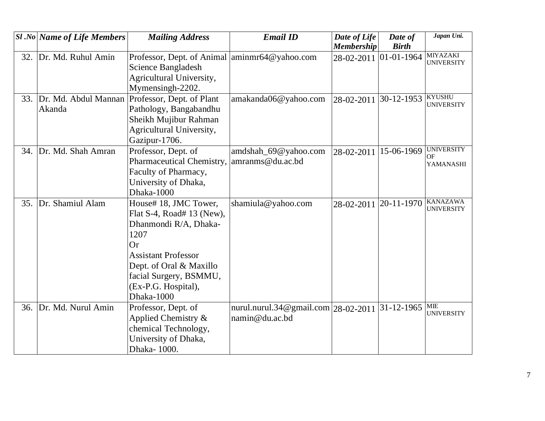|     | <b>Sl</b> .No   Name of Life Members | <b>Mailing Address</b>                         | <b>Email ID</b>                     | Date of Life      | Date of          | Japan Uni.                           |
|-----|--------------------------------------|------------------------------------------------|-------------------------------------|-------------------|------------------|--------------------------------------|
|     |                                      |                                                |                                     | <b>Membership</b> | <b>Birth</b>     |                                      |
| 32. | Dr. Md. Ruhul Amin                   | Professor, Dept. of Animal aminmr64@yahoo.com  |                                     | 28-02-2011        | $01 - 01 - 1964$ | <b>MIYAZAKI</b><br><b>UNIVERSITY</b> |
|     |                                      | Science Bangladesh                             |                                     |                   |                  |                                      |
|     |                                      | Agricultural University,                       |                                     |                   |                  |                                      |
|     |                                      | Mymensingh-2202.                               |                                     |                   |                  |                                      |
| 33. |                                      | Dr. Md. Abdul Mannan Professor, Dept. of Plant | amakanda06@yahoo.com                | 28-02-2011        | 30-12-1953       | <b>KYUSHU</b>                        |
|     | Akanda                               | Pathology, Bangabandhu                         |                                     |                   |                  | <b>UNIVERSITY</b>                    |
|     |                                      | Sheikh Mujibur Rahman                          |                                     |                   |                  |                                      |
|     |                                      | Agricultural University,                       |                                     |                   |                  |                                      |
|     |                                      | Gazipur-1706.                                  |                                     |                   |                  |                                      |
| 34. | Dr. Md. Shah Amran                   | Professor, Dept. of                            | amdshah_69@yahoo.com                | 28-02-2011        | 15-06-1969       | <b>UNIVERSITY</b>                    |
|     |                                      | Pharmaceutical Chemistry,                      | amranms@du.ac.bd                    |                   |                  | OF<br>YAMANASHI                      |
|     |                                      | Faculty of Pharmacy,                           |                                     |                   |                  |                                      |
|     |                                      | University of Dhaka,                           |                                     |                   |                  |                                      |
|     |                                      | Dhaka-1000                                     |                                     |                   |                  |                                      |
| 35. | Dr. Shamiul Alam                     | House# 18, JMC Tower,                          | shamiula@yahoo.com                  | 28-02-2011        | 20-11-1970       | <b>KANAZAWA</b>                      |
|     |                                      | Flat S-4, Road# 13 (New),                      |                                     |                   |                  | <b>UNIVERSITY</b>                    |
|     |                                      | Dhanmondi R/A, Dhaka-                          |                                     |                   |                  |                                      |
|     |                                      | 1207                                           |                                     |                   |                  |                                      |
|     |                                      | <b>Or</b>                                      |                                     |                   |                  |                                      |
|     |                                      | <b>Assistant Professor</b>                     |                                     |                   |                  |                                      |
|     |                                      | Dept. of Oral & Maxillo                        |                                     |                   |                  |                                      |
|     |                                      | facial Surgery, BSMMU,                         |                                     |                   |                  |                                      |
|     |                                      | (Ex-P.G. Hospital),                            |                                     |                   |                  |                                      |
|     |                                      | Dhaka-1000                                     |                                     |                   |                  |                                      |
| 36. | Dr. Md. Nurul Amin                   | Professor, Dept. of                            | nurul.nurul.34@gmail.com 28-02-2011 |                   | 31-12-1965       | <b>MIE</b>                           |
|     |                                      | Applied Chemistry $\&$                         | namin@du.ac.bd                      |                   |                  | <b>UNIVERSITY</b>                    |
|     |                                      | chemical Technology,                           |                                     |                   |                  |                                      |
|     |                                      | University of Dhaka,                           |                                     |                   |                  |                                      |
|     |                                      | Dhaka-1000.                                    |                                     |                   |                  |                                      |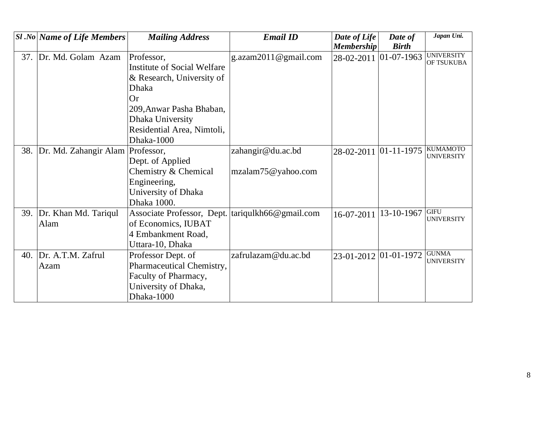|     | <b>Sl</b> .No Name of Life Members | <b>Mailing Address</b>             | <b>Email ID</b>          | Date of Life          | Date of           | Japan Uni.                           |
|-----|------------------------------------|------------------------------------|--------------------------|-----------------------|-------------------|--------------------------------------|
|     |                                    |                                    |                          | <b>Membership</b>     | <b>Birth</b>      |                                      |
| 37. | Dr. Md. Golam Azam                 | Professor,                         | g.azam $2011$ @gmail.com | 28-02-2011            | $01 - 07 - 1963$  | <b>UNIVERSITY</b><br>OF TSUKUBA      |
|     |                                    | <b>Institute of Social Welfare</b> |                          |                       |                   |                                      |
|     |                                    | & Research, University of          |                          |                       |                   |                                      |
|     |                                    | <b>Dhaka</b>                       |                          |                       |                   |                                      |
|     |                                    | <b>Or</b>                          |                          |                       |                   |                                      |
|     |                                    | 209, Anwar Pasha Bhaban,           |                          |                       |                   |                                      |
|     |                                    | Dhaka University                   |                          |                       |                   |                                      |
|     |                                    | Residential Area, Nimtoli,         |                          |                       |                   |                                      |
|     |                                    | Dhaka-1000                         |                          |                       |                   |                                      |
| 38. | Dr. Md. Zahangir Alam              | Professor,                         | zahangir@du.ac.bd        | 28-02-2011            | $ 01 - 11 - 1975$ | <b>KUMAMOTO</b><br><b>UNIVERSITY</b> |
|     |                                    | Dept. of Applied                   |                          |                       |                   |                                      |
|     |                                    | Chemistry & Chemical               | mzalam75@yahoo.com       |                       |                   |                                      |
|     |                                    | Engineering,                       |                          |                       |                   |                                      |
|     |                                    | University of Dhaka                |                          |                       |                   |                                      |
|     |                                    | Dhaka 1000.                        |                          |                       |                   |                                      |
| 39. | Dr. Khan Md. Tariqul               | Associate Professor, Dept.         | tariqulkh66@gmail.com    | 16-07-2011            | 13-10-1967        | <b>GIFU</b><br><b>UNIVERSITY</b>     |
|     | Alam                               | of Economics, IUBAT                |                          |                       |                   |                                      |
|     |                                    | 4 Embankment Road,                 |                          |                       |                   |                                      |
|     |                                    | Uttara-10, Dhaka                   |                          |                       |                   |                                      |
| 40. | Dr. A.T.M. Zafrul                  | Professor Dept. of                 | zafrulazam@du.ac.bd      | 23-01-2012 01-01-1972 |                   | <b>GUNMA</b><br><b>UNIVERSITY</b>    |
|     | Azam                               | Pharmaceutical Chemistry,          |                          |                       |                   |                                      |
|     |                                    | Faculty of Pharmacy,               |                          |                       |                   |                                      |
|     |                                    | University of Dhaka,               |                          |                       |                   |                                      |
|     |                                    | Dhaka-1000                         |                          |                       |                   |                                      |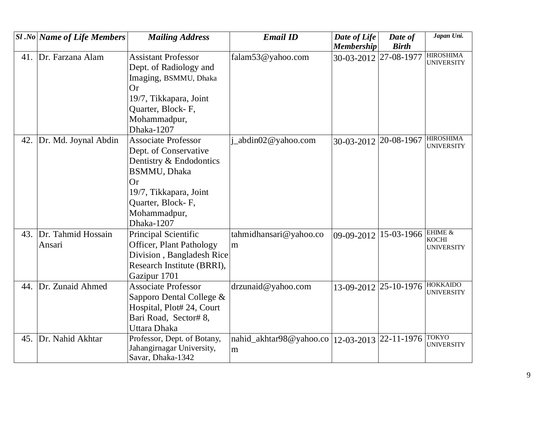|     | <b>Sl</b> .No   Name of Life Members | <b>Mailing Address</b>      | <b>Email ID</b>         | Date of Life      | Date of               | Japan Uni.                            |
|-----|--------------------------------------|-----------------------------|-------------------------|-------------------|-----------------------|---------------------------------------|
|     |                                      |                             |                         | <b>Membership</b> | <b>Birth</b>          |                                       |
| 41. | Dr. Farzana Alam                     | <b>Assistant Professor</b>  | falam53@yahoo.com       | 30-03-2012        | 27-08-1977            | <b>HIROSHIMA</b><br><b>UNIVERSITY</b> |
|     |                                      | Dept. of Radiology and      |                         |                   |                       |                                       |
|     |                                      | Imaging, BSMMU, Dhaka       |                         |                   |                       |                                       |
|     |                                      | <b>Or</b>                   |                         |                   |                       |                                       |
|     |                                      | 19/7, Tikkapara, Joint      |                         |                   |                       |                                       |
|     |                                      | Quarter, Block-F,           |                         |                   |                       |                                       |
|     |                                      | Mohammadpur,                |                         |                   |                       |                                       |
|     |                                      | Dhaka-1207                  |                         |                   |                       |                                       |
| 42. | Dr. Md. Joynal Abdin                 | <b>Associate Professor</b>  | abdin02@yahoo.com       | 30-03-2012        | $ 20-08-1967$         | <b>HIROSHIMA</b>                      |
|     |                                      | Dept. of Conservative       |                         |                   |                       | <b>UNIVERSITY</b>                     |
|     |                                      | Dentistry & Endodontics     |                         |                   |                       |                                       |
|     |                                      | <b>BSMMU</b> , Dhaka        |                         |                   |                       |                                       |
|     |                                      | <b>Or</b>                   |                         |                   |                       |                                       |
|     |                                      | 19/7, Tikkapara, Joint      |                         |                   |                       |                                       |
|     |                                      | Quarter, Block-F,           |                         |                   |                       |                                       |
|     |                                      | Mohammadpur,                |                         |                   |                       |                                       |
|     |                                      | Dhaka-1207                  |                         |                   |                       |                                       |
| 43. | Dr. Tahmid Hossain                   | Principal Scientific        | tahmidhansari@yahoo.co  | 09-09-2012        | 15-03-1966            | EHIME &                               |
|     | Ansari                               | Officer, Plant Pathology    | m                       |                   |                       | <b>KOCHI</b><br>UNIVERSITY            |
|     |                                      | Division, Bangladesh Rice   |                         |                   |                       |                                       |
|     |                                      | Research Institute (BRRI),  |                         |                   |                       |                                       |
|     |                                      | Gazipur 1701                |                         |                   |                       |                                       |
| 44. | Dr. Zunaid Ahmed                     | <b>Associate Professor</b>  | drzunaid@yahoo.com      |                   | 13-09-2012 25-10-1976 | <b>HOKKAIDO</b>                       |
|     |                                      | Sapporo Dental College &    |                         |                   |                       | <b>UNIVERSITY</b>                     |
|     |                                      | Hospital, Plot# 24, Court   |                         |                   |                       |                                       |
|     |                                      | Bari Road, Sector# 8,       |                         |                   |                       |                                       |
|     |                                      | Uttara Dhaka                |                         |                   |                       |                                       |
| 45. | Dr. Nahid Akhtar                     | Professor, Dept. of Botany, | nahid_akhtar98@yahoo.co | 12-03-2013        | $ 22 - 11 - 1976 $    | <b>TOKYO</b>                          |
|     |                                      | Jahangirnagar University,   | m                       |                   |                       | <b>UNIVERSITY</b>                     |
|     |                                      | Savar, Dhaka-1342           |                         |                   |                       |                                       |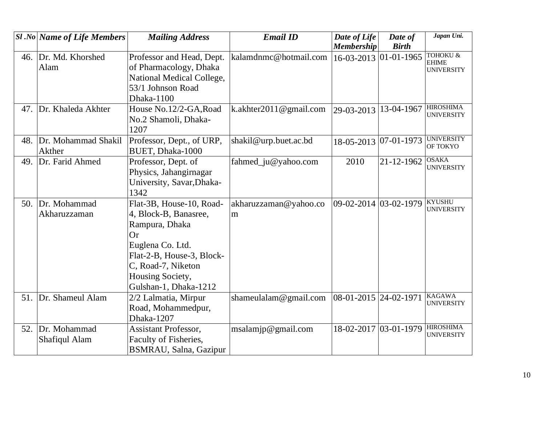|     | $ S1 $ .No Name of Life Members      | <b>Mailing Address</b>                                                                                                                                                                        | <b>Email ID</b>            | Date of Life              | Date of       | Japan Uni.                                               |
|-----|--------------------------------------|-----------------------------------------------------------------------------------------------------------------------------------------------------------------------------------------------|----------------------------|---------------------------|---------------|----------------------------------------------------------|
|     |                                      |                                                                                                                                                                                               |                            | <b>Membership</b>         | <b>Birth</b>  |                                                          |
|     | 46. Dr. Md. Khorshed<br>Alam         | Professor and Head, Dept.<br>of Pharmacology, Dhaka<br>National Medical College,<br>53/1 Johnson Road<br>Dhaka-1100                                                                           | kalamdnmc@hotmail.com      | 16-03-2013                | $ 01-01-1965$ | <b>TOHOKU &amp;</b><br><b>EHIME</b><br><b>UNIVERSITY</b> |
| 47. | Dr. Khaleda Akhter                   | House No.12/2-GA, Road<br>No.2 Shamoli, Dhaka-<br>1207                                                                                                                                        | k.akhter2011@gmail.com     | 29-03-2013                | 13-04-1967    | <b>HIROSHIMA</b><br><b>UNIVERSITY</b>                    |
| 48. | Dr. Mohammad Shakil<br>Akther        | Professor, Dept., of URP,<br>BUET, Dhaka-1000                                                                                                                                                 | shakil@urp.buet.ac.bd      | 18-05-2013 07-01-1973     |               | <b>UNIVERSITY</b><br>OF TOKYO                            |
| 49. | Dr. Farid Ahmed                      | Professor, Dept. of<br>Physics, Jahangirnagar<br>University, Savar, Dhaka-<br>1342                                                                                                            | fahmed_ju@yahoo.com        | 2010                      | 21-12-1962    | <b>OSAKA</b><br><b>UNIVERSITY</b>                        |
| 50. | Dr. Mohammad<br>Akharuzzaman         | Flat-3B, House-10, Road-<br>4, Block-B, Banasree,<br>Rampura, Dhaka<br>Or<br>Euglena Co. Ltd.<br>Flat-2-B, House-3, Block-<br>C, Road-7, Niketon<br>Housing Society,<br>Gulshan-1, Dhaka-1212 | akharuzzaman@yahoo.co<br>m | 09-02-2014 03-02-1979     |               | <b>KYUSHU</b><br><b>UNIVERSITY</b>                       |
| 51. | Dr. Shameul Alam                     | 2/2 Lalmatia, Mirpur<br>Road, Mohammedpur,<br>Dhaka-1207                                                                                                                                      | shameulalam@gmail.com      | $ 08-01-2015 $ 24-02-1971 |               | <b>KAGAWA</b><br><b>UNIVERSITY</b>                       |
| 52. | Dr. Mohammad<br><b>Shafiqul Alam</b> | <b>Assistant Professor,</b><br>Faculty of Fisheries,<br>BSMRAU, Salna, Gazipur                                                                                                                | msalamip@gmail.com         | 18-02-2017 03-01-1979     |               | <b>HIROSHIMA</b><br><b>UNIVERSITY</b>                    |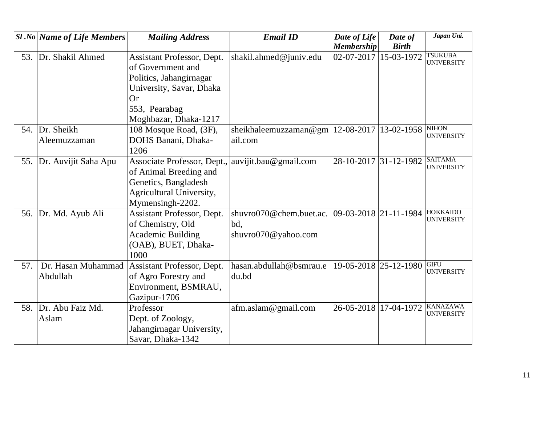|     | <b>Sl</b> .No Name of Life Members | <b>Mailing Address</b>                          | <b>Email ID</b>                               | Date of Life          | Date of                       | Japan Uni.                           |
|-----|------------------------------------|-------------------------------------------------|-----------------------------------------------|-----------------------|-------------------------------|--------------------------------------|
|     |                                    |                                                 |                                               | <b>Membership</b>     | <b>Birth</b>                  |                                      |
| 53. | Dr. Shakil Ahmed                   | Assistant Professor, Dept.<br>of Government and | shakil.ahmed@juniv.edu                        | 02-07-2017            | 15-03-1972                    | <b>TSUKUBA</b><br><b>UNIVERSITY</b>  |
|     |                                    | Politics, Jahangirnagar                         |                                               |                       |                               |                                      |
|     |                                    | University, Savar, Dhaka                        |                                               |                       |                               |                                      |
|     |                                    | <b>Or</b>                                       |                                               |                       |                               |                                      |
|     |                                    | 553, Pearabag                                   |                                               |                       |                               |                                      |
|     |                                    | Moghbazar, Dhaka-1217                           |                                               |                       |                               |                                      |
| 54. | Dr. Sheikh                         | 108 Mosque Road, (3F),                          | sheikhaleemuzzaman@gm   12-08-2017            |                       | 13-02-1958                    | <b>NIHON</b><br><b>UNIVERSITY</b>    |
|     | Aleemuzzaman                       | DOHS Banani, Dhaka-<br>1206                     | ail.com                                       |                       |                               |                                      |
| 55. | Dr. Auvijit Saha Apu               | Associate Professor, Dept.,                     | auvijit.bau@gmail.com                         |                       | 28-10-2017 31-12-1982 SAITAMA | <b>UNIVERSITY</b>                    |
|     |                                    | of Animal Breeding and                          |                                               |                       |                               |                                      |
|     |                                    | Genetics, Bangladesh                            |                                               |                       |                               |                                      |
|     |                                    | Agricultural University,                        |                                               |                       |                               |                                      |
|     |                                    | Mymensingh-2202.                                |                                               |                       |                               |                                      |
| 56. | Dr. Md. Ayub Ali                   | Assistant Professor, Dept.                      | shuvro070@chem.buet.ac. 09-03-2018 21-11-1984 |                       |                               | HOKKAIDO<br><b>UNIVERSITY</b>        |
|     |                                    | of Chemistry, Old                               | bd.                                           |                       |                               |                                      |
|     |                                    | <b>Academic Building</b>                        | shuvro070@yahoo.com                           |                       |                               |                                      |
|     |                                    | (OAB), BUET, Dhaka-                             |                                               |                       |                               |                                      |
|     |                                    | 1000                                            |                                               |                       |                               |                                      |
| 57. | Dr. Hasan Muhammad                 | Assistant Professor, Dept.                      | hasan.abdullah@bsmrau.e                       |                       | 19-05-2018 25-12-1980         | <b>GIFU</b><br><b>UNIVERSITY</b>     |
|     | Abdullah                           | of Agro Forestry and                            | du.bd                                         |                       |                               |                                      |
|     |                                    | Environment, BSMRAU,                            |                                               |                       |                               |                                      |
|     |                                    | Gazipur-1706                                    |                                               |                       |                               |                                      |
| 58. | Dr. Abu Faiz Md.                   | Professor                                       | afm.aslam@gmail.com                           | 26-05-2018 17-04-1972 |                               | <b>KANAZAWA</b><br><b>UNIVERSITY</b> |
|     | Aslam                              | Dept. of Zoology,                               |                                               |                       |                               |                                      |
|     |                                    | Jahangirnagar University,                       |                                               |                       |                               |                                      |
|     |                                    | Savar, Dhaka-1342                               |                                               |                       |                               |                                      |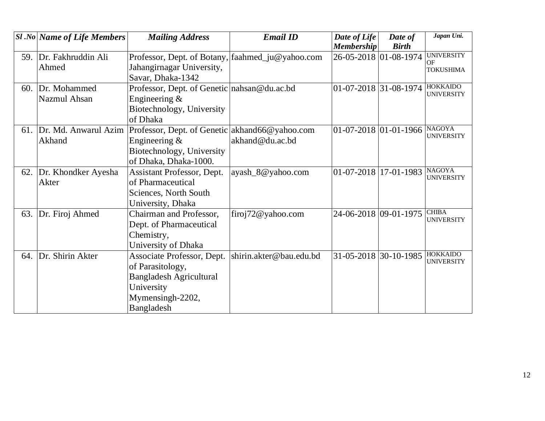|     | $SI$ .No Name of Life Members | <b>Mailing Address</b>                           | <b>Email ID</b>         | Date of Life                  | Date of               | Japan Uni.                           |
|-----|-------------------------------|--------------------------------------------------|-------------------------|-------------------------------|-----------------------|--------------------------------------|
|     |                               |                                                  |                         | <b>Membership</b>             | <b>Birth</b>          | <b>UNIVERSITY</b>                    |
| 59. | Dr. Fakhruddin Ali            | Professor, Dept. of Botany, faahmed_ju@yahoo.com |                         |                               | 26-05-2018 01-08-1974 | OF                                   |
|     | Ahmed                         | Jahangirnagar University,                        |                         |                               |                       | <b>TOKUSHIMA</b>                     |
|     |                               | Savar, Dhaka-1342                                |                         |                               |                       |                                      |
| 60. | Dr. Mohammed                  | Professor, Dept. of Genetic nahsan@du.ac.bd      |                         | $ 01-07-2018 31-08-1974 $     |                       | <b>HOKKAIDO</b><br><b>UNIVERSITY</b> |
|     | Nazmul Ahsan                  | Engineering $&$                                  |                         |                               |                       |                                      |
|     |                               | Biotechnology, University                        |                         |                               |                       |                                      |
|     |                               | of Dhaka                                         |                         |                               |                       |                                      |
| 61. | Dr. Md. Anwarul Azim          | Professor, Dept. of Genetic akhand66@yahoo.com   |                         | $ 01-07-2018 01-01-1966 $     |                       | <b>NAGOYA</b>                        |
|     | Akhand                        | Engineering $&$                                  | akhand@du.ac.bd         |                               |                       | <b>UNIVERSITY</b>                    |
|     |                               | Biotechnology, University                        |                         |                               |                       |                                      |
|     |                               | of Dhaka, Dhaka-1000.                            |                         |                               |                       |                                      |
| 62. | Dr. Khondker Ayesha           | Assistant Professor, Dept.                       | ayash_8@yahoo.com       | $01 - 07 - 2018$   17-01-1983 |                       | <b>NAGOYA</b>                        |
|     | Akter                         | of Pharmaceutical                                |                         |                               |                       | <b>UNIVERSITY</b>                    |
|     |                               | Sciences, North South                            |                         |                               |                       |                                      |
|     |                               | University, Dhaka                                |                         |                               |                       |                                      |
| 63. | Dr. Firoj Ahmed               | Chairman and Professor,                          | firoj $72@$ yahoo.com   |                               | 24-06-2018 09-01-1975 | <b>CHIBA</b>                         |
|     |                               | Dept. of Pharmaceutical                          |                         |                               |                       | <b>UNIVERSITY</b>                    |
|     |                               | Chemistry,                                       |                         |                               |                       |                                      |
|     |                               | University of Dhaka                              |                         |                               |                       |                                      |
| 64. | Dr. Shirin Akter              | Associate Professor, Dept.                       | shirin.akter@bau.edu.bd | 31-05-2018 30-10-1985         |                       | <b>HOKKAIDO</b>                      |
|     |                               | of Parasitology,                                 |                         |                               |                       | <b>UNIVERSITY</b>                    |
|     |                               | <b>Bangladesh Agricultural</b>                   |                         |                               |                       |                                      |
|     |                               | University                                       |                         |                               |                       |                                      |
|     |                               | Mymensingh-2202,                                 |                         |                               |                       |                                      |
|     |                               | Bangladesh                                       |                         |                               |                       |                                      |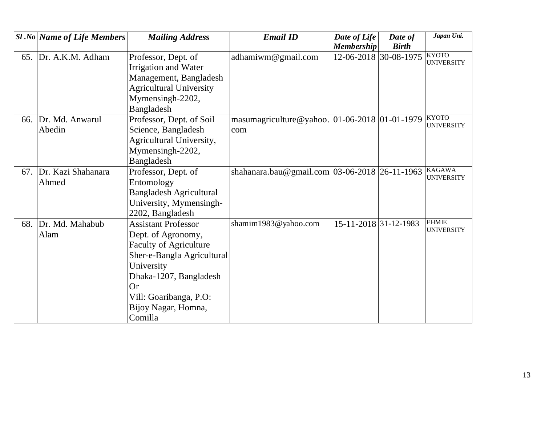|     | <b>Sl</b> .No Name of Life Members | <b>Mailing Address</b>         | <b>Email ID</b>                                   | Date of Life          | Date of               | Japan Uni.                        |
|-----|------------------------------------|--------------------------------|---------------------------------------------------|-----------------------|-----------------------|-----------------------------------|
|     |                                    |                                |                                                   | <b>Membership</b>     | <b>Birth</b>          |                                   |
| 65. | Dr. A.K.M. Adham                   | Professor, Dept. of            | adhamiwm@gmail.com                                |                       | 12-06-2018 30-08-1975 | <b>KYOTO</b><br><b>UNIVERSITY</b> |
|     |                                    | Irrigation and Water           |                                                   |                       |                       |                                   |
|     |                                    | Management, Bangladesh         |                                                   |                       |                       |                                   |
|     |                                    | <b>Agricultural University</b> |                                                   |                       |                       |                                   |
|     |                                    | Mymensingh-2202,               |                                                   |                       |                       |                                   |
|     |                                    | Bangladesh                     |                                                   |                       |                       |                                   |
| 66. | Dr. Md. Anwarul                    | Professor, Dept. of Soil       | masumagriculture@yahoo. 01-06-2018 01-01-1979     |                       |                       | <b>KYOTO</b>                      |
|     | Abedin                             | Science, Bangladesh            | com                                               |                       |                       | <b>UNIVERSITY</b>                 |
|     |                                    | Agricultural University,       |                                                   |                       |                       |                                   |
|     |                                    | Mymensingh-2202,               |                                                   |                       |                       |                                   |
|     |                                    | Bangladesh                     |                                                   |                       |                       |                                   |
| 67. | Dr. Kazi Shahanara                 | Professor, Dept. of            | shahanara.bau@gmail.com   03-06-2018   26-11-1963 |                       |                       | <b>KAGAWA</b>                     |
|     | Ahmed                              | Entomology                     |                                                   |                       |                       | <b>UNIVERSITY</b>                 |
|     |                                    | <b>Bangladesh Agricultural</b> |                                                   |                       |                       |                                   |
|     |                                    | University, Mymensingh-        |                                                   |                       |                       |                                   |
|     |                                    | 2202, Bangladesh               |                                                   |                       |                       |                                   |
| 68. | Dr. Md. Mahabub                    | <b>Assistant Professor</b>     | shamim1983@yahoo.com                              | 15-11-2018 31-12-1983 |                       | <b>EHMIE</b>                      |
|     | Alam                               | Dept. of Agronomy,             |                                                   |                       |                       | <b>UNIVERSITY</b>                 |
|     |                                    | <b>Faculty of Agriculture</b>  |                                                   |                       |                       |                                   |
|     |                                    | Sher-e-Bangla Agricultural     |                                                   |                       |                       |                                   |
|     |                                    | University                     |                                                   |                       |                       |                                   |
|     |                                    | Dhaka-1207, Bangladesh         |                                                   |                       |                       |                                   |
|     |                                    | Or                             |                                                   |                       |                       |                                   |
|     |                                    | Vill: Goaribanga, P.O:         |                                                   |                       |                       |                                   |
|     |                                    | Bijoy Nagar, Homna,            |                                                   |                       |                       |                                   |
|     |                                    | Comilla                        |                                                   |                       |                       |                                   |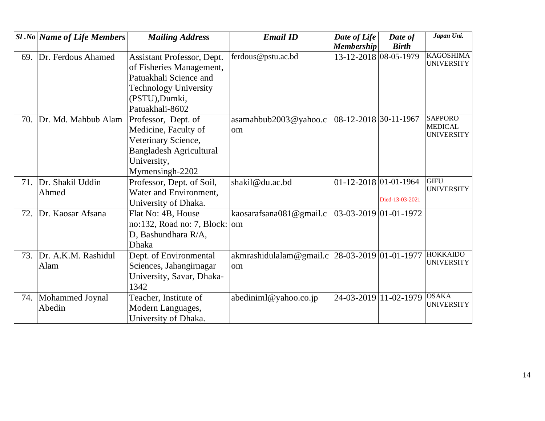|     | <b>Sl</b> .No Name of Life Members | <b>Mailing Address</b>         | <b>Email ID</b>                               | Date of Life                | Date of         | Japan Uni.                          |
|-----|------------------------------------|--------------------------------|-----------------------------------------------|-----------------------------|-----------------|-------------------------------------|
|     |                                    |                                |                                               | <b>Membership</b>           | <b>Birth</b>    |                                     |
| 69. | Dr. Ferdous Ahamed                 | Assistant Professor, Dept.     | ferdous@pstu.ac.bd                            | 13-12-2018 08-05-1979       |                 | <b>KAGOSHIMA</b>                    |
|     |                                    | of Fisheries Management,       |                                               |                             |                 | <b>UNIVERSITY</b>                   |
|     |                                    | Patuakhali Science and         |                                               |                             |                 |                                     |
|     |                                    | <b>Technology University</b>   |                                               |                             |                 |                                     |
|     |                                    | (PSTU), Dumki,                 |                                               |                             |                 |                                     |
|     |                                    | Patuakhali-8602                |                                               |                             |                 |                                     |
| 70. | Dr. Md. Mahbub Alam                | Professor, Dept. of            | asamahbub2003@yahoo.c                         | 08-12-2018 30-11-1967       |                 | <b>SAPPORO</b>                      |
|     |                                    | Medicine, Faculty of           | om                                            |                             |                 | <b>MEDICAL</b><br><b>UNIVERSITY</b> |
|     |                                    | Veterinary Science,            |                                               |                             |                 |                                     |
|     |                                    | <b>Bangladesh Agricultural</b> |                                               |                             |                 |                                     |
|     |                                    | University,                    |                                               |                             |                 |                                     |
|     |                                    | Mymensingh-2202                |                                               |                             |                 |                                     |
| 71. | Dr. Shakil Uddin                   | Professor, Dept. of Soil,      | shakil@du.ac.bd                               | $01 - 12 - 2018$ 01-01-1964 |                 | <b>GIFU</b>                         |
|     | Ahmed                              | Water and Environment,         |                                               |                             |                 | <b>UNIVERSITY</b>                   |
|     |                                    | University of Dhaka.           |                                               |                             | Died-13-03-2021 |                                     |
| 72. | Dr. Kaosar Afsana                  | Flat No: 4B, House             | kaosarafsana081@gmail.c                       | $03-03-2019$ 01-01-1972     |                 |                                     |
|     |                                    | no:132, Road no: 7, Block:     | om                                            |                             |                 |                                     |
|     |                                    | D, Bashundhara R/A,            |                                               |                             |                 |                                     |
|     |                                    | <b>Dhaka</b>                   |                                               |                             |                 |                                     |
| 73. | Dr. A.K.M. Rashidul                | Dept. of Environmental         | akmrashidulalam@gmail.c 28-03-2019 01-01-1977 |                             |                 | <b>HOKKAIDO</b>                     |
|     | Alam                               | Sciences, Jahangirnagar        | om                                            |                             |                 | <b>UNIVERSITY</b>                   |
|     |                                    | University, Savar, Dhaka-      |                                               |                             |                 |                                     |
|     |                                    | 1342                           |                                               |                             |                 |                                     |
|     | 74. Mohammed Joynal                | Teacher, Institute of          | $abcd$ iniml@yahoo.co.jp                      | 24-03-2019 11-02-1979       |                 | <b>OSAKA</b>                        |
|     | Abedin                             | Modern Languages,              |                                               |                             |                 | <b>UNIVERSITY</b>                   |
|     |                                    | University of Dhaka.           |                                               |                             |                 |                                     |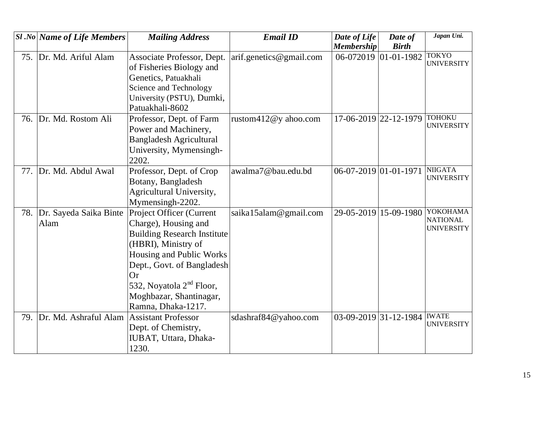|     | <b>Sl</b> .No   Name of Life Members | <b>Mailing Address</b>             | <b>Email ID</b>         | Date of Life          | Date of           | Japan Uni.                           |
|-----|--------------------------------------|------------------------------------|-------------------------|-----------------------|-------------------|--------------------------------------|
|     |                                      |                                    |                         | <b>Membership</b>     | <b>Birth</b>      |                                      |
| 75. | Dr. Md. Ariful Alam                  | Associate Professor, Dept.         | arif.genetics@gmail.com | 06-072019             | $ 01 - 01 - 1982$ | <b>TOKYO</b><br><b>UNIVERSITY</b>    |
|     |                                      | of Fisheries Biology and           |                         |                       |                   |                                      |
|     |                                      | Genetics, Patuakhali               |                         |                       |                   |                                      |
|     |                                      | Science and Technology             |                         |                       |                   |                                      |
|     |                                      | University (PSTU), Dumki,          |                         |                       |                   |                                      |
|     |                                      | Patuakhali-8602                    |                         |                       |                   |                                      |
| 76. | Dr. Md. Rostom Ali                   | Professor, Dept. of Farm           | rustom $412@y$ ahoo.com | 17-06-2019 22-12-1979 |                   | <b>TOHOKU</b>                        |
|     |                                      | Power and Machinery,               |                         |                       |                   | <b>UNIVERSITY</b>                    |
|     |                                      | <b>Bangladesh Agricultural</b>     |                         |                       |                   |                                      |
|     |                                      | University, Mymensingh-            |                         |                       |                   |                                      |
|     |                                      | 2202.                              |                         |                       |                   |                                      |
| 77. | Dr. Md. Abdul Awal                   | Professor, Dept. of Crop           | awalma7@bau.edu.bd      | 06-07-2019 01-01-1971 |                   | <b>NIIGATA</b>                       |
|     |                                      | Botany, Bangladesh                 |                         |                       |                   | <b>UNIVERSITY</b>                    |
|     |                                      | Agricultural University,           |                         |                       |                   |                                      |
|     |                                      | Mymensingh-2202.                   |                         |                       |                   |                                      |
| 78. | Dr. Sayeda Saika Binte               | Project Officer (Current           | saika15alam@gmail.com   | 29-05-2019            | 15-09-1980        | YOKOHAMA                             |
|     | Alam                                 | Charge), Housing and               |                         |                       |                   | <b>NATIONAL</b><br><b>UNIVERSITY</b> |
|     |                                      | <b>Building Research Institute</b> |                         |                       |                   |                                      |
|     |                                      | (HBRI), Ministry of                |                         |                       |                   |                                      |
|     |                                      | Housing and Public Works           |                         |                       |                   |                                      |
|     |                                      | Dept., Govt. of Bangladesh         |                         |                       |                   |                                      |
|     |                                      | Or                                 |                         |                       |                   |                                      |
|     |                                      | 532, Noyatola $2nd$ Floor,         |                         |                       |                   |                                      |
|     |                                      | Moghbazar, Shantinagar,            |                         |                       |                   |                                      |
|     |                                      | Ramna, Dhaka-1217.                 |                         |                       |                   |                                      |
| 79. | Dr. Md. Ashraful Alam                | <b>Assistant Professor</b>         | sdashraf84@yahoo.com    | 03-09-2019 31-12-1984 |                   | <b>IWATE</b>                         |
|     |                                      | Dept. of Chemistry,                |                         |                       |                   | <b>UNIVERSITY</b>                    |
|     |                                      | IUBAT, Uttara, Dhaka-              |                         |                       |                   |                                      |
|     |                                      | 1230.                              |                         |                       |                   |                                      |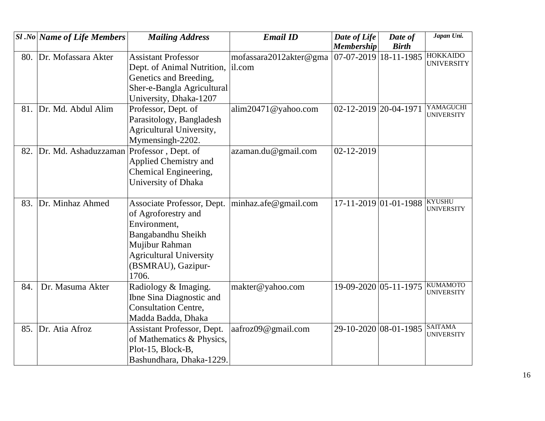|     | <b>Sl</b> .No Name of Life Members | <b>Mailing Address</b>         | <b>Email ID</b>        | Date of Life          | Date of                   | Japan Uni.                           |
|-----|------------------------------------|--------------------------------|------------------------|-----------------------|---------------------------|--------------------------------------|
|     |                                    |                                |                        | <b>Membership</b>     | <b>Birth</b>              |                                      |
| 80. | Dr. Mofassara Akter                | <b>Assistant Professor</b>     | mofassara2012akter@gma |                       | $07-07-2019$   18-11-1985 | <b>HOKKAIDO</b>                      |
|     |                                    | Dept. of Animal Nutrition,     | il.com                 |                       |                           | <b>UNIVERSITY</b>                    |
|     |                                    | Genetics and Breeding,         |                        |                       |                           |                                      |
|     |                                    | Sher-e-Bangla Agricultural     |                        |                       |                           |                                      |
|     |                                    | University, Dhaka-1207         |                        |                       |                           |                                      |
|     | 81. Dr. Md. Abdul Alim             | Professor, Dept. of            | alim20471@yahoo.com    | 02-12-2019 20-04-1971 |                           | YAMAGUCHI<br><b>UNIVERSITY</b>       |
|     |                                    | Parasitology, Bangladesh       |                        |                       |                           |                                      |
|     |                                    | Agricultural University,       |                        |                       |                           |                                      |
|     |                                    | Mymensingh-2202.               |                        |                       |                           |                                      |
| 82. | Dr. Md. Ashaduzzaman               | Professor, Dept. of            | azaman.du@gmail.com    | 02-12-2019            |                           |                                      |
|     |                                    | Applied Chemistry and          |                        |                       |                           |                                      |
|     |                                    | Chemical Engineering,          |                        |                       |                           |                                      |
|     |                                    | University of Dhaka            |                        |                       |                           |                                      |
|     |                                    |                                |                        |                       |                           |                                      |
| 83. | Dr. Minhaz Ahmed                   | Associate Professor, Dept.     | minhaz.afe@gmail.com   | 17-11-2019 01-01-1988 |                           | <b>KYUSHU</b><br><b>UNIVERSITY</b>   |
|     |                                    | of Agroforestry and            |                        |                       |                           |                                      |
|     |                                    | Environment,                   |                        |                       |                           |                                      |
|     |                                    | Bangabandhu Sheikh             |                        |                       |                           |                                      |
|     |                                    | Mujibur Rahman                 |                        |                       |                           |                                      |
|     |                                    | <b>Agricultural University</b> |                        |                       |                           |                                      |
|     |                                    | (BSMRAU), Gazipur-             |                        |                       |                           |                                      |
|     |                                    | 1706.                          |                        |                       |                           |                                      |
| 84. | Dr. Masuma Akter                   | Radiology & Imaging.           | makter@yahoo.com       | 19-09-2020 05-11-1975 |                           | <b>KUMAMOTO</b><br><b>UNIVERSITY</b> |
|     |                                    | Ibne Sina Diagnostic and       |                        |                       |                           |                                      |
|     |                                    | <b>Consultation Centre,</b>    |                        |                       |                           |                                      |
|     |                                    | Madda Badda, Dhaka             |                        |                       |                           |                                      |
| 85. | Dr. Atia Afroz                     | Assistant Professor, Dept.     | aafroz09@gmail.com     | 29-10-2020 08-01-1985 |                           | <b>SAITAMA</b><br><b>UNIVERSITY</b>  |
|     |                                    | of Mathematics & Physics,      |                        |                       |                           |                                      |
|     |                                    | Plot-15, Block-B,              |                        |                       |                           |                                      |
|     |                                    | Bashundhara, Dhaka-1229.       |                        |                       |                           |                                      |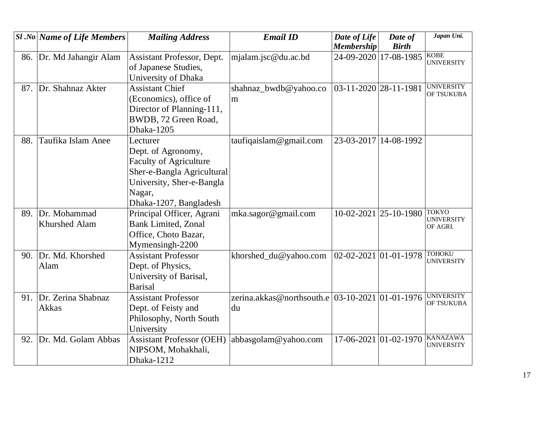|     | $ S1 $ .No   Name of Life Members | <b>Mailing Address</b>           | <b>Email ID</b>                                     | Date of Life                | Date of                       | Japan Uni.                        |
|-----|-----------------------------------|----------------------------------|-----------------------------------------------------|-----------------------------|-------------------------------|-----------------------------------|
|     |                                   |                                  |                                                     | <b>Membership</b>           | <b>Birth</b>                  |                                   |
| 86. | Dr. Md Jahangir Alam              | Assistant Professor, Dept.       | mjalam.jsc@du.ac.bd                                 | 24-09-2020 17-08-1985       |                               | <b>KOBE</b><br><b>UNIVERSITY</b>  |
|     |                                   | of Japanese Studies,             |                                                     |                             |                               |                                   |
|     |                                   | University of Dhaka              |                                                     |                             |                               |                                   |
| 87. | Dr. Shahnaz Akter                 | <b>Assistant Chief</b>           | shahnaz_bwdb@yahoo.co                               | 03-11-2020 28-11-1981       |                               | <b>UNIVERSITY</b><br>OF TSUKUBA   |
|     |                                   | (Economics), office of           | m                                                   |                             |                               |                                   |
|     |                                   | Director of Planning-111,        |                                                     |                             |                               |                                   |
|     |                                   | BWDB, 72 Green Road,             |                                                     |                             |                               |                                   |
|     |                                   | Dhaka-1205                       |                                                     |                             |                               |                                   |
| 88. | Taufika Islam Anee                | Lecturer                         | taufiqaislam@gmail.com                              | 23-03-2017 14-08-1992       |                               |                                   |
|     |                                   | Dept. of Agronomy,               |                                                     |                             |                               |                                   |
|     |                                   | <b>Faculty of Agriculture</b>    |                                                     |                             |                               |                                   |
|     |                                   | Sher-e-Bangla Agricultural       |                                                     |                             |                               |                                   |
|     |                                   | University, Sher-e-Bangla        |                                                     |                             |                               |                                   |
|     |                                   | Nagar,                           |                                                     |                             |                               |                                   |
|     |                                   | Dhaka-1207, Bangladesh           |                                                     |                             |                               |                                   |
|     | 89. Dr. Mohammad                  | Principal Officer, Agrani        | mka.sagor@gmail.com                                 |                             | $10-02-2021$  25-10-1980      | <b>TOKYO</b><br><b>UNIVERSITY</b> |
|     | <b>Khurshed Alam</b>              | <b>Bank Limited, Zonal</b>       |                                                     |                             |                               | OF AGRI.                          |
|     |                                   | Office, Choto Bazar,             |                                                     |                             |                               |                                   |
|     |                                   | Mymensingh-2200                  |                                                     |                             |                               |                                   |
| 90. | Dr. Md. Khorshed                  | <b>Assistant Professor</b>       | khorshed_du@yahoo.com                               | $02 - 02 - 2021$ 01-01-1978 |                               | <b>TOHOKU</b>                     |
|     | Alam                              | Dept. of Physics,                |                                                     |                             |                               | <b>UNIVERSITY</b>                 |
|     |                                   | University of Barisal,           |                                                     |                             |                               |                                   |
|     |                                   | <b>Barisal</b>                   |                                                     |                             |                               |                                   |
|     | 91. Dr. Zerina Shabnaz            | <b>Assistant Professor</b>       | zerina.akkas@northsouth.e   03-10-2021   01-01-1976 |                             |                               | <b>UNIVERSITY</b>                 |
|     | Akkas                             | Dept. of Feisty and              | du                                                  |                             |                               | OF TSUKUBA                        |
|     |                                   | Philosophy, North South          |                                                     |                             |                               |                                   |
|     |                                   | University                       |                                                     |                             |                               |                                   |
| 92. | Dr. Md. Golam Abbas               | <b>Assistant Professor (OEH)</b> | abbasgolam@yahoo.com                                |                             | $17-06-2021$   01 - 02 - 1970 | <b>KANAZAWA</b>                   |
|     |                                   | NIPSOM, Mohakhali,               |                                                     |                             |                               | <b>UNIVERSITY</b>                 |
|     |                                   | Dhaka-1212                       |                                                     |                             |                               |                                   |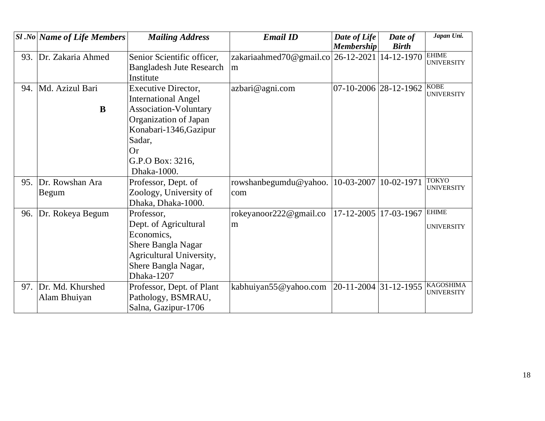|     | <b>Sl</b> .No Name of Life Members | <b>Mailing Address</b>                                                                                                                   | <b>Email ID</b>                                    | Date of Life<br><b>Membership</b> | Date of<br><b>Birth</b> | Japan Uni.                            |
|-----|------------------------------------|------------------------------------------------------------------------------------------------------------------------------------------|----------------------------------------------------|-----------------------------------|-------------------------|---------------------------------------|
| 93. | Dr. Zakaria Ahmed                  | Senior Scientific officer,<br><b>Bangladesh Jute Research</b><br>Institute                                                               | zakariaahmed70@gmail.co 26-12-2021 14-12-1970<br>m |                                   |                         | <b>EHIME</b><br><b>UNIVERSITY</b>     |
| 94. | Md. Azizul Bari<br>$\bf{B}$        | <b>Executive Director,</b><br><b>International Angel</b><br>Association-Voluntary                                                        | azbari@agni.com                                    | 07-10-2006 28-12-1962             |                         | <b>KOBE</b><br><b>UNIVERSITY</b>      |
|     |                                    | Organization of Japan<br>Konabari-1346, Gazipur<br>Sadar,<br><b>Or</b><br>G.P.O Box: 3216,<br>Dhaka-1000.                                |                                                    |                                   |                         |                                       |
| 95. | Dr. Rowshan Ara<br>Begum           | Professor, Dept. of<br>Zoology, University of<br>Dhaka, Dhaka-1000.                                                                      | rowshanbegumdu@yahoo.<br>com                       | 10-03-2007 10-02-1971             |                         | <b>TOKYO</b><br><b>UNIVERSITY</b>     |
| 96. | Dr. Rokeya Begum                   | Professor,<br>Dept. of Agricultural<br>Economics,<br>Shere Bangla Nagar<br>Agricultural University,<br>Shere Bangla Nagar,<br>Dhaka-1207 | rokeyanoor222@gmail.co<br>m                        | $17 - 12 - 2005$                  | 17-03-1967              | <b>EHIME</b><br><b>UNIVERSITY</b>     |
| 97. | Dr. Md. Khurshed<br>Alam Bhuiyan   | Professor, Dept. of Plant<br>Pathology, BSMRAU,<br>Salna, Gazipur-1706                                                                   | kabhuiyan55@yahoo.com                              | 20-11-2004 31-12-1955             |                         | <b>KAGOSHIMA</b><br><b>UNIVERSITY</b> |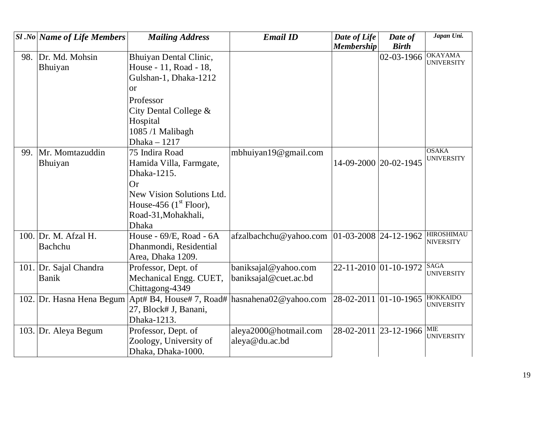|     | $\left  \mathcal{S}l\mathcal{N}o\right $ Name of Life Members | <b>Mailing Address</b>                         | <b>Email ID</b>                                  | Date of Life          | Date of                    | Japan Uni.                            |
|-----|---------------------------------------------------------------|------------------------------------------------|--------------------------------------------------|-----------------------|----------------------------|---------------------------------------|
|     |                                                               |                                                |                                                  | <b>Membership</b>     | <b>Birth</b>               |                                       |
| 98. | Dr. Md. Mohsin                                                | Bhuiyan Dental Clinic,                         |                                                  |                       | 02-03-1966                 | <b>OKAYAMA</b><br><b>UNIVERSITY</b>   |
|     | Bhuiyan                                                       | House - 11, Road - 18,                         |                                                  |                       |                            |                                       |
|     |                                                               | Gulshan-1, Dhaka-1212                          |                                                  |                       |                            |                                       |
|     |                                                               | $\alpha$                                       |                                                  |                       |                            |                                       |
|     |                                                               | Professor                                      |                                                  |                       |                            |                                       |
|     |                                                               | City Dental College &                          |                                                  |                       |                            |                                       |
|     |                                                               | Hospital                                       |                                                  |                       |                            |                                       |
|     |                                                               | 1085 /1 Malibagh                               |                                                  |                       |                            |                                       |
|     |                                                               | Dhaka - 1217                                   |                                                  |                       |                            |                                       |
| 99. | Mr. Momtazuddin                                               | 75 Indira Road                                 | mbhuiyan19@gmail.com                             |                       |                            | <b>OSAKA</b>                          |
|     | Bhuiyan                                                       | Hamida Villa, Farmgate,                        |                                                  | 14-09-2000 20-02-1945 |                            | <b>UNIVERSITY</b>                     |
|     |                                                               | Dhaka-1215.                                    |                                                  |                       |                            |                                       |
|     |                                                               | <b>Or</b>                                      |                                                  |                       |                            |                                       |
|     |                                                               | New Vision Solutions Ltd.                      |                                                  |                       |                            |                                       |
|     |                                                               | House-456 $(1st$ Floor),                       |                                                  |                       |                            |                                       |
|     |                                                               | Road-31, Mohakhali,                            |                                                  |                       |                            |                                       |
|     |                                                               | <b>Dhaka</b>                                   |                                                  |                       |                            |                                       |
|     | 100. Dr. M. Afzal H.                                          | House - 69/E, Road - 6A                        | afzalbachchu@yahoo.com   01-03-2008   24-12-1962 |                       |                            | <b>HIROSHIMAU</b><br><b>NIVERSITY</b> |
|     | Bachchu                                                       | Dhanmondi, Residential                         |                                                  |                       |                            |                                       |
|     |                                                               | Area, Dhaka 1209.                              |                                                  |                       |                            |                                       |
|     | 101. Dr. Sajal Chandra                                        | Professor, Dept. of                            | baniksajal@yahoo.com                             |                       | 22-11-2010 01-10-1972 SAGA | <b>UNIVERSITY</b>                     |
|     | <b>Banik</b>                                                  | Mechanical Engg. CUET,                         | baniksajal@cuet.ac.bd                            |                       |                            |                                       |
|     |                                                               | Chittagong-4349                                |                                                  |                       |                            |                                       |
|     | 102. Dr. Hasna Hena Begum                                     | Apt# B4, House# 7, Road# hasnahena02@yahoo.com |                                                  | 28-02-2011 01-10-1965 |                            | <b>HOKKAIDO</b><br><b>UNIVERSITY</b>  |
|     |                                                               | 27, Block# J, Banani,                          |                                                  |                       |                            |                                       |
|     |                                                               | Dhaka-1213.                                    |                                                  |                       |                            |                                       |
|     | 103. Dr. Aleya Begum                                          | Professor, Dept. of                            | aleya2000@hotmail.com                            |                       | 28-02-2011 23-12-1966      | <b>MIE</b><br><b>UNIVERSITY</b>       |
|     |                                                               | Zoology, University of                         | aleya@du.ac.bd                                   |                       |                            |                                       |
|     |                                                               | Dhaka, Dhaka-1000.                             |                                                  |                       |                            |                                       |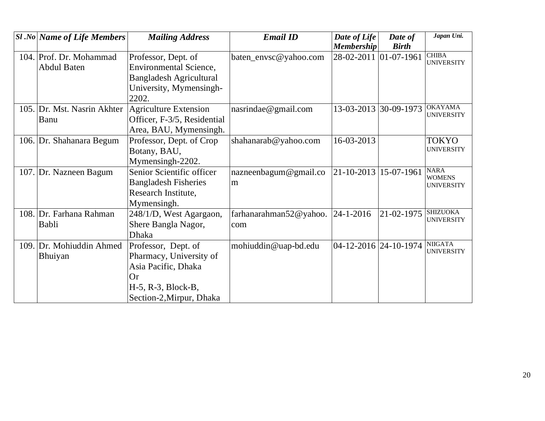|     | $SI$ .No Name of Life Members | <b>Mailing Address</b>         | <b>Email ID</b>        | Date of Life          | Date of          | Japan Uni.                          |
|-----|-------------------------------|--------------------------------|------------------------|-----------------------|------------------|-------------------------------------|
|     |                               |                                |                        | <b>Membership</b>     | <b>Birth</b>     |                                     |
|     | 104. Prof. Dr. Mohammad       | Professor, Dept. of            | baten_envsc@yahoo.com  | 28-02-2011            | $01 - 07 - 1961$ | <b>CHIBA</b><br><b>UNIVERSITY</b>   |
|     | <b>Abdul Baten</b>            | Environmental Science,         |                        |                       |                  |                                     |
|     |                               | <b>Bangladesh Agricultural</b> |                        |                       |                  |                                     |
|     |                               | University, Mymensingh-        |                        |                       |                  |                                     |
|     |                               | 2202.                          |                        |                       |                  |                                     |
|     | 105. Dr. Mst. Nasrin Akhter   | Agriculture Extension          | nasrindae@gmail.com    | 13-03-2013 30-09-1973 |                  | <b>OKAYAMA</b>                      |
|     | Banu                          | Officer, F-3/5, Residential    |                        |                       |                  | <b>UNIVERSITY</b>                   |
|     |                               | Area, BAU, Mymensingh.         |                        |                       |                  |                                     |
|     | 106. Dr. Shahanara Begum      | Professor, Dept. of Crop       | shahanarab@yahoo.com   | 16-03-2013            |                  | <b>TOKYO</b>                        |
|     |                               | Botany, BAU,                   |                        |                       |                  | <b>UNIVERSITY</b>                   |
|     |                               | Mymensingh-2202.               |                        |                       |                  |                                     |
|     | 107. Dr. Nazneen Bagum        | Senior Scientific officer      | nazneenbagum@gmail.co  | 21-10-2013 15-07-1961 |                  | <b>NARA</b><br><b>WOMENS</b>        |
|     |                               | <b>Bangladesh Fisheries</b>    | m                      |                       |                  | <b>UNIVERSITY</b>                   |
|     |                               | Research Institute,            |                        |                       |                  |                                     |
|     |                               | Mymensingh.                    |                        |                       |                  |                                     |
|     | 108. Dr. Farhana Rahman       | 248/1/D, West Agargaon,        | farhanarahman52@yahoo. | $ 24-1-2016 $         | 21-02-1975       | <b>SHIZUOKA</b>                     |
|     | Babli                         | Shere Bangla Nagor,            | com                    |                       |                  | <b>UNIVERSITY</b>                   |
|     |                               | Dhaka                          |                        |                       |                  |                                     |
| 109 | Dr. Mohiuddin Ahmed           | Professor, Dept. of            | mohiuddin@uap-bd.edu   | 04-12-2016 24-10-1974 |                  | <b>NIIGATA</b><br><b>UNIVERSITY</b> |
|     | Bhuiyan                       | Pharmacy, University of        |                        |                       |                  |                                     |
|     |                               | Asia Pacific, Dhaka            |                        |                       |                  |                                     |
|     |                               | Or                             |                        |                       |                  |                                     |
|     |                               | $H-5$ , R-3, Block-B,          |                        |                       |                  |                                     |
|     |                               | Section-2, Mirpur, Dhaka       |                        |                       |                  |                                     |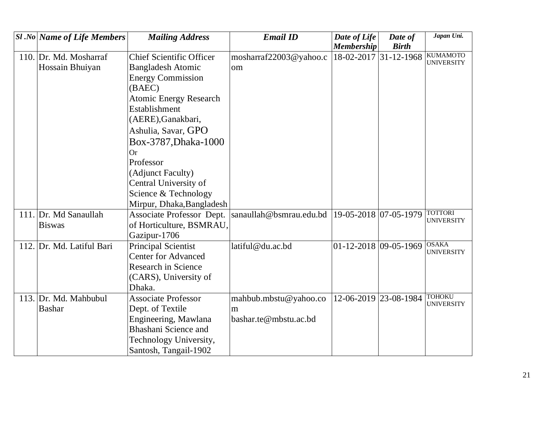| <b>SI</b> .No Name of Life Members | <b>Mailing Address</b>          | <b>Email ID</b>         | Date of Life                | Date of               | Japan Uni.                           |
|------------------------------------|---------------------------------|-------------------------|-----------------------------|-----------------------|--------------------------------------|
|                                    |                                 |                         | <b>Membership</b>           | <b>Birth</b>          |                                      |
| 110. Dr. Md. Mosharraf             | <b>Chief Scientific Officer</b> | mosharraf22003@yahoo.c  |                             | 18-02-2017 31-12-1968 | <b>KUMAMOTO</b><br><b>UNIVERSITY</b> |
| Hossain Bhuiyan                    | <b>Bangladesh Atomic</b>        | om                      |                             |                       |                                      |
|                                    | <b>Energy Commission</b>        |                         |                             |                       |                                      |
|                                    | (BAEC)                          |                         |                             |                       |                                      |
|                                    | <b>Atomic Energy Research</b>   |                         |                             |                       |                                      |
|                                    | Establishment                   |                         |                             |                       |                                      |
|                                    | (AERE), Ganakbari,              |                         |                             |                       |                                      |
|                                    | Ashulia, Savar, GPO             |                         |                             |                       |                                      |
|                                    | Box-3787, Dhaka-1000            |                         |                             |                       |                                      |
|                                    | <b>Or</b>                       |                         |                             |                       |                                      |
|                                    | Professor                       |                         |                             |                       |                                      |
|                                    | (Adjunct Faculty)               |                         |                             |                       |                                      |
|                                    | Central University of           |                         |                             |                       |                                      |
|                                    | Science & Technology            |                         |                             |                       |                                      |
|                                    | Mirpur, Dhaka, Bangladesh       |                         |                             |                       |                                      |
| 111. Dr. Md Sanaullah              | Associate Professor Dept.       | sanaullah@bsmrau.edu.bd | 19-05-2018 07-05-1979       |                       | <b>TOTTORI</b>                       |
| <b>Biswas</b>                      | of Horticulture, BSMRAU,        |                         |                             |                       | <b>UNIVERSITY</b>                    |
|                                    | Gazipur-1706                    |                         |                             |                       |                                      |
| 112. Dr. Md. Latiful Bari          | <b>Principal Scientist</b>      | latiful@du.ac.bd        | $01 - 12 - 2018$ 09-05-1969 |                       | <b>OSAKA</b>                         |
|                                    | <b>Center for Advanced</b>      |                         |                             |                       | <b>UNIVERSITY</b>                    |
|                                    | <b>Research in Science</b>      |                         |                             |                       |                                      |
|                                    | (CARS), University of           |                         |                             |                       |                                      |
|                                    | Dhaka.                          |                         |                             |                       |                                      |
| 113. Dr. Md. Mahbubul              | <b>Associate Professor</b>      | mahbub.mbstu@yahoo.co   | 12-06-2019 23-08-1984       |                       | <b>TOHOKU</b>                        |
| <b>Bashar</b>                      | Dept. of Textile                | m                       |                             |                       | <b>UNIVERSITY</b>                    |
|                                    | Engineering, Mawlana            | bashar.te@mbstu.ac.bd   |                             |                       |                                      |
|                                    | Bhashani Science and            |                         |                             |                       |                                      |
|                                    | Technology University,          |                         |                             |                       |                                      |
|                                    | Santosh, Tangail-1902           |                         |                             |                       |                                      |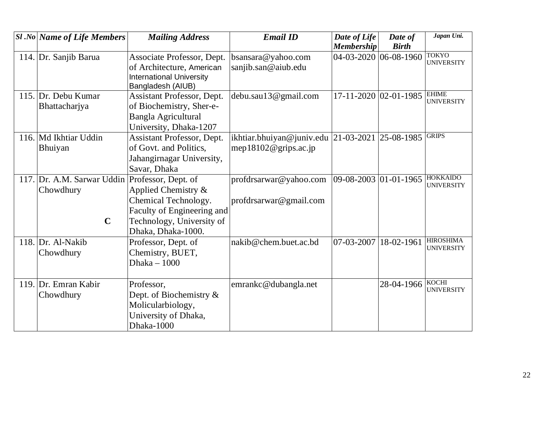| <b>Sl</b> .No Name of Life Members                     | <b>Mailing Address</b>                                                                                                                              | <b>Email ID</b>                                                         | Date of Life<br><b>Membership</b> | Date of<br><b>Birth</b>     | Japan Uni.                            |
|--------------------------------------------------------|-----------------------------------------------------------------------------------------------------------------------------------------------------|-------------------------------------------------------------------------|-----------------------------------|-----------------------------|---------------------------------------|
| 114. Dr. Sanjib Barua                                  | Associate Professor, Dept.<br>of Architecture, American<br><b>International University</b><br>Bangladesh (AIUB)                                     | bsansara@yahoo.com<br>sanjib.san@aiub.edu                               | $04 - 03 - 2020$ 06-08-1960       |                             | <b>TOKYO</b><br><b>UNIVERSITY</b>     |
| 115. Dr. Debu Kumar<br>Bhattacharjya                   | <b>Assistant Professor, Dept.</b><br>of Biochemistry, Sher-e-<br>Bangla Agricultural<br>University, Dhaka-1207                                      | debu.sau13@gmail.com                                                    |                                   | $17 - 11 - 2020$ 02-01-1985 | <b>EHIME</b><br><b>UNIVERSITY</b>     |
| 116. Md Ikhtiar Uddin<br>Bhuiyan                       | Assistant Professor, Dept.<br>of Govt. and Politics,<br>Jahangirnagar University,<br>Savar, Dhaka                                                   | ikhtiar.bhuiyan@juniv.edu 21-03-2021 25-08-1985<br>mep18102@grips.ac.jp |                                   |                             | <b>GRIPS</b>                          |
| 117. Dr. A.M. Sarwar Uddin<br>Chowdhury<br>$\mathbf C$ | Professor, Dept. of<br>Applied Chemistry &<br>Chemical Technology.<br>Faculty of Engineering and<br>Technology, University of<br>Dhaka, Dhaka-1000. | profdrsarwar@yahoo.com<br>profdrsarwar@gmail.com                        | $ 09-08-2003 01-01-1965 $         |                             | <b>HOKKAIDO</b><br><b>UNIVERSITY</b>  |
| 118. $Dr.$ Al-Nakib<br>Chowdhury                       | Professor, Dept. of<br>Chemistry, BUET,<br>Dhaka $-1000$                                                                                            | nakib@chem.buet.ac.bd                                                   | 07-03-2007                        | 18-02-1961                  | <b>HIROSHIMA</b><br><b>UNIVERSITY</b> |
| 119. Dr. Emran Kabir<br>Chowdhury                      | Professor,<br>Dept. of Biochemistry $\&$<br>Molicularbiology,<br>University of Dhaka,<br>Dhaka-1000                                                 | emrankc@dubangla.net                                                    |                                   | 28-04-1966                  | <b>KOCHI</b><br><b>UNIVERSITY</b>     |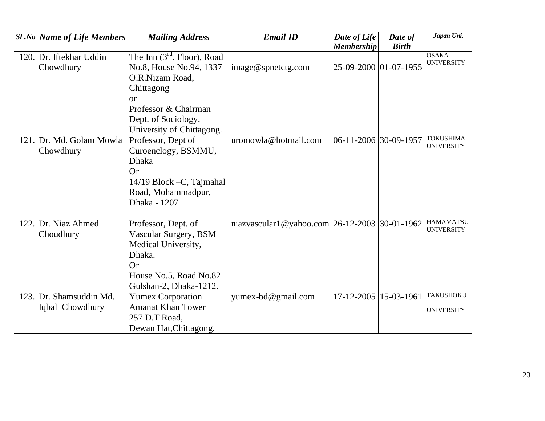| <b>Sl</b> .No Name of Life Members         | <b>Mailing Address</b>                                                                                                                         | <b>Email ID</b>                                  | Date of Life<br><b>Membership</b> | Date of<br><b>Birth</b> | Japan Uni.                            |
|--------------------------------------------|------------------------------------------------------------------------------------------------------------------------------------------------|--------------------------------------------------|-----------------------------------|-------------------------|---------------------------------------|
| 120. Dr. Iftekhar Uddin<br>Chowdhury       | The Inn $(3rd$ . Floor), Road<br>No.8, House No.94, 1337<br>O.R.Nizam Road,<br>Chittagong<br>$\alpha$                                          | image@spnetctg.com                               | 25-09-2000 01-07-1955             |                         | <b>OSAKA</b><br><b>UNIVERSITY</b>     |
|                                            | Professor & Chairman<br>Dept. of Sociology,<br>University of Chittagong.                                                                       |                                                  |                                   |                         |                                       |
| 121. Dr. Md. Golam Mowla<br>Chowdhury      | Professor, Dept of<br>Curoenclogy, BSMMU,<br><b>Dhaka</b><br><b>Or</b><br>14/19 Block - C, Tajmahal<br>Road, Mohammadpur,<br>Dhaka - 1207      | uromowla@hotmail.com                             | 06-11-2006 30-09-1957             |                         | <b>TOKUSHIMA</b><br><b>UNIVERSITY</b> |
| 122. Dr. Niaz Ahmed<br>Choudhury           | Professor, Dept. of<br>Vascular Surgery, BSM<br>Medical University,<br>Dhaka.<br><b>Or</b><br>House No.5, Road No.82<br>Gulshan-2, Dhaka-1212. | niazvascular1@yahoo.com $ 26-12-2003 30-01-1962$ |                                   |                         | HAMAMATSU<br><b>UNIVERSITY</b>        |
| 123. Dr. Shamsuddin Md.<br>Iqbal Chowdhury | <b>Yumex Corporation</b><br><b>Amanat Khan Tower</b><br>257 D.T Road,<br>Dewan Hat, Chittagong.                                                | yumex-bd@gmail.com                               | 17-12-2005 15-03-1961             |                         | <b>TAKUSHOKU</b><br><b>UNIVERSITY</b> |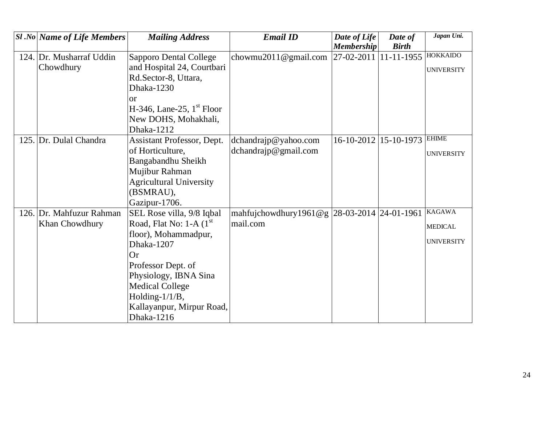| <b>Sl.No Name of Life Members</b> | <b>Mailing Address</b>         | <b>Email ID</b>                               | Date of Life                   | Date of                     | Japan Uni.        |
|-----------------------------------|--------------------------------|-----------------------------------------------|--------------------------------|-----------------------------|-------------------|
|                                   |                                |                                               | <b>Membership</b>              | <b>Birth</b>                |                   |
| 124. Dr. Musharraf Uddin          | <b>Sapporo Dental College</b>  | chowmu2011@gmail.com                          | 27-02-2011 11-11-1955 HOKKAIDO |                             |                   |
| Chowdhury                         | and Hospital 24, Courtbari     |                                               |                                |                             | <b>UNIVERSITY</b> |
|                                   | Rd.Sector-8, Uttara,           |                                               |                                |                             |                   |
|                                   | Dhaka-1230                     |                                               |                                |                             |                   |
|                                   | or                             |                                               |                                |                             |                   |
|                                   | H-346, Lane-25, $1st$ Floor    |                                               |                                |                             |                   |
|                                   | New DOHS, Mohakhali,           |                                               |                                |                             |                   |
|                                   | Dhaka-1212                     |                                               |                                |                             |                   |
| 125. Dr. Dulal Chandra            | Assistant Professor, Dept.     | dchandrajp@yahoo.com                          |                                | 16-10-2012 15-10-1973 EHIME |                   |
|                                   | of Horticulture,               | $d$ chandrajp@gmail.com                       |                                |                             | <b>UNIVERSITY</b> |
|                                   | Bangabandhu Sheikh             |                                               |                                |                             |                   |
|                                   | Mujibur Rahman                 |                                               |                                |                             |                   |
|                                   | <b>Agricultural University</b> |                                               |                                |                             |                   |
|                                   | (BSMRAU),                      |                                               |                                |                             |                   |
|                                   | Gazipur-1706.                  |                                               |                                |                             |                   |
| 126. Dr. Mahfuzur Rahman          | SEL Rose villa, 9/8 Iqbal      | mahfujchowdhury1961@g  28-03-2014  24-01-1961 |                                |                             | <b>KAGAWA</b>     |
| Khan Chowdhury                    | Road, Flat No: $1-A$ ( $1st$ ) | mail.com                                      |                                |                             | <b>MEDICAL</b>    |
|                                   | floor), Mohammadpur,           |                                               |                                |                             |                   |
|                                   | Dhaka-1207                     |                                               |                                |                             | <b>UNIVERSITY</b> |
|                                   | <b>Or</b>                      |                                               |                                |                             |                   |
|                                   | Professor Dept. of             |                                               |                                |                             |                   |
|                                   | Physiology, IBNA Sina          |                                               |                                |                             |                   |
|                                   | <b>Medical College</b>         |                                               |                                |                             |                   |
|                                   | Holding- $1/1/B$ ,             |                                               |                                |                             |                   |
|                                   | Kallayanpur, Mirpur Road,      |                                               |                                |                             |                   |
|                                   | Dhaka-1216                     |                                               |                                |                             |                   |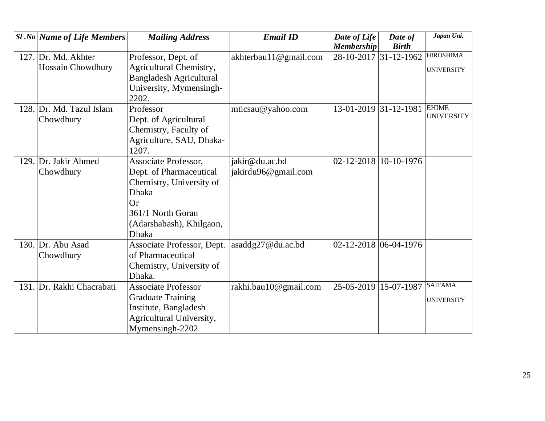| $\left  \mathcal{S}l\mathcal{N}o\right $ Name of Life Members | <b>Mailing Address</b>         | <b>Email ID</b>       | Date of Life          | Date of      | Japan Uni.        |
|---------------------------------------------------------------|--------------------------------|-----------------------|-----------------------|--------------|-------------------|
|                                                               |                                |                       | <b>Membership</b>     | <b>Birth</b> |                   |
| 127. Dr. Md. Akhter                                           | Professor, Dept. of            | akhterbau11@gmail.com | 28-10-2017 31-12-1962 |              | <b>HIROSHIMA</b>  |
| <b>Hossain Chowdhury</b>                                      | Agricultural Chemistry,        |                       |                       |              | <b>UNIVERSITY</b> |
|                                                               | <b>Bangladesh Agricultural</b> |                       |                       |              |                   |
|                                                               | University, Mymensingh-        |                       |                       |              |                   |
|                                                               | 2202.                          |                       |                       |              |                   |
| 128. Dr. Md. Tazul Islam                                      | Professor                      | mticsau@yahoo.com     | 13-01-2019 31-12-1981 |              | <b>EHIME</b>      |
| Chowdhury                                                     | Dept. of Agricultural          |                       |                       |              | <b>UNIVERSITY</b> |
|                                                               | Chemistry, Faculty of          |                       |                       |              |                   |
|                                                               | Agriculture, SAU, Dhaka-       |                       |                       |              |                   |
|                                                               | 1207.                          |                       |                       |              |                   |
| 129. Dr. Jakir Ahmed                                          | Associate Professor,           | jakir@du.ac.bd        | 02-12-2018 10-10-1976 |              |                   |
| Chowdhury                                                     | Dept. of Pharmaceutical        | jakirdu96@gmail.com   |                       |              |                   |
|                                                               | Chemistry, University of       |                       |                       |              |                   |
|                                                               | <b>Dhaka</b>                   |                       |                       |              |                   |
|                                                               | Or                             |                       |                       |              |                   |
|                                                               | 361/1 North Goran              |                       |                       |              |                   |
|                                                               | (Adarshabash), Khilgaon,       |                       |                       |              |                   |
|                                                               | <b>Dhaka</b>                   |                       |                       |              |                   |
| 130. Dr. Abu Asad                                             | Associate Professor, Dept.     | asaddg27@du.ac.bd     | 02-12-2018 06-04-1976 |              |                   |
| Chowdhury                                                     | of Pharmaceutical              |                       |                       |              |                   |
|                                                               | Chemistry, University of       |                       |                       |              |                   |
|                                                               | Dhaka.                         |                       |                       |              |                   |
| 131. Dr. Rakhi Chacrabati                                     | <b>Associate Professor</b>     | rakhi.bau10@gmail.com | 25-05-2019 15-07-1987 |              | <b>SAITAMA</b>    |
|                                                               | <b>Graduate Training</b>       |                       |                       |              | <b>UNIVERSITY</b> |
|                                                               | Institute, Bangladesh          |                       |                       |              |                   |
|                                                               | Agricultural University,       |                       |                       |              |                   |
|                                                               | Mymensingh-2202                |                       |                       |              |                   |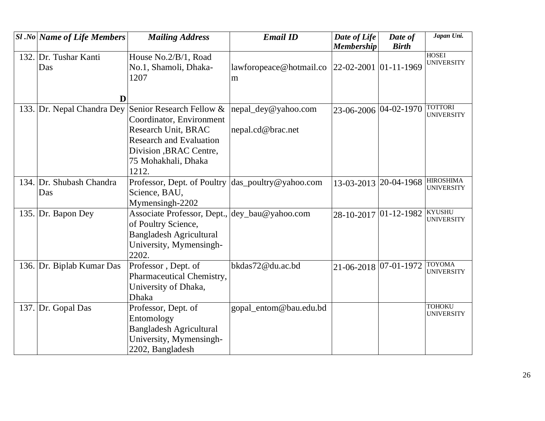| $SI$ .No Name of Life Members   | <b>Mailing Address</b>                                                                                                                     | <b>Email ID</b>                          | Date of Life<br><b>Membership</b> | Date of<br><b>Birth</b> | Japan Uni.                            |
|---------------------------------|--------------------------------------------------------------------------------------------------------------------------------------------|------------------------------------------|-----------------------------------|-------------------------|---------------------------------------|
|                                 |                                                                                                                                            |                                          |                                   |                         | <b>HOSEI</b>                          |
| 132. Dr. Tushar Kanti<br>Das    | House No.2/B/1, Road<br>No.1, Shamoli, Dhaka-<br>1207                                                                                      | lawforopeace@hotmail.co<br>m             | 22-02-2001 01-11-1969             |                         | <b>UNIVERSITY</b>                     |
| D                               |                                                                                                                                            |                                          |                                   |                         |                                       |
| 133. Dr. Nepal Chandra Dey      | Senior Research Fellow &<br>Coordinator, Environment<br>Research Unit, BRAC                                                                | nepal_dey@yahoo.com<br>nepal.cd@brac.net |                                   | 23-06-2006 04-02-1970   | <b>TOTTORI</b><br><b>UNIVERSITY</b>   |
|                                 | <b>Research and Evaluation</b><br>Division , BRAC Centre,<br>75 Mohakhali, Dhaka<br>1212.                                                  |                                          |                                   |                         |                                       |
| 134. Dr. Shubash Chandra<br>Das | Professor, Dept. of Poultry das_poultry@yahoo.com<br>Science, BAU,<br>Mymensingh-2202                                                      |                                          |                                   | 13-03-2013 20-04-1968   | <b>HIROSHIMA</b><br><b>UNIVERSITY</b> |
| 135. Dr. Bapon Dey              | Associate Professor, Dept., dey_bau@yahoo.com<br>of Poultry Science,<br><b>Bangladesh Agricultural</b><br>University, Mymensingh-<br>2202. |                                          | 28-10-2017                        | $ 01 - 12 - 1982 $      | <b>KYUSHU</b><br><b>UNIVERSITY</b>    |
| 136. Dr. Biplab Kumar Das       | Professor, Dept. of<br>Pharmaceutical Chemistry,<br>University of Dhaka,<br>Dhaka                                                          | bkdas72@du.ac.bd                         | 21-06-2018                        | $ 07-01-1972 $          | <b>TOYOMA</b><br><b>UNIVERSITY</b>    |
| 137. Dr. Gopal Das              | Professor, Dept. of<br>Entomology<br><b>Bangladesh Agricultural</b><br>University, Mymensingh-<br>2202, Bangladesh                         | gopal_entom@bau.edu.bd                   |                                   |                         | <b>TOHOKU</b><br><b>UNIVERSITY</b>    |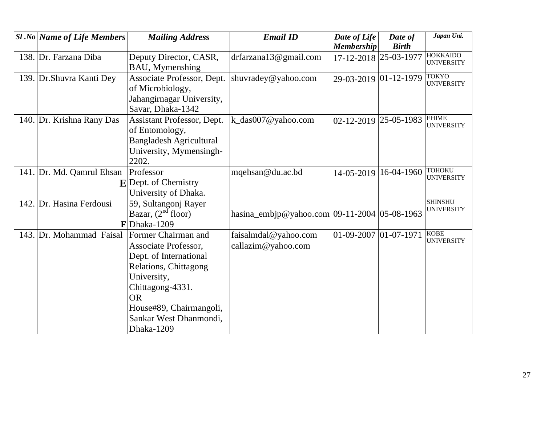| $SI$ .No Name of Life Members | <b>Mailing Address</b>                                                                                                                                                                                            | <b>Email ID</b>                                 | Date of Life<br><b>Membership</b> | Date of<br><b>Birth</b> | Japan Uni.                           |
|-------------------------------|-------------------------------------------------------------------------------------------------------------------------------------------------------------------------------------------------------------------|-------------------------------------------------|-----------------------------------|-------------------------|--------------------------------------|
| 138. Dr. Farzana Diba         | Deputy Director, CASR,<br>BAU, Mymenshing                                                                                                                                                                         | drfarzana13@gmail.com                           | 17-12-2018 25-03-1977             |                         | <b>HOKKAIDO</b><br><b>UNIVERSITY</b> |
| 139. Dr. Shuvra Kanti Dey     | Associate Professor, Dept.<br>of Microbiology,<br>Jahangirnagar University,<br>Savar, Dhaka-1342                                                                                                                  | shuvradey@yahoo.com                             | 29-03-2019 01-12-1979             |                         | <b>TOKYO</b><br><b>UNIVERSITY</b>    |
| 140. Dr. Krishna Rany Das     | Assistant Professor, Dept.<br>of Entomology,<br><b>Bangladesh Agricultural</b><br>University, Mymensingh-<br>2202.                                                                                                | k_das007@yahoo.com                              | 02-12-2019                        | 25-05-1983              | <b>EHIME</b><br><b>UNIVERSITY</b>    |
| 141. Dr. Md. Qamrul Ehsan     | Professor<br>$\mathbf{E}$ Dept. of Chemistry<br>University of Dhaka.                                                                                                                                              | mqehsan@du.ac.bd                                | 14-05-2019                        | 16-04-1960              | <b>TOHOKU</b><br><b>UNIVERSITY</b>   |
| 142. Dr. Hasina Ferdousi      | 59, Sultangonj Rayer<br>Bazar, $(2nd$ floor)<br>$\mathbf{F}$ Dhaka-1209                                                                                                                                           | hasina_embjp@yahoo.com $ 09-11-2004 05-08-1963$ |                                   |                         | <b>SHINSHU</b><br><b>UNIVERSITY</b>  |
| 143. Dr. Mohammad Faisal      | Former Chairman and<br>Associate Professor,<br>Dept. of International<br>Relations, Chittagong<br>University,<br>Chittagong-4331.<br><b>OR</b><br>House#89, Chairmangoli,<br>Sankar West Dhanmondi,<br>Dhaka-1209 | faisalmdal@yahoo.com<br>callazim@yahoo.com      | $01 - 09 - 2007$ 01 - 07 - 1971   |                         | <b>KOBE</b><br><b>UNIVERSITY</b>     |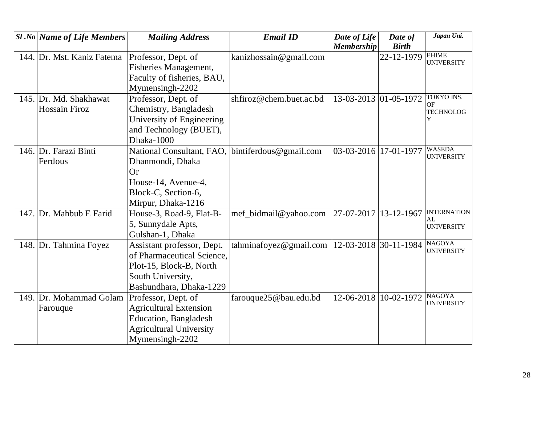|      | $ S1 $ .No Name of Life Members | <b>Mailing Address</b>         | <b>Email ID</b>         | Date of Life          | Date of      | Japan Uni.                         |
|------|---------------------------------|--------------------------------|-------------------------|-----------------------|--------------|------------------------------------|
|      |                                 |                                |                         | <b>Membership</b>     | <b>Birth</b> |                                    |
|      | 144. Dr. Mst. Kaniz Fatema      | Professor, Dept. of            | kanizhossain@gmail.com  |                       | 22-12-1979   | <b>EHIME</b><br><b>UNIVERSITY</b>  |
|      |                                 | Fisheries Management,          |                         |                       |              |                                    |
|      |                                 | Faculty of fisheries, BAU,     |                         |                       |              |                                    |
|      |                                 | Mymensingh-2202                |                         |                       |              |                                    |
| 145. | Dr. Md. Shakhawat               | Professor, Dept. of            | shfiroz@chem.buet.ac.bd | 13-03-2013 01-05-1972 |              | <b>TOKYO INS.</b><br><b>OF</b>     |
|      | <b>Hossain Firoz</b>            | Chemistry, Bangladesh          |                         |                       |              | <b>TECHNOLOG</b>                   |
|      |                                 | University of Engineering      |                         |                       |              | Y                                  |
|      |                                 | and Technology (BUET),         |                         |                       |              |                                    |
|      |                                 | Dhaka-1000                     |                         |                       |              |                                    |
|      | 146. Dr. Farazi Binti           | National Consultant, FAO,      | bintiferdous@gmail.com  | 03-03-2016 17-01-1977 |              | <b>WASEDA</b><br><b>UNIVERSITY</b> |
|      | Ferdous                         | Dhanmondi, Dhaka               |                         |                       |              |                                    |
|      |                                 | Or                             |                         |                       |              |                                    |
|      |                                 | House-14, Avenue-4,            |                         |                       |              |                                    |
|      |                                 | Block-C, Section-6,            |                         |                       |              |                                    |
|      |                                 | Mirpur, Dhaka-1216             |                         |                       |              |                                    |
|      | 147. Dr. Mahbub E Farid         | House-3, Road-9, Flat-B-       | mef_bidmail@yahoo.com   | 27-07-2017            | 13-12-1967   | <b>INTERNATION</b><br>AI.          |
|      |                                 | 5, Sunnydale Apts,             |                         |                       |              | <b>UNIVERSITY</b>                  |
|      |                                 | Gulshan-1, Dhaka               |                         |                       |              |                                    |
|      | 148. Dr. Tahmina Foyez          | Assistant professor, Dept.     | tahminafoyez@gmail.com  | $12 - 03 - 2018$      | 30-11-1984   | <b>NAGOYA</b><br><b>UNIVERSITY</b> |
|      |                                 | of Pharmaceutical Science,     |                         |                       |              |                                    |
|      |                                 | Plot-15, Block-B, North        |                         |                       |              |                                    |
|      |                                 | South University,              |                         |                       |              |                                    |
|      |                                 | Bashundhara, Dhaka-1229        |                         |                       |              |                                    |
|      | 149. Dr. Mohammad Golam         | Professor, Dept. of            | farouque25@bau.edu.bd   | 12-06-2018 10-02-1972 |              | <b>NAGOYA</b><br><b>UNIVERSITY</b> |
|      | Farouque                        | <b>Agricultural Extension</b>  |                         |                       |              |                                    |
|      |                                 | Education, Bangladesh          |                         |                       |              |                                    |
|      |                                 | <b>Agricultural University</b> |                         |                       |              |                                    |
|      |                                 | Mymensingh-2202                |                         |                       |              |                                    |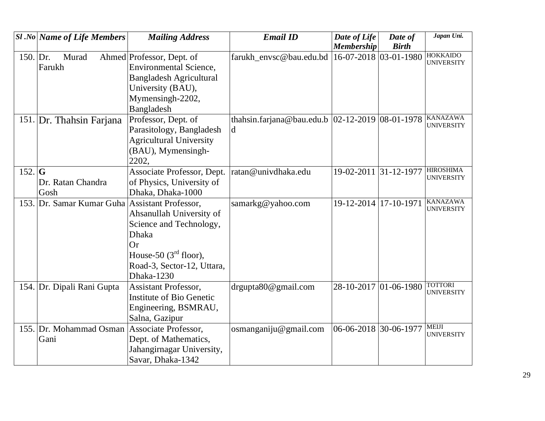|            | <b>Sl</b> .No Name of Life Members             | <b>Mailing Address</b>          | <b>Email ID</b>                                    | Date of Life          | Date of      | Japan Uni.                            |
|------------|------------------------------------------------|---------------------------------|----------------------------------------------------|-----------------------|--------------|---------------------------------------|
|            |                                                |                                 |                                                    | <b>Membership</b>     | <b>Birth</b> |                                       |
| 150. $Dr.$ | Murad                                          | Ahmed Professor, Dept. of       | farukh_envsc@bau.edu.bd                            | 16-07-2018 03-01-1980 |              | <b>HOKKAIDO</b><br><b>UNIVERSITY</b>  |
|            | Farukh                                         | <b>Environmental Science,</b>   |                                                    |                       |              |                                       |
|            |                                                | <b>Bangladesh Agricultural</b>  |                                                    |                       |              |                                       |
|            |                                                | University (BAU),               |                                                    |                       |              |                                       |
|            |                                                | Mymensingh-2202,                |                                                    |                       |              |                                       |
|            |                                                | Bangladesh                      |                                                    |                       |              |                                       |
|            | 151. Dr. Thahsin Farjana                       | Professor, Dept. of             | thahsin.farjana@bau.edu.b $ 02-12-2019 08-01-1978$ |                       |              | <b>KANAZAWA</b><br><b>UNIVERSITY</b>  |
|            |                                                | Parasitology, Bangladesh        | d                                                  |                       |              |                                       |
|            |                                                | <b>Agricultural University</b>  |                                                    |                       |              |                                       |
|            |                                                | (BAU), Mymensingh-              |                                                    |                       |              |                                       |
|            |                                                | 2202,                           |                                                    |                       |              |                                       |
| $152.$ G   |                                                | Associate Professor, Dept.      | ratan@univdhaka.edu                                | 19-02-2011 31-12-1977 |              | <b>HIROSHIMA</b><br><b>UNIVERSITY</b> |
|            | Dr. Ratan Chandra                              | of Physics, University of       |                                                    |                       |              |                                       |
|            | Gosh                                           | Dhaka, Dhaka-1000               |                                                    |                       |              |                                       |
|            | 153. Dr. Samar Kumar Guha Assistant Professor, |                                 | samarkg@yahoo.com                                  | 19-12-2014 17-10-1971 |              | <b>KANAZAWA</b><br><b>UNIVERSITY</b>  |
|            |                                                | Ahsanullah University of        |                                                    |                       |              |                                       |
|            |                                                | Science and Technology,         |                                                    |                       |              |                                       |
|            |                                                | Dhaka                           |                                                    |                       |              |                                       |
|            |                                                | <b>Or</b>                       |                                                    |                       |              |                                       |
|            |                                                | House-50 $(3rd$ floor),         |                                                    |                       |              |                                       |
|            |                                                | Road-3, Sector-12, Uttara,      |                                                    |                       |              |                                       |
|            |                                                | Dhaka-1230                      |                                                    |                       |              |                                       |
|            | 154. Dr. Dipali Rani Gupta                     | <b>Assistant Professor,</b>     | drgupta80@gmail.com                                | 28-10-2017 01-06-1980 |              | <b>TOTTORI</b><br><b>UNIVERSITY</b>   |
|            |                                                | <b>Institute of Bio Genetic</b> |                                                    |                       |              |                                       |
|            |                                                | Engineering, BSMRAU,            |                                                    |                       |              |                                       |
|            |                                                | Salna, Gazipur                  |                                                    |                       |              |                                       |
|            | 155. Dr. Mohammad Osman                        | Associate Professor,            | osmanganiju@gmail.com                              | 06-06-2018 30-06-1977 |              | <b>MEIJI</b><br><b>UNIVERSITY</b>     |
|            | Gani                                           | Dept. of Mathematics,           |                                                    |                       |              |                                       |
|            |                                                | Jahangirnagar University,       |                                                    |                       |              |                                       |
|            |                                                | Savar, Dhaka-1342               |                                                    |                       |              |                                       |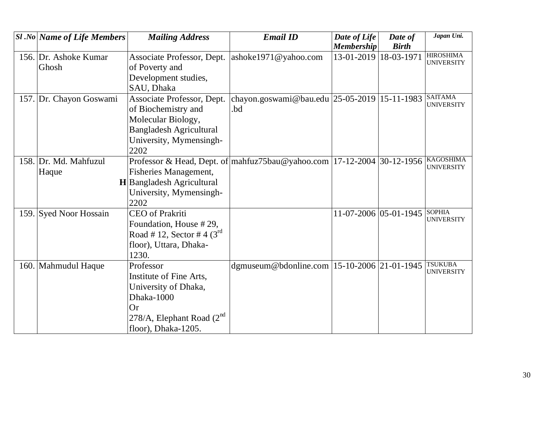| <b>Sl</b> .No Name of Life Members | <b>Mailing Address</b>           | <b>Email ID</b>                                                                                        | Date of Life                 | Date of      | Japan Uni.        |
|------------------------------------|----------------------------------|--------------------------------------------------------------------------------------------------------|------------------------------|--------------|-------------------|
|                                    |                                  |                                                                                                        | <b>Membership</b>            | <b>Birth</b> |                   |
| 156. Dr. Ashoke Kumar              | Associate Professor, Dept.       | ashoke1971@yahoo.com                                                                                   | 13-01-2019                   | 18-03-1971   | <b>HIROSHIMA</b>  |
| Ghosh                              | of Poverty and                   |                                                                                                        |                              |              | <b>UNIVERSITY</b> |
|                                    | Development studies,             |                                                                                                        |                              |              |                   |
|                                    | SAU, Dhaka                       |                                                                                                        |                              |              |                   |
| 157. Dr. Chayon Goswami            | Associate Professor, Dept.       | chayon.goswami@bau.edu 25-05-2019 15-11-1983 SAITAMA                                                   |                              |              |                   |
|                                    | of Biochemistry and              | .bd                                                                                                    |                              |              | <b>UNIVERSITY</b> |
|                                    | Molecular Biology,               |                                                                                                        |                              |              |                   |
|                                    | <b>Bangladesh Agricultural</b>   |                                                                                                        |                              |              |                   |
|                                    | University, Mymensingh-          |                                                                                                        |                              |              |                   |
|                                    | 2202                             |                                                                                                        |                              |              |                   |
| 158. Dr. Md. Mahfuzul              |                                  | Professor & Head, Dept. of $\vert$ mahfuz75bau@yahoo.com $\vert$ 17-12-2004 $\vert$ 30-12-1956 $\vert$ |                              |              | <b>KAGOSHIMA</b>  |
| Haque                              | Fisheries Management,            |                                                                                                        |                              |              | <b>UNIVERSITY</b> |
|                                    | <b>H</b> Bangladesh Agricultural |                                                                                                        |                              |              |                   |
|                                    | University, Mymensingh-          |                                                                                                        |                              |              |                   |
|                                    | 2202                             |                                                                                                        |                              |              |                   |
| 159. Syed Noor Hossain             | CEO of Prakriti                  |                                                                                                        | 11-07-2006 05-01-1945 SOPHIA |              |                   |
|                                    | Foundation, House #29,           |                                                                                                        |                              |              | <b>UNIVERSITY</b> |
|                                    | Road #12, Sector #4 $(3^{rd}$    |                                                                                                        |                              |              |                   |
|                                    | floor), Uttara, Dhaka-           |                                                                                                        |                              |              |                   |
|                                    | 1230.                            |                                                                                                        |                              |              |                   |
| 160. Mahmudul Haque                | Professor                        | dgmuseum@bdonline.com   15-10-2006   21-01-1945                                                        |                              |              | <b>TSUKUBA</b>    |
|                                    | Institute of Fine Arts,          |                                                                                                        |                              |              | <b>UNIVERSITY</b> |
|                                    | University of Dhaka,             |                                                                                                        |                              |              |                   |
|                                    | Dhaka-1000                       |                                                                                                        |                              |              |                   |
|                                    | Or                               |                                                                                                        |                              |              |                   |
|                                    | 278/A, Elephant Road $(2^{nd}$   |                                                                                                        |                              |              |                   |
|                                    | floor), Dhaka-1205.              |                                                                                                        |                              |              |                   |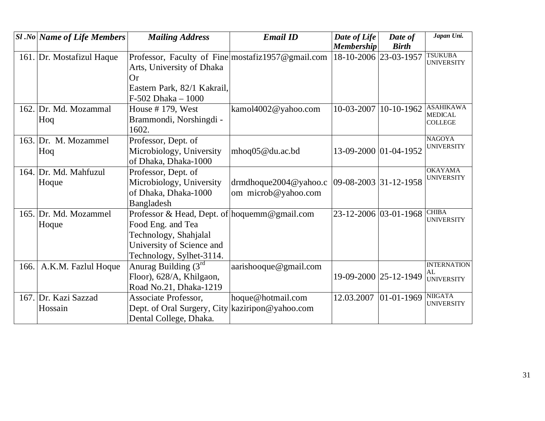|      | <b>Sl</b> .No   Name of Life Members | <b>Mailing Address</b>                            | <b>Email ID</b>          | Date of Life          | Date of        | Japan Uni.                          |
|------|--------------------------------------|---------------------------------------------------|--------------------------|-----------------------|----------------|-------------------------------------|
|      |                                      |                                                   |                          | <b>Membership</b>     | <b>Birth</b>   |                                     |
|      | 161. Dr. Mostafizul Haque            | Professor, Faculty of Fine mostafiz1957@gmail.com |                          | 18-10-2006 23-03-1957 |                | <b>TSUKUBA</b><br><b>UNIVERSITY</b> |
|      |                                      | Arts, University of Dhaka                         |                          |                       |                |                                     |
|      |                                      | <b>Or</b>                                         |                          |                       |                |                                     |
|      |                                      | Eastern Park, 82/1 Kakrail,                       |                          |                       |                |                                     |
|      |                                      | F-502 Dhaka - 1000                                |                          |                       |                |                                     |
|      | 162. Dr. Md. Mozammal                | House $# 179$ , West                              | kamol4002@yahoo.com      | 10-03-2007            | 10-10-1962     | <b>ASAHIKAWA</b>                    |
|      | Hoq                                  | Brammondi, Norshingdi -                           |                          |                       |                | <b>MEDICAL</b><br><b>COLLEGE</b>    |
|      |                                      | 1602.                                             |                          |                       |                |                                     |
|      | 163. Dr. M. Mozammel                 | Professor, Dept. of                               |                          |                       |                | <b>NAGOYA</b>                       |
|      | Hoq                                  | Microbiology, University                          | mhoq05@du.ac.bd          | 13-09-2000 01-04-1952 |                | <b>UNIVERSITY</b>                   |
|      |                                      | of Dhaka, Dhaka-1000                              |                          |                       |                |                                     |
|      | 164. Dr. Md. Mahfuzul                | Professor, Dept. of                               |                          |                       |                | <b>OKAYAMA</b>                      |
|      | Hoque                                | Microbiology, University                          | drmdhoque $2004@yahoo.c$ | 09-08-2003 31-12-1958 |                | <b>UNIVERSITY</b>                   |
|      |                                      | of Dhaka, Dhaka-1000                              | om microb@yahoo.com      |                       |                |                                     |
|      |                                      | Bangladesh                                        |                          |                       |                |                                     |
|      | 165. Dr. Md. Mozammel                | Professor & Head, Dept. of hoquemm@gmail.com      |                          | 23-12-2006 03-01-1968 |                | <b>CHIBA</b>                        |
|      | Hoque                                | Food Eng. and Tea                                 |                          |                       |                | <b>UNIVERSITY</b>                   |
|      |                                      | Technology, Shahjalal                             |                          |                       |                |                                     |
|      |                                      | University of Science and                         |                          |                       |                |                                     |
|      |                                      | Technology, Sylhet-3114.                          |                          |                       |                |                                     |
| 166. | A.K.M. Fazlul Hoque                  | Anurag Building $(3^{rd}$                         | aarishooque@gmail.com    |                       |                | <b>INTERNATION</b>                  |
|      |                                      | Floor), 628/A, Khilgaon,                          |                          | 19-09-2000 25-12-1949 |                | AL<br>UNIVERSITY                    |
|      |                                      | Road No.21, Dhaka-1219                            |                          |                       |                |                                     |
|      | 167. Dr. Kazi Sazzad                 | <b>Associate Professor,</b>                       | hoque@hotmail.com        | 12.03.2007            | $ 01-01-1969 $ | <b>NIIGATA</b>                      |
|      | Hossain                              | Dept. of Oral Surgery, City kaziripon@yahoo.com   |                          |                       |                | <b>UNIVERSITY</b>                   |
|      |                                      | Dental College, Dhaka.                            |                          |                       |                |                                     |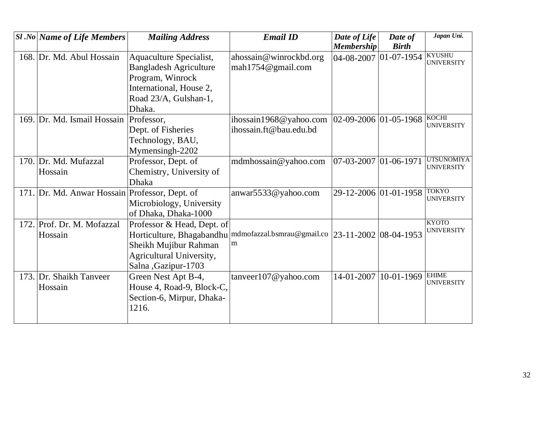| <b>Sl</b> .No   Name of Life Members           | <b>Mailing Address</b>                            | <b>Email ID</b>                                    | Date of Life<br><b>Membership</b> | Date of<br><b>Birth</b> | Japan Uni.                             |
|------------------------------------------------|---------------------------------------------------|----------------------------------------------------|-----------------------------------|-------------------------|----------------------------------------|
| 168. Dr. Md. Abul Hossain                      | <b>Aquaculture Specialist,</b>                    | ahossain@winrockbd.org                             | 04-08-2007 01-07-1954             |                         | <b>KYUSHU</b><br><b>UNIVERSITY</b>     |
|                                                | <b>Bangladesh Agriculture</b><br>Program, Winrock | mah1754@gmail.com                                  |                                   |                         |                                        |
|                                                | International, House 2,                           |                                                    |                                   |                         |                                        |
|                                                | Road 23/A, Gulshan-1,                             |                                                    |                                   |                         |                                        |
|                                                | Dhaka.                                            |                                                    |                                   |                         |                                        |
| 169. Dr. Md. Ismail Hossain                    | Professor,                                        | ihossain1968@yahoo.com                             | $ 02-09-2006 01-05-1968$          |                         | <b>KOCHI</b><br><b>UNIVERSITY</b>      |
|                                                | Dept. of Fisheries                                | ihossain.ft@bau.edu.bd                             |                                   |                         |                                        |
|                                                | Technology, BAU,                                  |                                                    |                                   |                         |                                        |
|                                                | Mymensingh-2202                                   |                                                    |                                   |                         |                                        |
| 170. Dr. Md. Mufazzal                          | Professor, Dept. of                               | mdmhossain@yahoo.com                               | $07 - 03 - 2007$ 01 - 06 - 1971   |                         | <b>UTSUNOMIYA</b><br><b>UNIVERSITY</b> |
| Hossain                                        | Chemistry, University of                          |                                                    |                                   |                         |                                        |
|                                                | <b>Dhaka</b>                                      |                                                    |                                   |                         |                                        |
| 171. Dr. Md. Anwar Hossain Professor, Dept. of |                                                   | anwar5533@yahoo.com                                |                                   | 29-12-2006 01-01-1958   | <b>TOKYO</b><br><b>UNIVERSITY</b>      |
|                                                | Microbiology, University                          |                                                    |                                   |                         |                                        |
|                                                | of Dhaka, Dhaka-1000                              |                                                    |                                   |                         |                                        |
| 172. Prof. Dr. M. Mofazzal                     | Professor & Head, Dept. of                        |                                                    |                                   |                         | <b>KYOTO</b><br><b>UNIVERSITY</b>      |
| Hossain                                        | Horticulture, Bhagabandhu                         | mdmofazzal.bsmrau@gmail.co  23-11-2002  08-04-1953 |                                   |                         |                                        |
|                                                | Sheikh Mujibur Rahman                             | m                                                  |                                   |                         |                                        |
|                                                | Agricultural University,                          |                                                    |                                   |                         |                                        |
|                                                | Salna, Gazipur-1703                               |                                                    |                                   |                         | <b>EHIME</b>                           |
| 173. Dr. Shaikh Tanveer                        | Green Nest Apt B-4,                               | tanveer107@yahoo.com                               | 14-01-2007                        | 10-01-1969              | <b>UNIVERSITY</b>                      |
| Hossain                                        | House 4, Road-9, Block-C,                         |                                                    |                                   |                         |                                        |
|                                                | Section-6, Mirpur, Dhaka-                         |                                                    |                                   |                         |                                        |
|                                                | 1216.                                             |                                                    |                                   |                         |                                        |
|                                                |                                                   |                                                    |                                   |                         |                                        |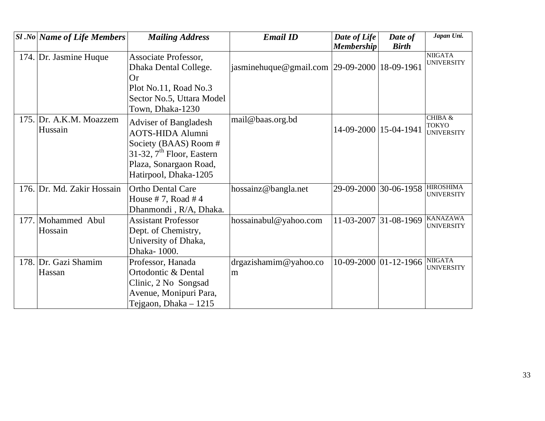| <b>Sl</b> .No Name of Life Members | <b>Mailing Address</b>                                                                                          | <b>Email ID</b>                              | Date of Life          | Date of      | Japan Uni.                                   |
|------------------------------------|-----------------------------------------------------------------------------------------------------------------|----------------------------------------------|-----------------------|--------------|----------------------------------------------|
|                                    |                                                                                                                 |                                              | <b>Membership</b>     | <b>Birth</b> |                                              |
| 174. Dr. Jasmine Huque             | Associate Professor,<br>Dhaka Dental College.                                                                   | jasminehuque@gmail.com 29-09-2000 18-09-1961 |                       |              | <b>NIIGATA</b><br><b>UNIVERSITY</b>          |
|                                    | <b>Or</b>                                                                                                       |                                              |                       |              |                                              |
|                                    | Plot No.11, Road No.3                                                                                           |                                              |                       |              |                                              |
|                                    | Sector No.5, Uttara Model                                                                                       |                                              |                       |              |                                              |
|                                    | Town, Dhaka-1230                                                                                                |                                              |                       |              |                                              |
| 175. Dr. A.K.M. Moazzem<br>Hussain | <b>Adviser of Bangladesh</b><br><b>AOTS-HIDA Alumni</b><br>Society (BAAS) Room #<br>31-32, $7th$ Floor, Eastern | mail@baas.org.bd                             | 14-09-2000 15-04-1941 |              | CHIBA &<br><b>TOKYO</b><br><b>UNIVERSITY</b> |
|                                    | Plaza, Sonargaon Road,                                                                                          |                                              |                       |              |                                              |
|                                    | Hatirpool, Dhaka-1205                                                                                           |                                              |                       |              |                                              |
| 176. Dr. Md. Zakir Hossain         | <b>Ortho Dental Care</b><br>House #7, Road #4<br>Dhanmondi, R/A, Dhaka.                                         | hossainz@bangla.net                          | 29-09-2000            | 30-06-1958   | <b>HIROSHIMA</b><br><b>UNIVERSITY</b>        |
| 177. Mohammed Abul                 | <b>Assistant Professor</b>                                                                                      | hossainabul@yahoo.com                        | 11-03-2007            | 31-08-1969   | <b>KANAZAWA</b><br><b>UNIVERSITY</b>         |
| Hossain                            | Dept. of Chemistry,                                                                                             |                                              |                       |              |                                              |
|                                    | University of Dhaka,                                                                                            |                                              |                       |              |                                              |
|                                    | Dhaka-1000.                                                                                                     |                                              |                       |              |                                              |
| 178. Dr. Gazi Shamim               | Professor, Hanada                                                                                               | drgazishamim@yahoo.co                        | 10-09-2000 01-12-1966 |              | <b>NIIGATA</b><br><b>UNIVERSITY</b>          |
| Hassan                             | Ortodontic & Dental                                                                                             | m                                            |                       |              |                                              |
|                                    | Clinic, 2 No Songsad                                                                                            |                                              |                       |              |                                              |
|                                    | Avenue, Monipuri Para,                                                                                          |                                              |                       |              |                                              |
|                                    | Tejgaon, Dhaka $-1215$                                                                                          |                                              |                       |              |                                              |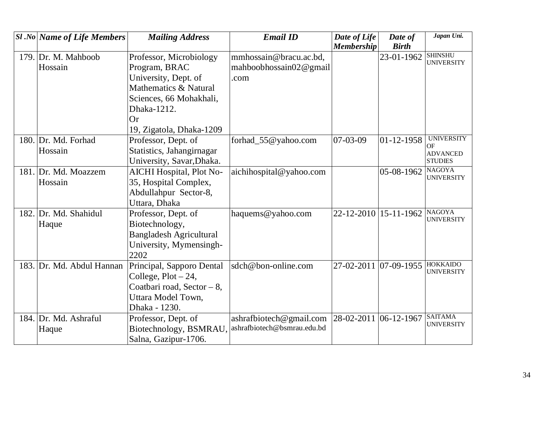|      | <b>Sl</b> .No Name of Life Members | <b>Mailing Address</b>         | <b>Email ID</b>             | Date of Life          | Date of               | Japan Uni.                          |
|------|------------------------------------|--------------------------------|-----------------------------|-----------------------|-----------------------|-------------------------------------|
|      |                                    |                                |                             | <b>Membership</b>     | <b>Birth</b>          |                                     |
| 179. | Dr. M. Mahboob                     | Professor, Microbiology        | mmhossain@bracu.ac.bd,      |                       | 23-01-1962            | <b>SHINSHU</b><br><b>UNIVERSITY</b> |
|      | Hossain                            | Program, BRAC                  | mahboobhossain02@gmail      |                       |                       |                                     |
|      |                                    | University, Dept. of           | .com                        |                       |                       |                                     |
|      |                                    | Mathematics & Natural          |                             |                       |                       |                                     |
|      |                                    | Sciences, 66 Mohakhali,        |                             |                       |                       |                                     |
|      |                                    | Dhaka-1212.                    |                             |                       |                       |                                     |
|      |                                    | Or                             |                             |                       |                       |                                     |
|      |                                    | 19, Zigatola, Dhaka-1209       |                             |                       |                       |                                     |
|      | 180. Dr. Md. Forhad                | Professor, Dept. of            | forhad_55@yahoo.com         | 07-03-09              | $ 01 - 12 - 1958 $    | <b>UNIVERSITY</b><br>OF             |
|      | Hossain                            | Statistics, Jahangirnagar      |                             |                       |                       | <b>ADVANCED</b>                     |
|      |                                    | University, Savar, Dhaka.      |                             |                       |                       | <b>STUDIES</b>                      |
|      | 181. Dr. Md. Moazzem               | AICHI Hospital, Plot No-       | aichihospital@yahoo.com     |                       | 05-08-1962            | <b>NAGOYA</b>                       |
|      | Hossain                            | 35, Hospital Complex,          |                             |                       |                       | <b>UNIVERSITY</b>                   |
|      |                                    | Abdullahpur Sector-8,          |                             |                       |                       |                                     |
|      |                                    | Uttara, Dhaka                  |                             |                       |                       |                                     |
|      | 182. Dr. Md. Shahidul              | Professor, Dept. of            | haquems@yahoo.com           |                       | 22-12-2010 15-11-1962 | <b>NAGOYA</b>                       |
|      | Haque                              | Biotechnology,                 |                             |                       |                       | <b>UNIVERSITY</b>                   |
|      |                                    | <b>Bangladesh Agricultural</b> |                             |                       |                       |                                     |
|      |                                    | University, Mymensingh-        |                             |                       |                       |                                     |
|      |                                    | 2202                           |                             |                       |                       |                                     |
| 183. | Dr. Md. Abdul Hannan               | Principal, Sapporo Dental      | sdch@bon-online.com         |                       | 27-02-2011 07-09-1955 | <b>HOKKAIDO</b>                     |
|      |                                    | College, $Plot - 24$ ,         |                             |                       |                       | <b>UNIVERSITY</b>                   |
|      |                                    | Coatbari road, Sector - 8,     |                             |                       |                       |                                     |
|      |                                    | Uttara Model Town,             |                             |                       |                       |                                     |
|      |                                    | Dhaka - 1230.                  |                             |                       |                       |                                     |
|      | 184. Dr. Md. Ashraful              | Professor, Dept. of            | ashrafbiotech@gmail.com     | 28-02-2011 06-12-1967 |                       | <b>SAITAMA</b>                      |
|      | Haque                              | Biotechnology, BSMRAU,         | ashrafbiotech@bsmrau.edu.bd |                       |                       | <b>UNIVERSITY</b>                   |
|      |                                    | Salna, Gazipur-1706.           |                             |                       |                       |                                     |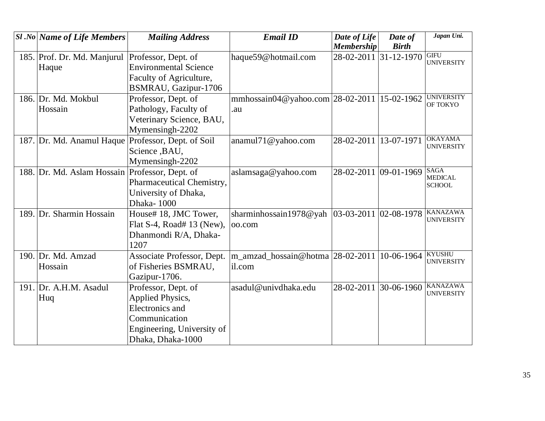|      | <b>Sl</b> .No Name of Life Members             | <b>Mailing Address</b>       | <b>Email ID</b>                                | Date of Life          | Date of               | Japan Uni.                           |
|------|------------------------------------------------|------------------------------|------------------------------------------------|-----------------------|-----------------------|--------------------------------------|
|      |                                                |                              |                                                | <b>Membership</b>     | <b>Birth</b>          |                                      |
|      | 185. Prof. Dr. Md. Manjurul                    | Professor, Dept. of          | haque59@hotmail.com                            |                       | 28-02-2011 31-12-1970 | <b>GIFU</b><br><b>UNIVERSITY</b>     |
|      | Haque                                          | <b>Environmental Science</b> |                                                |                       |                       |                                      |
|      |                                                | Faculty of Agriculture,      |                                                |                       |                       |                                      |
|      |                                                | BSMRAU, Gazipur-1706         |                                                |                       |                       |                                      |
|      | 186. Dr. Md. Mokbul                            | Professor, Dept. of          | mmhossain04@yahoo.com $ 28-02-2011 $           |                       | 15-02-1962            | <b>UNIVERSITY</b><br>OF TOKYO        |
|      | Hossain                                        | Pathology, Faculty of        | .au                                            |                       |                       |                                      |
|      |                                                | Veterinary Science, BAU,     |                                                |                       |                       |                                      |
|      |                                                | Mymensingh-2202              |                                                |                       |                       |                                      |
|      | 187. Dr. Md. Anamul Haque                      | Professor, Dept. of Soil     | anamul71@yahoo.com                             | 28-02-2011            | 13-07-1971            | <b>OKAYAMA</b><br><b>UNIVERSITY</b>  |
|      |                                                | Science, BAU,                |                                                |                       |                       |                                      |
|      |                                                | Mymensingh-2202              |                                                |                       |                       |                                      |
|      | 188. Dr. Md. Aslam Hossain Professor, Dept. of |                              | aslamsaga@yahoo.com                            | 28-02-2011 09-01-1969 |                       | <b>SAGA</b>                          |
|      |                                                | Pharmaceutical Chemistry,    |                                                |                       |                       | <b>MEDICAL</b><br><b>SCHOOL</b>      |
|      |                                                | University of Dhaka,         |                                                |                       |                       |                                      |
|      |                                                | Dhaka-1000                   |                                                |                       |                       |                                      |
| 189. | Dr. Sharmin Hossain                            | House# 18, JMC Tower,        | sharminhossain1978@yah  03-03-2011  02-08-1978 |                       |                       | <b>KANAZAWA</b>                      |
|      |                                                | Flat S-4, Road# 13 (New),    | oo.com                                         |                       |                       | <b>UNIVERSITY</b>                    |
|      |                                                | Dhanmondi R/A, Dhaka-        |                                                |                       |                       |                                      |
|      |                                                | 1207                         |                                                |                       |                       |                                      |
|      | 190. Dr. Md. Amzad                             | Associate Professor, Dept.   | m_amzad_hossain@hotma 28-02-2011 10-06-1964    |                       |                       | <b>KYUSHU</b><br><b>UNIVERSITY</b>   |
|      | Hossain                                        | of Fisheries BSMRAU,         | il.com                                         |                       |                       |                                      |
|      |                                                | Gazipur-1706.                |                                                |                       |                       |                                      |
|      | 191. Dr. A.H.M. Asadul                         | Professor, Dept. of          | asadul@univdhaka.edu                           | 28-02-2011            | 30-06-1960            | <b>KANAZAWA</b><br><b>UNIVERSITY</b> |
|      | Huq                                            | Applied Physics,             |                                                |                       |                       |                                      |
|      |                                                | Electronics and              |                                                |                       |                       |                                      |
|      |                                                | Communication                |                                                |                       |                       |                                      |
|      |                                                | Engineering, University of   |                                                |                       |                       |                                      |
|      |                                                | Dhaka, Dhaka-1000            |                                                |                       |                       |                                      |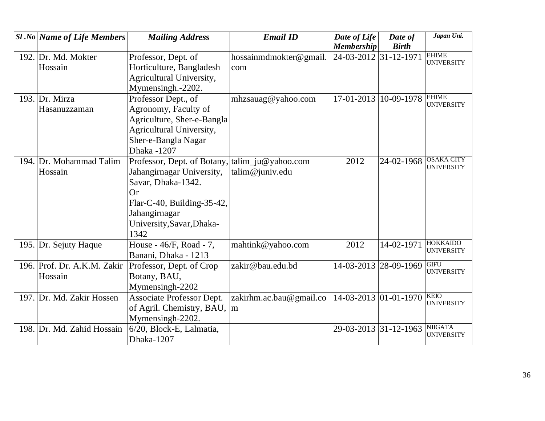| $ S1 $ .No Name of Life Members | <b>Mailing Address</b>                          | <b>Email ID</b>         | Date of Life          | Date of                     | Japan Uni.                        |
|---------------------------------|-------------------------------------------------|-------------------------|-----------------------|-----------------------------|-----------------------------------|
|                                 |                                                 |                         | <b>Membership</b>     | <b>Birth</b>                |                                   |
| 192. Dr. Md. Mokter             | Professor, Dept. of                             | hossainmdmokter@gmail.  | 24-03-2012 31-12-1971 |                             | <b>EHIME</b><br><b>UNIVERSITY</b> |
| Hossain                         | Horticulture, Bangladesh                        | com                     |                       |                             |                                   |
|                                 | Agricultural University,                        |                         |                       |                             |                                   |
|                                 | Mymensingh.-2202.                               |                         |                       |                             |                                   |
| 193. Dr. Mirza                  | Professor Dept., of                             | mhzsauag@yahoo.com      |                       | 17-01-2013 10-09-1978 EHIME | <b>UNIVERSITY</b>                 |
| Hasanuzzaman                    | Agronomy, Faculty of                            |                         |                       |                             |                                   |
|                                 | Agriculture, Sher-e-Bangla                      |                         |                       |                             |                                   |
|                                 | Agricultural University,                        |                         |                       |                             |                                   |
|                                 | Sher-e-Bangla Nagar                             |                         |                       |                             |                                   |
|                                 | Dhaka -1207                                     |                         |                       |                             |                                   |
| 194. Dr. Mohammad Talim         | Professor, Dept. of Botany,  talim_ju@yahoo.com |                         | 2012                  | 24-02-1968                  | <b>OSAKA CITY</b>                 |
| Hossain                         | Jahangirnagar University,                       | talim@juniv.edu         |                       |                             | <b>UNIVERSITY</b>                 |
|                                 | Savar, Dhaka-1342.                              |                         |                       |                             |                                   |
|                                 | <b>Or</b>                                       |                         |                       |                             |                                   |
|                                 | Flar-C-40, Building-35-42,                      |                         |                       |                             |                                   |
|                                 | Jahangirnagar                                   |                         |                       |                             |                                   |
|                                 | University, Savar, Dhaka-                       |                         |                       |                             |                                   |
|                                 | 1342                                            |                         |                       |                             |                                   |
| 195. Dr. Sejuty Haque           | House - 46/F, Road - 7,                         | mahtink@yahoo.com       | 2012                  | 14-02-1971                  | <b>HOKKAIDO</b>                   |
|                                 | Banani, Dhaka - 1213                            |                         |                       |                             | <b>UNIVERSITY</b>                 |
| 196. Prof. Dr. A.K.M. Zakir     | Professor, Dept. of Crop                        | zakir@bau.edu.bd        |                       | 14-03-2013 28-09-1969       | <b>GIFU</b>                       |
| Hossain                         | Botany, BAU,                                    |                         |                       |                             | <b>UNIVERSITY</b>                 |
|                                 | Mymensingh-2202                                 |                         |                       |                             |                                   |
| 197. Dr. Md. Zakir Hossen       | Associate Professor Dept.                       | zakirhm.ac.bau@gmail.co |                       | 14-03-2013 01-01-1970       | <b>KEIO</b>                       |
|                                 | of Agril. Chemistry, BAU,                       | m                       |                       |                             | <b>UNIVERSITY</b>                 |
|                                 | Mymensingh-2202.                                |                         |                       |                             |                                   |
| 198. Dr. Md. Zahid Hossain      | 6/20, Block-E, Lalmatia,                        |                         |                       | 29-03-2013 31-12-1963       | <b>NIIGATA</b>                    |
|                                 | Dhaka-1207                                      |                         |                       |                             | <b>UNIVERSITY</b>                 |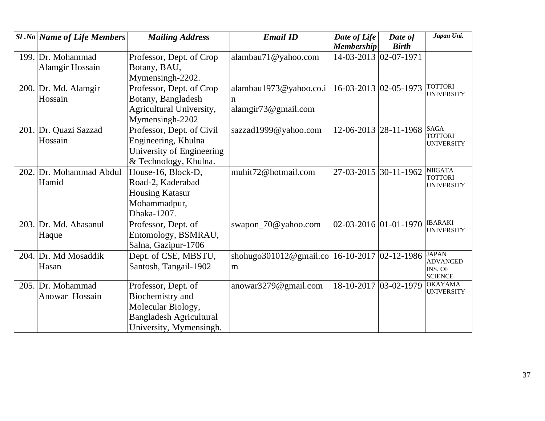| $SI$ .No Name of Life Members | <b>Mailing Address</b>         | <b>Email ID</b>                                  | Date of Life                | Date of      | Japan Uni.                          |
|-------------------------------|--------------------------------|--------------------------------------------------|-----------------------------|--------------|-------------------------------------|
|                               |                                |                                                  | <b>Membership</b>           | <b>Birth</b> |                                     |
| 199. Dr. Mohammad             | Professor, Dept. of Crop       | alambau71@yahoo.com                              | 14-03-2013 02-07-1971       |              |                                     |
| Alamgir Hossain               | Botany, BAU,                   |                                                  |                             |              |                                     |
|                               | Mymensingh-2202.               |                                                  |                             |              |                                     |
| 200. Dr. Md. Alamgir          | Professor, Dept. of Crop       | alambau1973@yahoo.co.i                           | $16 - 03 - 2013$ 02-05-1973 |              | <b>TOTTORI</b><br><b>UNIVERSITY</b> |
| Hossain                       | Botany, Bangladesh             |                                                  |                             |              |                                     |
|                               | Agricultural University,       | alamgir73@gmail.com                              |                             |              |                                     |
|                               | Mymensingh-2202                |                                                  |                             |              |                                     |
| 201. Dr. Quazi Sazzad         | Professor, Dept. of Civil      | sazzad1999@yahoo.com                             | 12-06-2013 28-11-1968       |              | <b>SAGA</b>                         |
| Hossain                       | Engineering, Khulna            |                                                  |                             |              | <b>TOTTORI</b><br><b>UNIVERSITY</b> |
|                               | University of Engineering      |                                                  |                             |              |                                     |
|                               | & Technology, Khulna.          |                                                  |                             |              |                                     |
| 202. Dr. Mohammad Abdul       | House-16, Block-D,             | muhit72@hotmail.com                              | 27-03-2015 30-11-1962       |              | <b>NIIGATA</b>                      |
| Hamid                         | Road-2, Kaderabad              |                                                  |                             |              | <b>TOTTORI</b><br><b>UNIVERSITY</b> |
|                               | <b>Housing Katasur</b>         |                                                  |                             |              |                                     |
|                               | Mohammadpur,                   |                                                  |                             |              |                                     |
|                               | Dhaka-1207.                    |                                                  |                             |              |                                     |
| 203. Dr. Md. Ahasanul         | Professor, Dept. of            | swapon_70@yahoo.com                              | $ 02-03-2016 01-01-1970 $   |              | <b>IBARAKI</b>                      |
| Haque                         | Entomology, BSMRAU,            |                                                  |                             |              | <b>UNIVERSITY</b>                   |
|                               | Salna, Gazipur-1706            |                                                  |                             |              |                                     |
| 204. Dr. Md Mosaddik          | Dept. of CSE, MBSTU,           | shohugo301012@gmail.co   16-10-2017   02-12-1986 |                             |              | <b>JAPAN</b><br><b>ADVANCED</b>     |
| Hasan                         | Santosh, Tangail-1902          | m                                                |                             |              | INS. OF                             |
|                               |                                |                                                  |                             |              | <b>SCIENCE</b>                      |
| 205. Dr. Mohammad             | Professor, Dept. of            | anowar3279@gmail.com                             | 18-10-2017 03-02-1979       |              | <b>OKAYAMA</b><br><b>UNIVERSITY</b> |
| Anowar Hossain                | Biochemistry and               |                                                  |                             |              |                                     |
|                               | Molecular Biology,             |                                                  |                             |              |                                     |
|                               | <b>Bangladesh Agricultural</b> |                                                  |                             |              |                                     |
|                               | University, Mymensingh.        |                                                  |                             |              |                                     |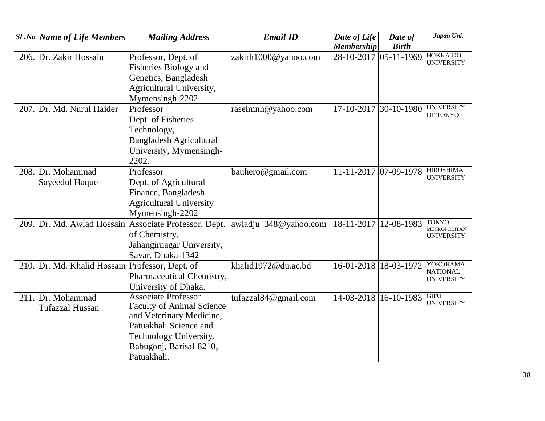|      | $ S1 $ .No Name of Life Members | <b>Mailing Address</b>                                | <b>Email ID</b>       | Date of Life            | Date of               | Japan Uni.                            |
|------|---------------------------------|-------------------------------------------------------|-----------------------|-------------------------|-----------------------|---------------------------------------|
|      |                                 |                                                       |                       | <b>Membership</b>       | <b>Birth</b>          |                                       |
|      | 206. Dr. Zakir Hossain          | Professor, Dept. of                                   | zakirh1000@yahoo.com  | 28-10-2017 05-11-1969   |                       | <b>HOKKAIDO</b><br><b>UNIVERSITY</b>  |
|      |                                 | Fisheries Biology and                                 |                       |                         |                       |                                       |
|      |                                 | Genetics, Bangladesh                                  |                       |                         |                       |                                       |
|      |                                 | Agricultural University,                              |                       |                         |                       |                                       |
|      |                                 | Mymensingh-2202.                                      |                       |                         |                       |                                       |
|      | 207. Dr. Md. Nurul Haider       | Professor                                             | raselmnh@yahoo.com    | 17-10-2017 30-10-1980   |                       | <b>UNIVERSITY</b><br>OF TOKYO         |
|      |                                 | Dept. of Fisheries                                    |                       |                         |                       |                                       |
|      |                                 | Technology,                                           |                       |                         |                       |                                       |
|      |                                 | <b>Bangladesh Agricultural</b>                        |                       |                         |                       |                                       |
|      |                                 | University, Mymensingh-                               |                       |                         |                       |                                       |
|      |                                 | 2202.                                                 |                       |                         |                       |                                       |
|      | 208. Dr. Mohammad               | Professor                                             | bauhero@gmail.com     | 11-11-2017 07-09-1978   |                       | <b>HIROSHIMA</b><br><b>UNIVERSITY</b> |
|      | Sayeedul Haque                  | Dept. of Agricultural                                 |                       |                         |                       |                                       |
|      |                                 | Finance, Bangladesh                                   |                       |                         |                       |                                       |
|      |                                 | <b>Agricultural University</b>                        |                       |                         |                       |                                       |
|      |                                 | Mymensingh-2202                                       |                       |                         |                       |                                       |
|      |                                 | 209. Dr. Md. Awlad Hossain Associate Professor, Dept. | awladju_348@yahoo.com | 18-11-2017   12-08-1983 |                       | <b>TOKYO</b><br>METROPOLITAN          |
|      |                                 | of Chemistry,                                         |                       |                         |                       | <b>UNIVERSITY</b>                     |
|      |                                 | Jahangirnagar University,                             |                       |                         |                       |                                       |
|      |                                 | Savar, Dhaka-1342                                     |                       |                         |                       |                                       |
|      | 210. Dr. Md. Khalid Hossain     | Professor, Dept. of                                   | khalid1972@du.ac.bd   | 16-01-2018 18-03-1972   |                       | YOKOHAMA<br><b>NATIONAL</b>           |
|      |                                 | Pharmaceutical Chemistry,                             |                       |                         |                       | <b>UNIVERSITY</b>                     |
|      |                                 | University of Dhaka.                                  |                       |                         |                       |                                       |
| 211. | Dr. Mohammad                    | <b>Associate Professor</b>                            | tufazzal84@gmail.com  |                         | 14-03-2018 16-10-1983 | <b>GIFU</b><br><b>UNIVERSITY</b>      |
|      | Tufazzal Hussan                 | <b>Faculty of Animal Science</b>                      |                       |                         |                       |                                       |
|      |                                 | and Veterinary Medicine,                              |                       |                         |                       |                                       |
|      |                                 | Patuakhali Science and                                |                       |                         |                       |                                       |
|      |                                 | Technology University,                                |                       |                         |                       |                                       |
|      |                                 | Babugonj, Barisal-8210,                               |                       |                         |                       |                                       |
|      |                                 | Patuakhali.                                           |                       |                         |                       |                                       |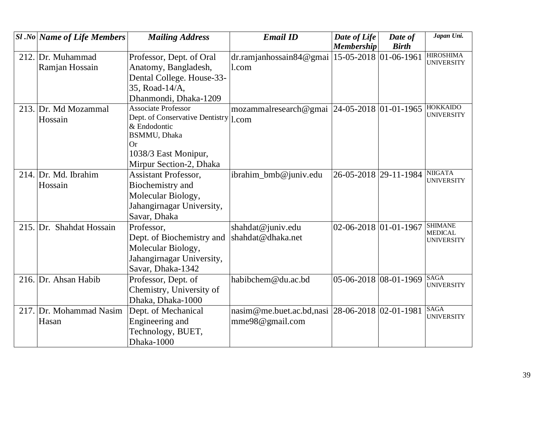| $ S1 $ .No Name of Life Members | <b>Mailing Address</b>                  | <b>Email ID</b>                                   | Date of Life          | Date of      | Japan Uni.                            |
|---------------------------------|-----------------------------------------|---------------------------------------------------|-----------------------|--------------|---------------------------------------|
|                                 |                                         |                                                   | <b>Membership</b>     | <b>Birth</b> |                                       |
| 212. Dr. Muhammad               | Professor, Dept. of Oral                | dr.ramjanhossain84@gmai   15-05-2018   01-06-1961 |                       |              | <b>HIROSHIMA</b><br><b>UNIVERSITY</b> |
| Ramjan Hossain                  | Anatomy, Bangladesh,                    | l.com                                             |                       |              |                                       |
|                                 | Dental College. House-33-               |                                                   |                       |              |                                       |
|                                 | 35, Road-14/A,                          |                                                   |                       |              |                                       |
|                                 | Dhanmondi, Dhaka-1209                   |                                                   |                       |              |                                       |
| 213. Dr. Md Mozammal            | <b>Associate Professor</b>              | mozammalresearch@gmai 24-05-2018 01-01-1965       |                       |              | <b>HOKKAIDO</b>                       |
| Hossain                         | Dept. of Conservative Dentistry   1.com |                                                   |                       |              | <b>UNIVERSITY</b>                     |
|                                 | & Endodontic                            |                                                   |                       |              |                                       |
|                                 | <b>BSMMU</b> , Dhaka<br><b>Or</b>       |                                                   |                       |              |                                       |
|                                 | 1038/3 East Monipur,                    |                                                   |                       |              |                                       |
|                                 | Mirpur Section-2, Dhaka                 |                                                   |                       |              |                                       |
| 214. Dr. Md. Ibrahim            | <b>Assistant Professor,</b>             | ibrahim_bmb@juniv.edu                             | 26-05-2018 29-11-1984 |              | <b>NIIGATA</b>                        |
| Hossain                         | Biochemistry and                        |                                                   |                       |              | <b>UNIVERSITY</b>                     |
|                                 | Molecular Biology,                      |                                                   |                       |              |                                       |
|                                 | Jahangirnagar University,               |                                                   |                       |              |                                       |
|                                 | Savar, Dhaka                            |                                                   |                       |              |                                       |
| 215. Dr. Shahdat Hossain        | Professor,                              | shahdat@juniv.edu                                 | 02-06-2018 01-01-1967 |              | <b>SHIMANE</b><br><b>MEDICAL</b>      |
|                                 | Dept. of Biochemistry and               | shahdat@dhaka.net                                 |                       |              | <b>UNIVERSITY</b>                     |
|                                 | Molecular Biology,                      |                                                   |                       |              |                                       |
|                                 | Jahangirnagar University,               |                                                   |                       |              |                                       |
|                                 | Savar, Dhaka-1342                       |                                                   |                       |              |                                       |
| 216. Dr. Ahsan Habib            | Professor, Dept. of                     | habibchem@du.ac.bd                                | 05-06-2018 08-01-1969 |              | <b>SAGA</b>                           |
|                                 | Chemistry, University of                |                                                   |                       |              | <b>UNIVERSITY</b>                     |
|                                 | Dhaka, Dhaka-1000                       |                                                   |                       |              |                                       |
| 217. Dr. Mohammad Nasim         | Dept. of Mechanical                     | nasim@me.buet.ac.bd.nasi 28-06-2018 02-01-1981    |                       |              | <b>SAGA</b><br><b>UNIVERSITY</b>      |
| Hasan                           | Engineering and                         | mme98@gmail.com                                   |                       |              |                                       |
|                                 | Technology, BUET,                       |                                                   |                       |              |                                       |
|                                 | Dhaka-1000                              |                                                   |                       |              |                                       |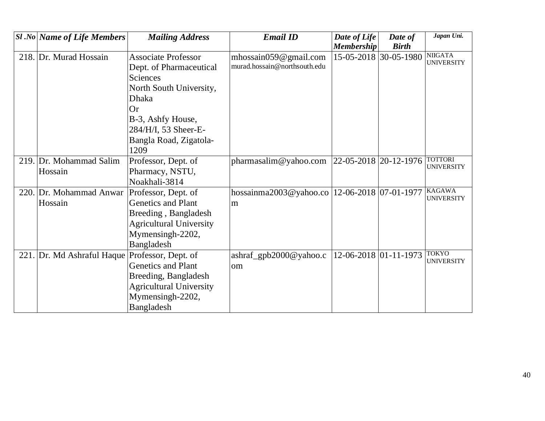|      | <b>Sl</b> .No   Name of Life Members           | <b>Mailing Address</b>                                                                                                                                                                                   | <b>Email ID</b>                                           | Date of Life<br><b>Membership</b> | Date of<br><b>Birth</b> | Japan Uni.                          |
|------|------------------------------------------------|----------------------------------------------------------------------------------------------------------------------------------------------------------------------------------------------------------|-----------------------------------------------------------|-----------------------------------|-------------------------|-------------------------------------|
|      | 218. Dr. Murad Hossain                         | <b>Associate Professor</b><br>Dept. of Pharmaceutical<br>Sciences<br>North South University,<br><b>Dhaka</b><br><b>Or</b><br>B-3, Ashfy House,<br>284/H/I, 53 Sheer-E-<br>Bangla Road, Zigatola-<br>1209 | mhossain059 $@$ gmail.com<br>murad.hossain@northsouth.edu |                                   | 15-05-2018 30-05-1980   | <b>NIIGATA</b><br><b>UNIVERSITY</b> |
|      | 219. Dr. Mohammad Salim<br>Hossain             | Professor, Dept. of<br>Pharmacy, NSTU,<br>Noakhali-3814                                                                                                                                                  | pharmasalim@yahoo.com                                     | 22-05-2018 20-12-1976             |                         | <b>TOTTORI</b><br><b>UNIVERSITY</b> |
| 220. | Dr. Mohammad Anwar<br>Hossain                  | Professor, Dept. of<br><b>Genetics and Plant</b><br>Breeding, Bangladesh<br><b>Agricultural University</b><br>Mymensingh-2202,<br>Bangladesh                                                             | hossainma2003@yahoo.co   12-06-2018   07-01-1977<br>m     |                                   |                         | <b>KAGAWA</b><br><b>UNIVERSITY</b>  |
|      | 221. Dr. Md Ashraful Haque Professor, Dept. of | <b>Genetics and Plant</b><br>Breeding, Bangladesh<br><b>Agricultural University</b><br>Mymensingh-2202,<br>Bangladesh                                                                                    | $ashraf\_gpb2000@yahoo.c$<br>om                           | 12-06-2018 01-11-1973             |                         | <b>TOKYO</b><br><b>UNIVERSITY</b>   |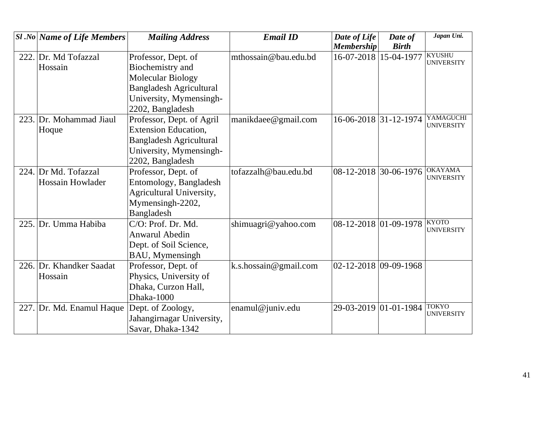| <b>Sl</b> .No Name of Life Members | <b>Mailing Address</b>         | <b>Email ID</b>       | Date of Life          | Date of      | Japan Uni.                         |
|------------------------------------|--------------------------------|-----------------------|-----------------------|--------------|------------------------------------|
|                                    |                                |                       | <b>Membership</b>     | <b>Birth</b> |                                    |
| 222. Dr. Md Tofazzal               | Professor, Dept. of            | mthossain@bau.edu.bd  | 16-07-2018            | 15-04-1977   | <b>KYUSHU</b><br><b>UNIVERSITY</b> |
| Hossain                            | Biochemistry and               |                       |                       |              |                                    |
|                                    | Molecular Biology              |                       |                       |              |                                    |
|                                    | <b>Bangladesh Agricultural</b> |                       |                       |              |                                    |
|                                    | University, Mymensingh-        |                       |                       |              |                                    |
|                                    | 2202, Bangladesh               |                       |                       |              |                                    |
| 223. Dr. Mohammad Jiaul            | Professor, Dept. of Agril      | manikdaee@gmail.com   | 16-06-2018 31-12-1974 |              | YAMAGUCHI                          |
| Hoque                              | <b>Extension Education,</b>    |                       |                       |              | <b>UNIVERSITY</b>                  |
|                                    | <b>Bangladesh Agricultural</b> |                       |                       |              |                                    |
|                                    | University, Mymensingh-        |                       |                       |              |                                    |
|                                    | 2202, Bangladesh               |                       |                       |              |                                    |
| 224. Dr Md. Tofazzal               | Professor, Dept. of            | tofazzalh@bau.edu.bd  | 08-12-2018 30-06-1976 |              | <b>OKAYAMA</b>                     |
| Hossain Howlader                   | Entomology, Bangladesh         |                       |                       |              | <b>UNIVERSITY</b>                  |
|                                    | Agricultural University,       |                       |                       |              |                                    |
|                                    | Mymensingh-2202,               |                       |                       |              |                                    |
|                                    | Bangladesh                     |                       |                       |              |                                    |
| 225. Dr. Umma Habiba               | C/O: Prof. Dr. Md.             | shimuagri@yahoo.com   | 08-12-2018 01-09-1978 |              | <b>KYOTO</b>                       |
|                                    | <b>Anwarul Abedin</b>          |                       |                       |              | <b>UNIVERSITY</b>                  |
|                                    | Dept. of Soil Science,         |                       |                       |              |                                    |
|                                    | BAU, Mymensingh                |                       |                       |              |                                    |
| 226. Dr. Khandker Saadat           | Professor, Dept. of            | k.s.hossain@gmail.com | 02-12-2018 09-09-1968 |              |                                    |
| Hossain                            | Physics, University of         |                       |                       |              |                                    |
|                                    | Dhaka, Curzon Hall,            |                       |                       |              |                                    |
|                                    | Dhaka-1000                     |                       |                       |              |                                    |
| 227. Dr. Md. Enamul Haque          | Dept. of Zoology,              | enamul@juniv.edu      | 29-03-2019 01-01-1984 |              | <b>TOKYO</b><br><b>UNIVERSITY</b>  |
|                                    | Jahangirnagar University,      |                       |                       |              |                                    |
|                                    | Savar, Dhaka-1342              |                       |                       |              |                                    |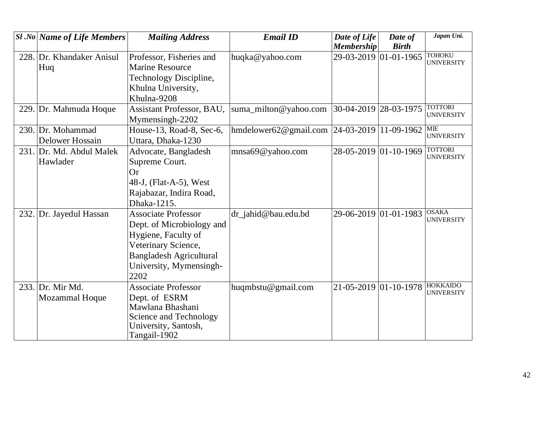|      | $SI$ .No Name of Life Members | <b>Mailing Address</b>         | <b>Email ID</b>                                 | Date of Life          | Date of      | Japan Uni.                           |
|------|-------------------------------|--------------------------------|-------------------------------------------------|-----------------------|--------------|--------------------------------------|
|      |                               |                                |                                                 | <b>Membership</b>     | <b>Birth</b> |                                      |
|      | 228. Dr. Khandaker Anisul     | Professor, Fisheries and       | huqka@yahoo.com                                 | 29-03-2019 01-01-1965 |              | <b>TOHOKU</b><br><b>UNIVERSITY</b>   |
|      | Huq                           | <b>Marine Resource</b>         |                                                 |                       |              |                                      |
|      |                               | Technology Discipline,         |                                                 |                       |              |                                      |
|      |                               | Khulna University,             |                                                 |                       |              |                                      |
|      |                               | Khulna-9208                    |                                                 |                       |              |                                      |
|      | 229. Dr. Mahmuda Hoque        | Assistant Professor, BAU,      | suma_milton@yahoo.com                           | 30-04-2019 28-03-1975 |              | <b>TOTTORI</b>                       |
|      |                               | Mymensingh-2202                |                                                 |                       |              | <b>UNIVERSITY</b>                    |
|      | 230. Dr. Mohammad             | House-13, Road-8, Sec-6,       | hmdelower62@gmail.com   24-03-2019   11-09-1962 |                       |              | <b>MIE</b>                           |
|      | Delower Hossain               | Uttara, Dhaka-1230             |                                                 |                       |              | <b>UNIVERSITY</b>                    |
|      | 231. Dr. Md. Abdul Malek      | Advocate, Bangladesh           | mnsa69@yahoo.com                                | 28-05-2019 01-10-1969 |              | <b>TOTTORI</b>                       |
|      | Hawlader                      | Supreme Court.                 |                                                 |                       |              | <b>UNIVERSITY</b>                    |
|      |                               | <b>Or</b>                      |                                                 |                       |              |                                      |
|      |                               | 48-J, (Flat-A-5), West         |                                                 |                       |              |                                      |
|      |                               | Rajabazar, Indira Road,        |                                                 |                       |              |                                      |
|      |                               | Dhaka-1215.                    |                                                 |                       |              |                                      |
| 232. | Dr. Jayedul Hassan            | <b>Associate Professor</b>     | dr_jahid@bau.edu.bd                             | 29-06-2019 01-01-1983 |              | <b>OSAKA</b>                         |
|      |                               | Dept. of Microbiology and      |                                                 |                       |              | <b>UNIVERSITY</b>                    |
|      |                               | Hygiene, Faculty of            |                                                 |                       |              |                                      |
|      |                               | Veterinary Science,            |                                                 |                       |              |                                      |
|      |                               | <b>Bangladesh Agricultural</b> |                                                 |                       |              |                                      |
|      |                               | University, Mymensingh-        |                                                 |                       |              |                                      |
|      |                               | 2202                           |                                                 |                       |              |                                      |
|      | 233. Dr. Mir Md.              | <b>Associate Professor</b>     | huqmbstu@gmail.com                              | 21-05-2019 01-10-1978 |              | <b>HOKKAIDO</b><br><b>UNIVERSITY</b> |
|      | Mozammal Hoque                | Dept. of ESRM                  |                                                 |                       |              |                                      |
|      |                               | Mawlana Bhashani               |                                                 |                       |              |                                      |
|      |                               | Science and Technology         |                                                 |                       |              |                                      |
|      |                               | University, Santosh,           |                                                 |                       |              |                                      |
|      |                               | Tangail-1902                   |                                                 |                       |              |                                      |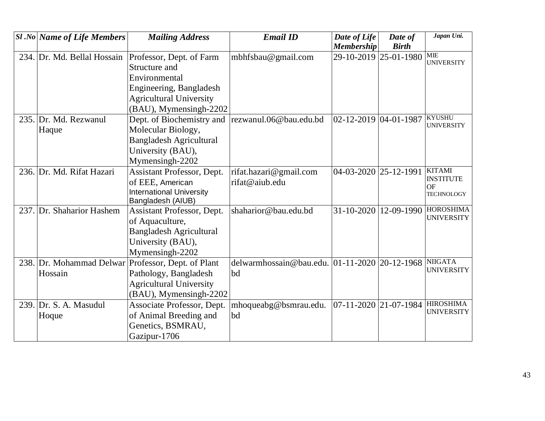| <b>Sl</b> .No Name of Life Members | <b>Mailing Address</b>          | <b>Email ID</b>                               | Date of Life          | Date of      | Japan Uni.                            |
|------------------------------------|---------------------------------|-----------------------------------------------|-----------------------|--------------|---------------------------------------|
|                                    |                                 |                                               | <b>Membership</b>     | <b>Birth</b> |                                       |
| 234. Dr. Md. Bellal Hossain        | Professor, Dept. of Farm        | mbhfsbau@gmail.com                            | 29-10-2019 25-01-1980 |              | MIE<br><b>UNIVERSITY</b>              |
|                                    | Structure and                   |                                               |                       |              |                                       |
|                                    | Environmental                   |                                               |                       |              |                                       |
|                                    | Engineering, Bangladesh         |                                               |                       |              |                                       |
|                                    | <b>Agricultural University</b>  |                                               |                       |              |                                       |
|                                    | (BAU), Mymensingh-2202          |                                               |                       |              |                                       |
| 235. Dr. Md. Rezwanul              | Dept. of Biochemistry and       | rezwanul.06@bau.edu.bd                        | 02-12-2019 04-01-1987 |              | <b>KYUSHU</b>                         |
| Haque                              | Molecular Biology,              |                                               |                       |              | <b>UNIVERSITY</b>                     |
|                                    | <b>Bangladesh Agricultural</b>  |                                               |                       |              |                                       |
|                                    | University (BAU),               |                                               |                       |              |                                       |
|                                    | Mymensingh-2202                 |                                               |                       |              |                                       |
| 236. Dr. Md. Rifat Hazari          | Assistant Professor, Dept.      | rifat.hazari@gmail.com                        | 04-03-2020 25-12-1991 |              | <b>KITAMI</b>                         |
|                                    | of EEE, American                | rifat@aiub.edu                                |                       |              | <b>INSTITUTE</b><br><b>OF</b>         |
|                                    | <b>International University</b> |                                               |                       |              | <b>TECHNOLOGY</b>                     |
|                                    | Bangladesh (AIUB)               |                                               |                       |              |                                       |
| 237. Dr. Shaharior Hashem          | Assistant Professor, Dept.      | shaharior@bau.edu.bd                          | 31-10-2020 12-09-1990 |              | <b>HOROSHIMA</b><br><b>UNIVERSITY</b> |
|                                    | of Aquaculture,                 |                                               |                       |              |                                       |
|                                    | <b>Bangladesh Agricultural</b>  |                                               |                       |              |                                       |
|                                    | University (BAU),               |                                               |                       |              |                                       |
|                                    | Mymensingh-2202                 |                                               |                       |              |                                       |
| 238. Dr. Mohammad Delwar           | Professor, Dept. of Plant       | delwarmhossain@bau.edu. 01-11-2020 20-12-1968 |                       |              | <b>NIIGATA</b>                        |
| Hossain                            | Pathology, Bangladesh           | bd                                            |                       |              | <b>UNIVERSITY</b>                     |
|                                    | <b>Agricultural University</b>  |                                               |                       |              |                                       |
|                                    | (BAU), Mymensingh-2202          |                                               |                       |              |                                       |
| $239.$ Dr. S. A. Masudul           | Associate Professor, Dept.      | mhoqueabg@bsmrau.edu.                         | 07-11-2020 21-07-1984 |              | <b>HIROSHIMA</b>                      |
| Hoque                              | of Animal Breeding and          | bd                                            |                       |              | <b>UNIVERSITY</b>                     |
|                                    | Genetics, BSMRAU,               |                                               |                       |              |                                       |
|                                    | Gazipur-1706                    |                                               |                       |              |                                       |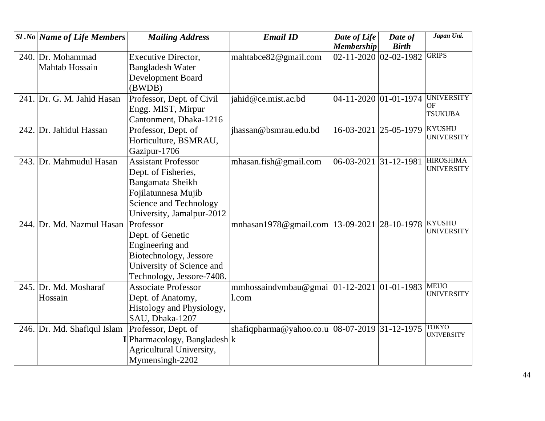| <b>Sl</b> .No Name of Life Members | <b>Mailing Address</b>           | <b>Email ID</b>                                  | Date of Life                      | Date of      | Japan Uni.                        |
|------------------------------------|----------------------------------|--------------------------------------------------|-----------------------------------|--------------|-----------------------------------|
|                                    |                                  |                                                  | <b>Membership</b>                 | <b>Birth</b> |                                   |
| 240. Dr. Mohammad                  | <b>Executive Director,</b>       | mahtabce82@gmail.com                             | $02 - 11 - 2020$ $02 - 02 - 1982$ |              | <b>GRIPS</b>                      |
| Mahtab Hossain                     | <b>Bangladesh Water</b>          |                                                  |                                   |              |                                   |
|                                    | <b>Development Board</b>         |                                                  |                                   |              |                                   |
|                                    | (BWDB)                           |                                                  |                                   |              |                                   |
| 241. Dr. G. M. Jahid Hasan         | Professor, Dept. of Civil        | jahid@ce.mist.ac.bd                              | 04-11-2020 01-01-1974             |              | <b>UNIVERSITY</b>                 |
|                                    | Engg. MIST, Mirpur               |                                                  |                                   |              | <b>OF</b><br><b>TSUKUBA</b>       |
|                                    | Cantonment, Dhaka-1216           |                                                  |                                   |              |                                   |
| 242. Dr. Jahidul Hassan            | Professor, Dept. of              | jhassan@bsmrau.edu.bd                            | 16-03-2021                        | 25-05-1979   | <b>KYUSHU</b>                     |
|                                    | Horticulture, BSMRAU,            |                                                  |                                   |              | <b>UNIVERSITY</b>                 |
|                                    | Gazipur-1706                     |                                                  |                                   |              |                                   |
| 243. Dr. Mahmudul Hasan            | <b>Assistant Professor</b>       | mhasan.fish@gmail.com                            | 06-03-2021 31-12-1981             |              | <b>HIROSHIMA</b>                  |
|                                    | Dept. of Fisheries,              |                                                  |                                   |              | <b>UNIVERSITY</b>                 |
|                                    | Bangamata Sheikh                 |                                                  |                                   |              |                                   |
|                                    | Fojilatunnesa Mujib              |                                                  |                                   |              |                                   |
|                                    | Science and Technology           |                                                  |                                   |              |                                   |
|                                    | University, Jamalpur-2012        |                                                  |                                   |              |                                   |
| 244. Dr. Md. Nazmul Hasan          | Professor                        | mnhasan1978@gmail.com   13-09-2021   28-10-1978  |                                   |              | <b>KYUSHU</b>                     |
|                                    | Dept. of Genetic                 |                                                  |                                   |              | <b>UNIVERSITY</b>                 |
|                                    | Engineering and                  |                                                  |                                   |              |                                   |
|                                    | Biotechnology, Jessore           |                                                  |                                   |              |                                   |
|                                    | University of Science and        |                                                  |                                   |              |                                   |
|                                    | Technology, Jessore-7408.        |                                                  |                                   |              |                                   |
| 245. Dr. Md. Mosharaf              | <b>Associate Professor</b>       | mmhossaindvmbau@gmai $ 01-12-2021 01-01-1983$    |                                   |              | <b>MEIJO</b>                      |
| Hossain                            | Dept. of Anatomy,                | 1.com                                            |                                   |              | <b>UNIVERSITY</b>                 |
|                                    | Histology and Physiology,        |                                                  |                                   |              |                                   |
|                                    | SAU, Dhaka-1207                  |                                                  |                                   |              |                                   |
| 246. Dr. Md. Shafiqul Islam        | Professor, Dept. of              | shafiqpharma@yahoo.co.u $ 08-07-2019 31-12-1975$ |                                   |              | <b>TOKYO</b><br><b>UNIVERSITY</b> |
|                                    | $I$ Pharmacology, Bangladesh $k$ |                                                  |                                   |              |                                   |
|                                    | Agricultural University,         |                                                  |                                   |              |                                   |
|                                    | Mymensingh-2202                  |                                                  |                                   |              |                                   |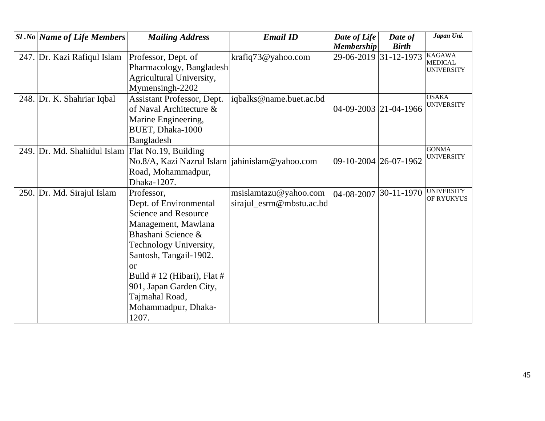| <b>Sl</b> .No   Name of Life Members | <b>Mailing Address</b>                                                                                                                                                                                                                                                                       | <b>Email ID</b>                                   | Date of Life<br><b>Membership</b> | Date of<br><b>Birth</b> | Japan Uni.                                           |
|--------------------------------------|----------------------------------------------------------------------------------------------------------------------------------------------------------------------------------------------------------------------------------------------------------------------------------------------|---------------------------------------------------|-----------------------------------|-------------------------|------------------------------------------------------|
| 247. Dr. Kazi Rafiqul Islam          | Professor, Dept. of<br>Pharmacology, Bangladesh<br>Agricultural University,<br>Mymensingh-2202                                                                                                                                                                                               | krafiq73@yahoo.com                                | 29-06-2019 31-12-1973             |                         | <b>KAGAWA</b><br><b>MEDICAL</b><br><b>UNIVERSITY</b> |
| 248. Dr. K. Shahriar Iqbal           | Assistant Professor, Dept.<br>of Naval Architecture &<br>Marine Engineering,<br>BUET, Dhaka-1000<br>Bangladesh                                                                                                                                                                               | iqbalks@name.buet.ac.bd                           | 04-09-2003 21-04-1966             |                         | <b>OSAKA</b><br><b>UNIVERSITY</b>                    |
| 249. Dr. Md. Shahidul Islam          | Flat No.19, Building<br>No.8/A, Kazi Nazrul Islam<br>Road, Mohammadpur,<br>Dhaka-1207.                                                                                                                                                                                                       | jahinislam@yahoo.com                              | 09-10-2004 26-07-1962             |                         | <b>GONMA</b><br><b>UNIVERSITY</b>                    |
| 250. Dr. Md. Sirajul Islam           | Professor,<br>Dept. of Environmental<br><b>Science and Resource</b><br>Management, Mawlana<br>Bhashani Science &<br>Technology University,<br>Santosh, Tangail-1902.<br>$\alpha$<br>Build # 12 (Hibari), Flat #<br>901, Japan Garden City,<br>Tajmahal Road,<br>Mohammadpur, Dhaka-<br>1207. | msislamtazu@yahoo.com<br>sirajul_esrm@mbstu.ac.bd | 04-08-2007                        | 30-11-1970              | <b>UNIVERSITY</b><br>OF RYUKYUS                      |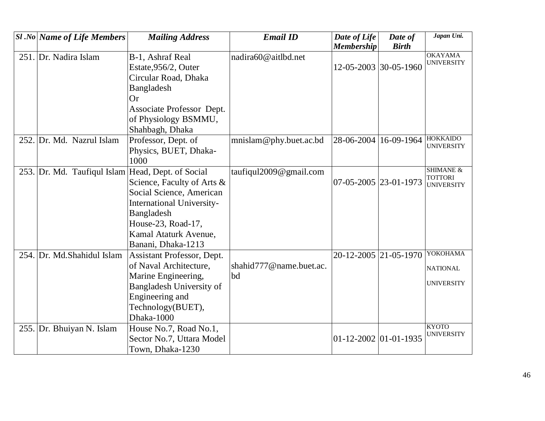|      | <b>Sl</b> .No Name of Life Members                | <b>Mailing Address</b>                                 | <b>Email ID</b>         | Date of Life<br><b>Membership</b> | Date of<br><b>Birth</b> | Japan Uni.                             |
|------|---------------------------------------------------|--------------------------------------------------------|-------------------------|-----------------------------------|-------------------------|----------------------------------------|
|      | 251. Dr. Nadira Islam                             | B-1, Ashraf Real                                       | nadira60@aitlbd.net     |                                   |                         | <b>OKAYAMA</b>                         |
|      |                                                   | Estate, 956/2, Outer                                   |                         | 12-05-2003 30-05-1960             |                         | <b>UNIVERSITY</b>                      |
|      |                                                   | Circular Road, Dhaka                                   |                         |                                   |                         |                                        |
|      |                                                   | Bangladesh                                             |                         |                                   |                         |                                        |
|      |                                                   | <b>Or</b>                                              |                         |                                   |                         |                                        |
|      |                                                   | Associate Professor Dept.                              |                         |                                   |                         |                                        |
|      |                                                   | of Physiology BSMMU,                                   |                         |                                   |                         |                                        |
|      |                                                   | Shahbagh, Dhaka                                        |                         |                                   |                         |                                        |
|      | 252. Dr. Md. Nazrul Islam                         | Professor, Dept. of                                    | mnislam@phy.buet.ac.bd  | 28-06-2004                        | 16-09-1964              | <b>HOKKAIDO</b><br><b>UNIVERSITY</b>   |
|      |                                                   | Physics, BUET, Dhaka-                                  |                         |                                   |                         |                                        |
|      |                                                   | 1000                                                   |                         |                                   |                         |                                        |
|      | 253. Dr. Md. Taufiqul Islam Head, Dept. of Social |                                                        | taufiqul2009@gmail.com  |                                   |                         | <b>SHIMANE &amp;</b><br><b>TOTTORI</b> |
|      |                                                   | Science, Faculty of Arts &                             |                         | 07-05-2005 23-01-1973             |                         | <b>UNIVERSITY</b>                      |
|      |                                                   | Social Science, American                               |                         |                                   |                         |                                        |
|      |                                                   | <b>International University-</b>                       |                         |                                   |                         |                                        |
|      |                                                   | Bangladesh                                             |                         |                                   |                         |                                        |
|      |                                                   | House-23, Road-17,                                     |                         |                                   |                         |                                        |
|      |                                                   | Kamal Ataturk Avenue,                                  |                         |                                   |                         |                                        |
|      |                                                   | Banani, Dhaka-1213                                     |                         |                                   |                         | YOKOHAMA                               |
| 254. | Dr. Md.Shahidul Islam                             | Assistant Professor, Dept.                             | shahid777@name.buet.ac. |                                   | 20-12-2005 21-05-1970   |                                        |
|      |                                                   | of Naval Architecture,                                 | bd                      |                                   |                         | <b>NATIONAL</b>                        |
|      |                                                   | Marine Engineering,<br><b>Bangladesh University of</b> |                         |                                   |                         | <b>UNIVERSITY</b>                      |
|      |                                                   | Engineering and                                        |                         |                                   |                         |                                        |
|      |                                                   | Technology(BUET),                                      |                         |                                   |                         |                                        |
|      |                                                   | Dhaka-1000                                             |                         |                                   |                         |                                        |
|      | 255. Dr. Bhuiyan N. Islam                         | House No.7, Road No.1,                                 |                         |                                   |                         | <b>KYOTO</b>                           |
|      |                                                   | Sector No.7, Uttara Model                              |                         | $01 - 12 - 2002$ 01 - 01 - 1935   |                         | <b>UNIVERSITY</b>                      |
|      |                                                   | Town, Dhaka-1230                                       |                         |                                   |                         |                                        |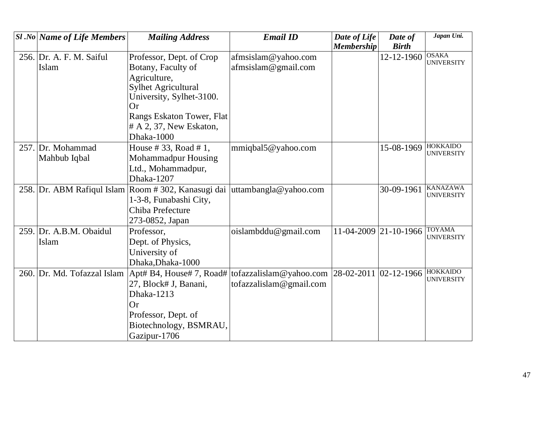| $ S1 $ .No   Name of Life Members | <b>Mailing Address</b>                                                    | <b>Email ID</b>                                   | Date of Life | Date of               | Japan Uni.                           |
|-----------------------------------|---------------------------------------------------------------------------|---------------------------------------------------|--------------|-----------------------|--------------------------------------|
|                                   |                                                                           |                                                   | Membership   | <b>Birth</b>          |                                      |
| 256. Dr. A. F. M. Saiful          | Professor, Dept. of Crop                                                  | afmsislam@yahoo.com                               |              | 12-12-1960            | <b>OSAKA</b><br><b>UNIVERSITY</b>    |
| Islam                             | Botany, Faculty of                                                        | afmsislam@gmail.com                               |              |                       |                                      |
|                                   | Agriculture,                                                              |                                                   |              |                       |                                      |
|                                   | <b>Sylhet Agricultural</b>                                                |                                                   |              |                       |                                      |
|                                   | University, Sylhet-3100.<br>Or                                            |                                                   |              |                       |                                      |
|                                   | Rangs Eskaton Tower, Flat                                                 |                                                   |              |                       |                                      |
|                                   | $#A$ 2, 37, New Eskaton,                                                  |                                                   |              |                       |                                      |
|                                   | Dhaka-1000                                                                |                                                   |              |                       |                                      |
| 257. Dr. Mohammad                 | House # 33, Road # 1,                                                     | mmiqbal5@yahoo.com                                |              | 15-08-1969            | <b>HOKKAIDO</b><br><b>UNIVERSITY</b> |
| Mahbub Iqbal                      | Mohammadpur Housing                                                       |                                                   |              |                       |                                      |
|                                   | Ltd., Mohammadpur,                                                        |                                                   |              |                       |                                      |
|                                   | Dhaka-1207                                                                |                                                   |              |                       |                                      |
|                                   | 258. Dr. ABM Rafiqul Islam Room # 302, Kanasugi dai uttambangla@yahoo.com |                                                   |              | 30-09-1961            | <b>KANAZAWA</b><br><b>UNIVERSITY</b> |
|                                   | 1-3-8, Funabashi City,                                                    |                                                   |              |                       |                                      |
|                                   | Chiba Prefecture                                                          |                                                   |              |                       |                                      |
|                                   | 273-0852, Japan                                                           |                                                   |              |                       |                                      |
| 259. Dr. A.B.M. Obaidul           | Professor,                                                                | oislambddu@gmail.com                              |              | 11-04-2009 21-10-1966 | <b>TOYAMA</b><br><b>UNIVERSITY</b>   |
| Islam                             | Dept. of Physics,                                                         |                                                   |              |                       |                                      |
|                                   | University of                                                             |                                                   |              |                       |                                      |
|                                   | Dhaka, Dhaka-1000                                                         |                                                   |              |                       |                                      |
| 260. Dr. Md. Tofazzal Islam       | $[$ Apt# B4, House# 7, Road# $[$                                          | tofazzalislam@yahoo.com   28-02-2011   02-12-1966 |              |                       | <b>HOKKAIDO</b><br><b>UNIVERSITY</b> |
|                                   | 27, Block# J, Banani,                                                     | tofazzalislam@gmail.com                           |              |                       |                                      |
|                                   | Dhaka-1213                                                                |                                                   |              |                       |                                      |
|                                   | Or                                                                        |                                                   |              |                       |                                      |
|                                   | Professor, Dept. of                                                       |                                                   |              |                       |                                      |
|                                   | Biotechnology, BSMRAU,                                                    |                                                   |              |                       |                                      |
|                                   | Gazipur-1706                                                              |                                                   |              |                       |                                      |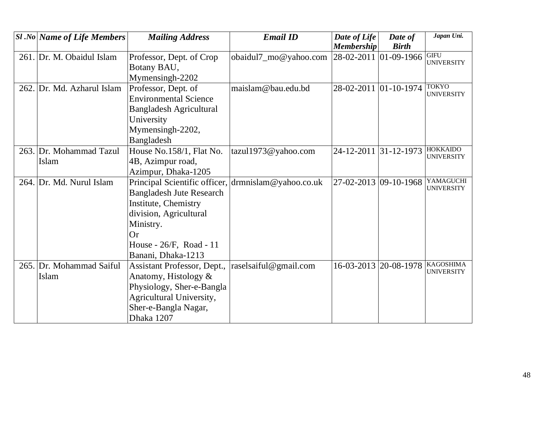|      | $SI$ .No Name of Life Members | <b>Mailing Address</b>                              | <b>Email ID</b>       | Date of Life<br><b>Membership</b> | Date of<br><b>Birth</b> | Japan Uni.                            |
|------|-------------------------------|-----------------------------------------------------|-----------------------|-----------------------------------|-------------------------|---------------------------------------|
|      | 261. Dr. M. Obaidul Islam     | Professor, Dept. of Crop                            | obaidul7_mo@yahoo.com | 28-02-2011 01-09-1966             |                         | <b>GIFU</b>                           |
|      |                               | Botany BAU,                                         |                       |                                   |                         | <b>UNIVERSITY</b>                     |
|      |                               | Mymensingh-2202                                     |                       |                                   |                         |                                       |
| 262. | Dr. Md. Azharul Islam         | Professor, Dept. of                                 | maislam@bau.edu.bd    | 28-02-2011 01-10-1974             |                         | <b>TOKYO</b>                          |
|      |                               | <b>Environmental Science</b>                        |                       |                                   |                         | <b>UNIVERSITY</b>                     |
|      |                               | <b>Bangladesh Agricultural</b>                      |                       |                                   |                         |                                       |
|      |                               | University                                          |                       |                                   |                         |                                       |
|      |                               | Mymensingh-2202,                                    |                       |                                   |                         |                                       |
|      |                               | Bangladesh                                          |                       |                                   |                         |                                       |
|      | 263. Dr. Mohammad Tazul       | House No.158/1, Flat No.                            | tazul1973@yahoo.com   | 24-12-2011 31-12-1973             |                         | <b>HOKKAIDO</b><br><b>UNIVERSITY</b>  |
|      | Islam                         | 4B, Azimpur road,                                   |                       |                                   |                         |                                       |
|      |                               | Azimpur, Dhaka-1205                                 |                       |                                   |                         |                                       |
|      | 264. Dr. Md. Nurul Islam      | Principal Scientific officer, drmnislam@yahoo.co.uk |                       | 27-02-2013 09-10-1968             |                         | YAMAGUCHI<br><b>UNIVERSITY</b>        |
|      |                               | <b>Bangladesh Jute Research</b>                     |                       |                                   |                         |                                       |
|      |                               | Institute, Chemistry                                |                       |                                   |                         |                                       |
|      |                               | division, Agricultural                              |                       |                                   |                         |                                       |
|      |                               | Ministry.                                           |                       |                                   |                         |                                       |
|      |                               | Or                                                  |                       |                                   |                         |                                       |
|      |                               | House - $26/F$ , Road - 11                          |                       |                                   |                         |                                       |
|      |                               | Banani, Dhaka-1213                                  |                       |                                   |                         |                                       |
|      | 265. Dr. Mohammad Saiful      | Assistant Professor, Dept.,                         | raselsaiful@gmail.com | 16-03-2013 20-08-1978             |                         | <b>KAGOSHIMA</b><br><b>UNIVERSITY</b> |
|      | Islam                         | Anatomy, Histology &                                |                       |                                   |                         |                                       |
|      |                               | Physiology, Sher-e-Bangla                           |                       |                                   |                         |                                       |
|      |                               | Agricultural University,                            |                       |                                   |                         |                                       |
|      |                               | Sher-e-Bangla Nagar,                                |                       |                                   |                         |                                       |
|      |                               | Dhaka 1207                                          |                       |                                   |                         |                                       |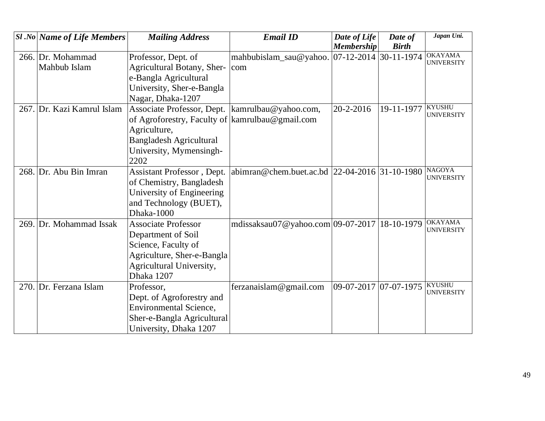| <b>Sl</b> .No Name of Life Members | <b>Mailing Address</b>                          | <b>Email ID</b>                               | Date of Life                  | Date of      | Japan Uni.                          |
|------------------------------------|-------------------------------------------------|-----------------------------------------------|-------------------------------|--------------|-------------------------------------|
|                                    |                                                 |                                               | <b>Membership</b>             | <b>Birth</b> |                                     |
| 266. Dr. Mohammad                  | Professor, Dept. of                             | mahbubislam_sau@yahoo. 07-12-2014 30-11-1974  |                               |              | <b>OKAYAMA</b><br><b>UNIVERSITY</b> |
| Mahbub Islam                       | <b>Agricultural Botany, Sher-</b>               | com                                           |                               |              |                                     |
|                                    | e-Bangla Agricultural                           |                                               |                               |              |                                     |
|                                    | University, Sher-e-Bangla                       |                                               |                               |              |                                     |
|                                    | Nagar, Dhaka-1207                               |                                               |                               |              |                                     |
| 267. Dr. Kazi Kamrul Islam         | Associate Professor, Dept.                      | kamrulbau@yahoo.com,                          | $ 20 - 2 - 2016 $             | 19-11-1977   | <b>KYUSHU</b><br><b>UNIVERSITY</b>  |
|                                    | of Agroforestry, Faculty of kamrulbau@gmail.com |                                               |                               |              |                                     |
|                                    | Agriculture,                                    |                                               |                               |              |                                     |
|                                    | <b>Bangladesh Agricultural</b>                  |                                               |                               |              |                                     |
|                                    | University, Mymensingh-                         |                                               |                               |              |                                     |
|                                    | 2202                                            |                                               |                               |              |                                     |
| 268. Dr. Abu Bin Imran             | <b>Assistant Professor</b> , Dept.              | abimran@chem.buet.ac.bd 22-04-2016 31-10-1980 |                               |              | <b>NAGOYA</b><br>UNIVERSITY         |
|                                    | of Chemistry, Bangladesh                        |                                               |                               |              |                                     |
|                                    | University of Engineering                       |                                               |                               |              |                                     |
|                                    | and Technology (BUET),                          |                                               |                               |              |                                     |
|                                    | Dhaka-1000                                      |                                               |                               |              |                                     |
| 269. Dr. Mohammad Issak            | <b>Associate Professor</b>                      | mdissaksau07@yahoo.com 09-07-2017 18-10-1979  |                               |              | <b>OKAYAMA</b><br><b>UNIVERSITY</b> |
|                                    | Department of Soil                              |                                               |                               |              |                                     |
|                                    | Science, Faculty of                             |                                               |                               |              |                                     |
|                                    | Agriculture, Sher-e-Bangla                      |                                               |                               |              |                                     |
|                                    | Agricultural University,                        |                                               |                               |              |                                     |
|                                    | Dhaka 1207                                      |                                               |                               |              |                                     |
| 270. Dr. Ferzana Islam             | Professor,                                      | ferzanaislam@gmail.com                        | $[09-07-2017]$ $[07-07-1975]$ |              | <b>KYUSHU</b><br><b>UNIVERSITY</b>  |
|                                    | Dept. of Agroforestry and                       |                                               |                               |              |                                     |
|                                    | <b>Environmental Science,</b>                   |                                               |                               |              |                                     |
|                                    | Sher-e-Bangla Agricultural                      |                                               |                               |              |                                     |
|                                    | University, Dhaka 1207                          |                                               |                               |              |                                     |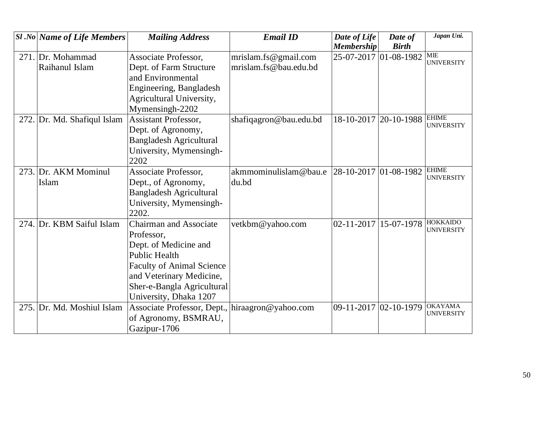| $ S1.No $ Name of Life Members | <b>Mailing Address</b>                          | <b>Email ID</b>        | Date of Life<br><b>Membership</b>              | Date of<br><b>Birth</b>   | Japan Uni.                        |
|--------------------------------|-------------------------------------------------|------------------------|------------------------------------------------|---------------------------|-----------------------------------|
|                                |                                                 |                        |                                                |                           |                                   |
| 271. Dr. Mohammad              | Associate Professor,                            | mrislam.fs@gmail.com   |                                                | 25-07-2017 01-08-1982 MIE | <b>UNIVERSITY</b>                 |
| Raihanul Islam                 | Dept. of Farm Structure                         | mrislam.fs@bau.edu.bd  |                                                |                           |                                   |
|                                | and Environmental                               |                        |                                                |                           |                                   |
|                                | Engineering, Bangladesh                         |                        |                                                |                           |                                   |
|                                | Agricultural University,                        |                        |                                                |                           |                                   |
|                                | Mymensingh-2202                                 |                        |                                                |                           |                                   |
| 272. Dr. Md. Shafiqul Islam    | <b>Assistant Professor,</b>                     | shafiqagron@bau.edu.bd | $18 - 10 - 2017$                               | 20-10-1988                | <b>EHIME</b><br><b>UNIVERSITY</b> |
|                                | Dept. of Agronomy,                              |                        |                                                |                           |                                   |
|                                | <b>Bangladesh Agricultural</b>                  |                        |                                                |                           |                                   |
|                                | University, Mymensingh-                         |                        |                                                |                           |                                   |
|                                | 2202                                            |                        |                                                |                           |                                   |
| 273. Dr. AKM Mominul           | Associate Professor,                            | akmmominulislam@bau.e  | $\left  28 - 10 - 2017 \right  01 - 08 - 1982$ |                           | <b>EHIME</b><br><b>UNIVERSITY</b> |
| Islam                          | Dept., of Agronomy,                             | du.bd                  |                                                |                           |                                   |
|                                | <b>Bangladesh Agricultural</b>                  |                        |                                                |                           |                                   |
|                                | University, Mymensingh-                         |                        |                                                |                           |                                   |
|                                | 2202.                                           |                        |                                                |                           |                                   |
| 274. Dr. KBM Saiful Islam      | <b>Chairman and Associate</b>                   | vetkbm@yahoo.com       | 02-11-2017                                     | 15-07-1978                | <b>HOKKAIDO</b>                   |
|                                | Professor,                                      |                        |                                                |                           | <b>UNIVERSITY</b>                 |
|                                | Dept. of Medicine and                           |                        |                                                |                           |                                   |
|                                | <b>Public Health</b>                            |                        |                                                |                           |                                   |
|                                | <b>Faculty of Animal Science</b>                |                        |                                                |                           |                                   |
|                                | and Veterinary Medicine,                        |                        |                                                |                           |                                   |
|                                | Sher-e-Bangla Agricultural                      |                        |                                                |                           |                                   |
|                                | University, Dhaka 1207                          |                        |                                                |                           |                                   |
| 275. Dr. Md. Moshiul Islam     | Associate Professor, Dept., hiraagron@yahoo.com |                        | 09-11-2017 02-10-1979                          |                           | <b>OKAYAMA</b>                    |
|                                | of Agronomy, BSMRAU,                            |                        |                                                |                           | <b>UNIVERSITY</b>                 |
|                                | Gazipur-1706                                    |                        |                                                |                           |                                   |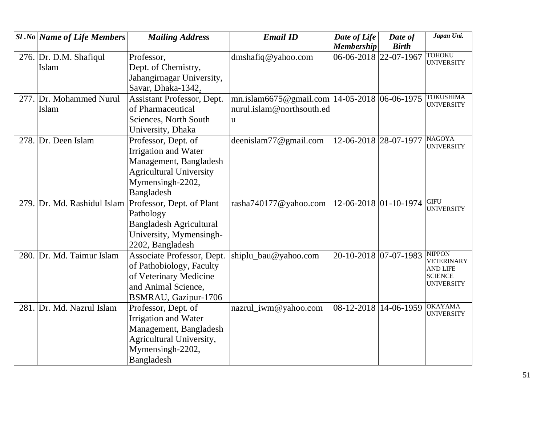| <b>Sl</b> .No Name of Life Members | <b>Mailing Address</b>         | <b>Email ID</b>                                  | Date of Life            | Date of      | Japan Uni.                         |
|------------------------------------|--------------------------------|--------------------------------------------------|-------------------------|--------------|------------------------------------|
|                                    |                                |                                                  | <b>Membership</b>       | <b>Birth</b> |                                    |
| 276. Dr. D.M. Shafiqul             | Professor,                     | dmshafiq@yahoo.com                               | 06-06-2018 22-07-1967   |              | <b>TOHOKU</b><br><b>UNIVERSITY</b> |
| Islam                              | Dept. of Chemistry,            |                                                  |                         |              |                                    |
|                                    | Jahangirnagar University,      |                                                  |                         |              |                                    |
|                                    | Savar, Dhaka-1342.             |                                                  |                         |              |                                    |
| 277. Dr. Mohammed Nurul            | Assistant Professor, Dept.     | mn.islam6675@gmail.com   14-05-2018   06-06-1975 |                         |              | <b>TOKUSHIMA</b>                   |
| Islam                              | of Pharmaceutical              | nurul.islam@northsouth.ed                        |                         |              | <b>UNIVERSITY</b>                  |
|                                    | Sciences, North South          | u                                                |                         |              |                                    |
|                                    | University, Dhaka              |                                                  |                         |              |                                    |
| 278. Dr. Deen Islam                | Professor, Dept. of            | deenislam77@gmail.com                            | 12-06-2018 28-07-1977   |              | <b>NAGOYA</b>                      |
|                                    | Irrigation and Water           |                                                  |                         |              | <b>UNIVERSITY</b>                  |
|                                    | Management, Bangladesh         |                                                  |                         |              |                                    |
|                                    | <b>Agricultural University</b> |                                                  |                         |              |                                    |
|                                    | Mymensingh-2202,               |                                                  |                         |              |                                    |
|                                    | Bangladesh                     |                                                  |                         |              |                                    |
| 279. Dr. Md. Rashidul Islam        | Professor, Dept. of Plant      | rasha740177@yahoo.com                            | 12-06-2018 01-10-1974   |              | <b>GIFU</b>                        |
|                                    | Pathology                      |                                                  |                         |              | <b>UNIVERSITY</b>                  |
|                                    | <b>Bangladesh Agricultural</b> |                                                  |                         |              |                                    |
|                                    | University, Mymensingh-        |                                                  |                         |              |                                    |
|                                    | 2202, Bangladesh               |                                                  |                         |              |                                    |
| 280. Dr. Md. Taimur Islam          | Associate Professor, Dept.     | shiplu_bau@yahoo.com                             | 20-10-2018 07-07-1983   |              | <b>NIPPON</b><br><b>VETERINARY</b> |
|                                    | of Pathobiology, Faculty       |                                                  |                         |              | <b>AND LIFE</b>                    |
|                                    | of Veterinary Medicine         |                                                  |                         |              | <b>SCIENCE</b>                     |
|                                    | and Animal Science,            |                                                  |                         |              | <b>UNIVERSITY</b>                  |
|                                    | BSMRAU, Gazipur-1706           |                                                  |                         |              |                                    |
| 281. Dr. Md. Nazrul Islam          | Professor, Dept. of            | nazrul_iwm@yahoo.com                             | 08-12-2018   14-06-1959 |              | <b>OKAYAMA</b>                     |
|                                    | Irrigation and Water           |                                                  |                         |              | <b>UNIVERSITY</b>                  |
|                                    | Management, Bangladesh         |                                                  |                         |              |                                    |
|                                    | Agricultural University,       |                                                  |                         |              |                                    |
|                                    | Mymensingh-2202,               |                                                  |                         |              |                                    |
|                                    | Bangladesh                     |                                                  |                         |              |                                    |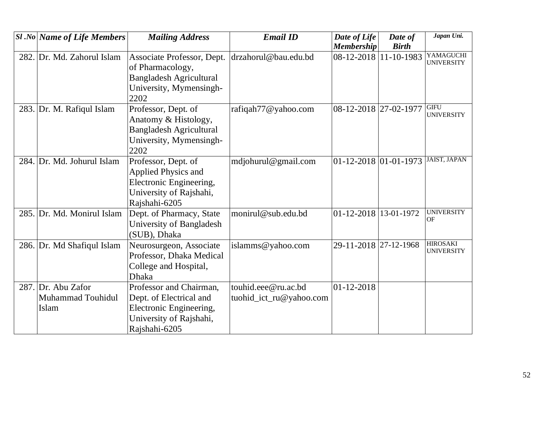| <b>Sl</b> .No Name of Life Members               | <b>Mailing Address</b>                                                                                                    | <b>Email ID</b>                                | Date of Life                    | Date of      | Japan Uni.                           |
|--------------------------------------------------|---------------------------------------------------------------------------------------------------------------------------|------------------------------------------------|---------------------------------|--------------|--------------------------------------|
|                                                  |                                                                                                                           |                                                | <b>Membership</b>               | <b>Birth</b> |                                      |
| 282. Dr. Md. Zahorul Islam                       | Associate Professor, Dept.<br>of Pharmacology,<br><b>Bangladesh Agricultural</b><br>University, Mymensingh-<br>2202       | drzahorul@bau.edu.bd                           | 08-12-2018 11-10-1983           |              | YAMAGUCHI<br><b>UNIVERSITY</b>       |
| 283. Dr. M. Rafiqul Islam                        | Professor, Dept. of<br>Anatomy & Histology,<br><b>Bangladesh Agricultural</b><br>University, Mymensingh-<br>2202          | rafiqah77@yahoo.com                            | 08-12-2018 27-02-1977           |              | <b>GIFU</b><br><b>UNIVERSITY</b>     |
| 284. Dr. Md. Johurul Islam                       | Professor, Dept. of<br><b>Applied Physics and</b><br>Electronic Engineering,<br>University of Rajshahi,<br>Rajshahi-6205  | mdjohurul@gmail.com                            | $01 - 12 - 2018$ 01 - 01 - 1973 |              | <b>JAIST, JAPAN</b>                  |
| 285. Dr. Md. Monirul Islam                       | Dept. of Pharmacy, State<br>University of Bangladesh<br>(SUB), Dhaka                                                      | monirul@sub.edu.bd                             | 01-12-2018 13-01-1972           |              | <b>UNIVERSITY</b><br><b>OF</b>       |
| 286. Dr. Md Shafiqul Islam                       | Neurosurgeon, Associate<br>Professor, Dhaka Medical<br>College and Hospital,<br><b>Dhaka</b>                              | islamms@yahoo.com                              | 29-11-2018 27-12-1968           |              | <b>HIROSAKI</b><br><b>UNIVERSITY</b> |
| 287. Dr. Abu Zafor<br>Muhammad Touhidul<br>Islam | Professor and Chairman,<br>Dept. of Electrical and<br>Electronic Engineering,<br>University of Rajshahi,<br>Rajshahi-6205 | touhid.eee@ru.ac.bd<br>tuohid_ict_ru@yahoo.com | $ 01 - 12 - 2018$               |              |                                      |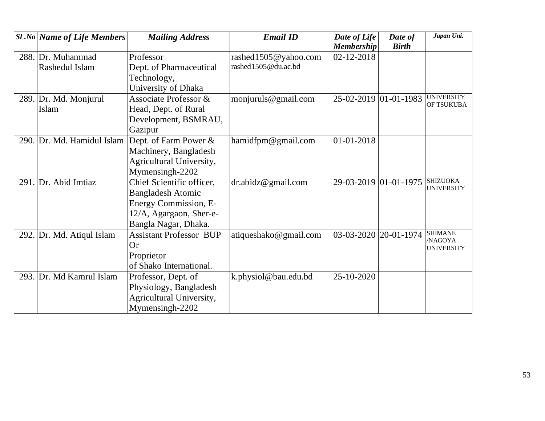| <b>Sl</b> .No Name of Life Members | <b>Mailing Address</b>         | <b>Email ID</b>       | Date of Life<br><b>Membership</b> | Date of<br><b>Birth</b> | Japan Uni.                           |
|------------------------------------|--------------------------------|-----------------------|-----------------------------------|-------------------------|--------------------------------------|
| 288. Dr. Muhammad                  | Professor                      | rashed1505@yahoo.com  | 02-12-2018                        |                         |                                      |
| Rashedul Islam                     | Dept. of Pharmaceutical        | rashed1505@du.ac.bd   |                                   |                         |                                      |
|                                    | Technology,                    |                       |                                   |                         |                                      |
|                                    | University of Dhaka            |                       |                                   |                         |                                      |
| 289. Dr. Md. Monjurul              | Associate Professor &          | monjuruls@gmail.com   | 25-02-2019 01-01-1983             |                         | <b>UNIVERSITY</b><br>OF TSUKUBA      |
| Islam                              | Head, Dept. of Rural           |                       |                                   |                         |                                      |
|                                    | Development, BSMRAU,           |                       |                                   |                         |                                      |
|                                    | Gazipur                        |                       |                                   |                         |                                      |
| 290. Dr. Md. Hamidul Islam         | Dept. of Farm Power &          | hamidfpm@gmail.com    | 01-01-2018                        |                         |                                      |
|                                    | Machinery, Bangladesh          |                       |                                   |                         |                                      |
|                                    | Agricultural University,       |                       |                                   |                         |                                      |
|                                    | Mymensingh-2202                |                       |                                   |                         |                                      |
| 291. Dr. Abid Imtiaz               | Chief Scientific officer,      | dr. abidz@gmail.com   |                                   | 29-03-2019 01-01-1975   | <b>SHIZUOKA</b><br><b>UNIVERSITY</b> |
|                                    | <b>Bangladesh Atomic</b>       |                       |                                   |                         |                                      |
|                                    | Energy Commission, E-          |                       |                                   |                         |                                      |
|                                    | 12/A, Agargaon, Sher-e-        |                       |                                   |                         |                                      |
|                                    | Bangla Nagar, Dhaka.           |                       |                                   |                         |                                      |
| 292. Dr. Md. Atiqul Islam          | <b>Assistant Professor BUP</b> | atiqueshako@gmail.com | 03-03-2020                        | 20-01-1974              | <b>SHIMANE</b><br>/NAGOYA            |
|                                    | <b>Or</b>                      |                       |                                   |                         | <b>UNIVERSITY</b>                    |
|                                    | Proprietor                     |                       |                                   |                         |                                      |
|                                    | of Shako International.        |                       |                                   |                         |                                      |
| 293. Dr. Md Kamrul Islam           | Professor, Dept. of            | k.physiol@bau.edu.bd  | 25-10-2020                        |                         |                                      |
|                                    | Physiology, Bangladesh         |                       |                                   |                         |                                      |
|                                    | Agricultural University,       |                       |                                   |                         |                                      |
|                                    | Mymensingh-2202                |                       |                                   |                         |                                      |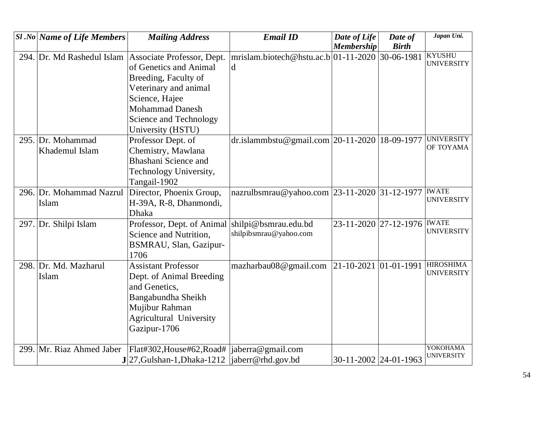|      | $SI$ .No Name of Life Members | <b>Mailing Address</b>         | <b>Email ID</b>                                 | Date of Life          | Date of               | Japan Uni.                    |
|------|-------------------------------|--------------------------------|-------------------------------------------------|-----------------------|-----------------------|-------------------------------|
|      |                               |                                |                                                 | <b>Membership</b>     | <b>Birth</b>          |                               |
|      | 294. Dr. Md Rashedul Islam    | Associate Professor, Dept.     | mrislam.biotech@hstu.ac.b 01-11-2020 30-06-1981 |                       |                       | <b>KYUSHU</b>                 |
|      |                               | of Genetics and Animal         | d                                               |                       |                       | <b>UNIVERSITY</b>             |
|      |                               | Breeding, Faculty of           |                                                 |                       |                       |                               |
|      |                               | Veterinary and animal          |                                                 |                       |                       |                               |
|      |                               | Science, Hajee                 |                                                 |                       |                       |                               |
|      |                               | <b>Mohammad Danesh</b>         |                                                 |                       |                       |                               |
|      |                               | Science and Technology         |                                                 |                       |                       |                               |
|      |                               | University (HSTU)              |                                                 |                       |                       |                               |
|      | 295. Dr. Mohammad             | Professor Dept. of             | dr.islammbstu@gmail.com 20-11-2020 18-09-1977   |                       |                       | <b>UNIVERSITY</b>             |
|      | Khademul Islam                | Chemistry, Mawlana             |                                                 |                       |                       | OF TOYAMA                     |
|      |                               | <b>Bhashani Science and</b>    |                                                 |                       |                       |                               |
|      |                               | Technology University,         |                                                 |                       |                       |                               |
|      |                               | Tangail-1902                   |                                                 |                       |                       |                               |
|      | 296. Dr. Mohammad Nazrul      | Director, Phoenix Group,       | nazrulbsmrau@yahoo.com 23-11-2020 31-12-1977    |                       |                       | <b>IWATE</b>                  |
|      | Islam                         | H-39A, R-8, Dhanmondi,         |                                                 |                       |                       | <b>UNIVERSITY</b>             |
|      |                               | <b>Dhaka</b>                   |                                                 |                       |                       |                               |
|      | 297. Dr. Shilpi Islam         | Professor, Dept. of Animal     | shilpi@bsmrau.edu.bd                            |                       | 23-11-2020 27-12-1976 | <b>IWATE</b>                  |
|      |                               | Science and Nutrition,         | shilpibsmrau@yahoo.com                          |                       |                       | <b>UNIVERSITY</b>             |
|      |                               | <b>BSMRAU, Slan, Gazipur-</b>  |                                                 |                       |                       |                               |
|      |                               | 1706                           |                                                 |                       |                       |                               |
|      | 298. Dr. Md. Mazharul         | <b>Assistant Professor</b>     | mazharbau08@gmail.com  21-10-2021  01-01-1991   |                       |                       | <b>HIROSHIMA</b>              |
|      | Islam                         | Dept. of Animal Breeding       |                                                 |                       |                       | <b>UNIVERSITY</b>             |
|      |                               | and Genetics,                  |                                                 |                       |                       |                               |
|      |                               | Bangabundha Sheikh             |                                                 |                       |                       |                               |
|      |                               | Mujibur Rahman                 |                                                 |                       |                       |                               |
|      |                               | <b>Agricultural University</b> |                                                 |                       |                       |                               |
|      |                               | Gazipur-1706                   |                                                 |                       |                       |                               |
|      |                               |                                |                                                 |                       |                       |                               |
| 299. | Mr. Riaz Ahmed Jaber          | Flat#302, House#62, Road#      | jaberra@gmail.com                               |                       |                       | YOKOHAMA<br><b>UNIVERSITY</b> |
|      |                               | $J$  27, Gulshan-1, Dhaka-1212 | jaberr@rhd.gov.bd                               | 30-11-2002 24-01-1963 |                       |                               |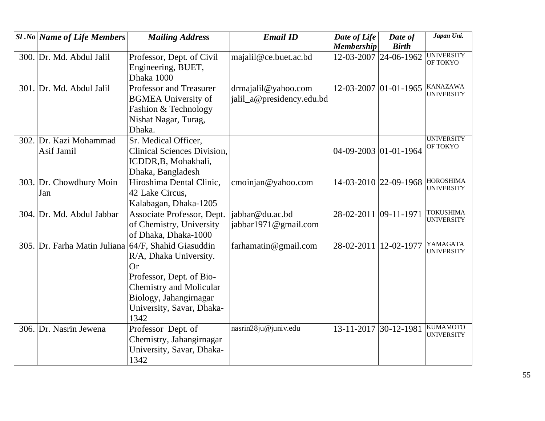| <b>Sl</b> .No Name of Life Members | <b>Mailing Address</b>             | <b>Email ID</b>           | Date of Life          | Date of      | Japan Uni.                           |
|------------------------------------|------------------------------------|---------------------------|-----------------------|--------------|--------------------------------------|
|                                    |                                    |                           | <b>Membership</b>     | <b>Birth</b> |                                      |
| 300. Dr. Md. Abdul Jalil           | Professor, Dept. of Civil          | majalil@ce.buet.ac.bd     | 12-03-2007 24-06-1962 |              | <b>UNIVERSITY</b><br>OF TOKYO        |
|                                    | Engineering, BUET,                 |                           |                       |              |                                      |
|                                    | Dhaka 1000                         |                           |                       |              |                                      |
| 301. Dr. Md. Abdul Jalil           | Professor and Treasurer            | drmajalil@yahoo.com       | 12-03-2007 01-01-1965 |              | <b>KANAZAWA</b>                      |
|                                    | <b>BGMEA University of</b>         | jalil_a@presidency.edu.bd |                       |              | <b>UNIVERSITY</b>                    |
|                                    | Fashion & Technology               |                           |                       |              |                                      |
|                                    | Nishat Nagar, Turag,               |                           |                       |              |                                      |
|                                    | Dhaka.                             |                           |                       |              |                                      |
| 302. Dr. Kazi Mohammad             | Sr. Medical Officer,               |                           |                       |              | <b>UNIVERSITY</b>                    |
| Asif Jamil                         | <b>Clinical Sciences Division,</b> |                           | 04-09-2003 01-01-1964 |              | OF TOKYO                             |
|                                    | ICDDR, B, Mohakhali,               |                           |                       |              |                                      |
|                                    | Dhaka, Bangladesh                  |                           |                       |              |                                      |
| 303. Dr. Chowdhury Moin            | Hiroshima Dental Clinic,           | cmoinjan@yahoo.com        | 14-03-2010 22-09-1968 |              | <b>HOROSHIMA</b>                     |
| Jan                                | 42 Lake Circus,                    |                           |                       |              | <b>UNIVERSITY</b>                    |
|                                    | Kalabagan, Dhaka-1205              |                           |                       |              |                                      |
| 304. Dr. Md. Abdul Jabbar          | Associate Professor, Dept.         | jabbar@du.ac.bd           | 28-02-2011 09-11-1971 |              | <b>TOKUSHIMA</b>                     |
|                                    | of Chemistry, University           | jabbar1971@gmail.com      |                       |              | <b>UNIVERSITY</b>                    |
|                                    | of Dhaka, Dhaka-1000               |                           |                       |              |                                      |
| 305. Dr. Farha Matin Juliana       | 64/F, Shahid Giasuddin             | farhamatin@gmail.com      | 28-02-2011            | 12-02-1977   | YAMAGATA                             |
|                                    | R/A, Dhaka University.             |                           |                       |              | <b>UNIVERSITY</b>                    |
|                                    | <b>Or</b>                          |                           |                       |              |                                      |
|                                    | Professor, Dept. of Bio-           |                           |                       |              |                                      |
|                                    | <b>Chemistry and Molicular</b>     |                           |                       |              |                                      |
|                                    | Biology, Jahangirnagar             |                           |                       |              |                                      |
|                                    | University, Savar, Dhaka-          |                           |                       |              |                                      |
|                                    | 1342                               |                           |                       |              |                                      |
| 306. Dr. Nasrin Jewena             | Professor Dept. of                 | nasrin28ju@juniv.edu      | 13-11-2017 30-12-1981 |              | <b>KUMAMOTO</b><br><b>UNIVERSITY</b> |
|                                    | Chemistry, Jahangirnagar           |                           |                       |              |                                      |
|                                    | University, Savar, Dhaka-          |                           |                       |              |                                      |
|                                    | 1342                               |                           |                       |              |                                      |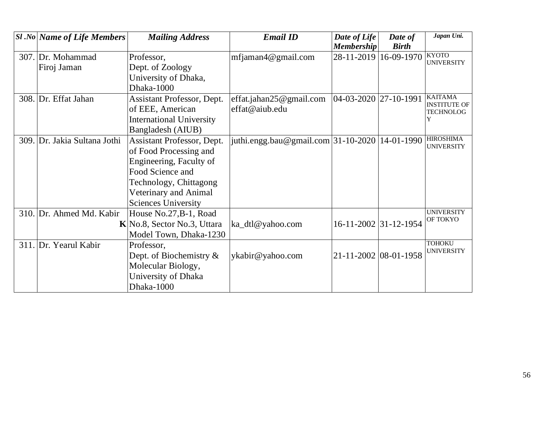| <b>Sl</b> .No   Name of Life Members | <b>Mailing Address</b>          | <b>Email ID</b>                                | Date of Life           | Date of      | Japan Uni.                              |
|--------------------------------------|---------------------------------|------------------------------------------------|------------------------|--------------|-----------------------------------------|
|                                      |                                 |                                                | <b>Membership</b>      | <b>Birth</b> |                                         |
| 307. Dr. Mohammad                    | Professor,                      | mfiaman4@gmail.com                             | 28-11-2019 16-09-1970  |              | <b>KYOTO</b><br><b>UNIVERSITY</b>       |
| Firoj Jaman                          | Dept. of Zoology                |                                                |                        |              |                                         |
|                                      | University of Dhaka,            |                                                |                        |              |                                         |
|                                      | Dhaka-1000                      |                                                |                        |              |                                         |
| 308. Dr. Effat Jahan                 | Assistant Professor, Dept.      | effat.jahan $25@$ gmail.com                    | 04-03-2020  27-10-1991 |              | <b>KAITAMA</b>                          |
|                                      | of EEE, American                | effat@aiub.edu                                 |                        |              | <b>INSTITUTE OF</b><br><b>TECHNOLOG</b> |
|                                      | <b>International University</b> |                                                |                        |              | Y                                       |
|                                      | Bangladesh (AIUB)               |                                                |                        |              |                                         |
| 309. Dr. Jakia Sultana Jothi         | Assistant Professor, Dept.      | juthi.engg.bau@gmail.com 31-10-2020 14-01-1990 |                        |              | <b>HIROSHIMA</b>                        |
|                                      | of Food Processing and          |                                                |                        |              | <b>UNIVERSITY</b>                       |
|                                      | Engineering, Faculty of         |                                                |                        |              |                                         |
|                                      | Food Science and                |                                                |                        |              |                                         |
|                                      | Technology, Chittagong          |                                                |                        |              |                                         |
|                                      | Veterinary and Animal           |                                                |                        |              |                                         |
|                                      | <b>Sciences University</b>      |                                                |                        |              |                                         |
| 310. Dr. Ahmed Md. Kabir             | House No.27, B-1, Road          |                                                |                        |              | <b>UNIVERSITY</b>                       |
|                                      | K No.8, Sector No.3, Uttara     | ka_dtl@yahoo.com                               | 16-11-2002 31-12-1954  |              | OF TOKYO                                |
|                                      | Model Town, Dhaka-1230          |                                                |                        |              |                                         |
| 311. Dr. Yearul Kabir                | Professor,                      |                                                |                        |              | <b>TOHOKU</b>                           |
|                                      | Dept. of Biochemistry $\&$      | ykabir@yahoo.com                               | 21-11-2002 08-01-1958  |              | <b>UNIVERSITY</b>                       |
|                                      | Molecular Biology,              |                                                |                        |              |                                         |
|                                      | University of Dhaka             |                                                |                        |              |                                         |
|                                      | Dhaka-1000                      |                                                |                        |              |                                         |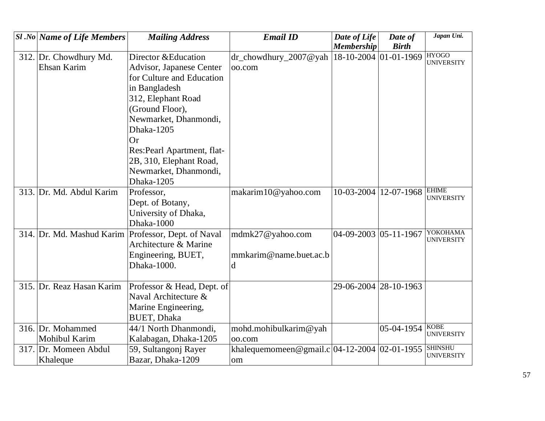| $ S1 $ .No Name of Life Members | <b>Mailing Address</b>      | <b>Email ID</b>                                 | Date of Life<br><b>Membership</b> | Date of<br><b>Birth</b> | Japan Uni.                          |
|---------------------------------|-----------------------------|-------------------------------------------------|-----------------------------------|-------------------------|-------------------------------------|
| 312. Dr. Chowdhury Md.          | Director & Education        | dr_chowdhury_2007@yah                           | 18-10-2004 01-01-1969             |                         | <b>HYOGO</b>                        |
| Ehsan Karim                     | Advisor, Japanese Center    | oo.com                                          |                                   |                         | <b>UNIVERSITY</b>                   |
|                                 | for Culture and Education   |                                                 |                                   |                         |                                     |
|                                 | in Bangladesh               |                                                 |                                   |                         |                                     |
|                                 | 312, Elephant Road          |                                                 |                                   |                         |                                     |
|                                 | (Ground Floor),             |                                                 |                                   |                         |                                     |
|                                 | Newmarket, Dhanmondi,       |                                                 |                                   |                         |                                     |
|                                 | Dhaka-1205                  |                                                 |                                   |                         |                                     |
|                                 | <b>Or</b>                   |                                                 |                                   |                         |                                     |
|                                 | Res: Pearl Apartment, flat- |                                                 |                                   |                         |                                     |
|                                 | 2B, 310, Elephant Road,     |                                                 |                                   |                         |                                     |
|                                 | Newmarket, Dhanmondi,       |                                                 |                                   |                         |                                     |
|                                 | Dhaka-1205                  |                                                 |                                   |                         |                                     |
| 313. Dr. Md. Abdul Karim        | Professor,                  | makarim10@yahoo.com                             | 10-03-2004                        | 12-07-1968              | <b>EHIME</b><br><b>UNIVERSITY</b>   |
|                                 | Dept. of Botany,            |                                                 |                                   |                         |                                     |
|                                 | University of Dhaka,        |                                                 |                                   |                         |                                     |
|                                 | Dhaka-1000                  |                                                 |                                   |                         |                                     |
| 314. Dr. Md. Mashud Karim       | Professor, Dept. of Naval   | mdmk27@yahoo.com                                | 04-09-2003 05-11-1967             |                         | YOKOHAMA<br><b>UNIVERSITY</b>       |
|                                 | Architecture & Marine       |                                                 |                                   |                         |                                     |
|                                 | Engineering, BUET,          | mmkarim@name.buet.ac.b                          |                                   |                         |                                     |
|                                 | Dhaka-1000.                 | d                                               |                                   |                         |                                     |
|                                 |                             |                                                 |                                   |                         |                                     |
| 315. Dr. Reaz Hasan Karim       | Professor & Head, Dept. of  |                                                 | 29-06-2004 28-10-1963             |                         |                                     |
|                                 | Naval Architecture &        |                                                 |                                   |                         |                                     |
|                                 | Marine Engineering,         |                                                 |                                   |                         |                                     |
|                                 | <b>BUET, Dhaka</b>          |                                                 |                                   |                         |                                     |
| 316. Dr. Mohammed               | 44/1 North Dhanmondi,       | mohd.mohibulkarim@yah                           |                                   | 05-04-1954              | <b>KOBE</b><br><b>UNIVERSITY</b>    |
| Mohibul Karim                   | Kalabagan, Dhaka-1205       | oo.com                                          |                                   |                         |                                     |
| 317. Dr. Momeen Abdul           | 59, Sultangonj Rayer        | khalequemomeen@gmail.c $ 04-12-2004 02-01-1955$ |                                   |                         | <b>SHINSHU</b><br><b>UNIVERSITY</b> |
| Khaleque                        | Bazar, Dhaka-1209           | om                                              |                                   |                         |                                     |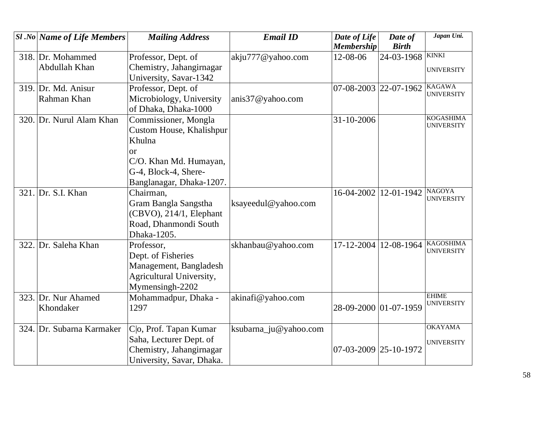|      | $ S1.No $ Name of Life Members   | <b>Mailing Address</b>                                                                                    | <b>Email ID</b>       | Date of Life<br><b>Membership</b> | Date of<br><b>Birth</b> | Japan Uni.                            |
|------|----------------------------------|-----------------------------------------------------------------------------------------------------------|-----------------------|-----------------------------------|-------------------------|---------------------------------------|
|      | 318. Dr. Mohammed                | Professor, Dept. of                                                                                       | akju777@yahoo.com     | 12-08-06                          | 24-03-1968              | <b>KINKI</b>                          |
|      | Abdullah Khan                    | Chemistry, Jahangirnagar<br>University, Savar-1342                                                        |                       |                                   |                         | <b>UNIVERSITY</b>                     |
|      | 319. Dr. Md. Anisur              | Professor, Dept. of                                                                                       |                       | 07-08-2003 22-07-1962             |                         | <b>KAGAWA</b><br><b>UNIVERSITY</b>    |
|      | Rahman Khan                      | Microbiology, University<br>of Dhaka, Dhaka-1000                                                          | anis37@yahoo.com      |                                   |                         |                                       |
|      | 320. Dr. Nurul Alam Khan         | Commissioner, Mongla<br>Custom House, Khalishpur<br>Khulna<br>or<br>C/O. Khan Md. Humayan,                |                       | 31-10-2006                        |                         | <b>KOGASHIMA</b><br><b>UNIVERSITY</b> |
|      |                                  | G-4, Block-4, Shere-<br>Banglanagar, Dhaka-1207.                                                          |                       |                                   |                         |                                       |
|      | 321. Dr. S.I. Khan               | Chairman,<br>Gram Bangla Sangstha<br>(CBVO), 214/1, Elephant<br>Road, Dhanmondi South<br>Dhaka-1205.      | ksayeedul@yahoo.com   |                                   | 16-04-2002 12-01-1942   | <b>NAGOYA</b><br><b>UNIVERSITY</b>    |
| 322. | Dr. Saleha Khan                  | Professor,<br>Dept. of Fisheries<br>Management, Bangladesh<br>Agricultural University,<br>Mymensingh-2202 | skhanbau@yahoo.com    | $17 - 12 - 2004$                  | 12-08-1964              | <b>KAGOSHIMA</b><br><b>UNIVERSITY</b> |
|      | 323. Dr. Nur Ahamed<br>Khondaker | Mohammadpur, Dhaka -<br>1297                                                                              | akinafi@yahoo.com     | 28-09-2000 01-07-1959             |                         | <b>EHIME</b><br><b>UNIVERSITY</b>     |
|      | 324. Dr. Subarna Karmaker        | Co, Prof. Tapan Kumar<br>Saha, Lecturer Dept. of<br>Chemistry, Jahangirnagar<br>University, Savar, Dhaka. | ksubarna_ju@yahoo.com | 07-03-2009 25-10-1972             |                         | <b>OKAYAMA</b><br><b>UNIVERSITY</b>   |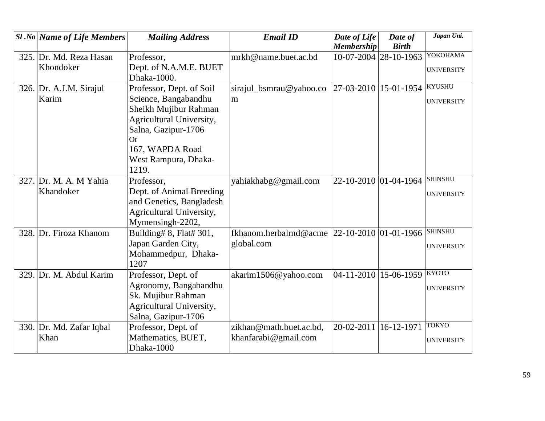| <b>Sl</b> .No Name of Life Members | <b>Mailing Address</b>   | <b>Email ID</b>         | Date of Life             | Date of          | Japan Uni.        |
|------------------------------------|--------------------------|-------------------------|--------------------------|------------------|-------------------|
|                                    |                          |                         | <b>Membership</b>        | <b>Birth</b>     |                   |
| 325. Dr. Md. Reza Hasan            | Professor,               | mrkh@name.buet.ac.bd    | 10-07-2004 28-10-1963    |                  | YOKOHAMA          |
| Khondoker                          | Dept. of N.A.M.E. BUET   |                         |                          |                  | <b>UNIVERSITY</b> |
|                                    | Dhaka-1000.              |                         |                          |                  |                   |
| 326. Dr. A.J.M. Sirajul            | Professor, Dept. of Soil | sirajul_bsmrau@yahoo.co | 27-03-2010 15-01-1954    |                  | <b>KYUSHU</b>     |
| Karim                              | Science, Bangabandhu     | m                       |                          |                  | <b>UNIVERSITY</b> |
|                                    | Sheikh Mujibur Rahman    |                         |                          |                  |                   |
|                                    | Agricultural University, |                         |                          |                  |                   |
|                                    | Salna, Gazipur-1706      |                         |                          |                  |                   |
|                                    | Оr                       |                         |                          |                  |                   |
|                                    | 167, WAPDA Road          |                         |                          |                  |                   |
|                                    | West Rampura, Dhaka-     |                         |                          |                  |                   |
|                                    | 1219.                    |                         |                          |                  |                   |
| 327. Dr. M. A. M Yahia             | Professor,               | yahiakhabg@gmail.com    | 22-10-2010 01-04-1964    |                  | <b>SHINSHU</b>    |
| Khandoker                          | Dept. of Animal Breeding |                         |                          |                  | <b>UNIVERSITY</b> |
|                                    | and Genetics, Bangladesh |                         |                          |                  |                   |
|                                    | Agricultural University, |                         |                          |                  |                   |
|                                    | Mymensingh-2202,         |                         |                          |                  |                   |
| 328. Dr. Firoza Khanom             | Building# 8, Flat# 301,  | fkhanom.herbalrnd@acme  | $ 22-10-2010 01-01-1966$ |                  | <b>SHINSHU</b>    |
|                                    | Japan Garden City,       | global.com              |                          |                  | <b>UNIVERSITY</b> |
|                                    | Mohammedpur, Dhaka-      |                         |                          |                  |                   |
|                                    | 1207                     |                         |                          |                  |                   |
| 329. Dr. M. Abdul Karim            | Professor, Dept. of      | akarim1506@yahoo.com    | 04-11-2010 15-06-1959    |                  | <b>KYOTO</b>      |
|                                    | Agronomy, Bangabandhu    |                         |                          |                  | <b>UNIVERSITY</b> |
|                                    | Sk. Mujibur Rahman       |                         |                          |                  |                   |
|                                    | Agricultural University, |                         |                          |                  |                   |
|                                    | Salna, Gazipur-1706      |                         |                          |                  |                   |
| 330. Dr. Md. Zafar Iqbal           | Professor, Dept. of      | zikhan@math.buet.ac.bd, | 20-02-2011               | $16 - 12 - 1971$ | <b>TOKYO</b>      |
| Khan                               | Mathematics, BUET,       | khanfarabi@gmail.com    |                          |                  | <b>UNIVERSITY</b> |
|                                    | Dhaka-1000               |                         |                          |                  |                   |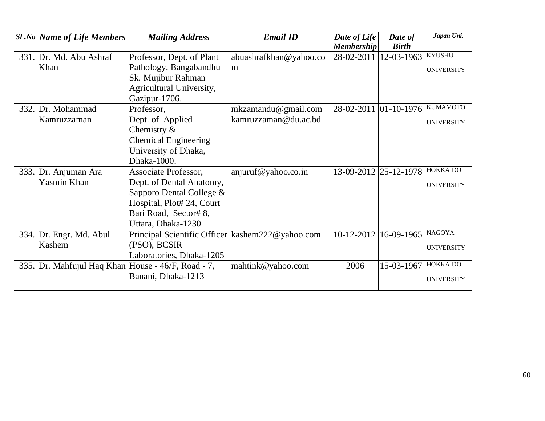|      | $ S1 $ .No Name of Life Members                    | <b>Mailing Address</b>                             | <b>Email ID</b>        | Date of Life          | Date of      | Japan Uni.        |
|------|----------------------------------------------------|----------------------------------------------------|------------------------|-----------------------|--------------|-------------------|
|      |                                                    |                                                    |                        | <b>Membership</b>     | <b>Birth</b> |                   |
|      | 331. Dr. Md. Abu Ashraf                            | Professor, Dept. of Plant                          | abuashrafkhan@yahoo.co | 28-02-2011            | 12-03-1963   | <b>KYUSHU</b>     |
|      | Khan                                               | Pathology, Bangabandhu                             | m                      |                       |              | <b>UNIVERSITY</b> |
|      |                                                    | Sk. Mujibur Rahman                                 |                        |                       |              |                   |
|      |                                                    | Agricultural University,                           |                        |                       |              |                   |
|      |                                                    | Gazipur-1706.                                      |                        |                       |              |                   |
|      | 332. Dr. Mohammad                                  | Professor,                                         | mkzamandu@gmail.com    |                       |              | <b>KUMAMOTO</b>   |
|      | Kamruzzaman                                        | Dept. of Applied                                   | kamruzzaman@du.ac.bd   |                       |              | <b>UNIVERSITY</b> |
|      |                                                    | Chemistry $\&$                                     |                        |                       |              |                   |
|      |                                                    | <b>Chemical Engineering</b>                        |                        |                       |              |                   |
|      |                                                    | University of Dhaka,                               |                        |                       |              |                   |
|      |                                                    | Dhaka-1000.                                        |                        |                       |              |                   |
| 333. | Dr. Anjuman Ara                                    | Associate Professor,                               | anjuruf@yahoo.co.in    | 13-09-2012 25-12-1978 |              | <b>HOKKAIDO</b>   |
|      | Yasmin Khan                                        | Dept. of Dental Anatomy,                           |                        |                       |              | <b>UNIVERSITY</b> |
|      |                                                    | Sapporo Dental College &                           |                        |                       |              |                   |
|      |                                                    | Hospital, Plot# 24, Court                          |                        |                       |              |                   |
|      |                                                    | Bari Road, Sector# 8,                              |                        |                       |              |                   |
|      |                                                    | Uttara, Dhaka-1230                                 |                        |                       |              |                   |
|      | 334. Dr. Engr. Md. Abul                            | Principal Scientific Officer   kashem222@yahoo.com |                        | $10 - 12 - 2012$      | 16-09-1965   | <b>NAGOYA</b>     |
|      | Kashem                                             | (PSO), BCSIR                                       |                        |                       |              | <b>UNIVERSITY</b> |
|      |                                                    | Laboratories, Dhaka-1205                           |                        |                       |              |                   |
|      | 335. Dr. Mahfujul Haq Khan House - 46/F, Road - 7, |                                                    | mahtink@yahoo.com      | 2006                  | 15-03-1967   | <b>HOKKAIDO</b>   |
|      |                                                    | Banani, Dhaka-1213                                 |                        |                       |              | <b>UNIVERSITY</b> |
|      |                                                    |                                                    |                        |                       |              |                   |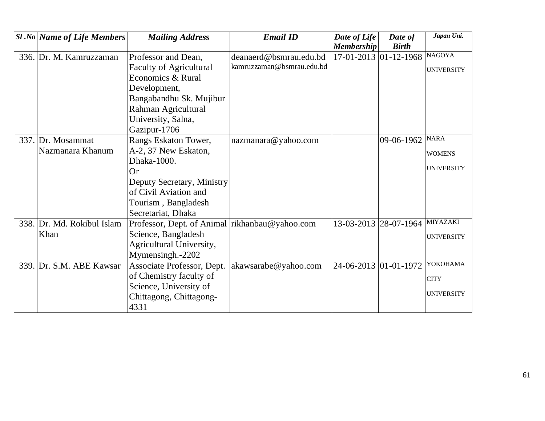| <b>Sl</b> .No   Name of Life Members | <b>Mailing Address</b>                         | <b>Email ID</b>           | Date of Life<br><b>Membership</b> | Date of<br><b>Birth</b>        | Japan Uni.        |
|--------------------------------------|------------------------------------------------|---------------------------|-----------------------------------|--------------------------------|-------------------|
| 336. Dr. M. Kamruzzaman              | Professor and Dean,                            | deanaerd@bsmrau.edu.bd    |                                   | 17-01-2013 01-12-1968 NAGOYA   |                   |
|                                      | <b>Faculty of Agricultural</b>                 | kamruzzaman@bsmrau.edu.bd |                                   |                                |                   |
|                                      | Economics & Rural                              |                           |                                   |                                | <b>UNIVERSITY</b> |
|                                      |                                                |                           |                                   |                                |                   |
|                                      | Development,                                   |                           |                                   |                                |                   |
|                                      | Bangabandhu Sk. Mujibur                        |                           |                                   |                                |                   |
|                                      | Rahman Agricultural                            |                           |                                   |                                |                   |
|                                      | University, Salna,                             |                           |                                   |                                |                   |
|                                      | Gazipur-1706                                   |                           |                                   |                                | <b>NARA</b>       |
| 337. Dr. Mosammat                    | Rangs Eskaton Tower,                           | nazmanara@yahoo.com       |                                   | 09-06-1962                     |                   |
| Nazmanara Khanum                     | A-2, 37 New Eskaton,                           |                           |                                   |                                | <b>WOMENS</b>     |
|                                      | Dhaka-1000.                                    |                           |                                   |                                | <b>UNIVERSITY</b> |
|                                      | Or                                             |                           |                                   |                                |                   |
|                                      | Deputy Secretary, Ministry                     |                           |                                   |                                |                   |
|                                      | of Civil Aviation and                          |                           |                                   |                                |                   |
|                                      | Tourism, Bangladesh                            |                           |                                   |                                |                   |
|                                      | Secretariat, Dhaka                             |                           |                                   |                                |                   |
| 338. Dr. Md. Rokibul Islam           | Professor, Dept. of Animal rikhanbau@yahoo.com |                           |                                   | 13-03-2013 28-07-1964 MIYAZAKI |                   |
| Khan                                 | Science, Bangladesh                            |                           |                                   |                                | <b>UNIVERSITY</b> |
|                                      | Agricultural University,                       |                           |                                   |                                |                   |
|                                      | Mymensingh.-2202                               |                           |                                   |                                |                   |
| 339. Dr. S.M. ABE Kawsar             | Associate Professor, Dept.                     | akawsarabe@yahoo.com      | 24-06-2013 01-01-1972             |                                | <b>YOKOHAMA</b>   |
|                                      | of Chemistry faculty of                        |                           |                                   |                                | <b>CITY</b>       |
|                                      | Science, University of                         |                           |                                   |                                |                   |
|                                      | Chittagong, Chittagong-                        |                           |                                   |                                | <b>UNIVERSITY</b> |
|                                      | 4331                                           |                           |                                   |                                |                   |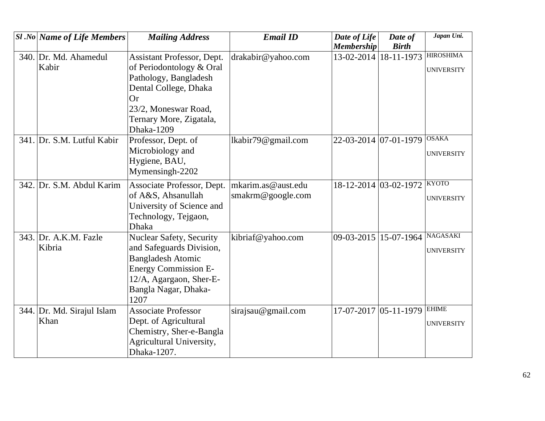| <b>Sl</b> .No Name of Life Members | <b>Mailing Address</b>          | <b>Email ID</b>    | Date of Life            | Date of      | Japan Uni.        |
|------------------------------------|---------------------------------|--------------------|-------------------------|--------------|-------------------|
|                                    |                                 |                    | <b>Membership</b>       | <b>Birth</b> |                   |
| 340. Dr. Md. Ahamedul              | Assistant Professor, Dept.      | drakabir@yahoo.com | 13-02-2014              | 18-11-1973   | <b>HIROSHIMA</b>  |
| Kabir                              | of Periodontology & Oral        |                    |                         |              | <b>UNIVERSITY</b> |
|                                    | Pathology, Bangladesh           |                    |                         |              |                   |
|                                    | Dental College, Dhaka           |                    |                         |              |                   |
|                                    | Or                              |                    |                         |              |                   |
|                                    | 23/2, Moneswar Road,            |                    |                         |              |                   |
|                                    | Ternary More, Zigatala,         |                    |                         |              |                   |
|                                    | Dhaka-1209                      |                    |                         |              |                   |
| 341. Dr. S.M. Lutful Kabir         | Professor, Dept. of             | lkabir79@gmail.com | 22-03-2014 07-01-1979   |              | <b>OSAKA</b>      |
|                                    | Microbiology and                |                    |                         |              | <b>UNIVERSITY</b> |
|                                    | Hygiene, BAU,                   |                    |                         |              |                   |
|                                    | Mymensingh-2202                 |                    |                         |              |                   |
| 342. Dr. S.M. Abdul Karim          | Associate Professor, Dept.      | mkarim.as@aust.edu | 18-12-2014 03-02-1972   |              | <b>KYOTO</b>      |
|                                    | of A&S, Ahsanullah              | smakrm@google.com  |                         |              | <b>UNIVERSITY</b> |
|                                    | University of Science and       |                    |                         |              |                   |
|                                    | Technology, Tejgaon,            |                    |                         |              |                   |
|                                    | <b>Dhaka</b>                    |                    |                         |              |                   |
| 343. Dr. A.K.M. Fazle              | <b>Nuclear Safety, Security</b> | kibriaf@yahoo.com  | 09-03-2015 15-07-1964   |              | <b>NAGASAKI</b>   |
| Kibria                             | and Safeguards Division,        |                    |                         |              | <b>UNIVERSITY</b> |
|                                    | <b>Bangladesh Atomic</b>        |                    |                         |              |                   |
|                                    | <b>Energy Commission E-</b>     |                    |                         |              |                   |
|                                    | 12/A, Agargaon, Sher-E-         |                    |                         |              |                   |
|                                    | Bangla Nagar, Dhaka-            |                    |                         |              |                   |
|                                    | 1207                            |                    |                         |              |                   |
| 344. Dr. Md. Sirajul Islam         | <b>Associate Professor</b>      | sirajsau@gmail.com | $17-07-2017$ 05-11-1979 |              | <b>EHIME</b>      |
| Khan                               | Dept. of Agricultural           |                    |                         |              | <b>UNIVERSITY</b> |
|                                    | Chemistry, Sher-e-Bangla        |                    |                         |              |                   |
|                                    | Agricultural University,        |                    |                         |              |                   |
|                                    | Dhaka-1207.                     |                    |                         |              |                   |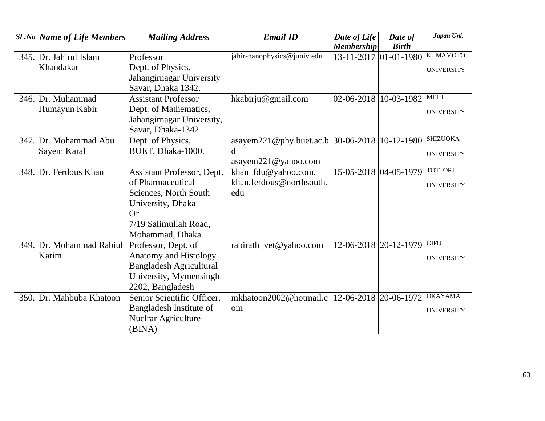| <b>Sl</b> .No Name of Life Members | <b>Mailing Address</b>            | <b>Email ID</b>                                | Date of Life          | Date of        | Japan Uni.        |
|------------------------------------|-----------------------------------|------------------------------------------------|-----------------------|----------------|-------------------|
|                                    |                                   |                                                | <b>Membership</b>     | <b>Birth</b>   |                   |
| 345. Dr. Jahirul Islam             | Professor                         | jahir-nanophysics@juniv.edu                    | 13-11-2017 01-01-1980 |                | <b>KUMAMOTO</b>   |
| Khandakar                          | Dept. of Physics,                 |                                                |                       |                | <b>UNIVERSITY</b> |
|                                    | Jahangirnagar University          |                                                |                       |                |                   |
|                                    | Savar, Dhaka 1342.                |                                                |                       |                |                   |
| 346. Dr. Muhammad                  | <b>Assistant Professor</b>        | hkabirju@gmail.com                             | 02-06-2018 10-03-1982 |                | <b>MEIJI</b>      |
| Humayun Kabir                      | Dept. of Mathematics,             |                                                |                       |                | <b>UNIVERSITY</b> |
|                                    | Jahangirnagar University,         |                                                |                       |                |                   |
|                                    | Savar, Dhaka-1342                 |                                                |                       |                |                   |
| 347. Dr. Mohammad Abu              | Dept. of Physics,                 | asayem221@phy.buet.ac.b 30-06-2018             |                       | $ 10-12-1980 $ | <b>SHIZUOKA</b>   |
| Sayem Karal                        | BUET, Dhaka-1000.                 | d                                              |                       |                | <b>UNIVERSITY</b> |
|                                    |                                   | asayem221@yahoo.com                            |                       |                |                   |
| 348. Dr. Ferdous Khan              | <b>Assistant Professor, Dept.</b> | khan_fdu@yahoo.com,                            | 15-05-2018 04-05-1979 |                | <b>TOTTORI</b>    |
|                                    | of Pharmaceutical                 | khan.ferdous@northsouth.                       |                       |                | <b>UNIVERSITY</b> |
|                                    | Sciences, North South             | edu                                            |                       |                |                   |
|                                    | University, Dhaka                 |                                                |                       |                |                   |
|                                    | <b>Or</b>                         |                                                |                       |                |                   |
|                                    | 7/19 Salimullah Road,             |                                                |                       |                |                   |
|                                    | Mohammad, Dhaka                   |                                                |                       |                |                   |
| 349. Dr. Mohammad Rabiul           | Professor, Dept. of               | rabirath_vet@yahoo.com                         | 12-06-2018 20-12-1979 |                | <b>GIFU</b>       |
| Karim                              | <b>Anatomy and Histology</b>      |                                                |                       |                | <b>UNIVERSITY</b> |
|                                    | <b>Bangladesh Agricultural</b>    |                                                |                       |                |                   |
|                                    | University, Mymensingh-           |                                                |                       |                |                   |
|                                    | 2202, Bangladesh                  |                                                |                       |                |                   |
| 350. Dr. Mahbuba Khatoon           | Senior Scientific Officer,        | mkhatoon2002@hotmail.c  12-06-2018  20-06-1972 |                       |                | <b>OKAYAMA</b>    |
|                                    | Bangladesh Institute of           | om                                             |                       |                | <b>UNIVERSITY</b> |
|                                    | <b>Nuclrar Agriculture</b>        |                                                |                       |                |                   |
|                                    | (BINA)                            |                                                |                       |                |                   |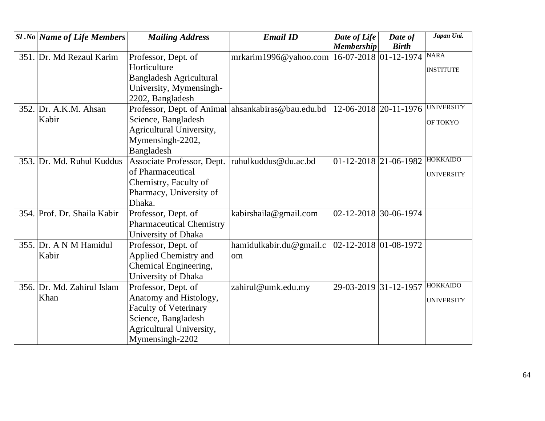| <b>Sl.No Name of Life Members</b> | <b>Mailing Address</b>          | <b>Email ID</b>                                    | Date of Life                | Date of      | Japan Uni.        |
|-----------------------------------|---------------------------------|----------------------------------------------------|-----------------------------|--------------|-------------------|
|                                   |                                 |                                                    | <b>Membership</b>           | <b>Birth</b> |                   |
| 351. Dr. Md Rezaul Karim          | Professor, Dept. of             | mrkarim1996@yahoo.com                              | $ 16-07-2018 01-12-1974 $   |              | <b>NARA</b>       |
|                                   | Horticulture                    |                                                    |                             |              | <b>INSTITUTE</b>  |
|                                   | <b>Bangladesh Agricultural</b>  |                                                    |                             |              |                   |
|                                   | University, Mymensingh-         |                                                    |                             |              |                   |
|                                   | 2202, Bangladesh                |                                                    |                             |              |                   |
| 352. Dr. A.K.M. Ahsan             |                                 | Professor, Dept. of Animal ahsankabiras@bau.edu.bd | $ 12-06-2018 20-11-1976 $   |              | <b>UNIVERSITY</b> |
| Kabir                             | Science, Bangladesh             |                                                    |                             |              | OF TOKYO          |
|                                   | Agricultural University,        |                                                    |                             |              |                   |
|                                   | Mymensingh-2202,                |                                                    |                             |              |                   |
|                                   | Bangladesh                      |                                                    |                             |              |                   |
| 353. Dr. Md. Ruhul Kuddus         | Associate Professor, Dept.      | ruhulkuddus@du.ac.bd                               | $01 - 12 - 2018$ 21-06-1982 |              | <b>HOKKAIDO</b>   |
|                                   | of Pharmaceutical               |                                                    |                             |              | <b>UNIVERSITY</b> |
|                                   | Chemistry, Faculty of           |                                                    |                             |              |                   |
|                                   | Pharmacy, University of         |                                                    |                             |              |                   |
|                                   | Dhaka.                          |                                                    |                             |              |                   |
| 354. Prof. Dr. Shaila Kabir       | Professor, Dept. of             | kabirshaila@gmail.com                              | 02-12-2018 30-06-1974       |              |                   |
|                                   | <b>Pharmaceutical Chemistry</b> |                                                    |                             |              |                   |
|                                   | University of Dhaka             |                                                    |                             |              |                   |
| 355. Dr. A N M Hamidul            | Professor, Dept. of             | hamidulkabir.du@gmail.c                            | $ 02-12-2018 01-08-1972$    |              |                   |
| Kabir                             | Applied Chemistry and           | om                                                 |                             |              |                   |
|                                   | Chemical Engineering,           |                                                    |                             |              |                   |
|                                   | University of Dhaka             |                                                    |                             |              |                   |
| 356. Dr. Md. Zahirul Islam        | Professor, Dept. of             | zahirul@umk.edu.my                                 | 29-03-2019 31-12-1957       |              | <b>HOKKAIDO</b>   |
| Khan                              | Anatomy and Histology,          |                                                    |                             |              | <b>UNIVERSITY</b> |
|                                   | <b>Faculty of Veterinary</b>    |                                                    |                             |              |                   |
|                                   | Science, Bangladesh             |                                                    |                             |              |                   |
|                                   | Agricultural University,        |                                                    |                             |              |                   |
|                                   | Mymensingh-2202                 |                                                    |                             |              |                   |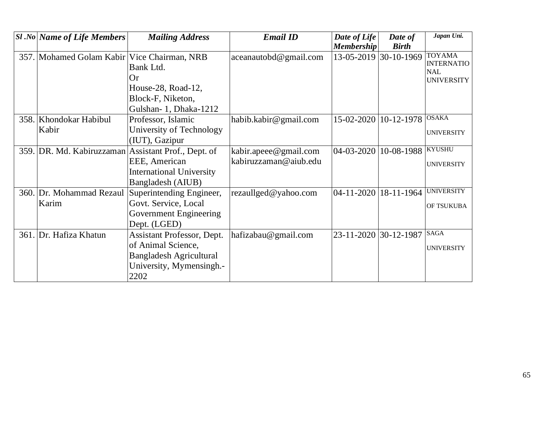| <b>Sl</b> .No Name of Life Members | <b>Mailing Address</b>                              | <b>Email ID</b>       | Date of Life            | Date of           | Japan Uni.                      |
|------------------------------------|-----------------------------------------------------|-----------------------|-------------------------|-------------------|---------------------------------|
|                                    |                                                     |                       | <b>Membership</b>       | <b>Birth</b>      |                                 |
| 357. Mohamed Golam Kabir           | Vice Chairman, NRB                                  | aceanautobd@gmail.com | 13-05-2019              | 30-10-1969        | <b>TOYAMA</b>                   |
|                                    | Bank Ltd.                                           |                       |                         |                   | <b>INTERNATIO</b><br><b>NAL</b> |
|                                    | <b>Or</b>                                           |                       |                         |                   | <b>UNIVERSITY</b>               |
|                                    | House-28, Road-12,                                  |                       |                         |                   |                                 |
|                                    | Block-F, Niketon,                                   |                       |                         |                   |                                 |
|                                    | Gulshan-1, Dhaka-1212                               |                       |                         |                   |                                 |
| 358. Khondokar Habibul             | Professor, Islamic                                  | habib.kabir@gmail.com | 15-02-2020   10-12-1978 |                   | <b>OSAKA</b>                    |
| Kabir                              | University of Technology                            |                       |                         |                   | <b>UNIVERSITY</b>               |
|                                    | (IUT), Gazipur                                      |                       |                         |                   |                                 |
|                                    | 359. DR. Md. Kabiruzzaman Assistant Prof., Dept. of | kabir.apeee@gmail.com | $04 - 03 - 2020$        | 10-08-1988 KYUSHU |                                 |
|                                    | EEE, American                                       | kabiruzzaman@aiub.edu |                         |                   | <b>UNIVERSITY</b>               |
|                                    | <b>International University</b>                     |                       |                         |                   |                                 |
|                                    | Bangladesh (AIUB)                                   |                       |                         |                   |                                 |
| 360. Dr. Mohammad Rezaul           | Superintending Engineer,                            | rezaullged@yahoo.com  | 04-11-2020              | 18-11-1964        | <b>UNIVERSITY</b>               |
| Karim                              | Govt. Service, Local                                |                       |                         |                   | <b>OF TSUKUBA</b>               |
|                                    | <b>Government Engineering</b>                       |                       |                         |                   |                                 |
|                                    | Dept. (LGED)                                        |                       |                         |                   |                                 |
| 361. Dr. Hafiza Khatun             | <b>Assistant Professor, Dept.</b>                   | hafizabau@gmail.com   | 23-11-2020              | 30-12-1987        | <b>SAGA</b>                     |
|                                    | of Animal Science,                                  |                       |                         |                   | <b>UNIVERSITY</b>               |
|                                    | <b>Bangladesh Agricultural</b>                      |                       |                         |                   |                                 |
|                                    | University, Mymensingh.-                            |                       |                         |                   |                                 |
|                                    | 2202                                                |                       |                         |                   |                                 |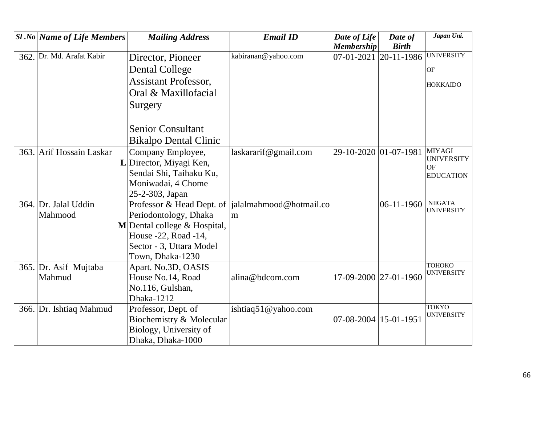| <b>Sl</b> .No Name of Life Members | <b>Mailing Address</b>         | <b>Email ID</b>                                    | Date of Life          | Date of      | Japan Uni.                          |
|------------------------------------|--------------------------------|----------------------------------------------------|-----------------------|--------------|-------------------------------------|
|                                    |                                |                                                    | <b>Membership</b>     | <b>Birth</b> |                                     |
| 362. Dr. Md. Arafat Kabir          | Director, Pioneer              | kabiranan@yahoo.com                                | 07-01-2021            | 20-11-1986   | <b>UNIVERSITY</b>                   |
|                                    | Dental College                 |                                                    |                       |              | OF                                  |
|                                    | <b>Assistant Professor,</b>    |                                                    |                       |              | <b>HOKKAIDO</b>                     |
|                                    | Oral & Maxillofacial           |                                                    |                       |              |                                     |
|                                    | Surgery                        |                                                    |                       |              |                                     |
|                                    |                                |                                                    |                       |              |                                     |
|                                    | <b>Senior Consultant</b>       |                                                    |                       |              |                                     |
|                                    |                                |                                                    |                       |              |                                     |
|                                    | <b>Bikalpo Dental Clinic</b>   |                                                    |                       |              |                                     |
| 363. Arif Hossain Laskar           | Company Employee,              | laskararif@gmail.com                               | 29-10-2020 01-07-1981 |              | <b>MIYAGI</b><br><b>UNIVERSITY</b>  |
|                                    | L Director, Miyagi Ken,        |                                                    |                       |              | OF                                  |
|                                    | Sendai Shi, Taihaku Ku,        |                                                    |                       |              | <b>EDUCATION</b>                    |
|                                    | Moniwadai, 4 Chome             |                                                    |                       |              |                                     |
|                                    | 25-2-303, Japan                |                                                    |                       |              |                                     |
| 364. Dr. Jalal Uddin               |                                | Professor & Head Dept. of  jalalmahmood@hotmail.co |                       | $06-11-1960$ | <b>NIIGATA</b><br><b>UNIVERSITY</b> |
| Mahmood                            | Periodontology, Dhaka          | m                                                  |                       |              |                                     |
|                                    | $M$ Dental college & Hospital, |                                                    |                       |              |                                     |
|                                    | House -22, Road -14,           |                                                    |                       |              |                                     |
|                                    | Sector - 3, Uttara Model       |                                                    |                       |              |                                     |
|                                    | Town, Dhaka-1230               |                                                    |                       |              |                                     |
| 365. Dr. Asif Mujtaba              | Apart. No.3D, OASIS            |                                                    |                       |              | <b>TOHOKO</b>                       |
| Mahmud                             | House No.14, Road              | alina@bdcom.com                                    | 17-09-2000 27-01-1960 |              | <b>UNIVERSITY</b>                   |
|                                    | No.116, Gulshan,               |                                                    |                       |              |                                     |
|                                    | Dhaka-1212                     |                                                    |                       |              |                                     |
| 366. Dr. Ishtiaq Mahmud            | Professor, Dept. of            | ishtiaq51@yahoo.com                                |                       |              | <b>TOKYO</b>                        |
|                                    | Biochemistry & Molecular       |                                                    | 07-08-2004 15-01-1951 |              | <b>UNIVERSITY</b>                   |
|                                    | Biology, University of         |                                                    |                       |              |                                     |
|                                    | Dhaka, Dhaka-1000              |                                                    |                       |              |                                     |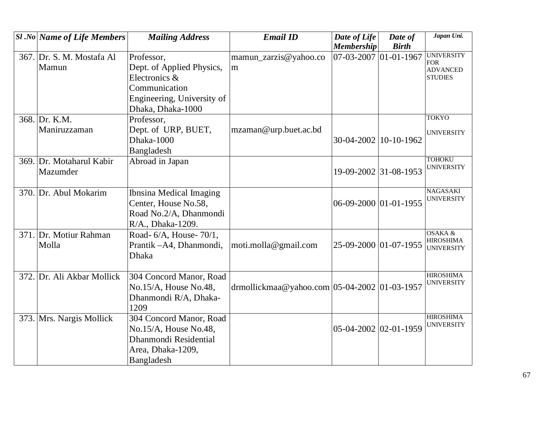| <b>Sl</b> .No   Name of Life Members | <b>Mailing Address</b>     | <b>Email ID</b>                              | Date of Life          | Date of      | Japan Uni.                            |
|--------------------------------------|----------------------------|----------------------------------------------|-----------------------|--------------|---------------------------------------|
|                                      |                            |                                              | <b>Membership</b>     | <b>Birth</b> |                                       |
| 367. Dr. S. M. Mostafa Al            | Professor,                 | mamun_zarzis@yahoo.co                        | 07-03-2007 01-01-1967 |              | <b>UNIVERSITY</b><br><b>FOR</b>       |
| Mamun                                | Dept. of Applied Physics,  | m                                            |                       |              | <b>ADVANCED</b>                       |
|                                      | Electronics &              |                                              |                       |              | <b>STUDIES</b>                        |
|                                      | Communication              |                                              |                       |              |                                       |
|                                      | Engineering, University of |                                              |                       |              |                                       |
|                                      | Dhaka, Dhaka-1000          |                                              |                       |              |                                       |
| 368. Dr. K.M.                        | Professor,                 |                                              |                       |              | <b>TOKYO</b>                          |
| Maniruzzaman                         | Dept. of URP, BUET,        | mzaman@urp.buet.ac.bd                        |                       |              | <b>UNIVERSITY</b>                     |
|                                      | Dhaka-1000                 |                                              | 30-04-2002 10-10-1962 |              |                                       |
|                                      | Bangladesh                 |                                              |                       |              |                                       |
| 369. Dr. Motaharul Kabir             | Abroad in Japan            |                                              |                       |              | <b>TOHOKU</b>                         |
| Mazumder                             |                            |                                              | 19-09-2002 31-08-1953 |              | <b>UNIVERSITY</b>                     |
|                                      |                            |                                              |                       |              |                                       |
| 370. Dr. Abul Mokarim                | Ibnsina Medical Imaging    |                                              |                       |              | <b>NAGASAKI</b>                       |
|                                      | Center, House No.58,       |                                              | 06-09-2000 01-01-1955 |              | <b>UNIVERSITY</b>                     |
|                                      | Road No.2/A, Dhanmondi     |                                              |                       |              |                                       |
|                                      | R/A., Dhaka-1209.          |                                              |                       |              |                                       |
| 371. Dr. Motiur Rahman               | Road- 6/A, House- 70/1,    |                                              |                       |              | OSAKA &                               |
| Molla                                | Prantik - A4, Dhanmondi,   | moti.molla@gmail.com                         | 25-09-2000 01-07-1955 |              | <b>HIROSHIMA</b><br><b>UNIVERSITY</b> |
|                                      | Dhaka                      |                                              |                       |              |                                       |
|                                      |                            |                                              |                       |              |                                       |
| 372. Dr. Ali Akbar Mollick           | 304 Concord Manor, Road    |                                              |                       |              | <b>HIROSHIMA</b>                      |
|                                      | No.15/A, House No.48,      | drmollickmaa@yahoo.com 05-04-2002 01-03-1957 |                       |              | <b>UNIVERSITY</b>                     |
|                                      | Dhanmondi R/A, Dhaka-      |                                              |                       |              |                                       |
|                                      | 1209                       |                                              |                       |              |                                       |
| 373. Mrs. Nargis Mollick             | 304 Concord Manor, Road    |                                              |                       |              | <b>HIROSHIMA</b>                      |
|                                      | No.15/A, House No.48,      |                                              | 05-04-2002 02-01-1959 |              | <b>UNIVERSITY</b>                     |
|                                      | Dhanmondi Residential      |                                              |                       |              |                                       |
|                                      | Area, Dhaka-1209,          |                                              |                       |              |                                       |
|                                      | Bangladesh                 |                                              |                       |              |                                       |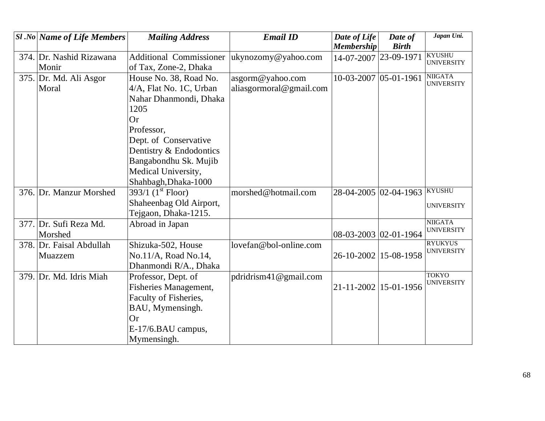| <b>Sl</b> .No Name of Life Members | <b>Mailing Address</b>                | <b>Email ID</b>         | Date of Life          | Date of      | Japan Uni.                          |
|------------------------------------|---------------------------------------|-------------------------|-----------------------|--------------|-------------------------------------|
|                                    |                                       |                         | <b>Membership</b>     | <b>Birth</b> |                                     |
| 374. Dr. Nashid Rizawana           | <b>Additional Commissioner</b>        | ukynozomy@yahoo.com     | 14-07-2007 23-09-1971 |              | <b>KYUSHU</b><br><b>UNIVERSITY</b>  |
| Monir                              | of Tax, Zone-2, Dhaka                 |                         |                       |              |                                     |
| 375. Dr. Md. Ali Asgor             | House No. 38, Road No.                | asgorm@yahoo.com        | 10-03-2007 05-01-1961 |              | <b>NIIGATA</b><br><b>UNIVERSITY</b> |
| Moral                              | 4/A, Flat No. 1C, Urban               | aliasgormoral@gmail.com |                       |              |                                     |
|                                    | Nahar Dhanmondi, Dhaka                |                         |                       |              |                                     |
|                                    | 1205                                  |                         |                       |              |                                     |
|                                    | <b>Or</b>                             |                         |                       |              |                                     |
|                                    | Professor,                            |                         |                       |              |                                     |
|                                    | Dept. of Conservative                 |                         |                       |              |                                     |
|                                    | Dentistry & Endodontics               |                         |                       |              |                                     |
|                                    | Bangabondhu Sk. Mujib                 |                         |                       |              |                                     |
|                                    | Medical University,                   |                         |                       |              |                                     |
|                                    | Shahbagh, Dhaka-1000                  |                         |                       |              |                                     |
| 376. Dr. Manzur Morshed            | 393/1 $(1^{\text{st}} \text{ Floor})$ | morshed@hotmail.com     | 28-04-2005 02-04-1963 |              | <b>KYUSHU</b>                       |
|                                    | Shaheenbag Old Airport,               |                         |                       |              | <b>UNIVERSITY</b>                   |
|                                    | Tejgaon, Dhaka-1215.                  |                         |                       |              |                                     |
| 377. Dr. Sufi Reza Md.             | Abroad in Japan                       |                         |                       |              | <b>NIIGATA</b><br><b>UNIVERSITY</b> |
| Morshed                            |                                       |                         | 08-03-2003 02-01-1964 |              |                                     |
| 378. Dr. Faisal Abdullah           | Shizuka-502, House                    | lovefan@bol-online.com  |                       |              | <b>RYUKYUS</b><br><b>UNIVERSITY</b> |
| Muazzem                            | No.11/A, Road No.14,                  |                         | 26-10-2002 15-08-1958 |              |                                     |
|                                    | Dhanmondi R/A., Dhaka                 |                         |                       |              |                                     |
| 379. Dr. Md. Idris Miah            | Professor, Dept. of                   | pdridrism41@gmail.com   |                       |              | <b>TOKYO</b><br><b>UNIVERSITY</b>   |
|                                    | <b>Fisheries Management,</b>          |                         | 21-11-2002 15-01-1956 |              |                                     |
|                                    | Faculty of Fisheries,                 |                         |                       |              |                                     |
|                                    | BAU, Mymensingh.                      |                         |                       |              |                                     |
|                                    | <b>Or</b>                             |                         |                       |              |                                     |
|                                    | E-17/6.BAU campus,                    |                         |                       |              |                                     |
|                                    | Mymensingh.                           |                         |                       |              |                                     |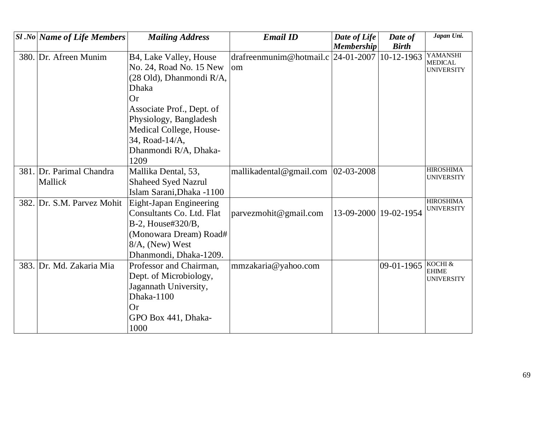| <b>Sl</b> .No   Name of Life Members | <b>Mailing Address</b>     | <b>Email ID</b>                        | Date of Life          | Date of      | Japan Uni.                            |
|--------------------------------------|----------------------------|----------------------------------------|-----------------------|--------------|---------------------------------------|
|                                      |                            |                                        | Membership            | <b>Birth</b> |                                       |
| 380. Dr. Afreen Munim                | B4, Lake Valley, House     | drafreenmunim@hotmail.c                | 24-01-2007            | 10-12-1963   | YAMANSHI<br><b>MEDICAL</b>            |
|                                      | No. 24, Road No. 15 New    | <sub>om</sub>                          |                       |              | <b>UNIVERSITY</b>                     |
|                                      | (28 Old), Dhanmondi R/A,   |                                        |                       |              |                                       |
|                                      | <b>Dhaka</b>               |                                        |                       |              |                                       |
|                                      | Or                         |                                        |                       |              |                                       |
|                                      | Associate Prof., Dept. of  |                                        |                       |              |                                       |
|                                      | Physiology, Bangladesh     |                                        |                       |              |                                       |
|                                      | Medical College, House-    |                                        |                       |              |                                       |
|                                      | 34, Road-14/A,             |                                        |                       |              |                                       |
|                                      | Dhanmondi R/A, Dhaka-      |                                        |                       |              |                                       |
|                                      | 1209                       |                                        |                       |              |                                       |
| 381. Dr. Parimal Chandra             | Mallika Dental, 53,        | mallikadental@gmail.com $ 02-03-2008 $ |                       |              | <b>HIROSHIMA</b><br><b>UNIVERSITY</b> |
| Mallick                              | <b>Shaheed Syed Nazrul</b> |                                        |                       |              |                                       |
|                                      | Islam Sarani, Dhaka -1100  |                                        |                       |              |                                       |
| 382. Dr. S.M. Parvez Mohit           | Eight-Japan Engineering    |                                        |                       |              | <b>HIROSHIMA</b><br><b>UNIVERSITY</b> |
|                                      | Consultants Co. Ltd. Flat  | parvezmohit@gmail.com                  | 13-09-2000 19-02-1954 |              |                                       |
|                                      | B-2, House#320/B,          |                                        |                       |              |                                       |
|                                      | (Monowara Dream) Road#     |                                        |                       |              |                                       |
|                                      | 8/A, (New) West            |                                        |                       |              |                                       |
|                                      | Dhanmondi, Dhaka-1209.     |                                        |                       |              |                                       |
| 383. Dr. Md. Zakaria Mia             | Professor and Chairman,    | mmzakaria@yahoo.com                    |                       | 09-01-1965   | KOCHI &<br><b>EHIME</b>               |
|                                      | Dept. of Microbiology,     |                                        |                       |              | <b>UNIVERSITY</b>                     |
|                                      | Jagannath University,      |                                        |                       |              |                                       |
|                                      | Dhaka-1100                 |                                        |                       |              |                                       |
|                                      | <b>Or</b>                  |                                        |                       |              |                                       |
|                                      | GPO Box 441, Dhaka-        |                                        |                       |              |                                       |
|                                      | 1000                       |                                        |                       |              |                                       |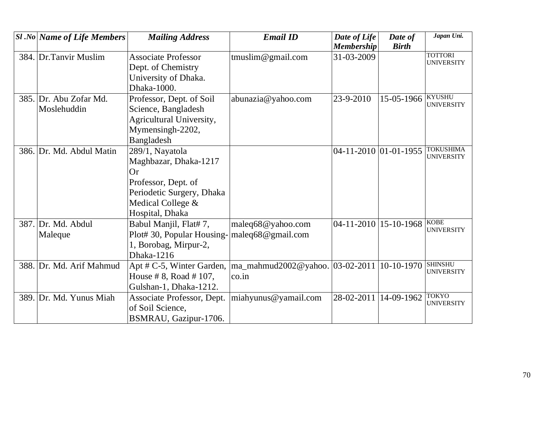| <b>Sl</b> .No Name of Life Members | <b>Mailing Address</b>     | <b>Email ID</b>                 | Date of Life             | Date of      | Japan Uni.                          |
|------------------------------------|----------------------------|---------------------------------|--------------------------|--------------|-------------------------------------|
|                                    |                            |                                 | <b>Membership</b>        | <b>Birth</b> |                                     |
| 384. Dr. Tanvir Muslim             | <b>Associate Professor</b> | tmuslim@gmail.com               | 31-03-2009               |              | <b>TOTTORI</b><br><b>UNIVERSITY</b> |
|                                    | Dept. of Chemistry         |                                 |                          |              |                                     |
|                                    | University of Dhaka.       |                                 |                          |              |                                     |
|                                    | Dhaka-1000.                |                                 |                          |              |                                     |
| 385. Dr. Abu Zofar Md.             | Professor, Dept. of Soil   | abunazia@yahoo.com              | 23-9-2010                | 15-05-1966   | <b>KYUSHU</b><br><b>UNIVERSITY</b>  |
| Moslehuddin                        | Science, Bangladesh        |                                 |                          |              |                                     |
|                                    | Agricultural University,   |                                 |                          |              |                                     |
|                                    | Mymensingh-2202,           |                                 |                          |              |                                     |
|                                    | Bangladesh                 |                                 |                          |              |                                     |
| 386. Dr. Md. Abdul Matin           | 289/1, Nayatola            |                                 | 04-11-2010 01-01-1955    |              | <b>TOKUSHIMA</b>                    |
|                                    | Maghbazar, Dhaka-1217      |                                 |                          |              | <b>UNIVERSITY</b>                   |
|                                    | <b>Or</b>                  |                                 |                          |              |                                     |
|                                    | Professor, Dept. of        |                                 |                          |              |                                     |
|                                    | Periodetic Surgery, Dhaka  |                                 |                          |              |                                     |
|                                    | Medical College &          |                                 |                          |              |                                     |
|                                    | Hospital, Dhaka            |                                 |                          |              |                                     |
| 387. Dr. Md. Abdul                 | Babul Manjil, Flat# 7,     | maleq68@yahoo.com               | $04-11-2010$  15-10-1968 |              | <b>KOBE</b>                         |
| Maleque                            | Plot# 30, Popular Housing- | maleq $68@$ gmail.com           |                          |              | <b>UNIVERSITY</b>                   |
|                                    | 1, Borobag, Mirpur-2,      |                                 |                          |              |                                     |
|                                    | Dhaka-1216                 |                                 |                          |              |                                     |
| 388. Dr. Md. Arif Mahmud           | Apt # C-5, Winter Garden,  | ma_mahmud2002@yahoo. 03-02-2011 |                          | $10-10-1970$ | <b>SHINSHU</b>                      |
|                                    | House # 8, Road # 107,     | $\overline{\text{co.in}}$       |                          |              | <b>UNIVERSITY</b>                   |
|                                    | Gulshan-1, Dhaka-1212.     |                                 |                          |              |                                     |
| 389. Dr. Md. Yunus Miah            | Associate Professor, Dept. | miahyunus@yamail.com            | 28-02-2011               | 14-09-1962   | <b>TOKYO</b>                        |
|                                    | of Soil Science,           |                                 |                          |              | <b>UNIVERSITY</b>                   |
|                                    | BSMRAU, Gazipur-1706.      |                                 |                          |              |                                     |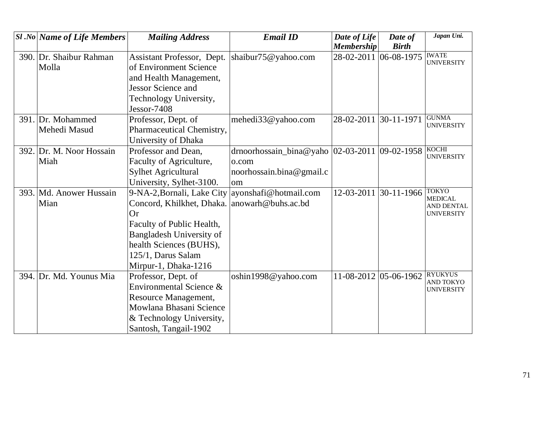| <b>Sl</b> .No Name of Life Members | <b>Mailing Address</b>                       | <b>Email ID</b>                                  | Date of Life          | Date of        | Japan Uni.                            |
|------------------------------------|----------------------------------------------|--------------------------------------------------|-----------------------|----------------|---------------------------------------|
|                                    |                                              |                                                  | <b>Membership</b>     | <b>Birth</b>   |                                       |
| 390. Dr. Shaibur Rahman            | Assistant Professor, Dept.                   | shaibur75@yahoo.com                              | 28-02-2011            | $ 06-08-1975$  | <b>IWATE</b><br><b>UNIVERSITY</b>     |
| Molla                              | of Environment Science                       |                                                  |                       |                |                                       |
|                                    | and Health Management,                       |                                                  |                       |                |                                       |
|                                    | <b>Jessor Science and</b>                    |                                                  |                       |                |                                       |
|                                    | Technology University,                       |                                                  |                       |                |                                       |
|                                    | Jessor-7408                                  |                                                  |                       |                |                                       |
| 391. Dr. Mohammed                  | Professor, Dept. of                          | mehedi33@yahoo.com                               | 28-02-2011            | $30-11-1971$   | <b>GUNMA</b>                          |
| Mehedi Masud                       | Pharmaceutical Chemistry,                    |                                                  |                       |                | <b>UNIVERSITY</b>                     |
|                                    | University of Dhaka                          |                                                  |                       |                |                                       |
| 392. Dr. M. Noor Hossain           | Professor and Dean,                          | drnoorhossain_bina@yaho $ 02-03-2011 09-02-1958$ |                       |                | <b>KOCHI</b><br><b>UNIVERSITY</b>     |
| Miah                               | Faculty of Agriculture,                      | o.com                                            |                       |                |                                       |
|                                    | <b>Sylhet Agricultural</b>                   | noorhossain.bina@gmail.c                         |                       |                |                                       |
|                                    | University, Sylhet-3100.                     | om                                               |                       |                |                                       |
| 393. Md. Anower Hussain            | 9-NA-2, Bornali, Lake City                   | ayonshafi@hotmail.com                            | 12-03-2011            | $ 30-11-1966 $ | <b>TOKYO</b><br><b>MEDICAL</b>        |
| Mian                               | Concord, Khilkhet, Dhaka. anowarh@buhs.ac.bd |                                                  |                       |                | AND DENTAL                            |
|                                    | <b>Or</b>                                    |                                                  |                       |                | <b>UNIVERSITY</b>                     |
|                                    | Faculty of Public Health,                    |                                                  |                       |                |                                       |
|                                    | <b>Bangladesh University of</b>              |                                                  |                       |                |                                       |
|                                    | health Sciences (BUHS),                      |                                                  |                       |                |                                       |
|                                    | 125/1, Darus Salam                           |                                                  |                       |                |                                       |
|                                    | Mirpur-1, Dhaka-1216                         |                                                  |                       |                |                                       |
| 394. Dr. Md. Younus Mia            | Professor, Dept. of                          | oshin1998@yahoo.com                              | 11-08-2012 05-06-1962 |                | <b>RYUKYUS</b>                        |
|                                    | Environmental Science &                      |                                                  |                       |                | <b>AND TOKYO</b><br><b>UNIVERSITY</b> |
|                                    | Resource Management,                         |                                                  |                       |                |                                       |
|                                    | Mowlana Bhasani Science                      |                                                  |                       |                |                                       |
|                                    | & Technology University,                     |                                                  |                       |                |                                       |
|                                    | Santosh, Tangail-1902                        |                                                  |                       |                |                                       |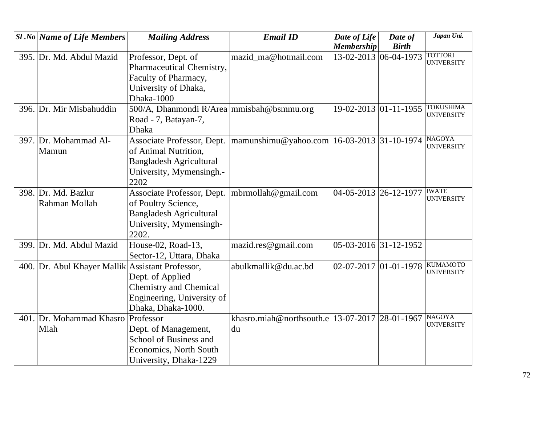| $ S1 $ .No   Name of Life Members                | <b>Mailing Address</b>                      | <b>Email ID</b>                                    | Date of Life            | Date of      | Japan Uni.                          |
|--------------------------------------------------|---------------------------------------------|----------------------------------------------------|-------------------------|--------------|-------------------------------------|
|                                                  |                                             |                                                    | <b>Membership</b>       | <b>Birth</b> |                                     |
| 395. Dr. Md. Abdul Mazid                         | Professor, Dept. of                         | mazid_ma@hotmail.com                               | 13-02-2013 06-04-1973   |              | <b>TOTTORI</b><br><b>UNIVERSITY</b> |
|                                                  | Pharmaceutical Chemistry,                   |                                                    |                         |              |                                     |
|                                                  | Faculty of Pharmacy,                        |                                                    |                         |              |                                     |
|                                                  | University of Dhaka,                        |                                                    |                         |              |                                     |
|                                                  | Dhaka-1000                                  |                                                    |                         |              |                                     |
| 396. Dr. Mir Misbahuddin                         | 500/A, Dhanmondi R/Area   mmisbah@bsmmu.org |                                                    | 19-02-2013 01-11-1955   |              | <b>TOKUSHIMA</b>                    |
|                                                  | Road - 7, Batayan-7,                        |                                                    |                         |              | <b>UNIVERSITY</b>                   |
|                                                  | <b>Dhaka</b>                                |                                                    |                         |              |                                     |
| 397. Dr. Mohammad Al-                            | Associate Professor, Dept.                  | mamunshimu@yahoo.com   16-03-2013   31-10-1974     |                         |              | <b>NAGOYA</b>                       |
| Mamun                                            | of Animal Nutrition,                        |                                                    |                         |              | <b>UNIVERSITY</b>                   |
|                                                  | <b>Bangladesh Agricultural</b>              |                                                    |                         |              |                                     |
|                                                  | University, Mymensingh.-                    |                                                    |                         |              |                                     |
|                                                  | 2202                                        |                                                    |                         |              |                                     |
| 398. Dr. Md. Bazlur                              | Associate Professor, Dept.                  | mbrmollah@gmail.com                                | 04-05-2013 26-12-1977   |              | <b>IWATE</b>                        |
| Rahman Mollah                                    | of Poultry Science,                         |                                                    |                         |              | <b>UNIVERSITY</b>                   |
|                                                  | <b>Bangladesh Agricultural</b>              |                                                    |                         |              |                                     |
|                                                  | University, Mymensingh-                     |                                                    |                         |              |                                     |
|                                                  | 2202.                                       |                                                    |                         |              |                                     |
| 399. Dr. Md. Abdul Mazid                         | House-02, Road-13,                          | mazid.res@gmail.com                                | 05-03-2016 31-12-1952   |              |                                     |
|                                                  | Sector-12, Uttara, Dhaka                    |                                                    |                         |              |                                     |
| 400. Dr. Abul Khayer Mallik Assistant Professor, |                                             | abulkmallik@du.ac.bd                               | $02-07-2017$ 01-01-1978 |              | <b>KUMAMOTO</b>                     |
|                                                  | Dept. of Applied                            |                                                    |                         |              | <b>UNIVERSITY</b>                   |
|                                                  | <b>Chemistry and Chemical</b>               |                                                    |                         |              |                                     |
|                                                  | Engineering, University of                  |                                                    |                         |              |                                     |
|                                                  | Dhaka, Dhaka-1000.                          |                                                    |                         |              |                                     |
| 401. Dr. Mohammad Khasro                         | Professor                                   | khasro.miah@northsouth.e   13-07-2017   28-01-1967 |                         |              | <b>NAGOYA</b>                       |
| Miah                                             | Dept. of Management,                        | du                                                 |                         |              | <b>UNIVERSITY</b>                   |
|                                                  | <b>School of Business and</b>               |                                                    |                         |              |                                     |
|                                                  | <b>Economics, North South</b>               |                                                    |                         |              |                                     |
|                                                  | University, Dhaka-1229                      |                                                    |                         |              |                                     |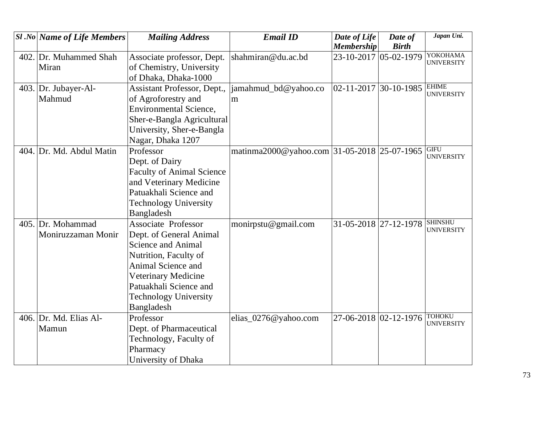| <b>Sl.No Name of Life Members</b> | <b>Mailing Address</b>             | <b>Email ID</b>                             | Date of Life          | Date of                       | Japan Uni.                       |
|-----------------------------------|------------------------------------|---------------------------------------------|-----------------------|-------------------------------|----------------------------------|
|                                   |                                    |                                             | <b>Membership</b>     | <b>Birth</b>                  | YOKOHAMA                         |
| 402. Dr. Muhammed Shah            | Associate professor, Dept.         | shahmiran@du.ac.bd                          | 23-10-2017 05-02-1979 |                               | <b>UNIVERSITY</b>                |
| Miran                             | of Chemistry, University           |                                             |                       |                               |                                  |
|                                   | of Dhaka, Dhaka-1000               |                                             |                       |                               |                                  |
| 403. Dr. Jubayer-Al-              | <b>Assistant Professor, Dept.,</b> | jamahmud_bd@yahoo.co                        |                       | $02-11-2017$ 30-10-1985 EHIME | <b>UNIVERSITY</b>                |
| Mahmud                            | of Agroforestry and                | m                                           |                       |                               |                                  |
|                                   | <b>Environmental Science,</b>      |                                             |                       |                               |                                  |
|                                   | Sher-e-Bangla Agricultural         |                                             |                       |                               |                                  |
|                                   | University, Sher-e-Bangla          |                                             |                       |                               |                                  |
|                                   | Nagar, Dhaka 1207                  |                                             |                       |                               |                                  |
| 404. Dr. Md. Abdul Matin          | Professor                          | matinma2000@yahoo.com 31-05-2018 25-07-1965 |                       |                               | <b>GIFU</b><br><b>UNIVERSITY</b> |
|                                   | Dept. of Dairy                     |                                             |                       |                               |                                  |
|                                   | <b>Faculty of Animal Science</b>   |                                             |                       |                               |                                  |
|                                   | and Veterinary Medicine            |                                             |                       |                               |                                  |
|                                   | Patuakhali Science and             |                                             |                       |                               |                                  |
|                                   | <b>Technology University</b>       |                                             |                       |                               |                                  |
|                                   | Bangladesh                         |                                             |                       |                               |                                  |
| 405. Dr. Mohammad                 | <b>Associate Professor</b>         | monirpstu@gmail.com                         | 31-05-2018 27-12-1978 |                               | <b>SHINSHU</b>                   |
| Moniruzzaman Monir                | Dept. of General Animal            |                                             |                       |                               | <b>UNIVERSITY</b>                |
|                                   | <b>Science and Animal</b>          |                                             |                       |                               |                                  |
|                                   | Nutrition, Faculty of              |                                             |                       |                               |                                  |
|                                   | Animal Science and                 |                                             |                       |                               |                                  |
|                                   | Veterinary Medicine                |                                             |                       |                               |                                  |
|                                   | Patuakhali Science and             |                                             |                       |                               |                                  |
|                                   | <b>Technology University</b>       |                                             |                       |                               |                                  |
|                                   | Bangladesh                         |                                             |                       |                               |                                  |
| 406. Dr. Md. Elias Al-            | Professor                          | elias_0276@yahoo.com                        | 27-06-2018 02-12-1976 |                               | <b>TOHOKU</b>                    |
| Mamun                             | Dept. of Pharmaceutical            |                                             |                       |                               | <b>UNIVERSITY</b>                |
|                                   | Technology, Faculty of             |                                             |                       |                               |                                  |
|                                   | Pharmacy                           |                                             |                       |                               |                                  |
|                                   | University of Dhaka                |                                             |                       |                               |                                  |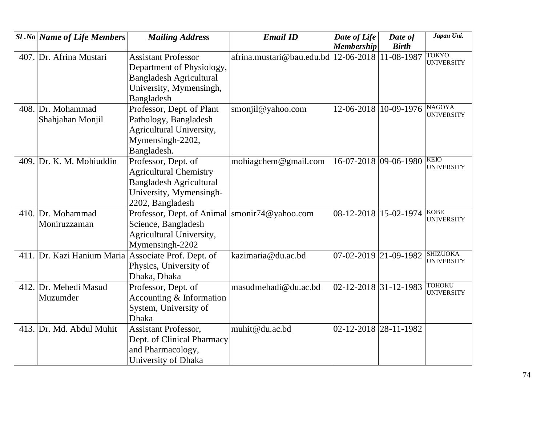| <b>Sl</b> .No Name of Life Members | <b>Mailing Address</b>                              | <b>Email ID</b>                          | Date of Life          | Date of      | Japan Uni.                           |
|------------------------------------|-----------------------------------------------------|------------------------------------------|-----------------------|--------------|--------------------------------------|
|                                    |                                                     |                                          | <b>Membership</b>     | <b>Birth</b> |                                      |
| 407. Dr. Afrina Mustari            | <b>Assistant Professor</b>                          | afrina.mustari@bau.edu.bd $ 12-06-2018 $ |                       | 11-08-1987   | <b>TOKYO</b><br><b>UNIVERSITY</b>    |
|                                    | Department of Physiology,                           |                                          |                       |              |                                      |
|                                    | <b>Bangladesh Agricultural</b>                      |                                          |                       |              |                                      |
|                                    | University, Mymensingh,                             |                                          |                       |              |                                      |
|                                    | Bangladesh                                          |                                          |                       |              |                                      |
| 408. Dr. Mohammad                  | Professor, Dept. of Plant                           | smonjil@yahoo.com                        | 12-06-2018 10-09-1976 |              | <b>NAGOYA</b><br><b>UNIVERSITY</b>   |
| Shahjahan Monjil                   | Pathology, Bangladesh                               |                                          |                       |              |                                      |
|                                    | Agricultural University,                            |                                          |                       |              |                                      |
|                                    | Mymensingh-2202,                                    |                                          |                       |              |                                      |
|                                    | Bangladesh.                                         |                                          |                       |              |                                      |
| 409. Dr. K. M. Mohiuddin           | Professor, Dept. of                                 | mohiagchem@gmail.com                     | 16-07-2018 09-06-1980 |              | <b>KEIO</b><br><b>UNIVERSITY</b>     |
|                                    | <b>Agricultural Chemistry</b>                       |                                          |                       |              |                                      |
|                                    | <b>Bangladesh Agricultural</b>                      |                                          |                       |              |                                      |
|                                    | University, Mymensingh-                             |                                          |                       |              |                                      |
|                                    | 2202, Bangladesh                                    |                                          |                       |              |                                      |
| 410. Dr. Mohammad                  | Professor, Dept. of Animal                          | smonir74@yahoo.com                       | 08-12-2018 15-02-1974 |              | <b>KOBE</b><br><b>UNIVERSITY</b>     |
| Moniruzzaman                       | Science, Bangladesh                                 |                                          |                       |              |                                      |
|                                    | Agricultural University,                            |                                          |                       |              |                                      |
|                                    | Mymensingh-2202                                     |                                          |                       |              |                                      |
|                                    | 411. Dr. Kazi Hanium Maria Associate Prof. Dept. of | kazimaria@du.ac.bd                       | 07-02-2019 21-09-1982 |              | <b>SHIZUOKA</b><br><b>UNIVERSITY</b> |
|                                    | Physics, University of                              |                                          |                       |              |                                      |
|                                    | Dhaka, Dhaka                                        |                                          |                       |              |                                      |
| 412. Dr. Mehedi Masud              | Professor, Dept. of                                 | masudmehadi@du.ac.bd                     | 02-12-2018 31-12-1983 |              | <b>TOHOKU</b><br><b>UNIVERSITY</b>   |
| Muzumder                           | Accounting & Information                            |                                          |                       |              |                                      |
|                                    | System, University of                               |                                          |                       |              |                                      |
|                                    | <b>Dhaka</b>                                        |                                          |                       |              |                                      |
| 413. Dr. Md. Abdul Muhit           | <b>Assistant Professor,</b>                         | muhit@du.ac.bd                           | 02-12-2018 28-11-1982 |              |                                      |
|                                    | Dept. of Clinical Pharmacy                          |                                          |                       |              |                                      |
|                                    | and Pharmacology,                                   |                                          |                       |              |                                      |
|                                    | University of Dhaka                                 |                                          |                       |              |                                      |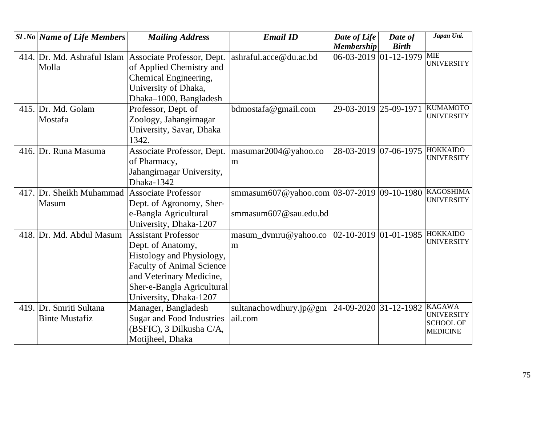| <b>Sl</b> .No Name of Life Members | <b>Mailing Address</b>           | <b>Email ID</b>                                | Date of Life              | Date of                         | Japan Uni.                            |
|------------------------------------|----------------------------------|------------------------------------------------|---------------------------|---------------------------------|---------------------------------------|
|                                    |                                  |                                                | <b>Membership</b>         | <b>Birth</b>                    |                                       |
| 414. Dr. Md. Ashraful Islam        | Associate Professor, Dept.       | ashraful.acce@du.ac.bd                         |                           | $06-03-2019$ 01-12-1979 MIE     | <b>UNIVERSITY</b>                     |
| Molla                              | of Applied Chemistry and         |                                                |                           |                                 |                                       |
|                                    | Chemical Engineering,            |                                                |                           |                                 |                                       |
|                                    | University of Dhaka,             |                                                |                           |                                 |                                       |
|                                    | Dhaka-1000, Bangladesh           |                                                |                           |                                 |                                       |
| 415. Dr. Md. Golam                 | Professor, Dept. of              | bdmostafa@gmail.com                            | 29-03-2019 25-09-1971     |                                 | <b>KUMAMOTO</b>                       |
| Mostafa                            | Zoology, Jahangirnagar           |                                                |                           |                                 | <b>UNIVERSITY</b>                     |
|                                    | University, Savar, Dhaka         |                                                |                           |                                 |                                       |
|                                    | 1342.                            |                                                |                           |                                 |                                       |
| 416. Dr. Runa Masuma               | Associate Professor, Dept.       | masumar2004@yahoo.co                           |                           | 28-03-2019 07-06-1975           | <b>HOKKAIDO</b>                       |
|                                    | of Pharmacy,                     | m                                              |                           |                                 | <b>UNIVERSITY</b>                     |
|                                    | Jahangirnagar University,        |                                                |                           |                                 |                                       |
|                                    | Dhaka-1342                       |                                                |                           |                                 |                                       |
| 417. Dr. Sheikh Muhammad           | <b>Associate Professor</b>       | smmasum607@yahoo.com   03-07-2019   09-10-1980 |                           |                                 | <b>KAGOSHIMA</b>                      |
| Masum                              | Dept. of Agronomy, Sher-         |                                                |                           |                                 | <b>UNIVERSITY</b>                     |
|                                    | e-Bangla Agricultural            | smmasum607@sau.edu.bd                          |                           |                                 |                                       |
|                                    | University, Dhaka-1207           |                                                |                           |                                 |                                       |
| 418. Dr. Md. Abdul Masum           | <b>Assistant Professor</b>       | masum_dvmru@yahoo.co                           | $ 02-10-2019 01-01-1985 $ |                                 | <b>HOKKAIDO</b>                       |
|                                    | Dept. of Anatomy,                | m                                              |                           |                                 | <b>UNIVERSITY</b>                     |
|                                    | Histology and Physiology,        |                                                |                           |                                 |                                       |
|                                    | <b>Faculty of Animal Science</b> |                                                |                           |                                 |                                       |
|                                    | and Veterinary Medicine,         |                                                |                           |                                 |                                       |
|                                    | Sher-e-Bangla Agricultural       |                                                |                           |                                 |                                       |
|                                    | University, Dhaka-1207           |                                                |                           |                                 |                                       |
| 419. Dr. Smriti Sultana            | Manager, Bangladesh              | sultanachowdhury.jp@gm                         |                           | $24$ -09-2020 31-12-1982 KAGAWA |                                       |
| <b>Binte Mustafiz</b>              | <b>Sugar and Food Industries</b> | ail.com                                        |                           |                                 | <b>UNIVERSITY</b><br><b>SCHOOL OF</b> |
|                                    | (BSFIC), 3 Dilkusha C/A,         |                                                |                           |                                 | <b>MEDICINE</b>                       |
|                                    | Motijheel, Dhaka                 |                                                |                           |                                 |                                       |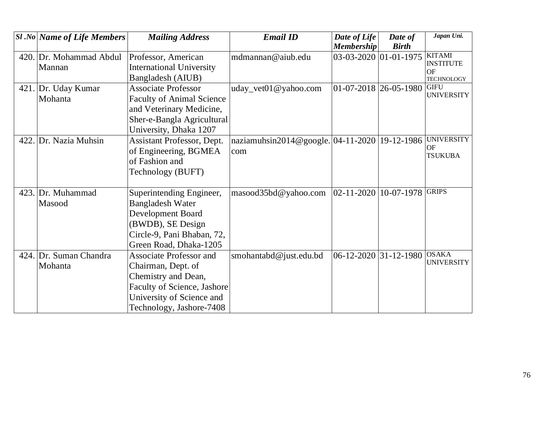|      | <b>Sl</b> .No Name of Life Members | <b>Mailing Address</b>           | <b>Email ID</b>                        | Date of Life                | Date of               | Japan Uni.                        |
|------|------------------------------------|----------------------------------|----------------------------------------|-----------------------------|-----------------------|-----------------------------------|
|      |                                    |                                  |                                        | <b>Membership</b>           | <b>Birth</b>          |                                   |
| 420. | Dr. Mohammad Abdul                 | Professor, American              | mdmannan@aiub.edu                      |                             | 03-03-2020 01-01-1975 | <b>KITAMI</b><br><b>INSTITUTE</b> |
|      | Mannan                             | <b>International University</b>  |                                        |                             |                       | <b>OF</b>                         |
|      |                                    | Bangladesh (AIUB)                |                                        |                             |                       | <b>TECHNOLOGY</b>                 |
|      | 421. Dr. Uday Kumar                | <b>Associate Professor</b>       | uday_vet01@yahoo.com                   | $01 - 07 - 2018$ 26-05-1980 |                       | <b>GIFU</b>                       |
|      | Mohanta                            | <b>Faculty of Animal Science</b> |                                        |                             |                       | <b>UNIVERSITY</b>                 |
|      |                                    | and Veterinary Medicine,         |                                        |                             |                       |                                   |
|      |                                    | Sher-e-Bangla Agricultural       |                                        |                             |                       |                                   |
|      |                                    | University, Dhaka 1207           |                                        |                             |                       |                                   |
|      | 422. Dr. Nazia Muhsin              | Assistant Professor, Dept.       | naziamuhsin2014@google. $ 04-11-2020 $ |                             | 19-12-1986            | <b>UNIVERSITY</b>                 |
|      |                                    | of Engineering, BGMEA            | com                                    |                             |                       | OF                                |
|      |                                    | of Fashion and                   |                                        |                             |                       | <b>TSUKUBA</b>                    |
|      |                                    | Technology (BUFT)                |                                        |                             |                       |                                   |
|      |                                    |                                  |                                        |                             |                       |                                   |
| 423. | Dr. Muhammad                       | Superintending Engineer,         | masood35bd@yahoo.com                   | $ 02 - 11 - 2020 $          | 10-07-1978            | <b>GRIPS</b>                      |
|      | Masood                             | <b>Bangladesh Water</b>          |                                        |                             |                       |                                   |
|      |                                    | Development Board                |                                        |                             |                       |                                   |
|      |                                    | (BWDB), SE Design                |                                        |                             |                       |                                   |
|      |                                    | Circle-9, Pani Bhaban, 72,       |                                        |                             |                       |                                   |
|      |                                    | Green Road, Dhaka-1205           |                                        |                             |                       |                                   |
|      | 424. Dr. Suman Chandra             | <b>Associate Professor and</b>   | smohantabd@just.edu.bd                 | 06-12-2020 31-12-1980       |                       | <b>OSAKA</b>                      |
|      | Mohanta                            | Chairman, Dept. of               |                                        |                             |                       | <b>UNIVERSITY</b>                 |
|      |                                    | Chemistry and Dean,              |                                        |                             |                       |                                   |
|      |                                    | Faculty of Science, Jashore      |                                        |                             |                       |                                   |
|      |                                    | University of Science and        |                                        |                             |                       |                                   |
|      |                                    | Technology, Jashore-7408         |                                        |                             |                       |                                   |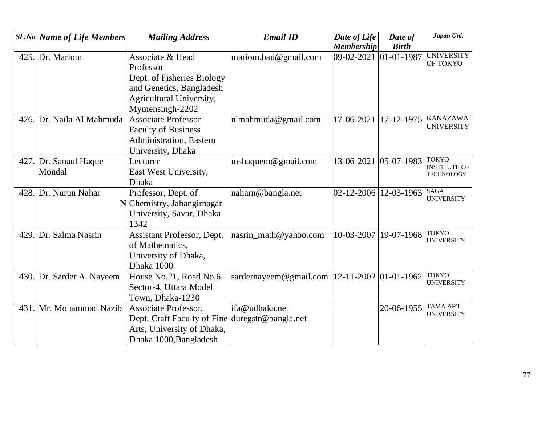|      | $ S1 $ .No Name of Life Members | <b>Mailing Address</b>                          | <b>Email ID</b>        | Date of Life                  | Date of             | Japan Uni.                               |
|------|---------------------------------|-------------------------------------------------|------------------------|-------------------------------|---------------------|------------------------------------------|
|      |                                 |                                                 |                        | <b>Membership</b>             | <b>Birth</b>        |                                          |
|      | 425. Dr. Mariom                 | Associate & Head                                | mariom.bau@gmail.com   | 09-02-2021                    | $ 01 - 01 - 1987$   | <b>UNIVERSITY</b><br>OF TOKYO            |
|      |                                 | Professor                                       |                        |                               |                     |                                          |
|      |                                 | Dept. of Fisheries Biology                      |                        |                               |                     |                                          |
|      |                                 | and Genetics, Bangladesh                        |                        |                               |                     |                                          |
|      |                                 | Agricultural University,                        |                        |                               |                     |                                          |
|      |                                 | Mymensingh-2202                                 |                        |                               |                     |                                          |
|      | 426. Dr. Naila Al Mahmuda       | <b>Associate Professor</b>                      | nlmahmuda@gmail.com    | 17-06-2021                    | 17-12-1975 KANAZAWA |                                          |
|      |                                 | <b>Faculty of Business</b>                      |                        |                               |                     | <b>UNIVERSITY</b>                        |
|      |                                 | Administration, Eastern                         |                        |                               |                     |                                          |
|      |                                 | University, Dhaka                               |                        |                               |                     |                                          |
|      | 427. Dr. Sanaul Haque           | Lecturer                                        | mshaquem@gmail.com     | 13-06-2021                    | $05-07-1983$ TOKYO  |                                          |
|      | Mondal                          | East West University,                           |                        |                               |                     | <b>INSTITUTE OF</b><br><b>TECHNOLOGY</b> |
|      |                                 | <b>Dhaka</b>                                    |                        |                               |                     |                                          |
|      | 428. Dr. Nurun Nahar            | Professor, Dept. of                             | naharn@bangla.net      | $02 - 12 - 2006$   12-03-1963 |                     | <b>SAGA</b><br><b>UNIVERSITY</b>         |
|      |                                 | N Chemistry, Jahangirnagar                      |                        |                               |                     |                                          |
|      |                                 | University, Savar, Dhaka                        |                        |                               |                     |                                          |
|      |                                 | 1342                                            |                        |                               |                     |                                          |
|      | 429. Dr. Salma Nasrin           | Assistant Professor, Dept.                      | nasrin_math@yahoo.com  | 10-03-2007                    | 19-07-1968          | <b>TOKYO</b><br><b>UNIVERSITY</b>        |
|      |                                 | of Mathematics,                                 |                        |                               |                     |                                          |
|      |                                 | University of Dhaka,                            |                        |                               |                     |                                          |
|      |                                 | Dhaka 1000                                      |                        |                               |                     |                                          |
|      | 430. Dr. Sarder A. Nayeem       | House No.21, Road No.6                          | sardernayeem@gmail.com | 12-11-2002 01-01-1962         |                     | <b>TOKYO</b>                             |
|      |                                 | Sector-4, Uttara Model                          |                        |                               |                     | <b>UNIVERSITY</b>                        |
|      |                                 | Town, Dhaka-1230                                |                        |                               |                     |                                          |
| 431. | Mr. Mohammad Nazib              | Associate Professor,                            | ifa@udhaka.net         |                               | 20-06-1955          | <b>TAMA ART</b>                          |
|      |                                 | Dept. Craft Faculty of Fine duregstr@bangla.net |                        |                               |                     | <b>UNIVERSITY</b>                        |
|      |                                 | Arts, University of Dhaka,                      |                        |                               |                     |                                          |
|      |                                 | Dhaka 1000, Bangladesh                          |                        |                               |                     |                                          |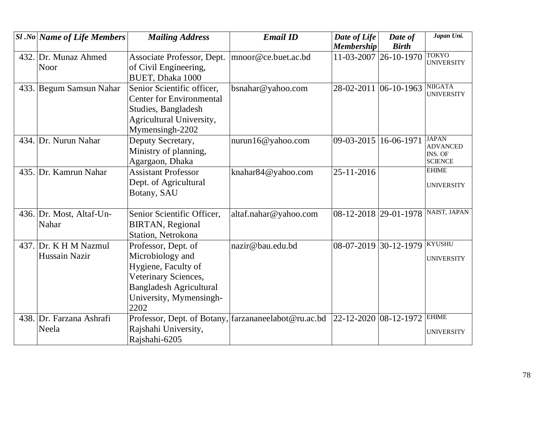| $SI$ .No Name of Life Members | <b>Mailing Address</b>                               | <b>Email ID</b>       | Date of Life          | Date of                      | Japan Uni.                          |
|-------------------------------|------------------------------------------------------|-----------------------|-----------------------|------------------------------|-------------------------------------|
|                               |                                                      |                       | <b>Membership</b>     | <b>Birth</b>                 |                                     |
| 432. Dr. Munaz Ahmed          | Associate Professor, Dept.                           | mnoor@ce.buet.ac.bd   |                       | 11-03-2007 26-10-1970        | <b>TOKYO</b><br><b>UNIVERSITY</b>   |
| Noor                          | of Civil Engineering,                                |                       |                       |                              |                                     |
|                               | BUET, Dhaka 1000                                     |                       |                       |                              |                                     |
| 433. Begum Samsun Nahar       | Senior Scientific officer,                           | bsnahar@yahoo.com     | 28-02-2011 06-10-1963 |                              | <b>NIIGATA</b><br><b>UNIVERSITY</b> |
|                               | <b>Center for Environmental</b>                      |                       |                       |                              |                                     |
|                               | Studies, Bangladesh                                  |                       |                       |                              |                                     |
|                               | Agricultural University,                             |                       |                       |                              |                                     |
|                               | Mymensingh-2202                                      |                       |                       |                              |                                     |
| 434. Dr. Nurun Nahar          | Deputy Secretary,                                    | nurun16@yahoo.com     | 09-03-2015 16-06-1971 |                              | <b>JAPAN</b><br><b>ADVANCED</b>     |
|                               | Ministry of planning,                                |                       |                       |                              | INS. OF                             |
|                               | Agargaon, Dhaka                                      |                       |                       |                              | <b>SCIENCE</b>                      |
| 435. Dr. Kamrun Nahar         | <b>Assistant Professor</b>                           | knahar84@yahoo.com    | 25-11-2016            |                              | <b>EHIME</b>                        |
|                               | Dept. of Agricultural                                |                       |                       |                              | <b>UNIVERSITY</b>                   |
|                               | Botany, SAU                                          |                       |                       |                              |                                     |
|                               |                                                      |                       |                       |                              |                                     |
| 436. Dr. Most, Altaf-Un-      | Senior Scientific Officer,                           | altaf.nahar@yahoo.com | 08-12-2018 29-01-1978 |                              | <b>NAIST, JAPAN</b>                 |
| Nahar                         | <b>BIRTAN, Regional</b>                              |                       |                       |                              |                                     |
|                               | Station, Netrokona                                   |                       |                       |                              |                                     |
| 437. Dr. K H M Nazmul         | Professor, Dept. of                                  | nazir@bau.edu.bd      |                       | 08-07-2019 30-12-1979 KYUSHU |                                     |
| Hussain Nazir                 | Microbiology and                                     |                       |                       |                              | <b>UNIVERSITY</b>                   |
|                               | Hygiene, Faculty of                                  |                       |                       |                              |                                     |
|                               | Veterinary Sciences,                                 |                       |                       |                              |                                     |
|                               | <b>Bangladesh Agricultural</b>                       |                       |                       |                              |                                     |
|                               | University, Mymensingh-                              |                       |                       |                              |                                     |
|                               | 2202                                                 |                       |                       |                              |                                     |
| 438. Dr. Farzana Ashrafi      | Professor, Dept. of Botany, farzananeelabot@ru.ac.bd |                       | 22-12-2020 08-12-1972 |                              | <b>EHIME</b>                        |
| Neela                         | Rajshahi University,                                 |                       |                       |                              | <b>UNIVERSITY</b>                   |
|                               | Rajshahi-6205                                        |                       |                       |                              |                                     |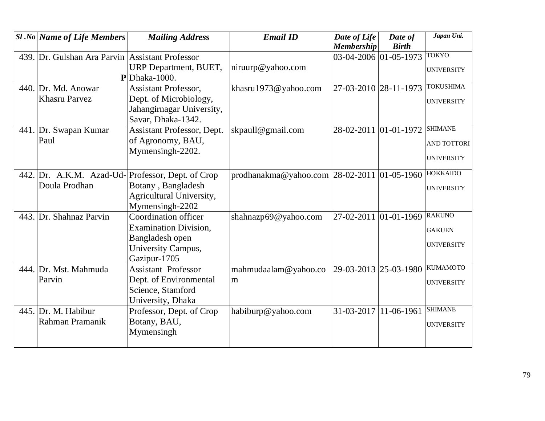| <b>Sl</b> .No Name of Life Members              | <b>Mailing Address</b>       | <b>Email ID</b>                                 | Date of Life          | Date of      | Japan Uni.        |
|-------------------------------------------------|------------------------------|-------------------------------------------------|-----------------------|--------------|-------------------|
|                                                 |                              |                                                 | <b>Membership</b>     | <b>Birth</b> |                   |
| 439. Dr. Gulshan Ara Parvin Assistant Professor |                              |                                                 | 03-04-2006 01-05-1973 |              | <b>TOKYO</b>      |
|                                                 | URP Department, BUET,        | niruurp@yahoo.com                               |                       |              | <b>UNIVERSITY</b> |
|                                                 | $\mathbf{P}$ Dhaka-1000.     |                                                 |                       |              |                   |
| 440. Dr. Md. Anowar                             | <b>Assistant Professor,</b>  | khasru1973@yahoo.com                            | 27-03-2010 28-11-1973 |              | <b>TOKUSHIMA</b>  |
| <b>Khasru Parvez</b>                            | Dept. of Microbiology,       |                                                 |                       |              | <b>UNIVERSITY</b> |
|                                                 | Jahangirnagar University,    |                                                 |                       |              |                   |
|                                                 | Savar, Dhaka-1342.           |                                                 |                       |              |                   |
| 441. Dr. Swapan Kumar                           | Assistant Professor, Dept.   | skpaull@gmail.com                               | 28-02-2011 01-01-1972 |              | <b>SHIMANE</b>    |
| Paul                                            | of Agronomy, BAU,            |                                                 |                       |              | AND TOTTORI       |
|                                                 | Mymensingh-2202.             |                                                 |                       |              |                   |
|                                                 |                              |                                                 |                       |              | <b>UNIVERSITY</b> |
| 442. Dr. A.K.M. Azad-Ud-                        | Professor, Dept. of Crop     | prodhanakma@yahoo.com   28-02-2011   01-05-1960 |                       |              | <b>HOKKAIDO</b>   |
| Doula Prodhan                                   | Botany, Bangladesh           |                                                 |                       |              |                   |
|                                                 | Agricultural University,     |                                                 |                       |              | <b>UNIVERSITY</b> |
|                                                 | Mymensingh-2202              |                                                 |                       |              |                   |
| 443. Dr. Shahnaz Parvin                         | Coordination officer         | shahnazp69@yahoo.com                            | 27-02-2011 01-01-1969 |              | <b>RAKUNO</b>     |
|                                                 | <b>Examination Division,</b> |                                                 |                       |              | <b>GAKUEN</b>     |
|                                                 | Bangladesh open              |                                                 |                       |              |                   |
|                                                 | University Campus,           |                                                 |                       |              | <b>UNIVERSITY</b> |
|                                                 | Gazipur-1705                 |                                                 |                       |              |                   |
| 444. Dr. Mst. Mahmuda                           | <b>Assistant Professor</b>   | mahmudaalam@yahoo.co                            | 29-03-2013 25-03-1980 |              | <b>KUMAMOTO</b>   |
| Parvin                                          | Dept. of Environmental       | m                                               |                       |              | <b>UNIVERSITY</b> |
|                                                 | Science, Stamford            |                                                 |                       |              |                   |
|                                                 | University, Dhaka            |                                                 |                       |              |                   |
| 445. Dr. M. Habibur                             | Professor, Dept. of Crop     | habiburp@yahoo.com                              | 31-03-2017 11-06-1961 |              | <b>SHIMANE</b>    |
| Rahman Pramanik                                 | Botany, BAU,                 |                                                 |                       |              | <b>UNIVERSITY</b> |
|                                                 | Mymensingh                   |                                                 |                       |              |                   |
|                                                 |                              |                                                 |                       |              |                   |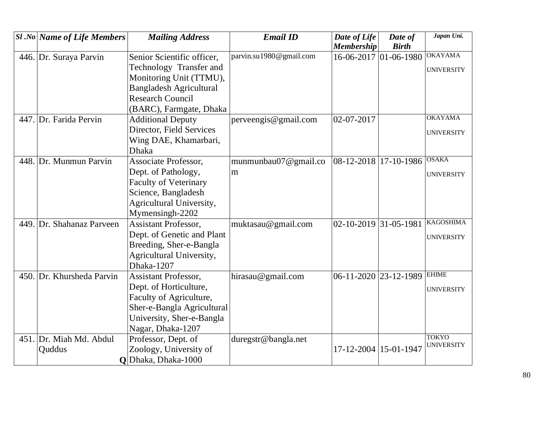| $ S1 $ .No   Name of Life Members | <b>Mailing Address</b>         | <b>Email ID</b>         | Date of Life                    | Date of                       | Japan Uni.        |
|-----------------------------------|--------------------------------|-------------------------|---------------------------------|-------------------------------|-------------------|
|                                   |                                |                         | <b>Membership</b>               | <b>Birth</b>                  |                   |
| 446. Dr. Suraya Parvin            | Senior Scientific officer,     | parvin.su1980@gmail.com |                                 | $16-06-2017$ 01 $-06-1980$    | <b>OKAYAMA</b>    |
|                                   | Technology Transfer and        |                         |                                 |                               | <b>UNIVERSITY</b> |
|                                   | Monitoring Unit (TTMU),        |                         |                                 |                               |                   |
|                                   | <b>Bangladesh Agricultural</b> |                         |                                 |                               |                   |
|                                   | <b>Research Council</b>        |                         |                                 |                               |                   |
|                                   | (BARC), Farmgate, Dhaka        |                         |                                 |                               |                   |
| 447. Dr. Farida Pervin            | <b>Additional Deputy</b>       | perveengis@gmail.com    | 02-07-2017                      |                               | <b>OKAYAMA</b>    |
|                                   | Director, Field Services       |                         |                                 |                               | <b>UNIVERSITY</b> |
|                                   | Wing DAE, Khamarbari,          |                         |                                 |                               |                   |
|                                   | <b>Dhaka</b>                   |                         |                                 |                               |                   |
| 448. Dr. Munmun Parvin            | <b>Associate Professor,</b>    | munmunbau07@gmail.co    | 08-12-2018 17-10-1986 OSAKA     |                               |                   |
|                                   | Dept. of Pathology,            | m                       |                                 |                               | <b>UNIVERSITY</b> |
|                                   | <b>Faculty of Veterinary</b>   |                         |                                 |                               |                   |
|                                   | Science, Bangladesh            |                         |                                 |                               |                   |
|                                   | Agricultural University,       |                         |                                 |                               |                   |
|                                   | Mymensingh-2202                |                         |                                 |                               |                   |
| 449. Dr. Shahanaz Parveen         | <b>Assistant Professor,</b>    | muktasau@gmail.com      | $02 - 10 - 2019$ 31 - 05 - 1981 |                               | <b>KAGOSHIMA</b>  |
|                                   | Dept. of Genetic and Plant     |                         |                                 |                               | <b>UNIVERSITY</b> |
|                                   | Breeding, Sher-e-Bangla        |                         |                                 |                               |                   |
|                                   | Agricultural University,       |                         |                                 |                               |                   |
|                                   | Dhaka-1207                     |                         |                                 |                               |                   |
| 450. Dr. Khursheda Parvin         | Assistant Professor,           | hirasau@gmail.com       |                                 | $06-11-2020$ 23-12-1989 EHIME |                   |
|                                   | Dept. of Horticulture,         |                         |                                 |                               | <b>UNIVERSITY</b> |
|                                   | Faculty of Agriculture,        |                         |                                 |                               |                   |
|                                   | Sher-e-Bangla Agricultural     |                         |                                 |                               |                   |
|                                   | University, Sher-e-Bangla      |                         |                                 |                               |                   |
|                                   | Nagar, Dhaka-1207              |                         |                                 |                               |                   |
| 451. Dr. Miah Md. Abdul           | Professor, Dept. of            | duregstr@bangla.net     |                                 |                               | <b>TOKYO</b>      |
| Quddus                            | Zoology, University of         |                         | 17-12-2004   15-01-1947         |                               | <b>UNIVERSITY</b> |
|                                   | Q Dhaka, Dhaka-1000            |                         |                                 |                               |                   |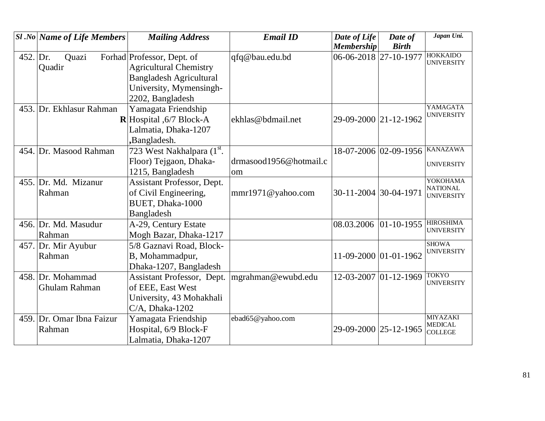|          | <b>Sl</b> .No   Name of Life Members | <b>Mailing Address</b>            | <b>Email ID</b>        | Date of Life          | Date of               | Japan Uni.                            |
|----------|--------------------------------------|-----------------------------------|------------------------|-----------------------|-----------------------|---------------------------------------|
|          |                                      |                                   |                        | <b>Membership</b>     | <b>Birth</b>          | <b>HOKKAIDO</b>                       |
| 452. Dr. | Quazi                                | Forhad Professor, Dept. of        | qfq@bau.edu.bd         | 06-06-2018 27-10-1977 |                       | <b>UNIVERSITY</b>                     |
|          | Quadir                               | <b>Agricultural Chemistry</b>     |                        |                       |                       |                                       |
|          |                                      | <b>Bangladesh Agricultural</b>    |                        |                       |                       |                                       |
|          |                                      | University, Mymensingh-           |                        |                       |                       |                                       |
|          |                                      | 2202, Bangladesh                  |                        |                       |                       |                                       |
|          | 453. Dr. Ekhlasur Rahman             | Yamagata Friendship               |                        |                       |                       | YAMAGATA                              |
|          |                                      | <b>R</b> Hospital $,6/7$ Block-A  | ekhlas@bdmail.net      | 29-09-2000 21-12-1962 |                       | <b>UNIVERSITY</b>                     |
|          |                                      | Lalmatia, Dhaka-1207              |                        |                       |                       |                                       |
|          |                                      | ,Bangladesh.                      |                        |                       |                       |                                       |
|          | 454. Dr. Masood Rahman               | 723 West Nakhalpara (1st.         |                        |                       | 18-07-2006 02-09-1956 | <b>KANAZAWA</b>                       |
|          |                                      | Floor) Tejgaon, Dhaka-            | drmasood1956@hotmail.c |                       |                       | <b>UNIVERSITY</b>                     |
|          |                                      | 1215, Bangladesh                  | om                     |                       |                       |                                       |
|          | 455. Dr. Md. Mizanur                 | <b>Assistant Professor, Dept.</b> |                        |                       |                       | YOKOHAMA                              |
|          | Rahman                               | of Civil Engineering,             | mmr1971@yahoo.com      | 30-11-2004 30-04-1971 |                       | <b>NATIONAL</b><br><b>UNIVERSITY</b>  |
|          |                                      | <b>BUET, Dhaka-1000</b>           |                        |                       |                       |                                       |
|          |                                      | <b>Bangladesh</b>                 |                        |                       |                       |                                       |
|          | 456. Dr. Md. Masudur                 | A-29, Century Estate              |                        | 08.03.2006            | $ 01-10-1955 $        | <b>HIROSHIMA</b><br><b>UNIVERSITY</b> |
|          | Rahman                               | Mogh Bazar, Dhaka-1217            |                        |                       |                       |                                       |
|          | 457. Dr. Mir Ayubur                  | 5/8 Gaznavi Road, Block-          |                        |                       |                       | <b>SHOWA</b>                          |
|          | Rahman                               | B, Mohammadpur,                   |                        | 11-09-2000 01-01-1962 |                       | <b>UNIVERSITY</b>                     |
|          |                                      | Dhaka-1207, Bangladesh            |                        |                       |                       |                                       |
|          | 458. Dr. Mohammad                    | Assistant Professor, Dept.        | mgrahman@ewubd.edu     | 12-03-2007 01-12-1969 |                       | <b>TOKYO</b>                          |
|          | Ghulam Rahman                        | of EEE, East West                 |                        |                       |                       | <b>UNIVERSITY</b>                     |
|          |                                      | University, 43 Mohakhali          |                        |                       |                       |                                       |
|          |                                      | $C/A$ , Dhaka-1202                |                        |                       |                       |                                       |
|          | 459. Dr. Omar Ibna Faizur            | Yamagata Friendship               | ebad65@yahoo.com       |                       |                       | <b>MIYAZAKI</b>                       |
|          | Rahman                               | Hospital, 6/9 Block-F             |                        | 29-09-2000 25-12-1965 |                       | <b>MEDICAL</b><br><b>COLLEGE</b>      |
|          |                                      | Lalmatia, Dhaka-1207              |                        |                       |                       |                                       |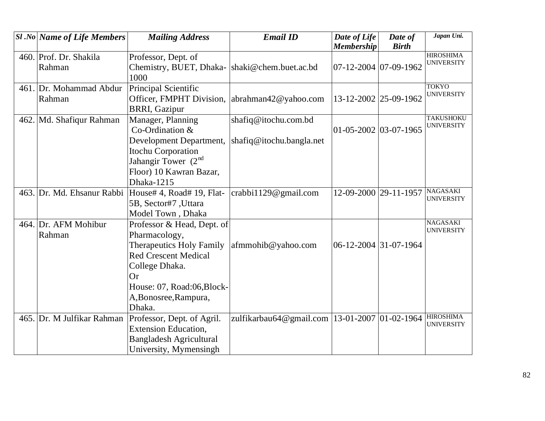| <b>Sl</b> .No Name of Life Members | <b>Mailing Address</b>                                 | <b>Email ID</b>                                   | Date of Life<br><b>Membership</b> | Date of<br><b>Birth</b> | Japan Uni.                            |
|------------------------------------|--------------------------------------------------------|---------------------------------------------------|-----------------------------------|-------------------------|---------------------------------------|
| 460. Prof. Dr. Shakila             |                                                        |                                                   |                                   |                         | <b>HIROSHIMA</b>                      |
| Rahman                             | Professor, Dept. of                                    |                                                   | 07-12-2004 07-09-1962             |                         | <b>UNIVERSITY</b>                     |
|                                    | Chemistry, BUET, Dhaka-  shaki@chem.buet.ac.bd<br>1000 |                                                   |                                   |                         |                                       |
| 461. Dr. Mohammad Abdur            |                                                        |                                                   |                                   |                         | <b>TOKYO</b>                          |
| Rahman                             | Principal Scientific<br>Officer, FMPHT Division,       |                                                   | 13-12-2002 25-09-1962             |                         | <b>UNIVERSITY</b>                     |
|                                    | <b>BRRI, Gazipur</b>                                   | abrahman42@yahoo.com                              |                                   |                         |                                       |
| 462. Md. Shafiqur Rahman           | Manager, Planning                                      | shafiq@itochu.com.bd                              |                                   |                         | <b>TAKUSHOKU</b>                      |
|                                    | Co-Ordination &                                        |                                                   | $01 - 05 - 2002$ 03-07-1965       |                         | <b>UNIVERSITY</b>                     |
|                                    | Development Department,                                | shafiq@itochu.bangla.net                          |                                   |                         |                                       |
|                                    | <b>Itochu Corporation</b>                              |                                                   |                                   |                         |                                       |
|                                    | Jahangir Tower $(2nd)$                                 |                                                   |                                   |                         |                                       |
|                                    | Floor) 10 Kawran Bazar,                                |                                                   |                                   |                         |                                       |
|                                    | Dhaka-1215                                             |                                                   |                                   |                         |                                       |
| 463. Dr. Md. Ehsanur Rabbi         | House# 4, Road# 19, Flat-                              | crabbi1129@gmail.com                              | 12-09-2000 29-11-1957             |                         | <b>NAGASAKI</b>                       |
|                                    | 5B, Sector#7, Uttara                                   |                                                   |                                   |                         | <b>UNIVERSITY</b>                     |
|                                    | Model Town, Dhaka                                      |                                                   |                                   |                         |                                       |
| 464. Dr. AFM Mohibur               | Professor & Head, Dept. of                             |                                                   |                                   |                         | <b>NAGASAKI</b><br><b>UNIVERSITY</b>  |
| Rahman                             | Pharmacology,                                          |                                                   |                                   |                         |                                       |
|                                    | <b>Therapeutics Holy Family</b>                        | afmmohib@yahoo.com                                | 06-12-2004 31-07-1964             |                         |                                       |
|                                    | <b>Red Crescent Medical</b>                            |                                                   |                                   |                         |                                       |
|                                    | College Dhaka.                                         |                                                   |                                   |                         |                                       |
|                                    | <b>Or</b>                                              |                                                   |                                   |                         |                                       |
|                                    | House: 07, Road:06, Block-                             |                                                   |                                   |                         |                                       |
|                                    | A, Bonosree, Rampura,                                  |                                                   |                                   |                         |                                       |
|                                    | Dhaka.                                                 |                                                   |                                   |                         |                                       |
| 465. Dr. M Julfikar Rahman         | Professor, Dept. of Agril.                             | zulfikarbau64@gmail.com   13-01-2007   01-02-1964 |                                   |                         | <b>HIROSHIMA</b><br><b>UNIVERSITY</b> |
|                                    | <b>Extension Education,</b>                            |                                                   |                                   |                         |                                       |
|                                    | <b>Bangladesh Agricultural</b>                         |                                                   |                                   |                         |                                       |
|                                    | University, Mymensingh                                 |                                                   |                                   |                         |                                       |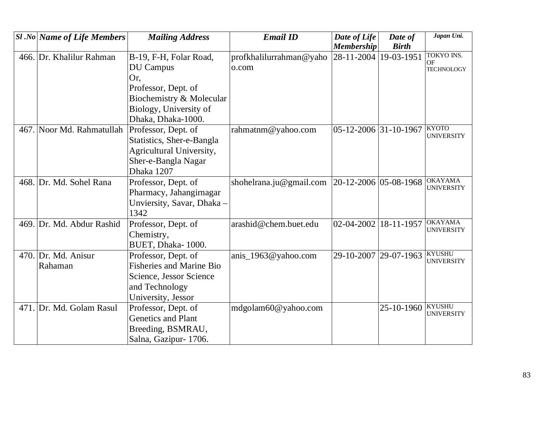| <b>Sl</b> .No Name of Life Members | <b>Mailing Address</b>          | <b>Email ID</b>         | Date of Life          | Date of      | Japan Uni.                          |
|------------------------------------|---------------------------------|-------------------------|-----------------------|--------------|-------------------------------------|
|                                    |                                 |                         | <b>Membership</b>     | <b>Birth</b> |                                     |
| 466. Dr. Khalilur Rahman           | B-19, F-H, Folar Road,          | profkhalilurrahman@yaho | 28-11-2004            | 19-03-1951   | <b>TOKYO INS.</b><br><b>OF</b>      |
|                                    | <b>DU</b> Campus                | o.com                   |                       |              | <b>TECHNOLOGY</b>                   |
|                                    | Or,                             |                         |                       |              |                                     |
|                                    | Professor, Dept. of             |                         |                       |              |                                     |
|                                    | Biochemistry & Molecular        |                         |                       |              |                                     |
|                                    | Biology, University of          |                         |                       |              |                                     |
|                                    | Dhaka, Dhaka-1000.              |                         |                       |              |                                     |
| 467. Noor Md. Rahmatullah          | Professor, Dept. of             | rahmatnm@yahoo.com      | 05-12-2006 31-10-1967 |              | <b>KYOTO</b><br><b>UNIVERSITY</b>   |
|                                    | Statistics, Sher-e-Bangla       |                         |                       |              |                                     |
|                                    | Agricultural University,        |                         |                       |              |                                     |
|                                    | Sher-e-Bangla Nagar             |                         |                       |              |                                     |
|                                    | Dhaka 1207                      |                         |                       |              |                                     |
| 468. Dr. Md. Sohel Rana            | Professor, Dept. of             | shohelrana.ju@gmail.com | 20-12-2006 05-08-1968 |              | <b>OKAYAMA</b><br><b>UNIVERSITY</b> |
|                                    | Pharmacy, Jahangirnagar         |                         |                       |              |                                     |
|                                    | Unviersity, Savar, Dhaka -      |                         |                       |              |                                     |
|                                    | 1342                            |                         |                       |              |                                     |
| 469. Dr. Md. Abdur Rashid          | Professor, Dept. of             | arashid@chem.buet.edu   | 02-04-2002            | 18-11-1957   | <b>OKAYAMA</b><br><b>UNIVERSITY</b> |
|                                    | Chemistry,                      |                         |                       |              |                                     |
|                                    | BUET, Dhaka-1000.               |                         |                       |              |                                     |
| 470. Dr. Md. Anisur                | Professor, Dept. of             | anis_1963@yahoo.com     | 29-10-2007            | 29-07-1963   | <b>KYUSHU</b><br><b>UNIVERSITY</b>  |
| Rahaman                            | <b>Fisheries and Marine Bio</b> |                         |                       |              |                                     |
|                                    | Science, Jessor Science         |                         |                       |              |                                     |
|                                    | and Technology                  |                         |                       |              |                                     |
|                                    | University, Jessor              |                         |                       |              |                                     |
| 471. Dr. Md. Golam Rasul           | Professor, Dept. of             | mdgolam60@yahoo.com     |                       | 25-10-1960   | <b>KYUSHU</b><br><b>UNIVERSITY</b>  |
|                                    | <b>Genetics and Plant</b>       |                         |                       |              |                                     |
|                                    | Breeding, BSMRAU,               |                         |                       |              |                                     |
|                                    | Salna, Gazipur-1706.            |                         |                       |              |                                     |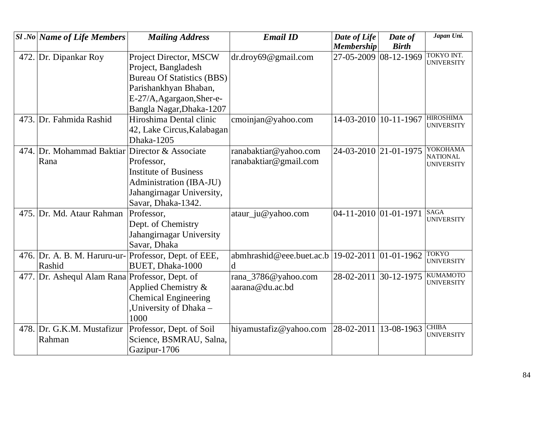|      | <b>Sl</b> .No Name of Life Members             | <b>Mailing Address</b>                                | <b>Email ID</b>                                    | Date of Life            | Date of      | Japan Uni.                             |
|------|------------------------------------------------|-------------------------------------------------------|----------------------------------------------------|-------------------------|--------------|----------------------------------------|
|      |                                                |                                                       |                                                    | <b>Membership</b>       | <b>Birth</b> |                                        |
| 472. | Dr. Dipankar Roy                               | Project Director, MSCW                                | dr.droy69@gmail.com                                | 27-05-2009 08-12-1969   |              | <b>TOKYO INT.</b><br><b>UNIVERSITY</b> |
|      |                                                | Project, Bangladesh                                   |                                                    |                         |              |                                        |
|      |                                                | <b>Bureau Of Statistics (BBS)</b>                     |                                                    |                         |              |                                        |
|      |                                                | Parishankhyan Bhaban,                                 |                                                    |                         |              |                                        |
|      |                                                | E-27/A, Agargaon, Sher-e-                             |                                                    |                         |              |                                        |
|      |                                                | Bangla Nagar, Dhaka-1207                              |                                                    |                         |              |                                        |
|      | 473. Dr. Fahmida Rashid                        | Hiroshima Dental clinic                               | cmoinjan@yahoo.com                                 | 14-03-2010              | $10-11-1967$ | <b>HIROSHIMA</b>                       |
|      |                                                | 42, Lake Circus, Kalabagan                            |                                                    |                         |              | <b>UNIVERSITY</b>                      |
|      |                                                | Dhaka-1205                                            |                                                    |                         |              |                                        |
|      | 474. Dr. Mohammad Baktiar Director & Associate |                                                       | ranabaktiar@yahoo.com                              | 24-03-2010 21-01-1975   |              | YOKOHAMA                               |
|      | Rana                                           | Professor,                                            | ranabaktiar@gmail.com                              |                         |              | <b>NATIONAL</b><br><b>UNIVERSITY</b>   |
|      |                                                | <b>Institute of Business</b>                          |                                                    |                         |              |                                        |
|      |                                                | Administration (IBA-JU)                               |                                                    |                         |              |                                        |
|      |                                                | Jahangirnagar University,                             |                                                    |                         |              |                                        |
|      |                                                | Savar, Dhaka-1342.                                    |                                                    |                         |              |                                        |
|      | 475. Dr. Md. Ataur Rahman                      | Professor,                                            | ataur_ju@yahoo.com                                 | $04-11-2010$ 01-01-1971 |              | <b>SAGA</b><br><b>UNIVERSITY</b>       |
|      |                                                | Dept. of Chemistry                                    |                                                    |                         |              |                                        |
|      |                                                | Jahangirnagar University                              |                                                    |                         |              |                                        |
|      |                                                | Savar, Dhaka                                          |                                                    |                         |              |                                        |
|      |                                                | 476. Dr. A. B. M. Haruru-ur- Professor, Dept. of EEE, | abmhrashid@eee.buet.ac.b   19-02-2011   01-01-1962 |                         |              | <b>TOKYO</b><br><b>UNIVERSITY</b>      |
|      | Rashid                                         | BUET, Dhaka-1000                                      | $\mathbf d$                                        |                         |              |                                        |
| 477. | Dr. Ashequl Alam Rana Professor, Dept. of      |                                                       | rana_3786@yahoo.com                                | 28-02-2011 30-12-1975   |              | <b>KUMAMOTO</b><br><b>UNIVERSITY</b>   |
|      |                                                | Applied Chemistry &                                   | aarana@du.ac.bd                                    |                         |              |                                        |
|      |                                                | <b>Chemical Engineering</b>                           |                                                    |                         |              |                                        |
|      |                                                | University of Dhaka -                                 |                                                    |                         |              |                                        |
|      |                                                | 1000                                                  |                                                    |                         |              |                                        |
|      | 478. Dr. G.K.M. Mustafizur                     | Professor, Dept. of Soil                              | hiyamustafiz@yahoo.com                             | 28-02-2011              | 13-08-1963   | <b>CHIBA</b><br><b>UNIVERSITY</b>      |
|      | Rahman                                         | Science, BSMRAU, Salna,                               |                                                    |                         |              |                                        |
|      |                                                | Gazipur-1706                                          |                                                    |                         |              |                                        |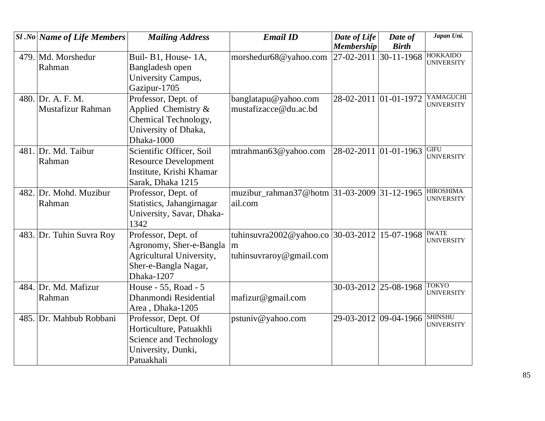| <b>Sl</b> .No Name of Life Members | <b>Mailing Address</b>      | <b>Email ID</b>                                | Date of Life          | Date of               | Japan Uni.                           |
|------------------------------------|-----------------------------|------------------------------------------------|-----------------------|-----------------------|--------------------------------------|
|                                    |                             |                                                | <b>Membership</b>     | <b>Birth</b>          |                                      |
| 479. Md. Morshedur                 | Buil- B1, House- 1A,        | morshedur68@yahoo.com                          | 27-02-2011            | $30-11-1968$          | <b>HOKKAIDO</b><br><b>UNIVERSITY</b> |
| Rahman                             | Bangladesh open             |                                                |                       |                       |                                      |
|                                    | University Campus,          |                                                |                       |                       |                                      |
|                                    | Gazipur-1705                |                                                |                       |                       |                                      |
| 480. Dr. A. F. M.                  | Professor, Dept. of         | banglatapu@yahoo.com                           |                       | 28-02-2011 01-01-1972 | YAMAGUCHI                            |
| Mustafizur Rahman                  | Applied Chemistry &         | mustafizacce@du.ac.bd                          |                       |                       | <b>UNIVERSITY</b>                    |
|                                    | Chemical Technology,        |                                                |                       |                       |                                      |
|                                    | University of Dhaka,        |                                                |                       |                       |                                      |
|                                    | Dhaka-1000                  |                                                |                       |                       |                                      |
| 481. Dr. Md. Taibur                | Scientific Officer, Soil    | mtrahman63@yahoo.com                           | 28-02-2011 01-01-1963 |                       | <b>GIFU</b><br><b>UNIVERSITY</b>     |
| Rahman                             | <b>Resource Development</b> |                                                |                       |                       |                                      |
|                                    | Institute, Krishi Khamar    |                                                |                       |                       |                                      |
|                                    | Sarak, Dhaka 1215           |                                                |                       |                       |                                      |
| 482. Dr. Mohd. Muzibur             | Professor, Dept. of         | muzibur_rahman37@hotm $ 31-03-2009 31-12-1965$ |                       |                       | <b>HIROSHIMA</b>                     |
| Rahman                             | Statistics, Jahangirnagar   | ail.com                                        |                       |                       | <b>UNIVERSITY</b>                    |
|                                    | University, Savar, Dhaka-   |                                                |                       |                       |                                      |
|                                    | 1342                        |                                                |                       |                       |                                      |
| 483. Dr. Tuhin Suvra Roy           | Professor, Dept. of         | tuhinsuvra2002@yahoo.co 30-03-2012 15-07-1968  |                       |                       | <b>IWATE</b><br><b>UNIVERSITY</b>    |
|                                    | Agronomy, Sher-e-Bangla     | m                                              |                       |                       |                                      |
|                                    | Agricultural University,    | tuhinsuvraroy@gmail.com                        |                       |                       |                                      |
|                                    | Sher-e-Bangla Nagar,        |                                                |                       |                       |                                      |
|                                    | Dhaka-1207                  |                                                |                       |                       |                                      |
| 484. Dr. Md. Mafizur               | House - 55, Road - 5        |                                                | 30-03-2012 25-08-1968 |                       | <b>TOKYO</b><br><b>UNIVERSITY</b>    |
| Rahman                             | Dhanmondi Residential       | mafizur@gmail.com                              |                       |                       |                                      |
|                                    | Area, Dhaka-1205            |                                                |                       |                       |                                      |
| 485. Dr. Mahbub Robbani            | Professor, Dept. Of         | pstuniv@yahoo.com                              | 29-03-2012 09-04-1966 |                       | <b>SHINSHU</b><br><b>UNIVERSITY</b>  |
|                                    | Horticulture, Patuakhli     |                                                |                       |                       |                                      |
|                                    | Science and Technology      |                                                |                       |                       |                                      |
|                                    | University, Dunki,          |                                                |                       |                       |                                      |
|                                    | Patuakhali                  |                                                |                       |                       |                                      |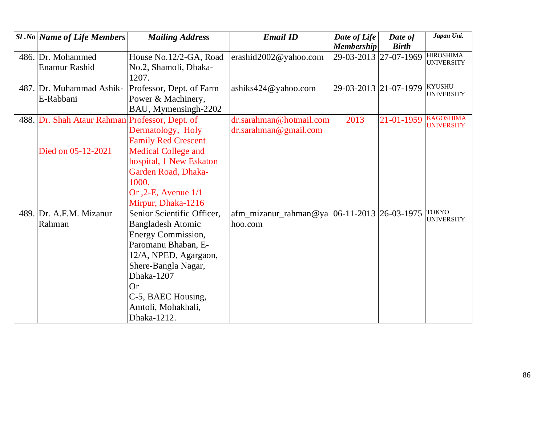|      | $SI$ .No Name of Life Members             | <b>Mailing Address</b>     | <b>Email ID</b>                               | Date of Life<br><b>Membership</b> | Date of<br><b>Birth</b> | Japan Uni.                            |
|------|-------------------------------------------|----------------------------|-----------------------------------------------|-----------------------------------|-------------------------|---------------------------------------|
|      | 486. Dr. Mohammed                         | House No.12/2-GA, Road     | erashid2002@yahoo.com                         | 29-03-2013 27-07-1969             |                         | <b>HIROSHIMA</b>                      |
|      | Enamur Rashid                             | No.2, Shamoli, Dhaka-      |                                               |                                   |                         | <b>UNIVERSITY</b>                     |
|      |                                           | 1207.                      |                                               |                                   |                         |                                       |
|      | 487. Dr. Muhammad Ashik-                  | Professor, Dept. of Farm   | ashiks424@yahoo.com                           | 29-03-2013 21-07-1979             |                         | <b>KYUSHU</b>                         |
|      | E-Rabbani                                 | Power & Machinery,         |                                               |                                   |                         | <b>UNIVERSITY</b>                     |
|      |                                           | BAU, Mymensingh-2202       |                                               |                                   |                         |                                       |
| 488. | Dr. Shah Ataur Rahman Professor, Dept. of |                            | dr.sarahman@hotmail.com                       | 2013                              | 21-01-1959              | <b>KAGOSHIMA</b><br><b>UNIVERSITY</b> |
|      |                                           | Dermatology, Holy          | dr.sarahman@gmail.com                         |                                   |                         |                                       |
|      |                                           | <b>Family Red Crescent</b> |                                               |                                   |                         |                                       |
|      | Died on 05-12-2021                        | <b>Medical College and</b> |                                               |                                   |                         |                                       |
|      |                                           | hospital, 1 New Eskaton    |                                               |                                   |                         |                                       |
|      |                                           | <b>Garden Road, Dhaka-</b> |                                               |                                   |                         |                                       |
|      |                                           | 1000.                      |                                               |                                   |                         |                                       |
|      |                                           | Or $,2$ -E, Avenue $1/1$   |                                               |                                   |                         |                                       |
|      |                                           | Mirpur, Dhaka-1216         |                                               |                                   |                         |                                       |
| 489. | Dr. A.F.M. Mizanur                        | Senior Scientific Officer, | afm_mizanur_rahman@ya  06-11-2013  26-03-1975 |                                   |                         | <b>TOKYO</b><br><b>UNIVERSITY</b>     |
|      | Rahman                                    | <b>Bangladesh Atomic</b>   | hoo.com                                       |                                   |                         |                                       |
|      |                                           | <b>Energy Commission,</b>  |                                               |                                   |                         |                                       |
|      |                                           | Paromanu Bhaban, E-        |                                               |                                   |                         |                                       |
|      |                                           | 12/A, NPED, Agargaon,      |                                               |                                   |                         |                                       |
|      |                                           | Shere-Bangla Nagar,        |                                               |                                   |                         |                                       |
|      |                                           | Dhaka-1207                 |                                               |                                   |                         |                                       |
|      |                                           | <b>Or</b>                  |                                               |                                   |                         |                                       |
|      |                                           | C-5, BAEC Housing,         |                                               |                                   |                         |                                       |
|      |                                           | Amtoli, Mohakhali,         |                                               |                                   |                         |                                       |
|      |                                           | Dhaka-1212.                |                                               |                                   |                         |                                       |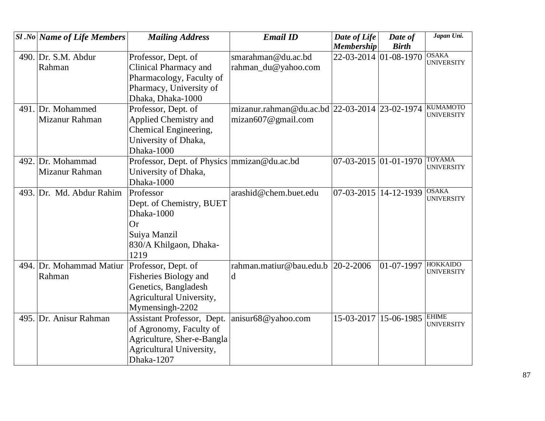|      | <b>Sl</b> .No Name of Life Members | <b>Mailing Address</b>                        | <b>Email ID</b>                               | Date of Life                    | Date of               | Japan Uni.                        |
|------|------------------------------------|-----------------------------------------------|-----------------------------------------------|---------------------------------|-----------------------|-----------------------------------|
|      |                                    |                                               |                                               | <b>Membership</b>               | <b>Birth</b>          |                                   |
|      | 490. Dr. S.M. Abdur                | Professor, Dept. of                           | smarahman@du.ac.bd                            | 22-03-2014 01-08-1970           |                       | <b>OSAKA</b><br><b>UNIVERSITY</b> |
|      | Rahman                             | Clinical Pharmacy and                         | rahman_du@yahoo.com                           |                                 |                       |                                   |
|      |                                    | Pharmacology, Faculty of                      |                                               |                                 |                       |                                   |
|      |                                    | Pharmacy, University of                       |                                               |                                 |                       |                                   |
|      |                                    | Dhaka, Dhaka-1000                             |                                               |                                 |                       |                                   |
|      | 491. Dr. Mohammed                  | Professor, Dept. of                           | mizanur.rahman@du.ac.bd 22-03-2014 23-02-1974 |                                 |                       | <b>KUMAMOTO</b>                   |
|      | Mizanur Rahman                     | Applied Chemistry and                         | mizan $607@$ gmail.com                        |                                 |                       | <b>UNIVERSITY</b>                 |
|      |                                    | Chemical Engineering,                         |                                               |                                 |                       |                                   |
|      |                                    | University of Dhaka,                          |                                               |                                 |                       |                                   |
|      |                                    | Dhaka-1000                                    |                                               |                                 |                       |                                   |
| 492. | Dr. Mohammad                       | Professor, Dept. of Physics   mmizan@du.ac.bd |                                               | $07 - 03 - 2015$ 01 - 01 - 1970 |                       | <b>TOYAMA</b>                     |
|      | Mizanur Rahman                     | University of Dhaka,                          |                                               |                                 |                       | <b>UNIVERSITY</b>                 |
|      |                                    | Dhaka-1000                                    |                                               |                                 |                       |                                   |
| 493. | Dr. Md. Abdur Rahim                | Professor                                     | arashid@chem.buet.edu                         | 07-03-2015                      | 14-12-1939            | <b>OSAKA</b>                      |
|      |                                    | Dept. of Chemistry, BUET                      |                                               |                                 |                       | <b>UNIVERSITY</b>                 |
|      |                                    | Dhaka-1000                                    |                                               |                                 |                       |                                   |
|      |                                    | Or                                            |                                               |                                 |                       |                                   |
|      |                                    | Suiya Manzil                                  |                                               |                                 |                       |                                   |
|      |                                    | 830/A Khilgaon, Dhaka-                        |                                               |                                 |                       |                                   |
|      |                                    | 1219                                          |                                               |                                 |                       |                                   |
|      | 494. Dr. Mohammad Matiur           | Professor, Dept. of                           | rahman.matiur@bau.edu.b                       | $20 - 2 - 2006$                 | 01-07-1997            | <b>HOKKAIDO</b>                   |
|      | Rahman                             | <b>Fisheries Biology and</b>                  | d                                             |                                 |                       | <b>UNIVERSITY</b>                 |
|      |                                    | Genetics, Bangladesh                          |                                               |                                 |                       |                                   |
|      |                                    | Agricultural University,                      |                                               |                                 |                       |                                   |
|      |                                    | Mymensingh-2202                               |                                               |                                 |                       |                                   |
|      | 495. Dr. Anisur Rahman             | Assistant Professor, Dept.                    | anisur68@yahoo.com                            |                                 | 15-03-2017 15-06-1985 | <b>EHIME</b><br><b>UNIVERSITY</b> |
|      |                                    | of Agronomy, Faculty of                       |                                               |                                 |                       |                                   |
|      |                                    | Agriculture, Sher-e-Bangla                    |                                               |                                 |                       |                                   |
|      |                                    | Agricultural University,                      |                                               |                                 |                       |                                   |
|      |                                    | Dhaka-1207                                    |                                               |                                 |                       |                                   |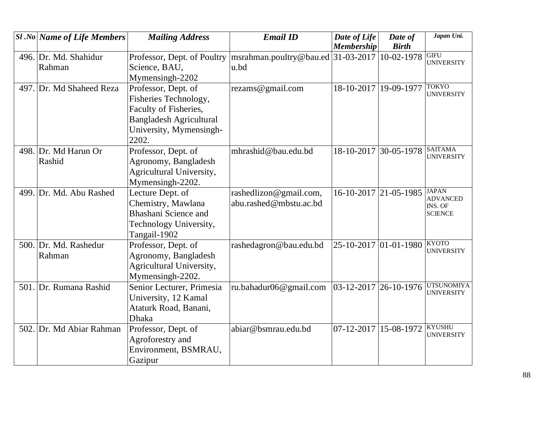|      | <b>Sl.No Name of Life Members</b> | <b>Mailing Address</b>                                                                                                                      | <b>Email ID</b>                                  | Date of Life<br><b>Membership</b> | Date of<br><b>Birth</b> | Japan Uni.                                                   |
|------|-----------------------------------|---------------------------------------------------------------------------------------------------------------------------------------------|--------------------------------------------------|-----------------------------------|-------------------------|--------------------------------------------------------------|
|      | 496. Dr. Md. Shahidur<br>Rahman   | Professor, Dept. of Poultry<br>Science, BAU,<br>Mymensingh-2202                                                                             | msrahman.poultry@bau.ed 31-03-2017<br>u.bd       |                                   | 10-02-1978              | <b>GIFU</b><br><b>UNIVERSITY</b>                             |
|      | 497. Dr. Md Shaheed Reza          | Professor, Dept. of<br>Fisheries Technology,<br>Faculty of Fisheries,<br><b>Bangladesh Agricultural</b><br>University, Mymensingh-<br>2202. | rezams@gmail.com                                 | 18-10-2017 19-09-1977             |                         | <b>TOKYO</b><br><b>UNIVERSITY</b>                            |
|      | 498. Dr. Md Harun Or<br>Rashid    | Professor, Dept. of<br>Agronomy, Bangladesh<br>Agricultural University,<br>Mymensingh-2202.                                                 | mhrashid@bau.edu.bd                              | 18-10-2017 30-05-1978             |                         | <b>SAITAMA</b><br><b>UNIVERSITY</b>                          |
|      | 499. Dr. Md. Abu Rashed           | Lecture Dept. of<br>Chemistry, Mawlana<br><b>Bhashani Science and</b><br>Technology University,<br>Tangail-1902                             | rashedlizon@gmail.com,<br>abu.rashed@mbstu.ac.bd |                                   | $16-10-2017$ 21-05-1985 | <b>JAPAN</b><br><b>ADVANCED</b><br>INS. OF<br><b>SCIENCE</b> |
|      | 500. Dr. Md. Rashedur<br>Rahman   | Professor, Dept. of<br>Agronomy, Bangladesh<br>Agricultural University,<br>Mymensingh-2202.                                                 | rashedagron@bau.edu.bd                           | 25-10-2017 01-01-1980             |                         | <b>KYOTO</b><br><b>UNIVERSITY</b>                            |
|      | 501. Dr. Rumana Rashid            | Senior Lecturer, Primesia<br>University, 12 Kamal<br>Ataturk Road, Banani,<br><b>Dhaka</b>                                                  | ru.bahadur06@gmail.com                           | $ 03-12-2017 26-10-1976 $         |                         | <b>UTSUNOMIYA</b><br><b>UNIVERSITY</b>                       |
| 502. | Dr. Md Abiar Rahman               | Professor, Dept. of<br>Agroforestry and<br>Environment, BSMRAU,<br>Gazipur                                                                  | abiar@bsmrau.edu.bd                              | 07-12-2017 15-08-1972             |                         | <b>KYUSHU</b><br><b>UNIVERSITY</b>                           |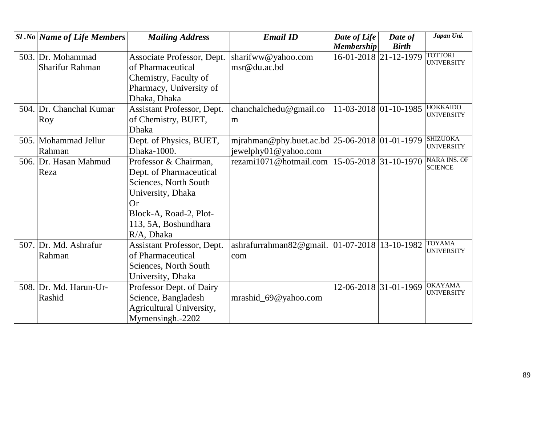| <b>Sl</b> .No   Name of Life Members | <b>Mailing Address</b>            | <b>Email ID</b>                               | Date of Life             | Date of      | Japan Uni.                          |
|--------------------------------------|-----------------------------------|-----------------------------------------------|--------------------------|--------------|-------------------------------------|
|                                      |                                   |                                               | <b>Membership</b>        | <b>Birth</b> |                                     |
| 503. Dr. Mohammad                    | Associate Professor, Dept.        | sharifww@yahoo.com                            | 16-01-2018 21-12-1979    |              | <b>TOTTORI</b><br><b>UNIVERSITY</b> |
| <b>Sharifur Rahman</b>               | of Pharmaceutical                 | msr@du.ac.bd                                  |                          |              |                                     |
|                                      | Chemistry, Faculty of             |                                               |                          |              |                                     |
|                                      | Pharmacy, University of           |                                               |                          |              |                                     |
|                                      | Dhaka, Dhaka                      |                                               |                          |              |                                     |
| 504. Dr. Chanchal Kumar              | Assistant Professor, Dept.        | chanchalchedu@gmail.co                        | 11-03-2018 01-10-1985    |              | <b>HOKKAIDO</b>                     |
| Roy                                  | of Chemistry, BUET,               | m                                             |                          |              | <b>UNIVERSITY</b>                   |
|                                      | <b>Dhaka</b>                      |                                               |                          |              |                                     |
| 505. Mohammad Jellur                 | Dept. of Physics, BUET,           | mjrahman@phy.buet.ac.bd 25-06-2018 01-01-1979 |                          |              | <b>SHIZUOKA</b>                     |
| Rahman                               | Dhaka-1000.                       | jewelphy01@yahoo.com                          |                          |              | <b>UNIVERSITY</b>                   |
| 506. Dr. Hasan Mahmud                | Professor & Chairman,             | rezami1071@hotmail.com                        | 15-05-2018 31-10-1970    |              | <b>NARA INS. OF</b>                 |
| Reza                                 | Dept. of Pharmaceutical           |                                               |                          |              | <b>SCIENCE</b>                      |
|                                      | Sciences, North South             |                                               |                          |              |                                     |
|                                      | University, Dhaka                 |                                               |                          |              |                                     |
|                                      | <b>Or</b>                         |                                               |                          |              |                                     |
|                                      | Block-A, Road-2, Plot-            |                                               |                          |              |                                     |
|                                      | 113, 5A, Boshundhara              |                                               |                          |              |                                     |
|                                      | R/A, Dhaka                        |                                               |                          |              |                                     |
| 507. Dr. Md. Ashrafur                | <b>Assistant Professor, Dept.</b> | ashrafurrahman82@gmail.                       | $ 01-07-2018 13-10-1982$ |              | <b>TOYAMA</b><br><b>UNIVERSITY</b>  |
| Rahman                               | of Pharmaceutical                 | com                                           |                          |              |                                     |
|                                      | Sciences, North South             |                                               |                          |              |                                     |
|                                      | University, Dhaka                 |                                               |                          |              |                                     |
| 508. Dr. Md. Harun-Ur-               | Professor Dept. of Dairy          |                                               | 12-06-2018 31-01-1969    |              | <b>OKAYAMA</b><br><b>UNIVERSITY</b> |
| Rashid                               | Science, Bangladesh               | mrashid_69@yahoo.com                          |                          |              |                                     |
|                                      | Agricultural University,          |                                               |                          |              |                                     |
|                                      | Mymensingh.-2202                  |                                               |                          |              |                                     |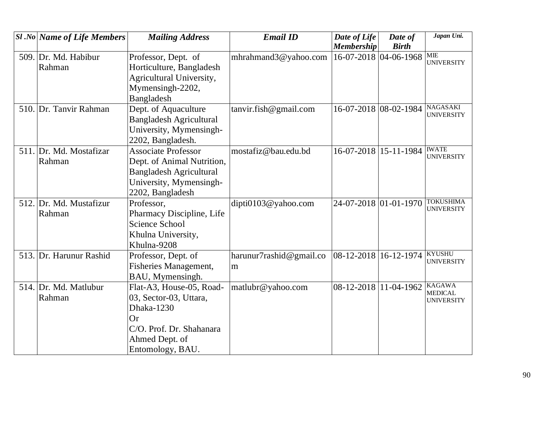| <b>Sl</b> .No Name of Life Members | <b>Mailing Address</b>         | <b>Email ID</b>         | Date of Life          | Date of               | Japan Uni.                          |
|------------------------------------|--------------------------------|-------------------------|-----------------------|-----------------------|-------------------------------------|
|                                    |                                |                         | <b>Membership</b>     | <b>Birth</b>          |                                     |
| 509. Dr. Md. Habibur               | Professor, Dept. of            | mhrahmand3@yahoo.com    | 16-07-2018 04-06-1968 |                       | MIE<br><b>UNIVERSITY</b>            |
| Rahman                             | Horticulture, Bangladesh       |                         |                       |                       |                                     |
|                                    | Agricultural University,       |                         |                       |                       |                                     |
|                                    | Mymensingh-2202,               |                         |                       |                       |                                     |
|                                    | Bangladesh                     |                         |                       |                       |                                     |
| 510. Dr. Tanvir Rahman             | Dept. of Aquaculture           | tanvir.fish@gmail.com   |                       | 16-07-2018 08-02-1984 | <b>NAGASAKI</b>                     |
|                                    | <b>Bangladesh Agricultural</b> |                         |                       |                       | <b>UNIVERSITY</b>                   |
|                                    | University, Mymensingh-        |                         |                       |                       |                                     |
|                                    | 2202, Bangladesh.              |                         |                       |                       |                                     |
| 511. Dr. Md. Mostafizar            | <b>Associate Professor</b>     | mostafiz@bau.edu.bd     | 16-07-2018 15-11-1984 |                       | <b>IWATE</b>                        |
| Rahman                             | Dept. of Animal Nutrition,     |                         |                       |                       | <b>UNIVERSITY</b>                   |
|                                    | <b>Bangladesh Agricultural</b> |                         |                       |                       |                                     |
|                                    | University, Mymensingh-        |                         |                       |                       |                                     |
|                                    | 2202, Bangladesh               |                         |                       |                       |                                     |
| 512. Dr. Md. Mustafizur            | Professor,                     | dipti0103@yahoo.com     | 24-07-2018 01-01-1970 |                       | <b>TOKUSHIMA</b>                    |
| Rahman                             | Pharmacy Discipline, Life      |                         |                       |                       | <b>UNIVERSITY</b>                   |
|                                    | Science School                 |                         |                       |                       |                                     |
|                                    | Khulna University,             |                         |                       |                       |                                     |
|                                    | Khulna-9208                    |                         |                       |                       |                                     |
| 513. Dr. Harunur Rashid            | Professor, Dept. of            | harunur7rashid@gmail.co | 08-12-2018            | 16-12-1974            | <b>KYUSHU</b>                       |
|                                    | <b>Fisheries Management,</b>   | m                       |                       |                       | <b>UNIVERSITY</b>                   |
|                                    | BAU, Mymensingh.               |                         |                       |                       |                                     |
| 514. Dr. Md. Matlubur              | Flat-A3, House-05, Road-       | matlubr@yahoo.com       | 08-12-2018 11-04-1962 |                       | <b>KAGAWA</b>                       |
| Rahman                             | 03, Sector-03, Uttara,         |                         |                       |                       | <b>MEDICAL</b><br><b>UNIVERSITY</b> |
|                                    | Dhaka-1230                     |                         |                       |                       |                                     |
|                                    | Or                             |                         |                       |                       |                                     |
|                                    | C/O. Prof. Dr. Shahanara       |                         |                       |                       |                                     |
|                                    | Ahmed Dept. of                 |                         |                       |                       |                                     |
|                                    | Entomology, BAU.               |                         |                       |                       |                                     |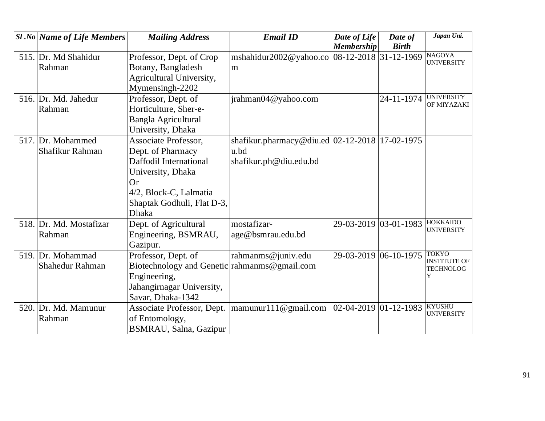| <b>Sl</b> .No Name of Life Members | <b>Mailing Address</b>                       | <b>Email ID</b>                                   | Date of Life              | Date of               | Japan Uni.                           |
|------------------------------------|----------------------------------------------|---------------------------------------------------|---------------------------|-----------------------|--------------------------------------|
|                                    |                                              |                                                   | <b>Membership</b>         | <b>Birth</b>          |                                      |
| 515. Dr. Md Shahidur               | Professor, Dept. of Crop                     | mshahidur2002@yahoo.co 08-12-2018 31-12-1969      |                           |                       | <b>NAGOYA</b><br><b>UNIVERSITY</b>   |
| Rahman                             | Botany, Bangladesh                           | m                                                 |                           |                       |                                      |
|                                    | Agricultural University,                     |                                                   |                           |                       |                                      |
|                                    | Mymensingh-2202                              |                                                   |                           |                       |                                      |
| 516. Dr. Md. Jahedur               | Professor, Dept. of                          | jrahman04@yahoo.com                               |                           | 24-11-1974            | <b>UNIVERSITY</b><br>OF MIYAZAKI     |
| Rahman                             | Horticulture, Sher-e-                        |                                                   |                           |                       |                                      |
|                                    | <b>Bangla Agricultural</b>                   |                                                   |                           |                       |                                      |
|                                    | University, Dhaka                            |                                                   |                           |                       |                                      |
| 517. Dr. Mohammed                  | <b>Associate Professor,</b>                  | shafikur.pharmacy@diu.ed $ 02-12-2018 17-02-1975$ |                           |                       |                                      |
| Shafikur Rahman                    | Dept. of Pharmacy                            | u.bd                                              |                           |                       |                                      |
|                                    | Daffodil International                       | shafikur.ph@diu.edu.bd                            |                           |                       |                                      |
|                                    | University, Dhaka                            |                                                   |                           |                       |                                      |
|                                    | Or                                           |                                                   |                           |                       |                                      |
|                                    | 4/2, Block-C, Lalmatia                       |                                                   |                           |                       |                                      |
|                                    | Shaptak Godhuli, Flat D-3,                   |                                                   |                           |                       |                                      |
|                                    | <b>Dhaka</b>                                 |                                                   |                           |                       |                                      |
| 518. Dr. Md. Mostafizar            | Dept. of Agricultural                        | mostafizar-                                       | 29-03-2019 03-01-1983     |                       | <b>HOKKAIDO</b><br><b>UNIVERSITY</b> |
| Rahman                             | Engineering, BSMRAU,                         | age@bsmrau.edu.bd                                 |                           |                       |                                      |
|                                    | Gazipur.                                     |                                                   |                           |                       |                                      |
| 519. Dr. Mohammad                  | Professor, Dept. of                          | rahmanms@juniv.edu                                |                           | 29-03-2019 06-10-1975 | <b>TOKYO</b><br><b>INSTITUTE OF</b>  |
| Shahedur Rahman                    | Biotechnology and Genetic rahmanms@gmail.com |                                                   |                           |                       | <b>TECHNOLOG</b>                     |
|                                    | Engineering,                                 |                                                   |                           |                       | Y                                    |
|                                    | Jahangirnagar University,                    |                                                   |                           |                       |                                      |
|                                    | Savar, Dhaka-1342                            |                                                   |                           |                       |                                      |
| 520. Dr. Md. Mamunur               | Associate Professor, Dept.                   | mannu <sub>111</sub> @g <sub>1</sub>              | $ 02-04-2019 01-12-1983 $ |                       | <b>KYUSHU</b>                        |
| Rahman                             | of Entomology,                               |                                                   |                           |                       | <b>UNIVERSITY</b>                    |
|                                    | BSMRAU, Salna, Gazipur                       |                                                   |                           |                       |                                      |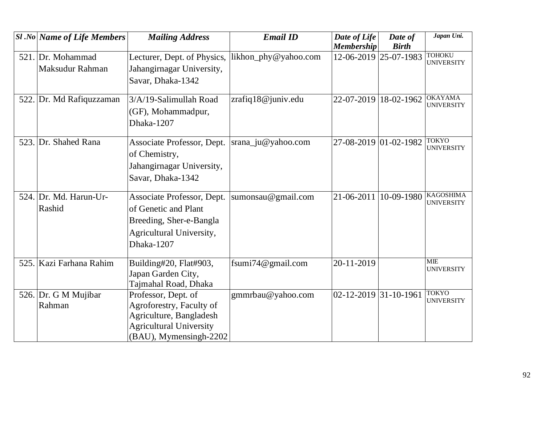| <b>Sl</b> .No Name of Life Members   | <b>Mailing Address</b>                                                                                                                 | <b>Email ID</b>      | Date of Life<br><b>Membership</b> | Date of<br><b>Birth</b> | Japan Uni.                            |
|--------------------------------------|----------------------------------------------------------------------------------------------------------------------------------------|----------------------|-----------------------------------|-------------------------|---------------------------------------|
| 521. Dr. Mohammad<br>Maksudur Rahman | Lecturer, Dept. of Physics,<br>Jahangirnagar University,<br>Savar, Dhaka-1342                                                          | likhon_phy@yahoo.com | 12-06-2019 25-07-1983             |                         | <b>TOHOKU</b><br><b>UNIVERSITY</b>    |
| 522. Dr. Md Rafiquzzaman             | 3/A/19-Salimullah Road<br>(GF), Mohammadpur,<br>Dhaka-1207                                                                             | zrafiq18@juniv.edu   | 22-07-2019                        | 18-02-1962              | <b>OKAYAMA</b><br><b>UNIVERSITY</b>   |
| 523. Dr. Shahed Rana                 | Associate Professor, Dept.<br>of Chemistry,<br>Jahangirnagar University,<br>Savar, Dhaka-1342                                          | srana_ju@yahoo.com   | 27-08-2019 01-02-1982             |                         | <b>TOKYO</b><br><b>UNIVERSITY</b>     |
| 524. Dr. Md. Harun-Ur-<br>Rashid     | Associate Professor, Dept.<br>of Genetic and Plant<br>Breeding, Sher-e-Bangla<br>Agricultural University,<br>Dhaka-1207                | sumonsau@gmail.com   | 21-06-2011                        | 10-09-1980              | <b>KAGOSHIMA</b><br><b>UNIVERSITY</b> |
| 525. Kazi Farhana Rahim              | Building#20, Flat#903,<br>Japan Garden City,<br>Tajmahal Road, Dhaka                                                                   | fsumi74@gmail.com    | 20-11-2019                        |                         | <b>MIE</b><br><b>UNIVERSITY</b>       |
| 526. Dr. G M Mujibar<br>Rahman       | Professor, Dept. of<br>Agroforestry, Faculty of<br>Agriculture, Bangladesh<br><b>Agricultural University</b><br>(BAU), Mymensingh-2202 | gmmrbau@yahoo.com    | 02-12-2019 31-10-1961             |                         | <b>TOKYO</b><br><b>UNIVERSITY</b>     |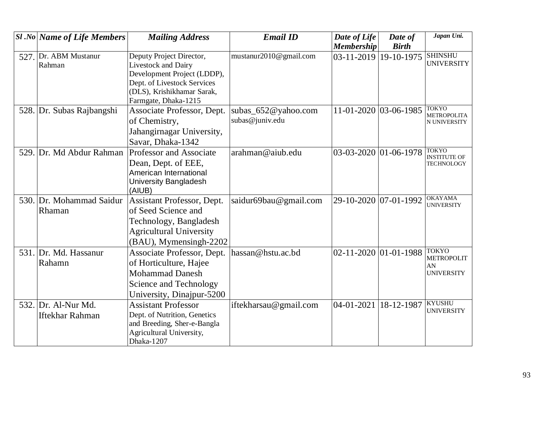|      | <b>Sl</b> .No Name of Life Members            | <b>Mailing Address</b>                                                                                                                  | <b>Email ID</b>                            | Date of Life            | Date of      | Japan Uni.                                                   |
|------|-----------------------------------------------|-----------------------------------------------------------------------------------------------------------------------------------------|--------------------------------------------|-------------------------|--------------|--------------------------------------------------------------|
|      |                                               |                                                                                                                                         |                                            | <b>Membership</b>       | <b>Birth</b> |                                                              |
| 527. | Dr. ABM Mustanur<br>Rahman                    | Deputy Project Director,<br>Livestock and Dairy<br>Development Project (LDDP),<br>Dept. of Livestock Services                           | mustanur2010@gmail.com                     | $03-11-2019$ 19-10-1975 |              | <b>SHINSHU</b><br><b>UNIVERSITY</b>                          |
|      |                                               | (DLS), Krishikhamar Sarak,<br>Farmgate, Dhaka-1215                                                                                      |                                            |                         |              |                                                              |
|      | 528. Dr. Subas Rajbangshi                     | Associate Professor, Dept.<br>of Chemistry,<br>Jahangirnagar University,<br>Savar, Dhaka-1342                                           | subas_652 $@$ yahoo.com<br>subas@juniv.edu | 11-01-2020 03-06-1985   |              | <b>TOKYO</b><br><b>METROPOLITA</b><br>N UNIVERSITY           |
|      | 529. Dr. Md Abdur Rahman                      | Professor and Associate<br>Dean, Dept. of EEE,<br>American International<br>University Bangladesh<br>(AIUB)                             | arahman@aiub.edu                           | 03-03-2020 01-06-1978   |              | <b>TOKYO</b><br><b>INSTITUTE OF</b><br><b>TECHNOLOGY</b>     |
|      | 530. Dr. Mohammad Saidur<br>Rhaman            | Assistant Professor, Dept.<br>of Seed Science and<br>Technology, Bangladesh<br><b>Agricultural University</b><br>(BAU), Mymensingh-2202 | saidur69bau@gmail.com                      | 29-10-2020              | 07-01-1992   | <b>OKAYAMA</b><br><b>UNIVERSITY</b>                          |
|      | 531. Dr. Md. Hassanur<br>Rahamn               | Associate Professor, Dept.<br>of Horticulture, Hajee<br>Mohammad Danesh<br>Science and Technology<br>University, Dinajpur-5200          | hassan@hstu.ac.bd                          | 02-11-2020 01-01-1988   |              | <b>TOKYO</b><br><b>METROPOLIT</b><br>AN<br><b>UNIVERSITY</b> |
|      | 532. Dr. Al-Nur Md.<br><b>Iftekhar Rahman</b> | <b>Assistant Professor</b><br>Dept. of Nutrition, Genetics<br>and Breeding, Sher-e-Bangla<br>Agricultural University,<br>Dhaka-1207     | iftekharsau@gmail.com                      | 04-01-2021              | 18-12-1987   | <b>KYUSHU</b><br><b>UNIVERSITY</b>                           |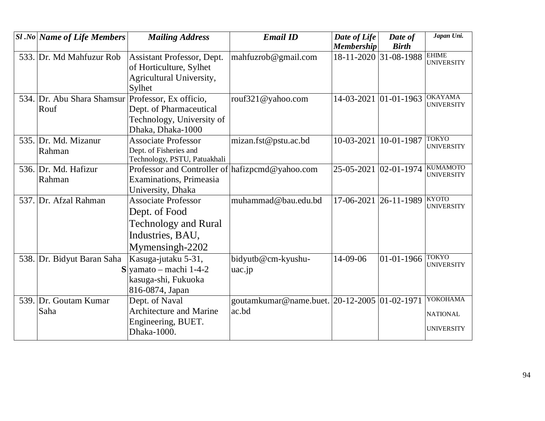| $ S1.No $ Name of Life Members                            | <b>Mailing Address</b>                                                                                            | <b>Email ID</b>                                       | Date of Life<br><b>Membership</b> | Date of<br><b>Birth</b> | Japan Uni.                                       |
|-----------------------------------------------------------|-------------------------------------------------------------------------------------------------------------------|-------------------------------------------------------|-----------------------------------|-------------------------|--------------------------------------------------|
| 533. Dr. Md Mahfuzur Rob                                  | Assistant Professor, Dept.<br>of Horticulture, Sylhet<br>Agricultural University,<br>Sylhet                       | mahfuzrob@gmail.com                                   |                                   | 18-11-2020 31-08-1988   | <b>EHIME</b><br><b>UNIVERSITY</b>                |
| 534. Dr. Abu Shara Shamsur Professor, Ex officio,<br>Rouf | Dept. of Pharmaceutical<br>Technology, University of<br>Dhaka, Dhaka-1000                                         | rouf321@yahoo.com                                     | 14-03-2021 01-01-1963             |                         | <b>OKAYAMA</b><br><b>UNIVERSITY</b>              |
| 535. Dr. Md. Mizanur<br>Rahman                            | <b>Associate Professor</b><br>Dept. of Fisheries and<br>Technology, PSTU, Patuakhali                              | mizan.fst@pstu.ac.bd                                  | 10-03-2021                        | 10-01-1987              | <b>TOKYO</b><br><b>UNIVERSITY</b>                |
| 536. Dr. Md. Hafizur<br>Rahman                            | Professor and Controller of hafizpcmd@yahoo.com<br><b>Examinations</b> , Primeasia<br>University, Dhaka           |                                                       | 25-05-2021 02-01-1974             |                         | <b>KUMAMOTO</b><br><b>UNIVERSITY</b>             |
| 537. Dr. Afzal Rahman                                     | <b>Associate Professor</b><br>Dept. of Food<br><b>Technology and Rural</b><br>Industries, BAU,<br>Mymensingh-2202 | muhammad@bau.edu.bd                                   | 17-06-2021                        | $26-11-1989$ KYOTO      | <b>UNIVERSITY</b>                                |
| 538. Dr. Bidyut Baran Saha<br>S                           | Kasuga-jutaku 5-31,<br>yamato - machi 1-4-2<br>kasuga-shi, Fukuoka<br>816-0874, Japan                             | bidyutb@cm-kyushu-<br>uac.jp                          | 14-09-06                          | $01 - 01 - 1966$ TOKYO  | <b>UNIVERSITY</b>                                |
| 539. Dr. Goutam Kumar<br>Saha                             | Dept. of Naval<br><b>Architecture and Marine</b><br>Engineering, BUET.<br>Dhaka-1000.                             | goutamkumar@name.buet. 20-12-2005 01-02-1971<br>ac.bd |                                   |                         | YOKOHAMA<br><b>NATIONAL</b><br><b>UNIVERSITY</b> |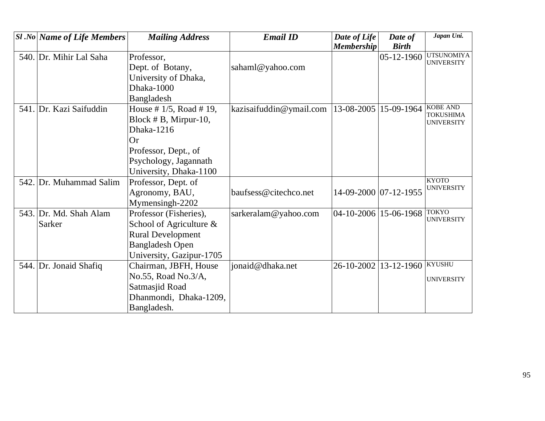| $ S1.No $ Name of Life Members | <b>Mailing Address</b>     | <b>Email ID</b>         | Date of Life            | Date of          | Japan Uni.                             |
|--------------------------------|----------------------------|-------------------------|-------------------------|------------------|----------------------------------------|
|                                |                            |                         | Membership              | <b>Birth</b>     |                                        |
| 540. Dr. Mihir Lal Saha        | Professor,                 |                         |                         | $05 - 12 - 1960$ | <b>UTSUNOMIYA</b><br><b>UNIVERSITY</b> |
|                                | Dept. of Botany,           | sahaml@yahoo.com        |                         |                  |                                        |
|                                | University of Dhaka,       |                         |                         |                  |                                        |
|                                | Dhaka-1000                 |                         |                         |                  |                                        |
|                                | Bangladesh                 |                         |                         |                  |                                        |
| 541. Dr. Kazi Saifuddin        | House # $1/5$ , Road # 19, | kazisaifuddin@ymail.com | 13-08-2005              | 15-09-1964       | <b>KOBE AND</b><br><b>TOKUSHIMA</b>    |
|                                | Block $# B$ , Mirpur-10,   |                         |                         |                  | <b>UNIVERSITY</b>                      |
|                                | Dhaka-1216                 |                         |                         |                  |                                        |
|                                | Or                         |                         |                         |                  |                                        |
|                                | Professor, Dept., of       |                         |                         |                  |                                        |
|                                | Psychology, Jagannath      |                         |                         |                  |                                        |
|                                | University, Dhaka-1100     |                         |                         |                  |                                        |
| 542. Dr. Muhammad Salim        | Professor, Dept. of        |                         |                         |                  | <b>KYOTO</b>                           |
|                                | Agronomy, BAU,             | baufsess@citechco.net   | 14-09-2000 07-12-1955   |                  | <b>UNIVERSITY</b>                      |
|                                | Mymensingh-2202            |                         |                         |                  |                                        |
| 543. Dr. Md. Shah Alam         | Professor (Fisheries),     | sarkeralam@yahoo.com    | $04-10-2006$ 15-06-1968 |                  | <b>TOKYO</b>                           |
| Sarker                         | School of Agriculture $\&$ |                         |                         |                  | <b>UNIVERSITY</b>                      |
|                                | <b>Rural Development</b>   |                         |                         |                  |                                        |
|                                | <b>Bangladesh Open</b>     |                         |                         |                  |                                        |
|                                | University, Gazipur-1705   |                         |                         |                  |                                        |
| 544. Dr. Jonaid Shafiq         | Chairman, JBFH, House      | jonaid@dhaka.net        | 26-10-2002              | $13 - 12 - 1960$ | <b>KYUSHU</b>                          |
|                                | No.55, Road No.3/A,        |                         |                         |                  | <b>UNIVERSITY</b>                      |
|                                | Satmasjid Road             |                         |                         |                  |                                        |
|                                | Dhanmondi, Dhaka-1209,     |                         |                         |                  |                                        |
|                                | Bangladesh.                |                         |                         |                  |                                        |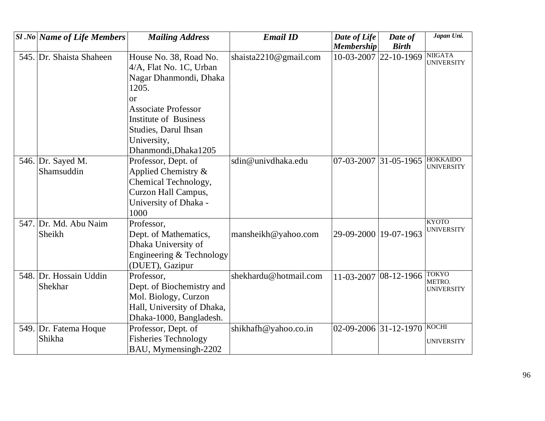| <b>Sl</b> .No Name of Life Members | <b>Mailing Address</b>                                                      | <b>Email ID</b>           | Date of Life            | Date of               | Japan Uni.                           |
|------------------------------------|-----------------------------------------------------------------------------|---------------------------|-------------------------|-----------------------|--------------------------------------|
|                                    |                                                                             |                           | <b>Membership</b>       | <b>Birth</b>          |                                      |
| 545. Dr. Shaista Shaheen           | House No. 38, Road No.<br>4/A, Flat No. 1C, Urban<br>Nagar Dhanmondi, Dhaka | shaista $2210@$ gmail.com | 10-03-2007 22-10-1969   |                       | <b>NIIGATA</b><br><b>UNIVERSITY</b>  |
|                                    | 1205.                                                                       |                           |                         |                       |                                      |
|                                    | <b>or</b>                                                                   |                           |                         |                       |                                      |
|                                    | <b>Associate Professor</b>                                                  |                           |                         |                       |                                      |
|                                    | <b>Institute of Business</b>                                                |                           |                         |                       |                                      |
|                                    | <b>Studies, Darul Ihsan</b>                                                 |                           |                         |                       |                                      |
|                                    | University,                                                                 |                           |                         |                       |                                      |
|                                    | Dhanmondi, Dhaka1205                                                        |                           |                         |                       |                                      |
| 546. Dr. Sayed M.                  | Professor, Dept. of                                                         | sdin@univdhaka.edu        | 07-03-2007              | $ 31-05-1965 $        | <b>HOKKAIDO</b><br><b>UNIVERSITY</b> |
| Shamsuddin                         | Applied Chemistry $\&$                                                      |                           |                         |                       |                                      |
|                                    | Chemical Technology,                                                        |                           |                         |                       |                                      |
|                                    | Curzon Hall Campus,                                                         |                           |                         |                       |                                      |
|                                    | University of Dhaka -                                                       |                           |                         |                       |                                      |
|                                    | 1000                                                                        |                           |                         |                       |                                      |
| 547. Dr. Md. Abu Naim              | Professor,                                                                  |                           |                         |                       | <b>KYOTO</b>                         |
| Sheikh                             | Dept. of Mathematics,                                                       | mansheikh@yahoo.com       | 29-09-2000 19-07-1963   |                       | <b>UNIVERSITY</b>                    |
|                                    | Dhaka University of                                                         |                           |                         |                       |                                      |
|                                    | Engineering & Technology                                                    |                           |                         |                       |                                      |
|                                    | (DUET), Gazipur                                                             |                           |                         |                       |                                      |
| 548. Dr. Hossain Uddin             | Professor,                                                                  | shekhardu@hotmail.com     |                         | 11-03-2007 08-12-1966 | <b>TOKYO</b>                         |
| Shekhar                            | Dept. of Biochemistry and                                                   |                           |                         |                       | METRO.<br><b>UNIVERSITY</b>          |
|                                    | Mol. Biology, Curzon                                                        |                           |                         |                       |                                      |
|                                    | Hall, University of Dhaka,                                                  |                           |                         |                       |                                      |
|                                    | Dhaka-1000, Bangladesh.                                                     |                           |                         |                       |                                      |
| 549. Dr. Fatema Hoque              | Professor, Dept. of                                                         | shikhafh@yahoo.co.in      | $02-09-2006$ 31-12-1970 |                       | KOCHI                                |
| Shikha                             | <b>Fisheries Technology</b>                                                 |                           |                         |                       | <b>UNIVERSITY</b>                    |
|                                    | BAU, Mymensingh-2202                                                        |                           |                         |                       |                                      |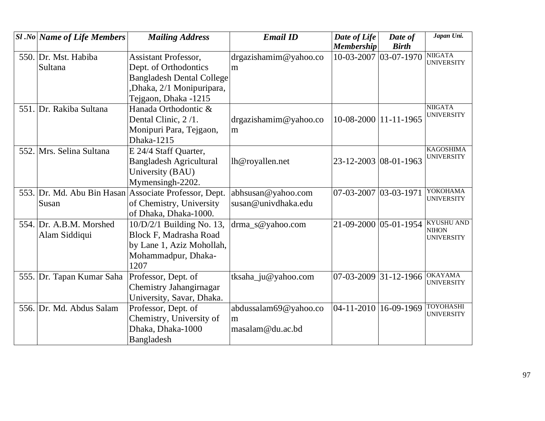|      | <b>Sl</b> .No Name of Life Members | <b>Mailing Address</b>                                | <b>Email ID</b>       | Date of Life            | Date of          | Japan Uni.                          |
|------|------------------------------------|-------------------------------------------------------|-----------------------|-------------------------|------------------|-------------------------------------|
|      |                                    |                                                       |                       | <b>Membership</b>       | <b>Birth</b>     |                                     |
|      | 550. Dr. Mst. Habiba               | <b>Assistant Professor,</b>                           | drgazishamim@yahoo.co | $10-03-2007$ 03-07-1970 |                  | <b>NIIGATA</b><br><b>UNIVERSITY</b> |
|      | Sultana                            | Dept. of Orthodontics                                 | m                     |                         |                  |                                     |
|      |                                    | <b>Bangladesh Dental College</b>                      |                       |                         |                  |                                     |
|      |                                    | Dhaka, 2/1 Monipuripara,                              |                       |                         |                  |                                     |
|      |                                    | Tejgaon, Dhaka -1215                                  |                       |                         |                  |                                     |
|      | 551. Dr. Rakiba Sultana            | Hanada Orthodontic &                                  |                       |                         |                  | <b>NIIGATA</b>                      |
|      |                                    | Dental Clinic, 2/1.                                   | drgazishamin@yahoo.co | 10-08-2000   11-11-1965 |                  | <b>UNIVERSITY</b>                   |
|      |                                    | Monipuri Para, Tejgaon,                               | m                     |                         |                  |                                     |
|      |                                    | Dhaka-1215                                            |                       |                         |                  |                                     |
|      | 552. Mrs. Selina Sultana           | E 24/4 Staff Quarter,                                 |                       |                         |                  | <b>KAGOSHIMA</b>                    |
|      |                                    | <b>Bangladesh Agricultural</b>                        | lh@royallen.net       | 23-12-2003 08-01-1963   |                  | <b>UNIVERSITY</b>                   |
|      |                                    | University (BAU)                                      |                       |                         |                  |                                     |
|      |                                    | Mymensingh-2202.                                      |                       |                         |                  |                                     |
|      |                                    | 553. Dr. Md. Abu Bin Hasan Associate Professor, Dept. | abhsusan@yahoo.com    | 07-03-2007 03-03-1971   |                  | YOKOHAMA                            |
|      | Susan                              | of Chemistry, University                              | susan@univdhaka.edu   |                         |                  | <b>UNIVERSITY</b>                   |
|      |                                    | of Dhaka, Dhaka-1000.                                 |                       |                         |                  |                                     |
|      | 554. Dr. A.B.M. Morshed            | $10/D/2/1$ Building No. 13,                           | drma_s@yahoo.com      | 21-09-2000 05-01-1954   |                  | <b>KYUSHU AND</b><br><b>NIHON</b>   |
|      | Alam Siddiqui                      | <b>Block F, Madrasha Road</b>                         |                       |                         |                  | <b>UNIVERSITY</b>                   |
|      |                                    | by Lane 1, Aziz Mohollah,                             |                       |                         |                  |                                     |
|      |                                    | Mohammadpur, Dhaka-                                   |                       |                         |                  |                                     |
|      |                                    | 1207                                                  |                       |                         |                  |                                     |
|      | 555. Dr. Tapan Kumar Saha          | Professor, Dept. of                                   | tksaha_ju@yahoo.com   | 07-03-2009              | $31 - 12 - 1966$ | <b>OKAYAMA</b>                      |
|      |                                    | Chemistry Jahangirnagar                               |                       |                         |                  | <b>UNIVERSITY</b>                   |
|      |                                    | University, Savar, Dhaka.                             |                       |                         |                  |                                     |
| 556. | Dr. Md. Abdus Salam                | Professor, Dept. of                                   | abdussalam69@yahoo.co | 04-11-2010              | 16-09-1969       | <b>TOYOHASHI</b>                    |
|      |                                    | Chemistry, University of                              | m                     |                         |                  | <b>UNIVERSITY</b>                   |
|      |                                    | Dhaka, Dhaka-1000                                     | masalam@du.ac.bd      |                         |                  |                                     |
|      |                                    | Bangladesh                                            |                       |                         |                  |                                     |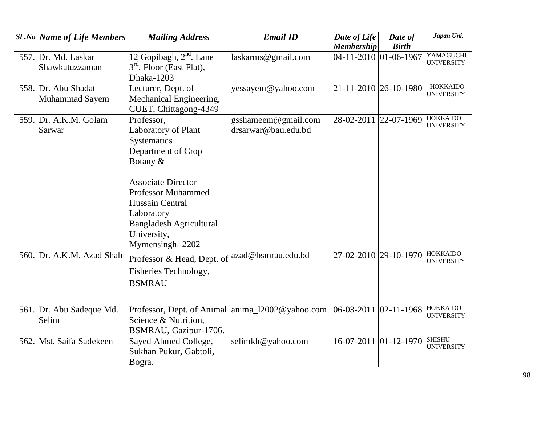|      | <b>Sl</b> .No Name of Life Members    | <b>Mailing Address</b>                                                                                                                                                                                                                            | <b>Email ID</b>                            | Date of Life<br><b>Membership</b> | Date of<br><b>Birth</b> | Japan Uni.                           |
|------|---------------------------------------|---------------------------------------------------------------------------------------------------------------------------------------------------------------------------------------------------------------------------------------------------|--------------------------------------------|-----------------------------------|-------------------------|--------------------------------------|
|      | 557. Dr. Md. Laskar<br>Shawkatuzzaman | 12 Gopibagh, $2nd$ . Lane<br>3 <sup>rd</sup> . Floor (East Flat),<br>Dhaka-1203                                                                                                                                                                   | laskarms@gmail.com                         | 04-11-2010 01-06-1967             |                         | YAMAGUCHI<br><b>UNIVERSITY</b>       |
|      | 558. Dr. Abu Shadat<br>Muhammad Sayem | Lecturer, Dept. of<br>Mechanical Engineering,<br>CUET, Chittagong-4349                                                                                                                                                                            | yessayem@yahoo.com                         | 21-11-2010 26-10-1980             |                         | <b>HOKKAIDO</b><br><b>UNIVERSITY</b> |
|      | 559. Dr. A.K.M. Golam<br>Sarwar       | Professor,<br>Laboratory of Plant<br>Systematics<br>Department of Crop<br>Botany &<br><b>Associate Director</b><br><b>Professor Muhammed</b><br>Hussain Central<br>Laboratory<br><b>Bangladesh Agricultural</b><br>University,<br>Mymensingh-2202 | gsshameem@gmail.com<br>drsarwar@bau.edu.bd | 28-02-2011 22-07-1969             |                         | <b>HOKKAIDO</b><br><b>UNIVERSITY</b> |
|      | 560. Dr. A.K.M. Azad Shah             | Professor & Head, Dept. of<br>Fisheries Technology,<br><b>BSMRAU</b>                                                                                                                                                                              | azad@bsmrau.edu.bd                         | 27-02-2010 29-10-1970             |                         | <b>HOKKAIDO</b><br><b>UNIVERSITY</b> |
|      | 561. Dr. Abu Sadeque Md.<br>Selim     | Professor, Dept. of Animal anima_12002@yahoo.com<br>Science & Nutrition,<br>BSMRAU, Gazipur-1706.                                                                                                                                                 |                                            | 06-03-2011 02-11-1968             |                         | <b>HOKKAIDO</b><br><b>UNIVERSITY</b> |
| 562. | Mst. Saifa Sadekeen                   | Sayed Ahmed College,<br>Sukhan Pukur, Gabtoli,<br>Bogra.                                                                                                                                                                                          | selimkh@yahoo.com                          | 16-07-2011 01-12-1970             |                         | <b>SHISHU</b><br><b>UNIVERSITY</b>   |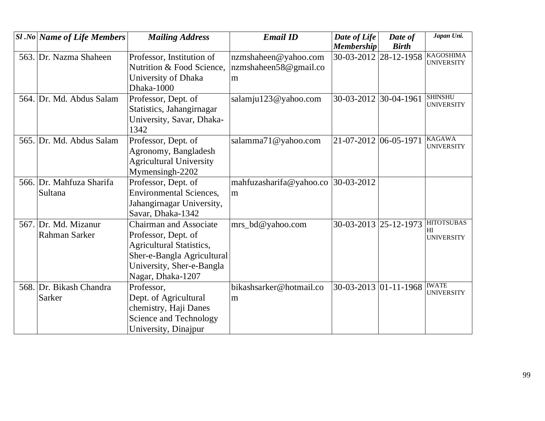|      | <b>Sl</b> .No Name of Life Members | <b>Mailing Address</b>          | <b>Email ID</b>         | Date of Life          | Date of               | Japan Uni.                            |
|------|------------------------------------|---------------------------------|-------------------------|-----------------------|-----------------------|---------------------------------------|
|      |                                    |                                 |                         | <b>Membership</b>     | <b>Birth</b>          |                                       |
|      | 563. Dr. Nazma Shaheen             | Professor, Institution of       | nzmshaheen@yahoo.com    | 30-03-2012 28-12-1958 |                       | <b>KAGOSHIMA</b><br><b>UNIVERSITY</b> |
|      |                                    | Nutrition & Food Science,       | nzmshaheen58@gmail.co   |                       |                       |                                       |
|      |                                    | University of Dhaka             | m                       |                       |                       |                                       |
|      |                                    | Dhaka-1000                      |                         |                       |                       |                                       |
| 564. | Dr. Md. Abdus Salam                | Professor, Dept. of             | salamju123@yahoo.com    | 30-03-2012 30-04-1961 |                       | <b>SHINSHU</b>                        |
|      |                                    | Statistics, Jahangirnagar       |                         |                       |                       | <b>UNIVERSITY</b>                     |
|      |                                    | University, Savar, Dhaka-       |                         |                       |                       |                                       |
|      |                                    | 1342                            |                         |                       |                       |                                       |
|      | 565. Dr. Md. Abdus Salam           | Professor, Dept. of             | salamma71@yahoo.com     | 21-07-2012 06-05-1971 |                       | <b>KAGAWA</b>                         |
|      |                                    | Agronomy, Bangladesh            |                         |                       |                       | <b>UNIVERSITY</b>                     |
|      |                                    | <b>Agricultural University</b>  |                         |                       |                       |                                       |
|      |                                    | Mymensingh-2202                 |                         |                       |                       |                                       |
|      | 566. Dr. Mahfuza Sharifa           | Professor, Dept. of             | mahfuzasharifa@yahoo.co | $ 30-03-2012 $        |                       |                                       |
|      | Sultana                            | <b>Environmental Sciences,</b>  | m                       |                       |                       |                                       |
|      |                                    | Jahangirnagar University,       |                         |                       |                       |                                       |
|      |                                    | Savar, Dhaka-1342               |                         |                       |                       |                                       |
|      | 567. Dr. Md. Mizanur               | Chairman and Associate          | mrs_bd@yahoo.com        | 30-03-2013 25-12-1973 |                       | <b>HITOTSUBAS</b>                     |
|      | Rahman Sarker                      | Professor, Dept. of             |                         |                       |                       | H <sub>I</sub><br><b>UNIVERSITY</b>   |
|      |                                    | <b>Agricultural Statistics,</b> |                         |                       |                       |                                       |
|      |                                    | Sher-e-Bangla Agricultural      |                         |                       |                       |                                       |
|      |                                    | University, Sher-e-Bangla       |                         |                       |                       |                                       |
|      |                                    | Nagar, Dhaka-1207               |                         |                       |                       |                                       |
|      | 568. Dr. Bikash Chandra            | Professor,                      | bikashsarker@hotmail.co |                       | 30-03-2013 01-11-1968 | <b>IWATE</b><br><b>UNIVERSITY</b>     |
|      | Sarker                             | Dept. of Agricultural           | m                       |                       |                       |                                       |
|      |                                    | chemistry, Haji Danes           |                         |                       |                       |                                       |
|      |                                    | Science and Technology          |                         |                       |                       |                                       |
|      |                                    | University, Dinajpur            |                         |                       |                       |                                       |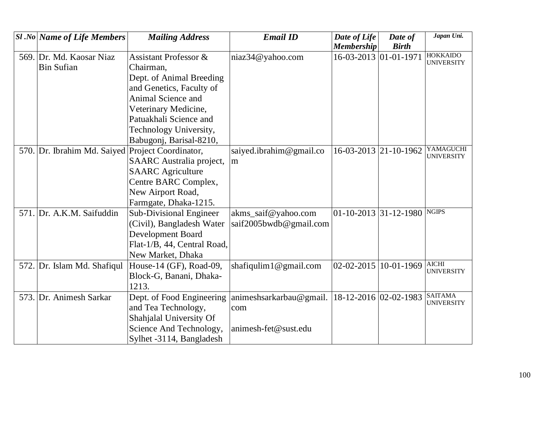| $ S1 $ .No Name of Life Members                  | <b>Mailing Address</b>           | <b>Email ID</b>         | Date of Life          | Date of      | Japan Uni.                           |
|--------------------------------------------------|----------------------------------|-------------------------|-----------------------|--------------|--------------------------------------|
|                                                  |                                  |                         | <b>Membership</b>     | <b>Birth</b> |                                      |
| 569. Dr. Md. Kaosar Niaz                         | <b>Assistant Professor &amp;</b> | niaz34@yahoo.com        | 16-03-2013 01-01-1971 |              | <b>HOKKAIDO</b><br><b>UNIVERSITY</b> |
| <b>Bin Sufian</b>                                | Chairman,                        |                         |                       |              |                                      |
|                                                  | Dept. of Animal Breeding         |                         |                       |              |                                      |
|                                                  | and Genetics, Faculty of         |                         |                       |              |                                      |
|                                                  | Animal Science and               |                         |                       |              |                                      |
|                                                  | Veterinary Medicine,             |                         |                       |              |                                      |
|                                                  | Patuakhali Science and           |                         |                       |              |                                      |
|                                                  | Technology University,           |                         |                       |              |                                      |
|                                                  | Babugonj, Barisal-8210,          |                         |                       |              |                                      |
| 570. Dr. Ibrahim Md. Saiyed Project Coordinator, |                                  | saiyed.ibrahim@gmail.co | 16-03-2013 21-10-1962 |              | YAMAGUCHI<br><b>UNIVERSITY</b>       |
|                                                  | <b>SAARC</b> Australia project,  | m                       |                       |              |                                      |
|                                                  | <b>SAARC</b> Agriculture         |                         |                       |              |                                      |
|                                                  | Centre BARC Complex,             |                         |                       |              |                                      |
|                                                  | New Airport Road,                |                         |                       |              |                                      |
|                                                  | Farmgate, Dhaka-1215.            |                         |                       |              |                                      |
| 571. Dr. A.K.M. Saifuddin                        | Sub-Divisional Engineer          | akms_saif@yahoo.com     | 01-10-2013 31-12-1980 |              | <b>NGIPS</b>                         |
|                                                  | (Civil), Bangladesh Water        | saif2005bwdb@gmail.com  |                       |              |                                      |
|                                                  | Development Board                |                         |                       |              |                                      |
|                                                  | Flat-1/B, 44, Central Road,      |                         |                       |              |                                      |
|                                                  | New Market, Dhaka                |                         |                       |              |                                      |
| 572. Dr. Islam Md. Shafiqul                      | House-14 (GF), Road-09,          | shafiqulim1@gmail.com   | $02 - 02 - 2015$      | 10-01-1969   | <b>AICHI</b><br><b>UNIVERSITY</b>    |
|                                                  | Block-G, Banani, Dhaka-          |                         |                       |              |                                      |
|                                                  | 1213.                            |                         |                       |              |                                      |
| 573. Dr. Animesh Sarkar                          | Dept. of Food Engineering        | animeshsarkarbau@gmail. | 18-12-2016 02-02-1983 |              | <b>SAITAMA</b><br><b>UNIVERSITY</b>  |
|                                                  | and Tea Technology,              | com                     |                       |              |                                      |
|                                                  | Shahjalal University Of          |                         |                       |              |                                      |
|                                                  | Science And Technology,          | animesh-fet@sust.edu    |                       |              |                                      |
|                                                  | Sylhet -3114, Bangladesh         |                         |                       |              |                                      |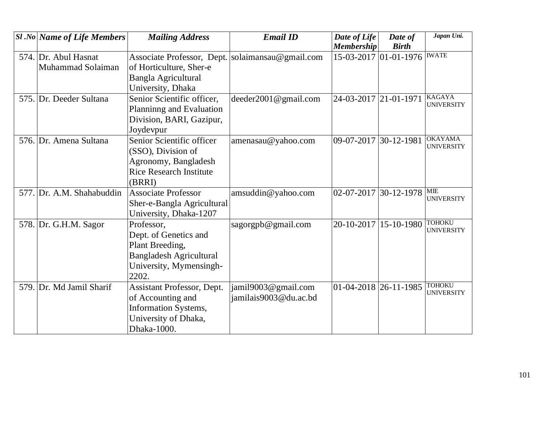| <b>Sl</b> .No Name of Life Members        | <b>Mailing Address</b>                                                                                                       | <b>Email ID</b>                              | Date of Life<br><b>Membership</b> | Date of<br><b>Birth</b> | Japan Uni.                          |
|-------------------------------------------|------------------------------------------------------------------------------------------------------------------------------|----------------------------------------------|-----------------------------------|-------------------------|-------------------------------------|
| 574. Dr. Abul Hasnat<br>Muhammad Solaiman | Associate Professor, Dept.<br>of Horticulture, Sher-e<br>Bangla Agricultural<br>University, Dhaka                            | solaimansau@gmail.com                        |                                   | 15-03-2017 01-01-1976   | <b>IWATE</b>                        |
| 575. Dr. Deeder Sultana                   | Senior Scientific officer,<br>Planninng and Evaluation<br>Division, BARI, Gazipur,<br>Joydevpur                              | deeder2001@gmail.com                         | 24-03-2017 21-01-1971             |                         | <b>KAGAYA</b><br><b>UNIVERSITY</b>  |
| 576. Dr. Amena Sultana                    | Senior Scientific officer<br>(SSO), Division of<br>Agronomy, Bangladesh<br><b>Rice Research Institute</b><br>(BRRI)          | amenasau@yahoo.com                           | 09-07-2017                        | 30-12-1981              | <b>OKAYAMA</b><br><b>UNIVERSITY</b> |
| 577. Dr. A.M. Shahabuddin                 | <b>Associate Professor</b><br>Sher-e-Bangla Agricultural<br>University, Dhaka-1207                                           | amsuddin@yahoo.com                           | 02-07-2017                        | 30-12-1978              | <b>MIE</b><br><b>UNIVERSITY</b>     |
| 578. Dr. G.H.M. Sagor                     | Professor,<br>Dept. of Genetics and<br>Plant Breeding,<br><b>Bangladesh Agricultural</b><br>University, Mymensingh-<br>2202. | sagorgpb@gmail.com                           | 20-10-2017 15-10-1980             |                         | <b>TOHOKU</b><br><b>UNIVERSITY</b>  |
| 579. Dr. Md Jamil Sharif                  | Assistant Professor, Dept.<br>of Accounting and<br>Information Systems,<br>University of Dhaka,<br>Dhaka-1000.               | jamil9003@gmail.com<br>jamilais9003@du.ac.bd | 01-04-2018 26-11-1985             |                         | <b>TOHOKU</b><br><b>UNIVERSITY</b>  |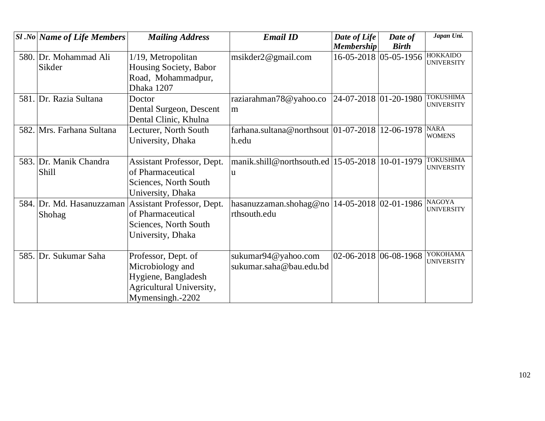| <b>Sl</b> .No Name of Life Members | <b>Mailing Address</b>                               | <b>Email ID</b>                                    | Date of Life          | Date of               | Japan Uni.                           |
|------------------------------------|------------------------------------------------------|----------------------------------------------------|-----------------------|-----------------------|--------------------------------------|
|                                    |                                                      |                                                    | <b>Membership</b>     | <b>Birth</b>          |                                      |
| 580. Dr. Mohammad Ali              | 1/19, Metropolitan                                   | msikder2@gmail.com                                 |                       | 16-05-2018 05-05-1956 | <b>HOKKAIDO</b><br><b>UNIVERSITY</b> |
| Sikder                             | Housing Society, Babor                               |                                                    |                       |                       |                                      |
|                                    | Road, Mohammadpur,                                   |                                                    |                       |                       |                                      |
|                                    | Dhaka 1207                                           |                                                    |                       |                       |                                      |
| 581. Dr. Razia Sultana             | Doctor                                               | raziarahman78@yahoo.co                             | 24-07-2018 01-20-1980 |                       | <b>TOKUSHIMA</b>                     |
|                                    | Dental Surgeon, Descent                              | m                                                  |                       |                       | <b>UNIVERSITY</b>                    |
|                                    | Dental Clinic, Khulna                                |                                                    |                       |                       |                                      |
| 582. Mrs. Farhana Sultana          | Lecturer, North South                                | farhana.sultana@northsout $ 01-07-2018 12-06-1978$ |                       |                       | <b>NARA</b>                          |
|                                    | University, Dhaka                                    | h.edu                                              |                       |                       | <b>WOMENS</b>                        |
|                                    |                                                      |                                                    |                       |                       |                                      |
| 583. Dr. Manik Chandra             | Assistant Professor, Dept.                           | manik.shill@northsouth.ed   $15-05-2018$           |                       | 10-01-1979            | <b>TOKUSHIMA</b>                     |
| Shill                              | of Pharmaceutical                                    | u                                                  |                       |                       | <b>UNIVERSITY</b>                    |
|                                    | Sciences, North South                                |                                                    |                       |                       |                                      |
|                                    | University, Dhaka                                    |                                                    |                       |                       |                                      |
|                                    | 584. Dr. Md. Hasanuzzaman Assistant Professor, Dept. | hasanuzzaman.shohag@no                             | 14-05-2018 02-01-1986 |                       | <b>NAGOYA</b>                        |
| Shohag                             | of Pharmaceutical                                    | rthsouth.edu                                       |                       |                       | <b>UNIVERSITY</b>                    |
|                                    | Sciences, North South                                |                                                    |                       |                       |                                      |
|                                    | University, Dhaka                                    |                                                    |                       |                       |                                      |
|                                    |                                                      |                                                    |                       |                       |                                      |
| 585. Dr. Sukumar Saha              | Professor, Dept. of                                  | sukumar94@yahoo.com                                | 02-06-2018 06-08-1968 |                       | YOKOHAMA                             |
|                                    | Microbiology and                                     | sukumar.saha@bau.edu.bd                            |                       |                       | <b>UNIVERSITY</b>                    |
|                                    | Hygiene, Bangladesh                                  |                                                    |                       |                       |                                      |
|                                    | Agricultural University,                             |                                                    |                       |                       |                                      |
|                                    | Mymensingh.-2202                                     |                                                    |                       |                       |                                      |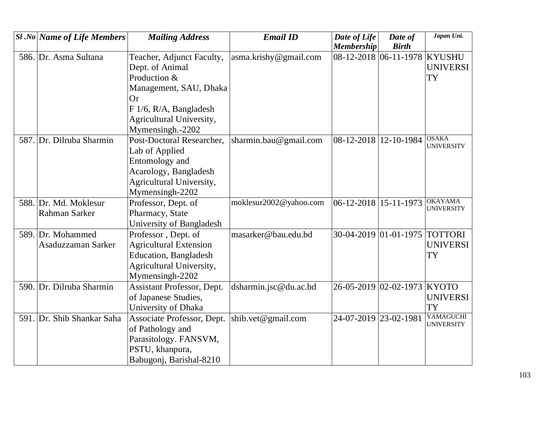| $ S1 $ .No Name of Life Members | <b>Mailing Address</b>        | <b>Email ID</b>        | Date of Life          | Date of                       | Japan Uni.                     |
|---------------------------------|-------------------------------|------------------------|-----------------------|-------------------------------|--------------------------------|
|                                 |                               |                        | <b>Membership</b>     | <b>Birth</b>                  |                                |
| 586. Dr. Asma Sultana           | Teacher, Adjunct Faculty,     | asma.krishy@gmail.com  |                       | 08-12-2018 06-11-1978 KYUSHU  |                                |
|                                 | Dept. of Animal               |                        |                       |                               | <b>UNIVERSI</b>                |
|                                 | Production &                  |                        |                       |                               | <b>TY</b>                      |
|                                 | Management, SAU, Dhaka        |                        |                       |                               |                                |
|                                 | <b>Or</b>                     |                        |                       |                               |                                |
|                                 | F 1/6, R/A, Bangladesh        |                        |                       |                               |                                |
|                                 | Agricultural University,      |                        |                       |                               |                                |
|                                 | Mymensingh.-2202              |                        |                       |                               |                                |
| 587. Dr. Dilruba Sharmin        | Post-Doctoral Researcher,     | sharmin.bau@gmail.com  | 08-12-2018 12-10-1984 |                               | <b>OSAKA</b>                   |
|                                 | Lab of Applied                |                        |                       |                               | <b>UNIVERSITY</b>              |
|                                 | Entomology and                |                        |                       |                               |                                |
|                                 | Acarology, Bangladesh         |                        |                       |                               |                                |
|                                 | Agricultural University,      |                        |                       |                               |                                |
|                                 | Mymensingh-2202               |                        |                       |                               |                                |
| 588. Dr. Md. Moklesur           | Professor, Dept. of           | moklesur2002@yahoo.com | 06-12-2018 15-11-1973 |                               | <b>OKAYAMA</b>                 |
| Rahman Sarker                   | Pharmacy, State               |                        |                       |                               | <b>UNIVERSITY</b>              |
|                                 | University of Bangladesh      |                        |                       |                               |                                |
| 589. Dr. Mohammed               | Professor, Dept. of           | masarker@bau.edu.bd    |                       | 30-04-2019 01-01-1975 TOTTORI |                                |
| Asaduzzaman Sarker              | <b>Agricultural Extension</b> |                        |                       |                               | <b>UNIVERSI</b>                |
|                                 | <b>Education</b> , Bangladesh |                        |                       |                               | <b>TY</b>                      |
|                                 | Agricultural University,      |                        |                       |                               |                                |
|                                 | Mymensingh-2202               |                        |                       |                               |                                |
| 590. Dr. Dilruba Sharmin        | Assistant Professor, Dept.    | dsharmin.jsc@du.ac.bd  | 26-05-2019 02-02-1973 |                               | <b>KYOTO</b>                   |
|                                 | of Japanese Studies,          |                        |                       |                               | <b>UNIVERSI</b>                |
|                                 | University of Dhaka           |                        |                       |                               | <b>TY</b>                      |
| 591. Dr. Shib Shankar Saha      | Associate Professor, Dept.    | shib.vet@gmail.com     | 24-07-2019 23-02-1981 |                               | YAMAGUCHI<br><b>UNIVERSITY</b> |
|                                 | of Pathology and              |                        |                       |                               |                                |
|                                 | Parasitology. FANSVM,         |                        |                       |                               |                                |
|                                 | PSTU, khanpura,               |                        |                       |                               |                                |
|                                 | Babugonj, Barishal-8210       |                        |                       |                               |                                |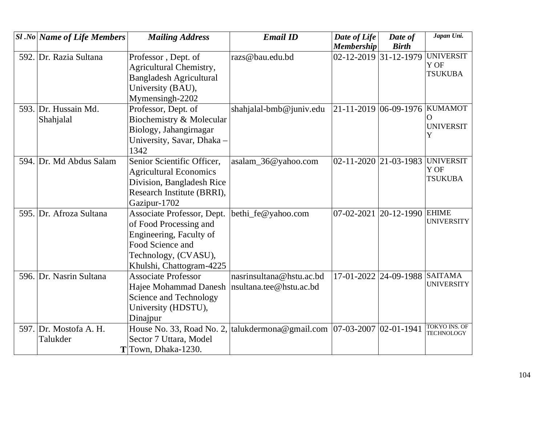|      | <b>Sl</b> .No Name of Life Members | <b>Mailing Address</b>                                                     | <b>Email ID</b>          | Date of Life                               | Date of                       | Japan Uni.                         |
|------|------------------------------------|----------------------------------------------------------------------------|--------------------------|--------------------------------------------|-------------------------------|------------------------------------|
|      |                                    |                                                                            |                          | <b>Membership</b><br>02-12-2019 31-12-1979 | <b>Birth</b>                  | <b>UNIVERSIT</b>                   |
| 592. | Dr. Razia Sultana                  | Professor, Dept. of                                                        | razs@bau.edu.bd          |                                            |                               | Y OF                               |
|      |                                    | Agricultural Chemistry,                                                    |                          |                                            |                               | <b>TSUKUBA</b>                     |
|      |                                    | <b>Bangladesh Agricultural</b>                                             |                          |                                            |                               |                                    |
|      |                                    | University (BAU),                                                          |                          |                                            |                               |                                    |
|      |                                    | Mymensingh-2202                                                            |                          |                                            |                               |                                    |
|      | 593. Dr. Hussain Md.               | Professor, Dept. of                                                        | shahjalal-bmb@juniv.edu  | 21-11-2019 06-09-1976 KUMAMOT              |                               | O                                  |
|      | Shahjalal                          | Biochemistry & Molecular                                                   |                          |                                            |                               | <b>UNIVERSIT</b>                   |
|      |                                    | Biology, Jahangirnagar                                                     |                          |                                            |                               | Y                                  |
|      |                                    | University, Savar, Dhaka -                                                 |                          |                                            |                               |                                    |
|      |                                    | 1342                                                                       |                          |                                            |                               |                                    |
|      | 594. Dr. Md Abdus Salam            | Senior Scientific Officer,                                                 | asalam_36@yahoo.com      | $02 - 11 - 2020$ 21 - 03 - 1983            |                               | <b>UNIVERSIT</b><br>Y OF           |
|      |                                    | <b>Agricultural Economics</b>                                              |                          |                                            |                               | <b>TSUKUBA</b>                     |
|      |                                    | Division, Bangladesh Rice                                                  |                          |                                            |                               |                                    |
|      |                                    | Research Institute (BRRI),                                                 |                          |                                            |                               |                                    |
|      |                                    | Gazipur-1702                                                               |                          |                                            |                               |                                    |
|      | 595. Dr. Afroza Sultana            | Associate Professor, Dept.                                                 | bethi_fe@yahoo.com       | 07-02-2021                                 | 20-12-1990 EHIME              | <b>UNIVERSITY</b>                  |
|      |                                    | of Food Processing and                                                     |                          |                                            |                               |                                    |
|      |                                    | Engineering, Faculty of                                                    |                          |                                            |                               |                                    |
|      |                                    | Food Science and                                                           |                          |                                            |                               |                                    |
|      |                                    | Technology, (CVASU),                                                       |                          |                                            |                               |                                    |
|      |                                    | Khulshi, Chattogram-4225                                                   |                          |                                            |                               |                                    |
|      | 596. Dr. Nasrin Sultana            | <b>Associate Professor</b>                                                 | nasrinsultana@hstu.ac.bd |                                            | 17-01-2022 24-09-1988 SAITAMA | <b>UNIVERSITY</b>                  |
|      |                                    | Hajee Mohammad Danesh                                                      | nsultana.tee@hstu.ac.bd  |                                            |                               |                                    |
|      |                                    | Science and Technology                                                     |                          |                                            |                               |                                    |
|      |                                    | University (HDSTU),                                                        |                          |                                            |                               |                                    |
|      |                                    | Dinajpur                                                                   |                          |                                            |                               |                                    |
| 597. | Dr. Mostofa A. H.                  | House No. 33, Road No. 2, talukdermona@gmail.com   07-03-2007   02-01-1941 |                          |                                            |                               | TOKYO INS. OF<br><b>TECHNOLOGY</b> |
|      | Talukder                           | Sector 7 Uttara, Model                                                     |                          |                                            |                               |                                    |
|      |                                    | $T$ Town, Dhaka-1230.                                                      |                          |                                            |                               |                                    |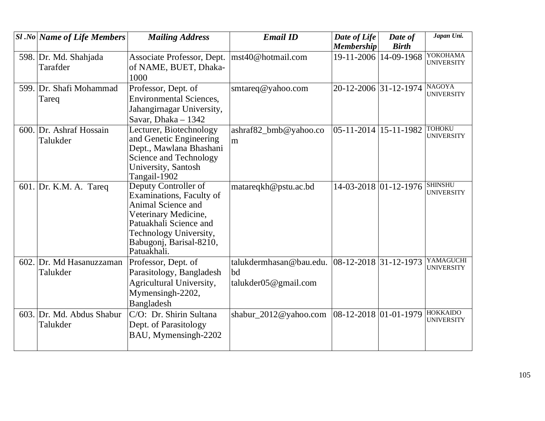| <b>Sl</b> .No Name of Life Members | <b>Mailing Address</b>                           | <b>Email ID</b>                                  | Date of Life              | Date of      | Japan Uni.        |
|------------------------------------|--------------------------------------------------|--------------------------------------------------|---------------------------|--------------|-------------------|
|                                    |                                                  |                                                  | <b>Membership</b>         | <b>Birth</b> |                   |
| 598. Dr. Md. Shahjada              | Associate Professor, Dept.                       | mst40@hotmail.com                                | 19-11-2006                | 14-09-1968   | YOKOHAMA          |
| Tarafder                           | of NAME, BUET, Dhaka-                            |                                                  |                           |              | <b>UNIVERSITY</b> |
|                                    | 1000                                             |                                                  |                           |              |                   |
| 599. Dr. Shafi Mohammad            | Professor, Dept. of                              | smtareq@yahoo.com                                | 20-12-2006 31-12-1974     |              | <b>NAGOYA</b>     |
| Tareq                              | <b>Environmental Sciences,</b>                   |                                                  |                           |              | <b>UNIVERSITY</b> |
|                                    | Jahangirnagar University,                        |                                                  |                           |              |                   |
|                                    | Savar, Dhaka - 1342                              |                                                  |                           |              |                   |
| 600. Dr. Ashraf Hossain            | Lecturer, Biotechnology                          | ashraf82_bmb@yahoo.co                            | $05-11-2014$   15-11-1982 |              | <b>TOHOKU</b>     |
| Talukder                           | and Genetic Engineering                          | m                                                |                           |              | <b>UNIVERSITY</b> |
|                                    | Dept., Mawlana Bhashani                          |                                                  |                           |              |                   |
|                                    | Science and Technology                           |                                                  |                           |              |                   |
|                                    | University, Santosh                              |                                                  |                           |              |                   |
|                                    | Tangail-1902                                     |                                                  |                           |              | <b>SHINSHU</b>    |
| 601. Dr. K.M. A. Tareq             | Deputy Controller of<br>Examinations, Faculty of | matareqkh@pstu.ac.bd                             | 14-03-2018 01-12-1976     |              | <b>UNIVERSITY</b> |
|                                    | Animal Science and                               |                                                  |                           |              |                   |
|                                    | Veterinary Medicine,                             |                                                  |                           |              |                   |
|                                    | Patuakhali Science and                           |                                                  |                           |              |                   |
|                                    | Technology University,                           |                                                  |                           |              |                   |
|                                    | Babugonj, Barisal-8210,                          |                                                  |                           |              |                   |
|                                    | Patuakhali.                                      |                                                  |                           |              |                   |
| 602. Dr. Md Hasanuzzaman           | Professor, Dept. of                              | talukdermhasan@bau.edu. $ 08-12-2018 31-12-1973$ |                           |              | YAMAGUCHI         |
| Talukder                           | Parasitology, Bangladesh                         | bd                                               |                           |              | <b>UNIVERSITY</b> |
|                                    | Agricultural University,                         | taluk der 05 @ gmail.com                         |                           |              |                   |
|                                    | Mymensingh-2202,                                 |                                                  |                           |              |                   |
|                                    | Bangladesh                                       |                                                  |                           |              |                   |
| 603. Dr. Md. Abdus Shabur          | C/O: Dr. Shirin Sultana                          | shabur_2012@yahoo.com                            | $ 08-12-2018 01-01-1979$  |              | <b>HOKKAIDO</b>   |
| Talukder                           | Dept. of Parasitology                            |                                                  |                           |              | <b>UNIVERSITY</b> |
|                                    | BAU, Mymensingh-2202                             |                                                  |                           |              |                   |
|                                    |                                                  |                                                  |                           |              |                   |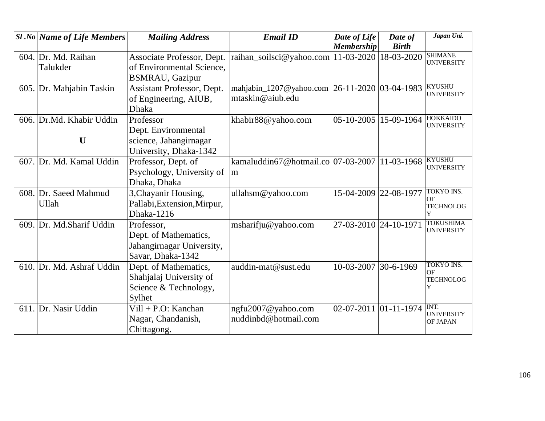| <b>Sl</b> .No Name of Life Members | <b>Mailing Address</b>            | <b>Email ID</b>                               | Date of Life              | Date of      | Japan Uni.                          |
|------------------------------------|-----------------------------------|-----------------------------------------------|---------------------------|--------------|-------------------------------------|
|                                    |                                   |                                               | <b>Membership</b>         | <b>Birth</b> |                                     |
| 604. Dr. Md. Raihan                | Associate Professor, Dept.        | raihan_soilsci@yahoo.com   11-03-2020         |                           | 18-03-2020   | <b>SHIMANE</b><br><b>UNIVERSITY</b> |
| Talukder                           | of Environmental Science,         |                                               |                           |              |                                     |
|                                    | <b>BSMRAU, Gazipur</b>            |                                               |                           |              |                                     |
| 605. Dr. Mahjabin Taskin           | <b>Assistant Professor, Dept.</b> | mahjabin_1207@yahoo.com 26-11-2020 03-04-1983 |                           |              | <b>KYUSHU</b>                       |
|                                    | of Engineering, AIUB,             | mtaskin@aiub.edu                              |                           |              | <b>UNIVERSITY</b>                   |
|                                    | <b>Dhaka</b>                      |                                               |                           |              |                                     |
| 606. Dr.Md. Khabir Uddin           | Professor                         | khabir88@yahoo.com                            | 05-10-2005 15-09-1964     |              | <b>HOKKAIDO</b>                     |
|                                    | Dept. Environmental               |                                               |                           |              | <b>UNIVERSITY</b>                   |
| $\mathbf U$                        | science, Jahangirnagar            |                                               |                           |              |                                     |
|                                    | University, Dhaka-1342            |                                               |                           |              |                                     |
| 607. Dr. Md. Kamal Uddin           | Professor, Dept. of               | kamaluddin67@hotmail.co 07-03-2007            |                           | 11-03-1968   | <b>KYUSHU</b>                       |
|                                    | Psychology, University of         | m                                             |                           |              | <b>UNIVERSITY</b>                   |
|                                    | Dhaka, Dhaka                      |                                               |                           |              |                                     |
| 608. Dr. Saeed Mahmud              | 3, Chayanir Housing,              | ullahsm@yahoo.com                             | 15-04-2009                | 22-08-1977   | <b>TOKYO INS.</b>                   |
| Ullah                              | Pallabi, Extension, Mirpur,       |                                               |                           |              | OF<br><b>TECHNOLOG</b>              |
|                                    | Dhaka-1216                        |                                               |                           |              | Y                                   |
| 609. Dr. Md.Sharif Uddin           | Professor,                        | msharifju@yahoo.com                           | 27-03-2010 24-10-1971     |              | <b>TOKUSHIMA</b>                    |
|                                    | Dept. of Mathematics,             |                                               |                           |              | <b>UNIVERSITY</b>                   |
|                                    | Jahangirnagar University,         |                                               |                           |              |                                     |
|                                    | Savar, Dhaka-1342                 |                                               |                           |              |                                     |
| 610. Dr. Md. Ashraf Uddin          | Dept. of Mathematics,             | auddin-mat@sust.edu                           | 10-03-2007                | 30-6-1969    | <b>TOKYO INS.</b>                   |
|                                    | Shahjalaj University of           |                                               |                           |              | OF<br><b>TECHNOLOG</b>              |
|                                    | Science & Technology,             |                                               |                           |              | Y                                   |
|                                    | Sylhet                            |                                               |                           |              |                                     |
| 611. Dr. Nasir Uddin               | $Vill + P.O: Kanchan$             | ngfu2007@yahoo.com                            | $02-07-2011$ $01-11-1974$ |              | INT.                                |
|                                    | Nagar, Chandanish,                | nuddinbd@hotmail.com                          |                           |              | <b>UNIVERSITY</b><br>OF JAPAN       |
|                                    | Chittagong.                       |                                               |                           |              |                                     |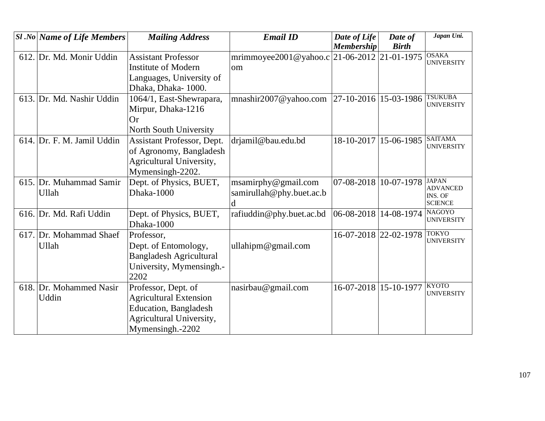| $ S1 $ .No Name of Life Members | <b>Mailing Address</b>         | <b>Email ID</b>                             | Date of Life            | Date of      | Japan Uni.                          |
|---------------------------------|--------------------------------|---------------------------------------------|-------------------------|--------------|-------------------------------------|
|                                 |                                |                                             | <b>Membership</b>       | <b>Birth</b> |                                     |
| 612. Dr. Md. Monir Uddin        | <b>Assistant Professor</b>     | mrimmoyee2001@yahoo.c 21-06-2012 21-01-1975 |                         |              | <b>OSAKA</b><br><b>UNIVERSITY</b>   |
|                                 | <b>Institute of Modern</b>     | om                                          |                         |              |                                     |
|                                 | Languages, University of       |                                             |                         |              |                                     |
|                                 | Dhaka, Dhaka-1000.             |                                             |                         |              |                                     |
| 613. Dr. Md. Nashir Uddin       | 1064/1, East-Shewrapara,       | mnashir2007@yahoo.com                       | $27-10-2016$ 15-03-1986 |              | <b>TSUKUBA</b><br><b>UNIVERSITY</b> |
|                                 | Mirpur, Dhaka-1216             |                                             |                         |              |                                     |
|                                 | <b>Or</b>                      |                                             |                         |              |                                     |
|                                 | North South University         |                                             |                         |              |                                     |
| 614. Dr. F. M. Jamil Uddin      | Assistant Professor, Dept.     | drjamil@bau.edu.bd                          | 18-10-2017              | 15-06-1985   | <b>SAITAMA</b><br><b>UNIVERSITY</b> |
|                                 | of Agronomy, Bangladesh        |                                             |                         |              |                                     |
|                                 | Agricultural University,       |                                             |                         |              |                                     |
|                                 | Mymensingh-2202.               |                                             |                         |              |                                     |
| 615. Dr. Muhammad Samir         | Dept. of Physics, BUET,        | msamirphy@gmail.com                         | 07-08-2018 10-07-1978   |              | <b>JAPAN</b><br><b>ADVANCED</b>     |
| Ullah                           | Dhaka-1000                     | samirullah@phy.buet.ac.b                    |                         |              | INS. OF                             |
|                                 |                                | d                                           |                         |              | <b>SCIENCE</b>                      |
| 616. Dr. Md. Rafi Uddin         | Dept. of Physics, BUET,        | rafiuddin@phy.buet.ac.bd                    | 06-08-2018 14-08-1974   |              | <b>NAGOYO</b><br><b>UNIVERSITY</b>  |
|                                 | Dhaka-1000                     |                                             |                         |              |                                     |
| 617. Dr. Mohammad Shaef         | Professor,                     |                                             | 16-07-2018 22-02-1978   |              | <b>TOKYO</b><br><b>UNIVERSITY</b>   |
| Ullah                           | Dept. of Entomology,           | ullahipm@gmail.com                          |                         |              |                                     |
|                                 | <b>Bangladesh Agricultural</b> |                                             |                         |              |                                     |
|                                 | University, Mymensingh.-       |                                             |                         |              |                                     |
|                                 | 2202                           |                                             |                         |              |                                     |
| 618. Dr. Mohammed Nasir         | Professor, Dept. of            | nasirbau@gmail.com                          | 16-07-2018 15-10-1977   |              | <b>KYOTO</b><br><b>UNIVERSITY</b>   |
| Uddin                           | <b>Agricultural Extension</b>  |                                             |                         |              |                                     |
|                                 | <b>Education</b> , Bangladesh  |                                             |                         |              |                                     |
|                                 | Agricultural University,       |                                             |                         |              |                                     |
|                                 | Mymensingh.-2202               |                                             |                         |              |                                     |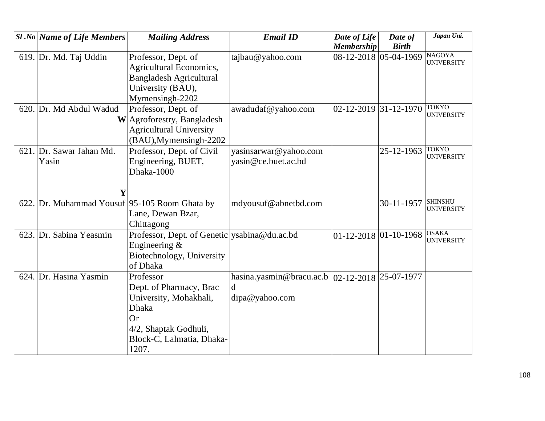|      | <b>Sl</b> .No Name of Life Members       | <b>Mailing Address</b>                         | <b>Email ID</b>                                    | Date of Life                    | Date of      | Japan Uni.                         |
|------|------------------------------------------|------------------------------------------------|----------------------------------------------------|---------------------------------|--------------|------------------------------------|
|      |                                          |                                                |                                                    | <b>Membership</b>               | <b>Birth</b> |                                    |
|      | 619. Dr. Md. Taj Uddin                   | Professor, Dept. of                            | tajbau@yahoo.com                                   | 08-12-2018 05-04-1969           |              | <b>NAGOYA</b><br><b>UNIVERSITY</b> |
|      |                                          | <b>Agricultural Economics,</b>                 |                                                    |                                 |              |                                    |
|      |                                          | <b>Bangladesh Agricultural</b>                 |                                                    |                                 |              |                                    |
|      |                                          | University (BAU),                              |                                                    |                                 |              |                                    |
|      |                                          | Mymensingh-2202                                |                                                    |                                 |              |                                    |
|      | 620. Dr. Md Abdul Wadud                  | Professor, Dept. of                            | awadudaf@yahoo.com                                 | $02 - 12 - 2019$ 31 - 12 - 1970 |              | <b>TOKYO</b><br><b>UNIVERSITY</b>  |
|      |                                          | W Agroforestry, Bangladesh                     |                                                    |                                 |              |                                    |
|      |                                          | <b>Agricultural University</b>                 |                                                    |                                 |              |                                    |
|      |                                          | (BAU), Mymensingh-2202                         |                                                    |                                 |              |                                    |
|      | 621. Dr. Sawar Jahan Md.                 | Professor, Dept. of Civil                      | yasinsarwar@yahoo.com                              |                                 | 25-12-1963   | <b>TOKYO</b>                       |
|      | Yasin                                    | Engineering, BUET,                             | yasin@ce.buet.ac.bd                                |                                 |              | <b>UNIVERSITY</b>                  |
|      |                                          | Dhaka-1000                                     |                                                    |                                 |              |                                    |
|      |                                          |                                                |                                                    |                                 |              |                                    |
|      | Y                                        |                                                |                                                    |                                 |              |                                    |
| 622. | Dr. Muhammad Yousuf 95-105 Room Ghata by |                                                | mdyousuf@abnetbd.com                               |                                 | 30-11-1957   | <b>SHINSHU</b>                     |
|      |                                          | Lane, Dewan Bzar,                              |                                                    |                                 |              | <b>UNIVERSITY</b>                  |
|      |                                          | Chittagong                                     |                                                    |                                 |              |                                    |
|      | 623. Dr. Sabina Yeasmin                  | Professor, Dept. of Genetic   ysabina@du.ac.bd |                                                    | $01-12-2018$ 01-10-1968 OSAKA   |              |                                    |
|      |                                          | Engineering &                                  |                                                    |                                 |              | <b>UNIVERSITY</b>                  |
|      |                                          | Biotechnology, University                      |                                                    |                                 |              |                                    |
|      |                                          | of Dhaka                                       |                                                    |                                 |              |                                    |
| 624. | Dr. Hasina Yasmin                        | Professor                                      | hasina.yasmin@bracu.ac.b   02-12-2018   25-07-1977 |                                 |              |                                    |
|      |                                          | Dept. of Pharmacy, Brac                        | d                                                  |                                 |              |                                    |
|      |                                          | University, Mohakhali,                         | dipa@yahoo.com                                     |                                 |              |                                    |
|      |                                          | <b>Dhaka</b>                                   |                                                    |                                 |              |                                    |
|      |                                          | Or                                             |                                                    |                                 |              |                                    |
|      |                                          | 4/2, Shaptak Godhuli,                          |                                                    |                                 |              |                                    |
|      |                                          | Block-C, Lalmatia, Dhaka-                      |                                                    |                                 |              |                                    |
|      |                                          | 1207.                                          |                                                    |                                 |              |                                    |